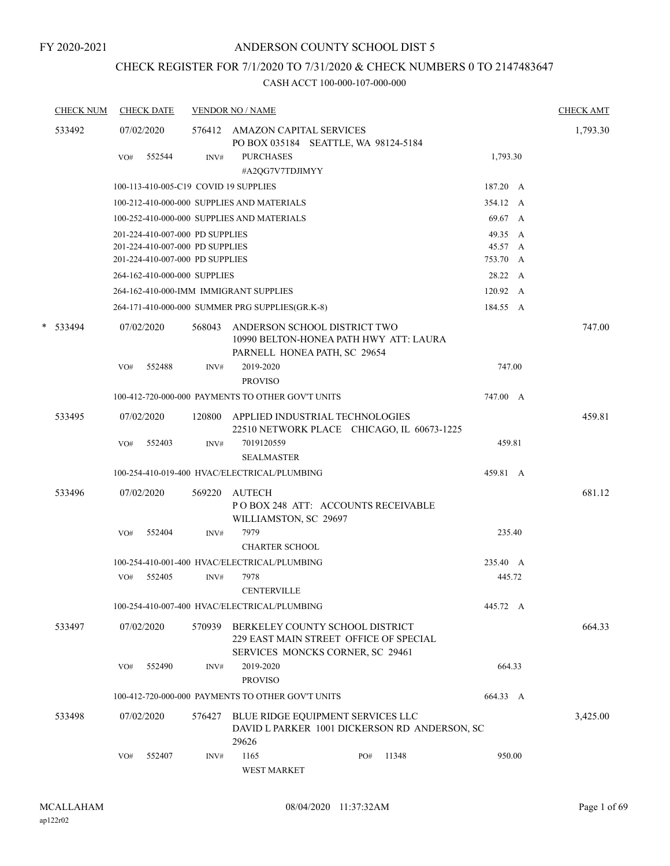# CHECK REGISTER FOR 7/1/2020 TO 7/31/2020 & CHECK NUMBERS 0 TO 2147483647

| <b>CHECK NUM</b> |     | <b>CHECK DATE</b>               |        | <b>VENDOR NO / NAME</b>                                                                                       |     |       |          |        | <b>CHECK AMT</b> |
|------------------|-----|---------------------------------|--------|---------------------------------------------------------------------------------------------------------------|-----|-------|----------|--------|------------------|
| 533492           |     | 07/02/2020                      |        | 576412 AMAZON CAPITAL SERVICES<br>PO BOX 035184 SEATTLE, WA 98124-5184                                        |     |       |          |        | 1,793.30         |
|                  | VO# | 552544                          | INV#   | <b>PURCHASES</b>                                                                                              |     |       | 1,793.30 |        |                  |
|                  |     |                                 |        | #A2QG7V7TDJIMYY                                                                                               |     |       |          |        |                  |
|                  |     |                                 |        | 100-113-410-005-C19 COVID 19 SUPPLIES                                                                         |     |       | 187.20 A |        |                  |
|                  |     |                                 |        | 100-212-410-000-000 SUPPLIES AND MATERIALS                                                                    |     |       | 354.12 A |        |                  |
|                  |     |                                 |        | 100-252-410-000-000 SUPPLIES AND MATERIALS                                                                    |     |       | 69.67 A  |        |                  |
|                  |     | 201-224-410-007-000 PD SUPPLIES |        |                                                                                                               |     |       | 49.35 A  |        |                  |
|                  |     | 201-224-410-007-000 PD SUPPLIES |        |                                                                                                               |     |       | 45.57 A  |        |                  |
|                  |     | 201-224-410-007-000 PD SUPPLIES |        |                                                                                                               |     |       | 753.70 A |        |                  |
|                  |     | 264-162-410-000-000 SUPPLIES    |        |                                                                                                               |     |       | 28.22 A  |        |                  |
|                  |     |                                 |        | 264-162-410-000-IMM IMMIGRANT SUPPLIES                                                                        |     |       | 120.92 A |        |                  |
|                  |     |                                 |        | 264-171-410-000-000 SUMMER PRG SUPPLIES(GR.K-8)                                                               |     |       | 184.55 A |        |                  |
| $*$ 533494       |     | 07/02/2020                      | 568043 | ANDERSON SCHOOL DISTRICT TWO<br>10990 BELTON-HONEA PATH HWY ATT: LAURA<br>PARNELL HONEA PATH, SC 29654        |     |       |          |        | 747.00           |
|                  | VO# | 552488                          | INV#   | 2019-2020                                                                                                     |     |       |          | 747.00 |                  |
|                  |     |                                 |        | <b>PROVISO</b>                                                                                                |     |       |          |        |                  |
|                  |     |                                 |        | 100-412-720-000-000 PAYMENTS TO OTHER GOV'T UNITS                                                             |     |       | 747.00 A |        |                  |
| 533495           |     | 07/02/2020                      |        | 120800 APPLIED INDUSTRIAL TECHNOLOGIES<br>22510 NETWORK PLACE CHICAGO, IL 60673-1225                          |     |       |          |        | 459.81           |
|                  | VO# | 552403                          | INV#   | 7019120559<br><b>SEALMASTER</b>                                                                               |     |       | 459.81   |        |                  |
|                  |     |                                 |        | 100-254-410-019-400 HVAC/ELECTRICAL/PLUMBING                                                                  |     |       | 459.81 A |        |                  |
| 533496           |     | 07/02/2020                      | 569220 | AUTECH                                                                                                        |     |       |          |        | 681.12           |
|                  |     |                                 |        | PO BOX 248 ATT: ACCOUNTS RECEIVABLE<br>WILLIAMSTON, SC 29697                                                  |     |       |          |        |                  |
|                  | VO# | 552404                          | INV#   | 7979                                                                                                          |     |       |          | 235.40 |                  |
|                  |     |                                 |        | <b>CHARTER SCHOOL</b>                                                                                         |     |       |          |        |                  |
|                  |     |                                 |        | 100-254-410-001-400 HVAC/ELECTRICAL/PLUMBING                                                                  |     |       | 235.40 A |        |                  |
|                  | VO# | 552405                          | INV#   | 7978                                                                                                          |     |       | 445.72   |        |                  |
|                  |     |                                 |        | <b>CENTERVILLE</b>                                                                                            |     |       |          |        |                  |
|                  |     |                                 |        | 100-254-410-007-400 HVAC/ELECTRICAL/PLUMBING                                                                  |     |       | 445.72 A |        |                  |
| 533497           |     | 07/02/2020                      | 570939 | BERKELEY COUNTY SCHOOL DISTRICT<br>229 EAST MAIN STREET OFFICE OF SPECIAL<br>SERVICES MONCKS CORNER, SC 29461 |     |       |          |        | 664.33           |
|                  | VO# | 552490                          | INV#   | 2019-2020<br><b>PROVISO</b>                                                                                   |     |       |          | 664.33 |                  |
|                  |     |                                 |        | 100-412-720-000-000 PAYMENTS TO OTHER GOV'T UNITS                                                             |     |       | 664.33 A |        |                  |
| 533498           |     | 07/02/2020                      | 576427 | BLUE RIDGE EQUIPMENT SERVICES LLC<br>DAVID L PARKER 1001 DICKERSON RD ANDERSON, SC<br>29626                   |     |       |          |        | 3,425.00         |
|                  | VO# | 552407                          | INV#   | 1165<br>WEST MARKET                                                                                           | PO# | 11348 |          | 950.00 |                  |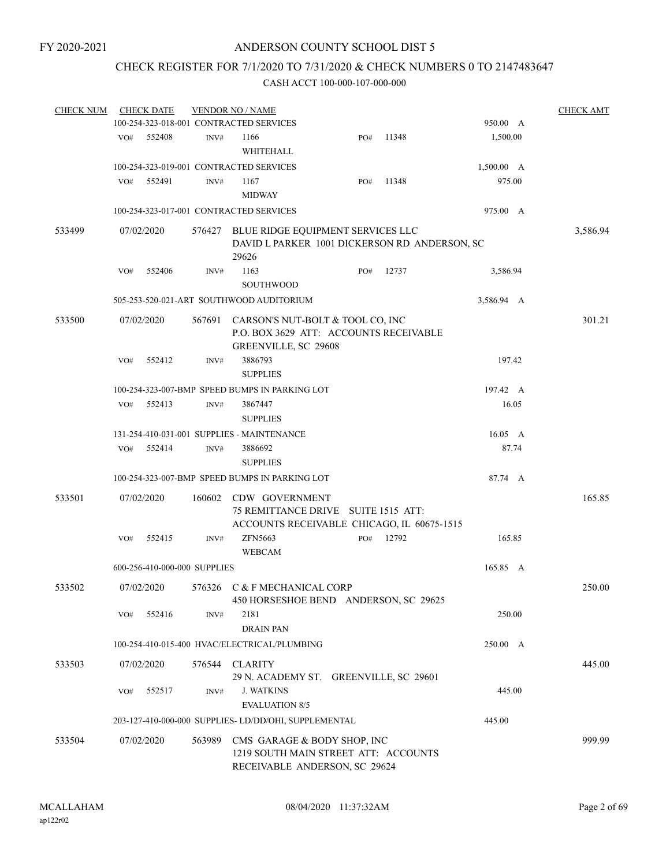## CHECK REGISTER FOR 7/1/2020 TO 7/31/2020 & CHECK NUMBERS 0 TO 2147483647

| <b>CHECK NUM</b> |     | <b>CHECK DATE</b>            |        | <b>VENDOR NO / NAME</b>                                                                              |     |       |                | <b>CHECK AMT</b> |
|------------------|-----|------------------------------|--------|------------------------------------------------------------------------------------------------------|-----|-------|----------------|------------------|
|                  |     |                              |        | 100-254-323-018-001 CONTRACTED SERVICES                                                              |     |       | 950.00 A       |                  |
|                  | VO# | 552408                       | INV#   | 1166                                                                                                 | PO# | 11348 | 1,500.00       |                  |
|                  |     |                              |        | WHITEHALL                                                                                            |     |       |                |                  |
|                  |     |                              |        | 100-254-323-019-001 CONTRACTED SERVICES                                                              |     |       | 1,500.00 A     |                  |
|                  | VO# | 552491                       | INV#   | 1167                                                                                                 | PO# | 11348 | 975.00         |                  |
|                  |     |                              |        | <b>MIDWAY</b>                                                                                        |     |       |                |                  |
|                  |     |                              |        | 100-254-323-017-001 CONTRACTED SERVICES                                                              |     |       | 975.00 A       |                  |
| 533499           |     | 07/02/2020                   |        | 576427 BLUE RIDGE EQUIPMENT SERVICES LLC<br>DAVID L PARKER 1001 DICKERSON RD ANDERSON, SC<br>29626   |     |       |                | 3,586.94         |
|                  | VO# | 552406                       | INV#   | 1163                                                                                                 | PO# | 12737 | 3,586.94       |                  |
|                  |     |                              |        | <b>SOUTHWOOD</b>                                                                                     |     |       |                |                  |
|                  |     |                              |        | 505-253-520-021-ART SOUTHWOOD AUDITORIUM                                                             |     |       | 3,586.94 A     |                  |
| 533500           |     | 07/02/2020                   | 567691 | CARSON'S NUT-BOLT & TOOL CO, INC<br>P.O. BOX 3629 ATT: ACCOUNTS RECEIVABLE<br>GREENVILLE, SC 29608   |     |       |                | 301.21           |
|                  | VO# | 552412                       | INV#   | 3886793<br><b>SUPPLIES</b>                                                                           |     |       | 197.42         |                  |
|                  |     |                              |        | 100-254-323-007-BMP SPEED BUMPS IN PARKING LOT                                                       |     |       | 197.42 A       |                  |
|                  | VO# | 552413                       | INV#   | 3867447                                                                                              |     |       | 16.05          |                  |
|                  |     |                              |        | <b>SUPPLIES</b>                                                                                      |     |       |                |                  |
|                  |     |                              |        | 131-254-410-031-001 SUPPLIES - MAINTENANCE                                                           |     |       | $16.05\quad A$ |                  |
|                  | VO# | 552414                       | INV#   | 3886692<br><b>SUPPLIES</b>                                                                           |     |       | 87.74          |                  |
|                  |     |                              |        | 100-254-323-007-BMP SPEED BUMPS IN PARKING LOT                                                       |     |       | 87.74 A        |                  |
|                  |     |                              |        |                                                                                                      |     |       |                |                  |
| 533501           |     | 07/02/2020                   | 160602 | CDW GOVERNMENT<br>75 REMITTANCE DRIVE SUITE 1515 ATT:<br>ACCOUNTS RECEIVABLE CHICAGO, IL 60675-1515  |     |       |                | 165.85           |
|                  | VO# | 552415                       | INV#   | ZFN5663                                                                                              | PO# | 12792 | 165.85         |                  |
|                  |     |                              |        | <b>WEBCAM</b>                                                                                        |     |       |                |                  |
|                  |     | 600-256-410-000-000 SUPPLIES |        |                                                                                                      |     |       | 165.85 A       |                  |
| 533502           |     | 07/02/2020                   |        | 576326 C & F MECHANICAL CORP<br>450 HORSESHOE BEND ANDERSON, SC 29625                                |     |       |                | 250.00           |
|                  | VO# | 552416                       | INV#   | 2181<br><b>DRAIN PAN</b>                                                                             |     |       | 250.00         |                  |
|                  |     |                              |        | 100-254-410-015-400 HVAC/ELECTRICAL/PLUMBING                                                         |     |       | 250.00 A       |                  |
| 533503           |     | 07/02/2020                   | 576544 | CLARITY<br>29 N. ACADEMY ST. GREENVILLE, SC 29601                                                    |     |       |                | 445.00           |
|                  | VO# | 552517                       | INV#   | <b>J. WATKINS</b><br><b>EVALUATION 8/5</b>                                                           |     |       | 445.00         |                  |
|                  |     |                              |        | 203-127-410-000-000 SUPPLIES-LD/DD/OHI, SUPPLEMENTAL                                                 |     |       | 445.00         |                  |
| 533504           |     | 07/02/2020                   | 563989 | CMS GARAGE & BODY SHOP, INC<br>1219 SOUTH MAIN STREET ATT: ACCOUNTS<br>RECEIVABLE ANDERSON, SC 29624 |     |       |                | 999.99           |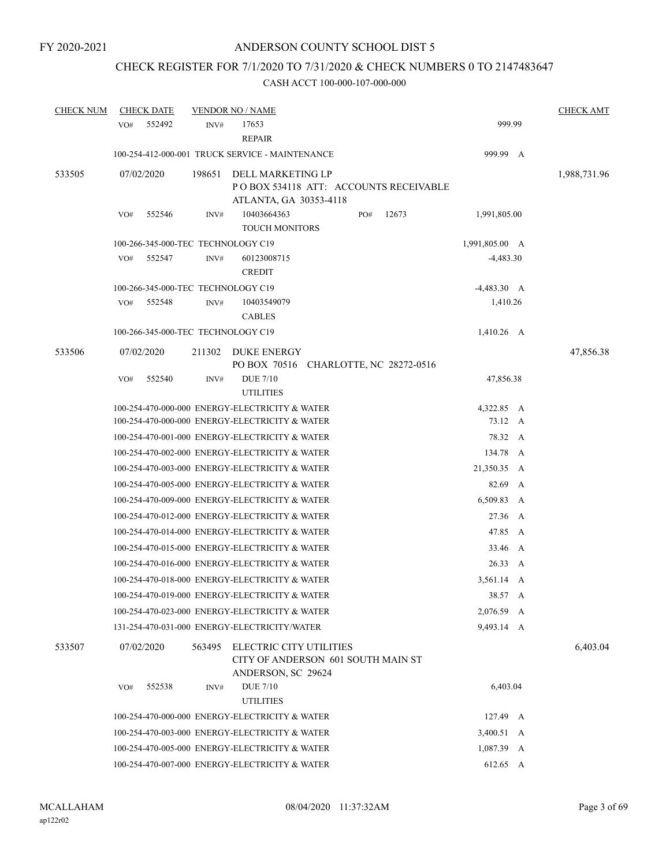# CHECK REGISTER FOR 7/1/2020 TO 7/31/2020 & CHECK NUMBERS 0 TO 2147483647

| <b>CHECK NUM</b> | <b>CHECK DATE</b>                  |        | <b>VENDOR NO / NAME</b>                                                                          |     |       |                       |   | <b>CHECK AMT</b> |
|------------------|------------------------------------|--------|--------------------------------------------------------------------------------------------------|-----|-------|-----------------------|---|------------------|
|                  | 552492<br>VO#                      | INV#   | 17653<br><b>REPAIR</b>                                                                           |     |       | 999.99                |   |                  |
|                  |                                    |        | 100-254-412-000-001 TRUCK SERVICE - MAINTENANCE                                                  |     |       | 999.99 A              |   |                  |
| 533505           | 07/02/2020                         | 198651 | DELL MARKETING LP<br>POBOX 534118 ATT: ACCOUNTS RECEIVABLE<br>ATLANTA, GA 30353-4118             |     |       |                       |   | 1,988,731.96     |
|                  | 552546<br>VO#                      | INV#   | 10403664363<br><b>TOUCH MONITORS</b>                                                             | PO# | 12673 | 1,991,805.00          |   |                  |
|                  | 100-266-345-000-TEC TECHNOLOGY C19 |        |                                                                                                  |     |       | 1,991,805.00 A        |   |                  |
|                  | VO#<br>552547                      | INV#   | 60123008715<br><b>CREDIT</b>                                                                     |     |       | $-4,483.30$           |   |                  |
|                  | 100-266-345-000-TEC TECHNOLOGY C19 |        |                                                                                                  |     |       | $-4,483.30 \, A$      |   |                  |
|                  | 552548<br>VO#                      | INV#   | 10403549079<br><b>CABLES</b>                                                                     |     |       | 1,410.26              |   |                  |
|                  | 100-266-345-000-TEC TECHNOLOGY C19 |        |                                                                                                  |     |       | 1,410.26 A            |   |                  |
| 533506           | 07/02/2020                         | 211302 | <b>DUKE ENERGY</b><br>PO BOX 70516 CHARLOTTE, NC 28272-0516                                      |     |       |                       |   | 47,856.38        |
|                  | 552540<br>VO#                      | INV#   | <b>DUE</b> 7/10<br><b>UTILITIES</b>                                                              |     |       | 47,856.38             |   |                  |
|                  |                                    |        | 100-254-470-000-000 ENERGY-ELECTRICITY & WATER<br>100-254-470-000-000 ENERGY-ELECTRICITY & WATER |     |       | 4,322.85 A<br>73.12 A |   |                  |
|                  |                                    |        | 100-254-470-001-000 ENERGY-ELECTRICITY & WATER                                                   |     |       | 78.32 A               |   |                  |
|                  |                                    |        | 100-254-470-002-000 ENERGY-ELECTRICITY & WATER                                                   |     |       | 134.78                | A |                  |
|                  |                                    |        | 100-254-470-003-000 ENERGY-ELECTRICITY & WATER                                                   |     |       | 21,350.35 A           |   |                  |
|                  |                                    |        | 100-254-470-005-000 ENERGY-ELECTRICITY & WATER                                                   |     |       | 82.69 A               |   |                  |
|                  |                                    |        | 100-254-470-009-000 ENERGY-ELECTRICITY & WATER                                                   |     |       | 6,509.83 A            |   |                  |
|                  |                                    |        | 100-254-470-012-000 ENERGY-ELECTRICITY & WATER                                                   |     |       | 27.36 A               |   |                  |
|                  |                                    |        | 100-254-470-014-000 ENERGY-ELECTRICITY & WATER                                                   |     |       | 47.85                 | A |                  |
|                  |                                    |        | 100-254-470-015-000 ENERGY-ELECTRICITY & WATER                                                   |     |       | 33.46                 | A |                  |
|                  |                                    |        | 100-254-470-016-000 ENERGY-ELECTRICITY & WATER                                                   |     |       | 26.33                 | A |                  |
|                  |                                    |        | 100-254-470-018-000 ENERGY-ELECTRICITY & WATER                                                   |     |       | 3,561.14 A            |   |                  |
|                  |                                    |        | 100-254-470-019-000 ENERGY-ELECTRICITY & WATER                                                   |     |       | 38.57 A               |   |                  |
|                  |                                    |        | 100-254-470-023-000 ENERGY-ELECTRICITY & WATER                                                   |     |       | 2,076.59 A            |   |                  |
|                  |                                    |        | 131-254-470-031-000 ENERGY-ELECTRICITY/WATER                                                     |     |       | 9,493.14 A            |   |                  |
| 533507           | 07/02/2020                         | 563495 | ELECTRIC CITY UTILITIES<br>CITY OF ANDERSON 601 SOUTH MAIN ST<br>ANDERSON, SC 29624              |     |       |                       |   | 6,403.04         |
|                  | VO#<br>552538                      | INV#   | <b>DUE 7/10</b><br><b>UTILITIES</b>                                                              |     |       | 6,403.04              |   |                  |
|                  |                                    |        | 100-254-470-000-000 ENERGY-ELECTRICITY & WATER                                                   |     |       | 127.49 A              |   |                  |
|                  |                                    |        | 100-254-470-003-000 ENERGY-ELECTRICITY & WATER                                                   |     |       | 3,400.51 A            |   |                  |
|                  |                                    |        | 100-254-470-005-000 ENERGY-ELECTRICITY & WATER                                                   |     |       | $1,087.39$ A          |   |                  |
|                  |                                    |        | 100-254-470-007-000 ENERGY-ELECTRICITY & WATER                                                   |     |       | 612.65 A              |   |                  |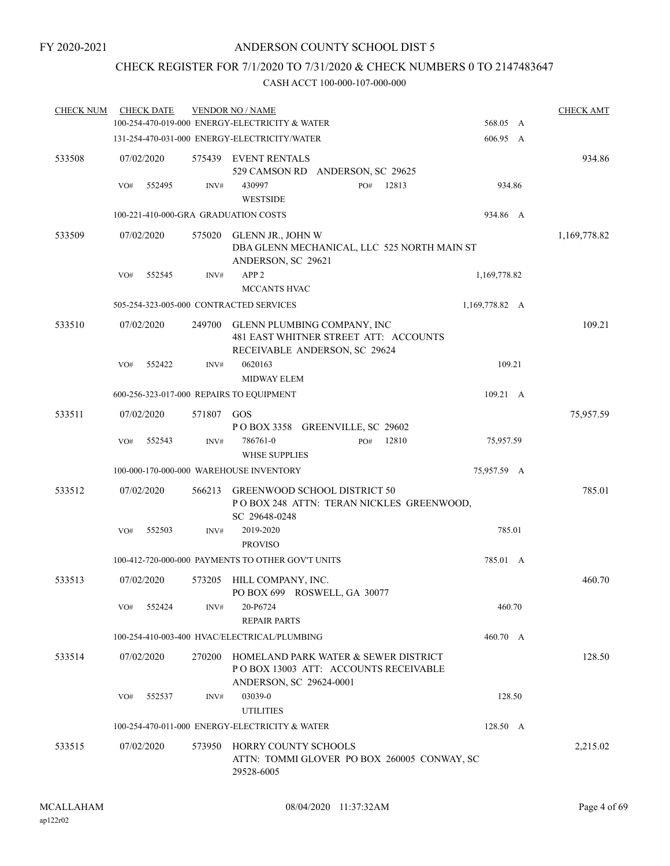## CHECK REGISTER FOR 7/1/2020 TO 7/31/2020 & CHECK NUMBERS 0 TO 2147483647

| <b>CHECK NUM</b> |     | <b>CHECK DATE</b>    | <b>VENDOR NO / NAME</b><br>100-254-470-019-000 ENERGY-ELECTRICITY & WATER | 568.05 A                                                                                                 | <b>CHECK AMT</b> |              |
|------------------|-----|----------------------|---------------------------------------------------------------------------|----------------------------------------------------------------------------------------------------------|------------------|--------------|
|                  |     |                      |                                                                           | 131-254-470-031-000 ENERGY-ELECTRICITY/WATER                                                             | 606.95 A         |              |
| 533508           | VO# | 07/02/2020<br>552495 | INV#                                                                      | 575439 EVENT RENTALS<br>529 CAMSON RD ANDERSON, SC 29625<br>430997<br>12813<br>PO#<br><b>WESTSIDE</b>    | 934.86           | 934.86       |
|                  |     |                      |                                                                           | 100-221-410-000-GRA GRADUATION COSTS                                                                     | 934.86 A         |              |
| 533509           |     | 07/02/2020           | 575020                                                                    | GLENN JR., JOHN W<br>DBA GLENN MECHANICAL, LLC 525 NORTH MAIN ST<br>ANDERSON, SC 29621                   |                  | 1,169,778.82 |
|                  | VO# | 552545               | INV#                                                                      | APP <sub>2</sub><br>MCCANTS HVAC                                                                         | 1,169,778.82     |              |
|                  |     |                      |                                                                           | 505-254-323-005-000 CONTRACTED SERVICES                                                                  | 1,169,778.82 A   |              |
| 533510           |     | 07/02/2020           | 249700                                                                    | GLENN PLUMBING COMPANY, INC<br>481 EAST WHITNER STREET ATT: ACCOUNTS<br>RECEIVABLE ANDERSON, SC 29624    |                  | 109.21       |
|                  | VO# | 552422               | INV#                                                                      | 0620163<br><b>MIDWAY ELEM</b>                                                                            | 109.21           |              |
|                  |     |                      |                                                                           | 600-256-323-017-000 REPAIRS TO EQUIPMENT                                                                 | 109.21 A         |              |
| 533511           |     | 07/02/2020           | 571807                                                                    | GOS<br>POBOX 3358 GREENVILLE, SC 29602                                                                   |                  | 75,957.59    |
|                  | VO# | 552543               | INV#                                                                      | 786761-0<br>12810<br>PO#<br><b>WHSE SUPPLIES</b>                                                         | 75,957.59        |              |
|                  |     |                      |                                                                           | 100-000-170-000-000 WAREHOUSE INVENTORY                                                                  | 75,957.59 A      |              |
| 533512           |     | 07/02/2020           | 566213                                                                    | GREENWOOD SCHOOL DISTRICT 50<br>POBOX 248 ATTN: TERAN NICKLES GREENWOOD,<br>SC 29648-0248                |                  | 785.01       |
|                  | VO# | 552503               | INV#                                                                      | 2019-2020<br><b>PROVISO</b>                                                                              | 785.01           |              |
|                  |     |                      |                                                                           | 100-412-720-000-000 PAYMENTS TO OTHER GOV'T UNITS                                                        | 785.01 A         |              |
| 533513           |     | 07/02/2020           |                                                                           | 573205 HILL COMPANY, INC.<br>PO BOX 699 ROSWELL, GA 30077                                                |                  | 460.70       |
|                  | VO# | 552424               | INV#                                                                      | 20-P6724<br><b>REPAIR PARTS</b>                                                                          | 460.70           |              |
|                  |     |                      |                                                                           | 100-254-410-003-400 HVAC/ELECTRICAL/PLUMBING                                                             | 460.70 A         |              |
| 533514           |     | 07/02/2020           | 270200                                                                    | HOMELAND PARK WATER & SEWER DISTRICT<br>PO BOX 13003 ATT: ACCOUNTS RECEIVABLE<br>ANDERSON, SC 29624-0001 |                  | 128.50       |
|                  | VO# | 552537               | INV#                                                                      | 03039-0<br><b>UTILITIES</b>                                                                              | 128.50           |              |
|                  |     |                      |                                                                           | 100-254-470-011-000 ENERGY-ELECTRICITY & WATER                                                           | 128.50 A         |              |
| 533515           |     | 07/02/2020           | 573950                                                                    | HORRY COUNTY SCHOOLS<br>ATTN: TOMMI GLOVER PO BOX 260005 CONWAY, SC<br>29528-6005                        |                  | 2,215.02     |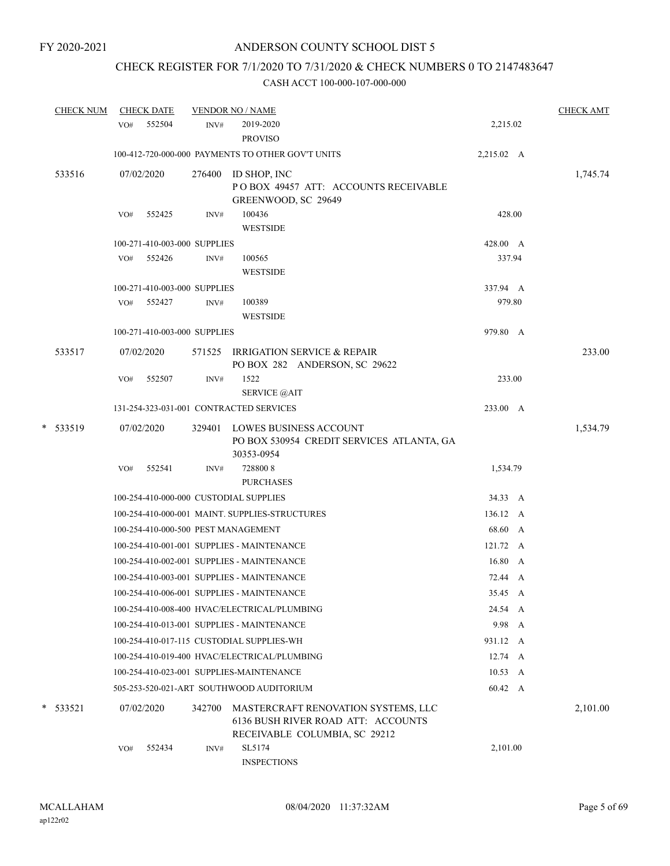# CHECK REGISTER FOR 7/1/2020 TO 7/31/2020 & CHECK NUMBERS 0 TO 2147483647

| <b>CHECK NUM</b> | <b>CHECK DATE</b>                      |        | <b>VENDOR NO / NAME</b>                                                                                    |            | <b>CHECK AMT</b> |          |
|------------------|----------------------------------------|--------|------------------------------------------------------------------------------------------------------------|------------|------------------|----------|
|                  | 552504<br>VO#                          | INV#   | 2019-2020<br><b>PROVISO</b>                                                                                | 2,215.02   |                  |          |
|                  |                                        |        | 100-412-720-000-000 PAYMENTS TO OTHER GOV'T UNITS                                                          | 2,215.02 A |                  |          |
| 533516           | 07/02/2020                             | 276400 | ID SHOP, INC<br>POBOX 49457 ATT: ACCOUNTS RECEIVABLE<br>GREENWOOD, SC 29649                                |            |                  | 1,745.74 |
|                  | 552425<br>VO#                          | INV#   | 100436<br><b>WESTSIDE</b>                                                                                  | 428.00     |                  |          |
|                  | 100-271-410-003-000 SUPPLIES           |        |                                                                                                            | 428.00 A   |                  |          |
|                  | VO#<br>552426                          | INV#   | 100565<br><b>WESTSIDE</b>                                                                                  | 337.94     |                  |          |
|                  | 100-271-410-003-000 SUPPLIES           |        |                                                                                                            | 337.94 A   |                  |          |
|                  | VO# 552427                             | INV#   | 100389<br><b>WESTSIDE</b>                                                                                  | 979.80     |                  |          |
|                  | 100-271-410-003-000 SUPPLIES           |        |                                                                                                            | 979.80 A   |                  |          |
| 533517           | 07/02/2020                             |        | 571525 IRRIGATION SERVICE & REPAIR<br>PO BOX 282 ANDERSON, SC 29622                                        |            |                  | 233.00   |
|                  | 552507<br>VO#                          | INV#   | 1522<br><b>SERVICE</b> @AIT                                                                                | 233.00     |                  |          |
|                  |                                        |        | 131-254-323-031-001 CONTRACTED SERVICES                                                                    | 233.00 A   |                  |          |
| * 533519         | 07/02/2020                             |        | 329401 LOWES BUSINESS ACCOUNT<br>PO BOX 530954 CREDIT SERVICES ATLANTA, GA<br>30353-0954                   |            |                  | 1,534.79 |
|                  | 552541<br>VO#                          | INV#   | 7288008<br><b>PURCHASES</b>                                                                                | 1,534.79   |                  |          |
|                  | 100-254-410-000-000 CUSTODIAL SUPPLIES |        |                                                                                                            | 34.33 A    |                  |          |
|                  |                                        |        | 100-254-410-000-001 MAINT. SUPPLIES-STRUCTURES                                                             | 136.12 A   |                  |          |
|                  | 100-254-410-000-500 PEST MANAGEMENT    |        |                                                                                                            | 68.60 A    |                  |          |
|                  |                                        |        | 100-254-410-001-001 SUPPLIES - MAINTENANCE                                                                 | 121.72 A   |                  |          |
|                  |                                        |        | 100-254-410-002-001 SUPPLIES - MAINTENANCE                                                                 | 16.80 A    |                  |          |
|                  |                                        |        | 100-254-410-003-001 SUPPLIES - MAINTENANCE                                                                 | 72.44 A    |                  |          |
|                  |                                        |        | 100-254-410-006-001 SUPPLIES - MAINTENANCE                                                                 | 35.45 A    |                  |          |
|                  |                                        |        | 100-254-410-008-400 HVAC/ELECTRICAL/PLUMBING                                                               | 24.54 A    |                  |          |
|                  |                                        |        | 100-254-410-013-001 SUPPLIES - MAINTENANCE                                                                 | 9.98 A     |                  |          |
|                  |                                        |        | 100-254-410-017-115 CUSTODIAL SUPPLIES-WH                                                                  | 931.12 A   |                  |          |
|                  |                                        |        | 100-254-410-019-400 HVAC/ELECTRICAL/PLUMBING                                                               | 12.74 A    |                  |          |
|                  |                                        |        | 100-254-410-023-001 SUPPLIES-MAINTENANCE                                                                   | 10.53 A    |                  |          |
|                  |                                        |        | 505-253-520-021-ART SOUTHWOOD AUDITORIUM                                                                   | 60.42 A    |                  |          |
| $*$ 533521       | 07/02/2020                             | 342700 | MASTERCRAFT RENOVATION SYSTEMS, LLC<br>6136 BUSH RIVER ROAD ATT: ACCOUNTS<br>RECEIVABLE COLUMBIA, SC 29212 |            |                  | 2,101.00 |
|                  | 552434<br>VO#                          | INV#   | SL5174<br><b>INSPECTIONS</b>                                                                               | 2,101.00   |                  |          |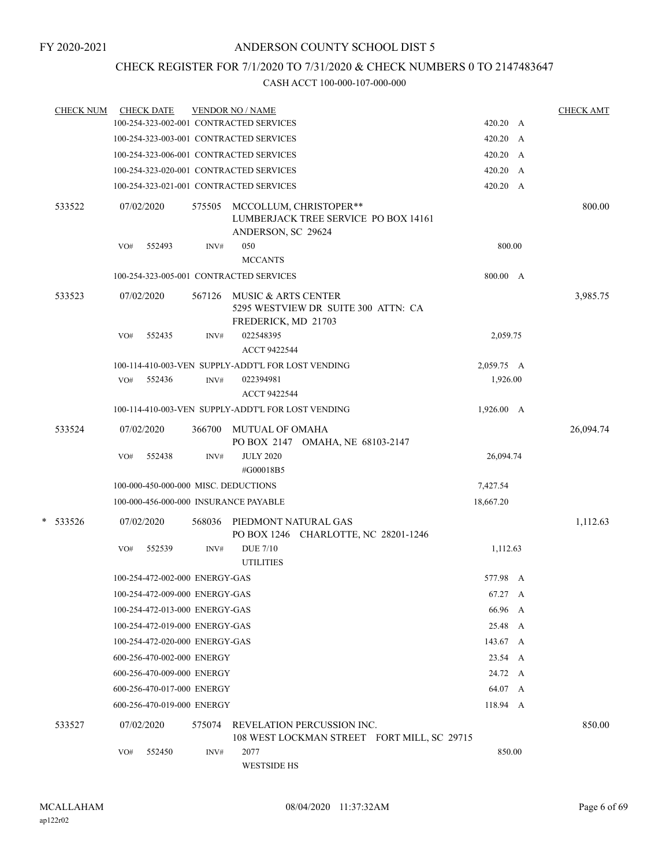# CHECK REGISTER FOR 7/1/2020 TO 7/31/2020 & CHECK NUMBERS 0 TO 2147483647

| <b>CHECK NUM</b> | <b>CHECK DATE</b>                       |        | <b>VENDOR NO / NAME</b>                                                                     |                 | <b>CHECK AMT</b> |
|------------------|-----------------------------------------|--------|---------------------------------------------------------------------------------------------|-----------------|------------------|
|                  | 100-254-323-002-001 CONTRACTED SERVICES |        |                                                                                             | 420.20 A        |                  |
|                  | 100-254-323-003-001 CONTRACTED SERVICES |        |                                                                                             | 420.20 A        |                  |
|                  | 100-254-323-006-001 CONTRACTED SERVICES |        |                                                                                             | 420.20 A        |                  |
|                  | 100-254-323-020-001 CONTRACTED SERVICES |        |                                                                                             | 420.20 A        |                  |
|                  | 100-254-323-021-001 CONTRACTED SERVICES |        |                                                                                             | $420.20\quad A$ |                  |
| 533522           | 07/02/2020                              |        | 575505 MCCOLLUM, CHRISTOPER**<br>LUMBERJACK TREE SERVICE PO BOX 14161<br>ANDERSON, SC 29624 |                 | 800.00           |
|                  | 552493<br>VO#                           | INV#   | 050                                                                                         | 800.00          |                  |
|                  |                                         |        | <b>MCCANTS</b>                                                                              |                 |                  |
|                  | 100-254-323-005-001 CONTRACTED SERVICES |        |                                                                                             | 800.00 A        |                  |
| 533523           | 07/02/2020                              |        | 567126 MUSIC & ARTS CENTER<br>5295 WESTVIEW DR SUITE 300 ATTN: CA<br>FREDERICK, MD 21703    |                 | 3,985.75         |
|                  | 552435<br>VO#                           | INV#   | 022548395<br>ACCT 9422544                                                                   | 2,059.75        |                  |
|                  |                                         |        | 100-114-410-003-VEN SUPPLY-ADDT'L FOR LOST VENDING                                          | 2,059.75 A      |                  |
|                  | VO# 552436                              | INV#   | 022394981<br>ACCT 9422544                                                                   | 1,926.00        |                  |
|                  |                                         |        | 100-114-410-003-VEN SUPPLY-ADDT'L FOR LOST VENDING                                          | 1,926.00 A      |                  |
|                  |                                         |        |                                                                                             |                 |                  |
| 533524           | 07/02/2020                              |        | 366700 MUTUAL OF OMAHA<br>PO BOX 2147 OMAHA, NE 68103-2147                                  |                 | 26,094.74        |
|                  | 552438<br>VO#                           | INV#   | <b>JULY 2020</b><br>#G00018B5                                                               | 26,094.74       |                  |
|                  | 100-000-450-000-000 MISC. DEDUCTIONS    |        |                                                                                             | 7,427.54        |                  |
|                  | 100-000-456-000-000 INSURANCE PAYABLE   |        |                                                                                             | 18,667.20       |                  |
| * 533526         | 07/02/2020                              |        | 568036 PIEDMONT NATURAL GAS<br>PO BOX 1246 CHARLOTTE, NC 28201-1246                         |                 | 1,112.63         |
|                  | 552539<br>VO#                           | INV#   | <b>DUE 7/10</b><br><b>UTILITIES</b>                                                         | 1,112.63        |                  |
|                  | 100-254-472-002-000 ENERGY-GAS          |        |                                                                                             | 577.98 A        |                  |
|                  | 100-254-472-009-000 ENERGY-GAS          |        |                                                                                             | 67.27 A         |                  |
|                  | 100-254-472-013-000 ENERGY-GAS          |        |                                                                                             | 66.96 A         |                  |
|                  | 100-254-472-019-000 ENERGY-GAS          |        |                                                                                             | 25.48 A         |                  |
|                  | 100-254-472-020-000 ENERGY-GAS          |        |                                                                                             | 143.67 A        |                  |
|                  | 600-256-470-002-000 ENERGY              |        |                                                                                             | 23.54 A         |                  |
|                  | 600-256-470-009-000 ENERGY              |        |                                                                                             | 24.72 A         |                  |
|                  | 600-256-470-017-000 ENERGY              |        |                                                                                             | 64.07 A         |                  |
|                  | 600-256-470-019-000 ENERGY              |        |                                                                                             | 118.94 A        |                  |
| 533527           | 07/02/2020                              | 575074 | REVELATION PERCUSSION INC.<br>108 WEST LOCKMAN STREET FORT MILL, SC 29715                   |                 | 850.00           |
|                  | 552450<br>VO#                           | INV#   | 2077<br><b>WESTSIDE HS</b>                                                                  | 850.00          |                  |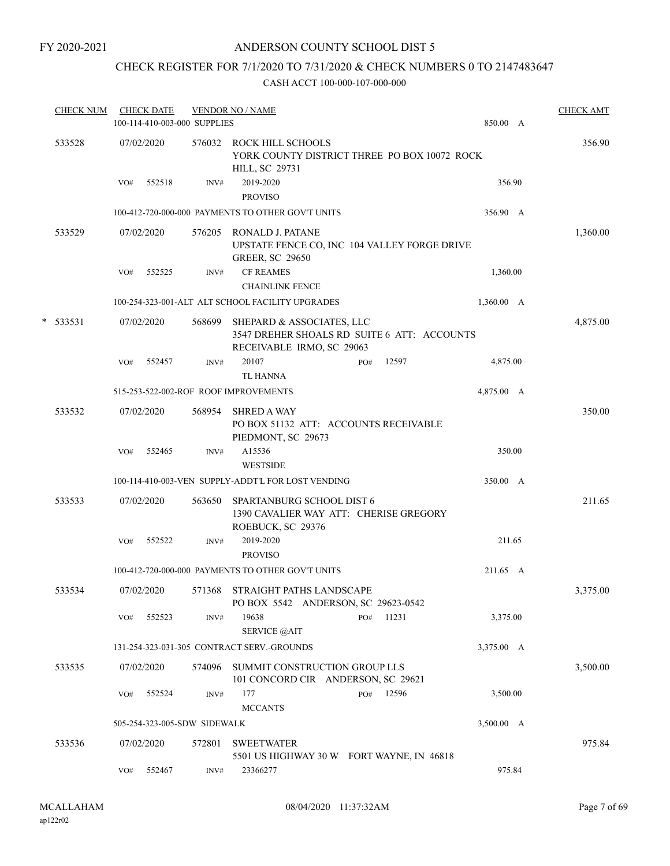## CHECK REGISTER FOR 7/1/2020 TO 7/31/2020 & CHECK NUMBERS 0 TO 2147483647

| <b>CHECK NUM</b> |     | <b>CHECK DATE</b><br>100-114-410-003-000 SUPPLIES |        | <b>VENDOR NO / NAME</b>                                                                               |              | 850.00 A   | <b>CHECK AMT</b> |
|------------------|-----|---------------------------------------------------|--------|-------------------------------------------------------------------------------------------------------|--------------|------------|------------------|
| 533528           |     | 07/02/2020                                        |        | 576032 ROCK HILL SCHOOLS<br>YORK COUNTY DISTRICT THREE PO BOX 10072 ROCK<br><b>HILL, SC 29731</b>     |              |            | 356.90           |
|                  | VO# | 552518                                            | INV#   | 2019-2020<br><b>PROVISO</b>                                                                           |              | 356.90     |                  |
|                  |     |                                                   |        | 100-412-720-000-000 PAYMENTS TO OTHER GOV'T UNITS                                                     |              | 356.90 A   |                  |
| 533529           |     | 07/02/2020                                        | 576205 | RONALD J. PATANE<br>UPSTATE FENCE CO, INC 104 VALLEY FORGE DRIVE<br><b>GREER, SC 29650</b>            |              |            | 1,360.00         |
|                  | VO# | 552525                                            | INV#   | <b>CF REAMES</b>                                                                                      |              | 1,360.00   |                  |
|                  |     |                                                   |        | <b>CHAINLINK FENCE</b>                                                                                |              |            |                  |
|                  |     |                                                   |        | 100-254-323-001-ALT ALT SCHOOL FACILITY UPGRADES                                                      |              | 1,360.00 A |                  |
| $*$ 533531       |     | 07/02/2020                                        | 568699 | SHEPARD & ASSOCIATES, LLC<br>3547 DREHER SHOALS RD SUITE 6 ATT: ACCOUNTS<br>RECEIVABLE IRMO, SC 29063 |              |            | 4,875.00         |
|                  | VO# | 552457                                            | INV#   | 20107                                                                                                 | 12597<br>PO# | 4,875.00   |                  |
|                  |     |                                                   |        | <b>TL HANNA</b>                                                                                       |              |            |                  |
|                  |     |                                                   |        | 515-253-522-002-ROF ROOF IMPROVEMENTS                                                                 |              | 4,875.00 A |                  |
| 533532           |     | 07/02/2020                                        | 568954 | <b>SHRED A WAY</b><br>PO BOX 51132 ATT: ACCOUNTS RECEIVABLE<br>PIEDMONT, SC 29673                     |              |            | 350.00           |
|                  | VO# | 552465                                            | INV#   | A15536<br><b>WESTSIDE</b>                                                                             |              | 350.00     |                  |
|                  |     |                                                   |        | 100-114-410-003-VEN SUPPLY-ADDT'L FOR LOST VENDING                                                    |              | 350.00 A   |                  |
| 533533           |     | 07/02/2020                                        | 563650 | SPARTANBURG SCHOOL DIST 6<br>1390 CAVALIER WAY ATT: CHERISE GREGORY<br>ROEBUCK, SC 29376              |              |            | 211.65           |
|                  | VO# | 552522                                            | INV#   | 2019-2020<br><b>PROVISO</b>                                                                           |              | 211.65     |                  |
|                  |     |                                                   |        | 100-412-720-000-000 PAYMENTS TO OTHER GOV'T UNITS                                                     |              | 211.65 A   |                  |
| 533534           |     | 07/02/2020                                        | 571368 | STRAIGHT PATHS LANDSCAPE<br>PO BOX 5542 ANDERSON, SC 29623-0542                                       |              |            | 3,375.00         |
|                  | VO# | 552523                                            | INV#   | 19638<br><b>SERVICE</b> @AIT                                                                          | 11231<br>PO# | 3,375.00   |                  |
|                  |     |                                                   |        | 131-254-323-031-305 CONTRACT SERV.-GROUNDS                                                            |              | 3,375.00 A |                  |
| 533535           |     | 07/02/2020                                        | 574096 | SUMMIT CONSTRUCTION GROUP LLS<br>101 CONCORD CIR ANDERSON, SC 29621                                   |              |            | 3,500.00         |
|                  | VO# | 552524                                            | INV#   | 177<br><b>MCCANTS</b>                                                                                 | 12596<br>PO# | 3,500.00   |                  |
|                  |     | 505-254-323-005-SDW SIDEWALK                      |        |                                                                                                       |              | 3,500.00 A |                  |
| 533536           |     | 07/02/2020                                        | 572801 | <b>SWEETWATER</b><br>5501 US HIGHWAY 30 W FORT WAYNE, IN 46818                                        |              |            | 975.84           |
|                  | VO# | 552467                                            | INV#   | 23366277                                                                                              |              | 975.84     |                  |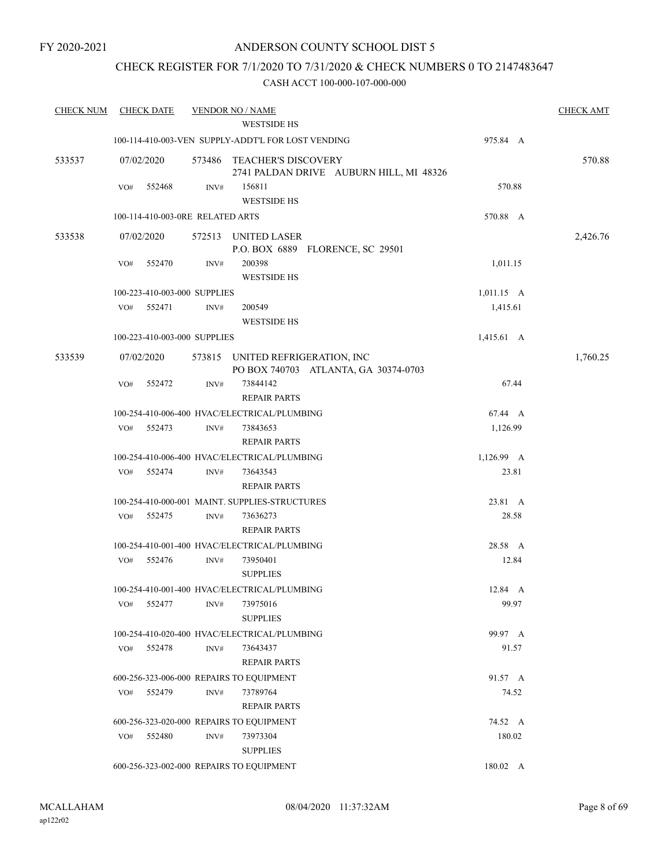## ANDERSON COUNTY SCHOOL DIST 5

## CHECK REGISTER FOR 7/1/2020 TO 7/31/2020 & CHECK NUMBERS 0 TO 2147483647

| <b>CHECK NUM</b> | <b>CHECK DATE</b><br><b>VENDOR NO / NAME</b> |                                  |                |                                                          |                                         |                  | <b>CHECK AMT</b> |
|------------------|----------------------------------------------|----------------------------------|----------------|----------------------------------------------------------|-----------------------------------------|------------------|------------------|
|                  |                                              |                                  |                | <b>WESTSIDE HS</b>                                       |                                         |                  |                  |
|                  |                                              |                                  |                | 100-114-410-003-VEN SUPPLY-ADDT'L FOR LOST VENDING       |                                         | 975.84 A         |                  |
| 533537           |                                              | 07/02/2020                       |                | 573486 TEACHER'S DISCOVERY                               | 2741 PALDAN DRIVE AUBURN HILL, MI 48326 |                  | 570.88           |
|                  | VO#                                          | 552468                           | INV#           | 156811<br><b>WESTSIDE HS</b>                             |                                         | 570.88           |                  |
|                  |                                              | 100-114-410-003-0RE RELATED ARTS |                |                                                          |                                         | 570.88 A         |                  |
|                  |                                              |                                  |                |                                                          |                                         |                  |                  |
| 533538           |                                              | 07/02/2020                       |                | 572513 UNITED LASER<br>P.O. BOX 6889 FLORENCE, SC 29501  |                                         |                  | 2,426.76         |
|                  | VO#                                          | 552470                           | INV#           | 200398<br><b>WESTSIDE HS</b>                             |                                         | 1,011.15         |                  |
|                  |                                              | 100-223-410-003-000 SUPPLIES     |                |                                                          |                                         | $1,011.15$ A     |                  |
|                  | VO#                                          | 552471                           | INV#           | 200549<br><b>WESTSIDE HS</b>                             |                                         | 1,415.61         |                  |
|                  |                                              | 100-223-410-003-000 SUPPLIES     |                |                                                          |                                         | 1,415.61 A       |                  |
| 533539           |                                              | 07/02/2020                       | 573815         | UNITED REFRIGERATION, INC                                | PO BOX 740703 ATLANTA, GA 30374-0703    |                  | 1,760.25         |
|                  | VO#                                          | 552472                           | INV#           | 73844142<br><b>REPAIR PARTS</b>                          |                                         | 67.44            |                  |
|                  |                                              |                                  |                | 100-254-410-006-400 HVAC/ELECTRICAL/PLUMBING             |                                         | 67.44 A          |                  |
|                  | VO#                                          | 552473                           | INV#           | 73843653<br><b>REPAIR PARTS</b>                          |                                         | 1,126.99         |                  |
|                  |                                              |                                  |                | 100-254-410-006-400 HVAC/ELECTRICAL/PLUMBING             |                                         | 1,126.99 A       |                  |
|                  | VO#                                          | 552474                           | INV#           | 73643543                                                 |                                         | 23.81            |                  |
|                  |                                              |                                  |                | <b>REPAIR PARTS</b>                                      |                                         |                  |                  |
|                  |                                              |                                  |                | 100-254-410-000-001 MAINT. SUPPLIES-STRUCTURES           |                                         | 23.81 A          |                  |
|                  | VO#                                          | 552475                           | INV#           | 73636273<br><b>REPAIR PARTS</b>                          |                                         | 28.58            |                  |
|                  |                                              |                                  |                |                                                          |                                         |                  |                  |
|                  | VO#                                          | 552476                           | INV#           | 100-254-410-001-400 HVAC/ELECTRICAL/PLUMBING<br>73950401 |                                         | 28.58 A<br>12.84 |                  |
|                  |                                              |                                  |                | <b>SUPPLIES</b>                                          |                                         |                  |                  |
|                  |                                              |                                  |                | 100-254-410-001-400 HVAC/ELECTRICAL/PLUMBING             |                                         | 12.84 A          |                  |
|                  | VO#                                          | 552477                           | INV#           | 73975016<br><b>SUPPLIES</b>                              |                                         | 99.97            |                  |
|                  |                                              |                                  |                | 100-254-410-020-400 HVAC/ELECTRICAL/PLUMBING             |                                         | 99.97 A          |                  |
|                  | VO#                                          | 552478                           | INV#           | 73643437                                                 |                                         | 91.57            |                  |
|                  |                                              |                                  |                | <b>REPAIR PARTS</b>                                      |                                         |                  |                  |
|                  |                                              |                                  |                | 600-256-323-006-000 REPAIRS TO EQUIPMENT                 |                                         | 91.57 A          |                  |
|                  | VO#                                          | 552479                           | INV#           | 73789764                                                 |                                         | 74.52            |                  |
|                  |                                              |                                  |                | <b>REPAIR PARTS</b>                                      |                                         |                  |                  |
|                  |                                              |                                  |                | 600-256-323-020-000 REPAIRS TO EQUIPMENT                 |                                         | 74.52 A          |                  |
|                  | VO#                                          | 552480                           | $\text{INV}\#$ | 73973304<br><b>SUPPLIES</b>                              |                                         | 180.02           |                  |
|                  |                                              |                                  |                | 600-256-323-002-000 REPAIRS TO EQUIPMENT                 |                                         | 180.02 A         |                  |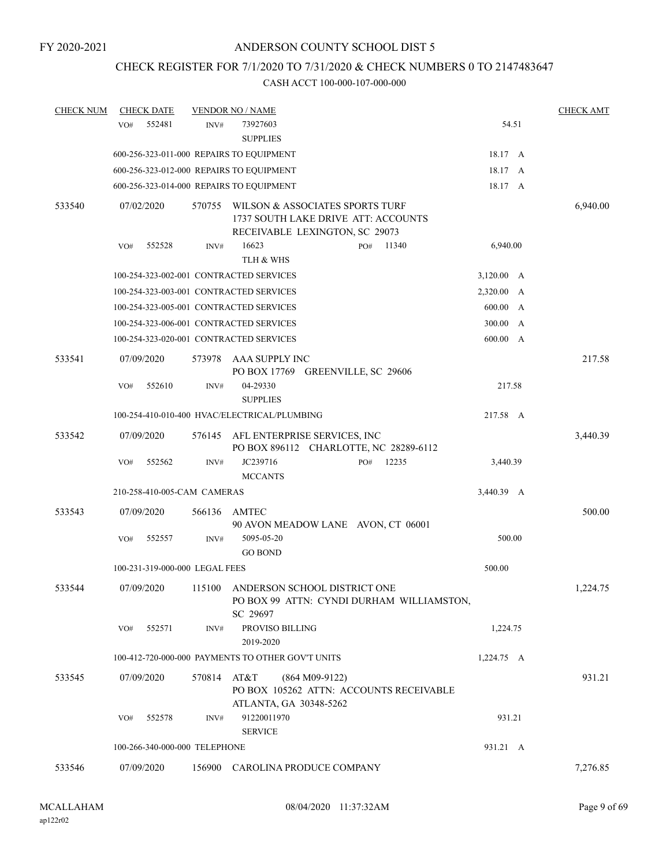# CHECK REGISTER FOR 7/1/2020 TO 7/31/2020 & CHECK NUMBERS 0 TO 2147483647

| <b>CHECK NUM</b> | <b>CHECK DATE</b>              |        | <b>VENDOR NO / NAME</b>                                                               |                  |     |       |                 |   | <b>CHECK AMT</b> |
|------------------|--------------------------------|--------|---------------------------------------------------------------------------------------|------------------|-----|-------|-----------------|---|------------------|
|                  | 552481<br>VO#                  | INV#   | 73927603                                                                              |                  |     |       | 54.51           |   |                  |
|                  |                                |        | <b>SUPPLIES</b>                                                                       |                  |     |       |                 |   |                  |
|                  |                                |        | 600-256-323-011-000 REPAIRS TO EQUIPMENT                                              |                  |     |       | 18.17 A         |   |                  |
|                  |                                |        | 600-256-323-012-000 REPAIRS TO EQUIPMENT                                              |                  |     |       | 18.17 A         |   |                  |
|                  |                                |        | 600-256-323-014-000 REPAIRS TO EQUIPMENT                                              |                  |     |       | 18.17 A         |   |                  |
| 533540           | 07/02/2020                     | 570755 | WILSON & ASSOCIATES SPORTS TURF<br>1737 SOUTH LAKE DRIVE ATT: ACCOUNTS                |                  |     |       |                 |   | 6,940.00         |
|                  |                                |        | RECEIVABLE LEXINGTON, SC 29073                                                        |                  |     |       |                 |   |                  |
|                  | VO#<br>552528                  | INV#   | 16623<br>TLH & WHS                                                                    |                  | PO# | 11340 | 6,940.00        |   |                  |
|                  |                                |        | 100-254-323-002-001 CONTRACTED SERVICES                                               |                  |     |       | $3,120.00 \, A$ |   |                  |
|                  |                                |        | 100-254-323-003-001 CONTRACTED SERVICES                                               |                  |     |       | 2,320.00 A      |   |                  |
|                  |                                |        | 100-254-323-005-001 CONTRACTED SERVICES                                               |                  |     |       | 600.00 A        |   |                  |
|                  |                                |        | 100-254-323-006-001 CONTRACTED SERVICES                                               |                  |     |       | 300.00 A        |   |                  |
|                  |                                |        | 100-254-323-020-001 CONTRACTED SERVICES                                               |                  |     |       | 600.00          | A |                  |
| 533541           | 07/09/2020                     | 573978 | AAA SUPPLY INC<br>PO BOX 17769 GREENVILLE, SC 29606                                   |                  |     |       |                 |   | 217.58           |
|                  | 552610<br>VO#                  | INV#   | 04-29330<br><b>SUPPLIES</b>                                                           |                  |     |       | 217.58          |   |                  |
|                  |                                |        | 100-254-410-010-400 HVAC/ELECTRICAL/PLUMBING                                          |                  |     |       | 217.58 A        |   |                  |
| 533542           | 07/09/2020                     | 576145 | AFL ENTERPRISE SERVICES, INC                                                          |                  |     |       |                 |   | 3,440.39         |
|                  |                                |        | PO BOX 896112 CHARLOTTE, NC 28289-6112                                                |                  |     |       |                 |   |                  |
|                  | 552562<br>VO#                  | INV#   | JC239716<br><b>MCCANTS</b>                                                            |                  | PO# | 12235 | 3,440.39        |   |                  |
|                  | 210-258-410-005-CAM CAMERAS    |        |                                                                                       |                  |     |       | 3,440.39 A      |   |                  |
|                  |                                |        |                                                                                       |                  |     |       |                 |   |                  |
| 533543           | 07/09/2020                     | 566136 | AMTEC<br>90 AVON MEADOW LANE AVON, CT 06001                                           |                  |     |       |                 |   | 500.00           |
|                  | 552557<br>VO#                  | INV#   | 5095-05-20<br><b>GO BOND</b>                                                          |                  |     |       | 500.00          |   |                  |
|                  | 100-231-319-000-000 LEGAL FEES |        |                                                                                       |                  |     |       | 500.00          |   |                  |
| 533544           | 07/09/2020                     | 115100 | ANDERSON SCHOOL DISTRICT ONE<br>PO BOX 99 ATTN: CYNDI DURHAM WILLIAMSTON,<br>SC 29697 |                  |     |       |                 |   | 1,224.75         |
|                  | 552571<br>VO#                  | INV#   | PROVISO BILLING<br>2019-2020                                                          |                  |     |       | 1,224.75        |   |                  |
|                  |                                |        | 100-412-720-000-000 PAYMENTS TO OTHER GOV'T UNITS                                     |                  |     |       | 1,224.75 A      |   |                  |
| 533545           | 07/09/2020                     | 570814 | AT&T<br>PO BOX 105262 ATTN: ACCOUNTS RECEIVABLE                                       | $(864 M09-9122)$ |     |       |                 |   | 931.21           |
|                  | 552578<br>VO#                  | INV#   | ATLANTA, GA 30348-5262<br>91220011970                                                 |                  |     |       | 931.21          |   |                  |
|                  | 100-266-340-000-000 TELEPHONE  |        | <b>SERVICE</b>                                                                        |                  |     |       | 931.21 A        |   |                  |
|                  |                                |        |                                                                                       |                  |     |       |                 |   |                  |
| 533546           | 07/09/2020                     | 156900 | CAROLINA PRODUCE COMPANY                                                              |                  |     |       |                 |   | 7,276.85         |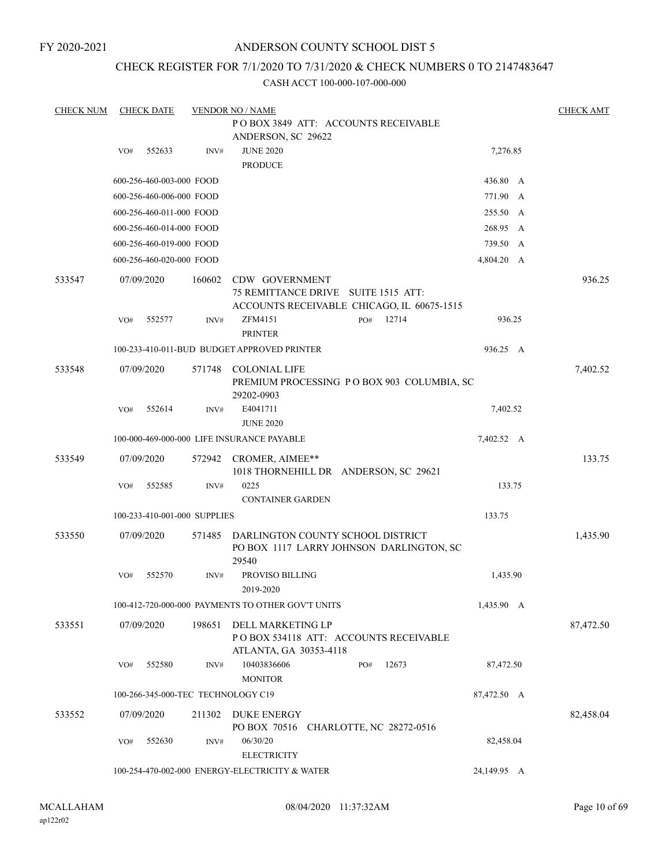## ANDERSON COUNTY SCHOOL DIST 5

## CHECK REGISTER FOR 7/1/2020 TO 7/31/2020 & CHECK NUMBERS 0 TO 2147483647

| <b>CHECK NUM</b> | <b>CHECK DATE</b><br><b>VENDOR NO / NAME</b> |                              |        |                                                                                        |  |     |                        | <b>CHECK AMT</b> |  |           |
|------------------|----------------------------------------------|------------------------------|--------|----------------------------------------------------------------------------------------|--|-----|------------------------|------------------|--|-----------|
|                  |                                              |                              |        | POBOX 3849 ATT: ACCOUNTS RECEIVABLE<br>ANDERSON, SC 29622                              |  |     |                        |                  |  |           |
|                  | VO#                                          | 552633                       | INV#   | <b>JUNE 2020</b><br><b>PRODUCE</b>                                                     |  |     |                        | 7,276.85         |  |           |
|                  |                                              | 600-256-460-003-000 FOOD     |        |                                                                                        |  |     |                        | 436.80 A         |  |           |
|                  |                                              | 600-256-460-006-000 FOOD     |        |                                                                                        |  |     |                        | 771.90 A         |  |           |
|                  |                                              | 600-256-460-011-000 FOOD     |        |                                                                                        |  |     |                        | 255.50 A         |  |           |
|                  |                                              | 600-256-460-014-000 FOOD     |        |                                                                                        |  |     |                        | 268.95 A         |  |           |
|                  |                                              | 600-256-460-019-000 FOOD     |        |                                                                                        |  |     |                        | 739.50 A         |  |           |
|                  |                                              | 600-256-460-020-000 FOOD     |        |                                                                                        |  |     |                        | 4,804.20 A       |  |           |
| 533547           |                                              | 07/09/2020                   | 160602 | CDW GOVERNMENT<br>75 REMITTANCE DRIVE<br>ACCOUNTS RECEIVABLE CHICAGO, IL 60675-1515    |  |     | <b>SUITE 1515 ATT:</b> |                  |  | 936.25    |
|                  | VO#                                          | 552577                       | INV#   | ZFM4151<br><b>PRINTER</b>                                                              |  | PO# | 12714                  | 936.25           |  |           |
|                  |                                              |                              |        | 100-233-410-011-BUD BUDGET APPROVED PRINTER                                            |  |     |                        | 936.25 A         |  |           |
| 533548           |                                              | 07/09/2020                   | 571748 | <b>COLONIAL LIFE</b><br>PREMIUM PROCESSING PO BOX 903 COLUMBIA, SC<br>29202-0903       |  |     |                        |                  |  | 7,402.52  |
|                  | VO#                                          | 552614                       | INV#   | E4041711<br><b>JUNE 2020</b>                                                           |  |     |                        | 7,402.52         |  |           |
|                  |                                              |                              |        | 100-000-469-000-000 LIFE INSURANCE PAYABLE                                             |  |     |                        | 7,402.52 A       |  |           |
| 533549           |                                              | 07/09/2020                   | 572942 | CROMER, AIMEE**<br>1018 THORNEHILL DR ANDERSON, SC 29621                               |  |     |                        |                  |  | 133.75    |
|                  | VO#                                          | 552585                       | INV#   | 0225<br><b>CONTAINER GARDEN</b>                                                        |  |     |                        | 133.75           |  |           |
|                  |                                              | 100-233-410-001-000 SUPPLIES |        |                                                                                        |  |     |                        | 133.75           |  |           |
| 533550           |                                              | 07/09/2020                   | 571485 | DARLINGTON COUNTY SCHOOL DISTRICT<br>PO BOX 1117 LARRY JOHNSON DARLINGTON, SC<br>29540 |  |     |                        |                  |  | 1,435.90  |
|                  | VO#                                          | 552570                       | INV#   | PROVISO BILLING<br>2019-2020                                                           |  |     |                        | 1,435.90         |  |           |
|                  |                                              |                              |        | 100-412-720-000-000 PAYMENTS TO OTHER GOV'T UNITS                                      |  |     |                        | 1,435.90 A       |  |           |
| 533551           |                                              | 07/09/2020                   | 198651 | DELL MARKETING LP<br>POBOX 534118 ATT: ACCOUNTS RECEIVABLE<br>ATLANTA, GA 30353-4118   |  |     |                        |                  |  | 87,472.50 |
|                  | VO#                                          | 552580                       | INV#   | 10403836606<br><b>MONITOR</b>                                                          |  | PO# | 12673                  | 87,472.50        |  |           |
|                  |                                              |                              |        | 100-266-345-000-TEC TECHNOLOGY C19                                                     |  |     |                        | 87,472.50 A      |  |           |
| 533552           |                                              | 07/09/2020                   | 211302 | DUKE ENERGY<br>PO BOX 70516 CHARLOTTE, NC 28272-0516                                   |  |     |                        |                  |  | 82,458.04 |
|                  | VO#                                          | 552630                       | INV#   | 06/30/20<br><b>ELECTRICITY</b>                                                         |  |     |                        | 82,458.04        |  |           |
|                  |                                              |                              |        | 100-254-470-002-000 ENERGY-ELECTRICITY & WATER                                         |  |     |                        | 24,149.95 A      |  |           |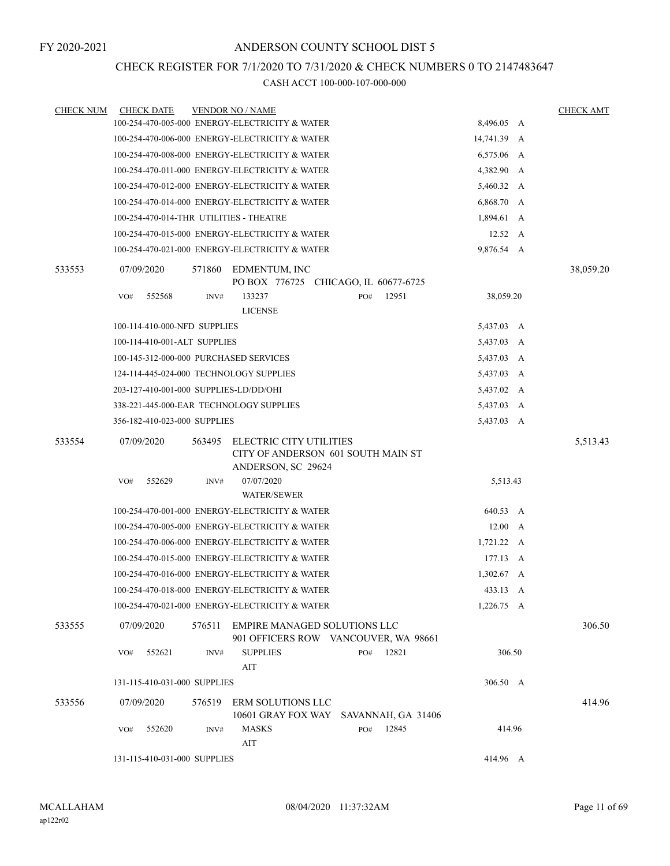## CHECK REGISTER FOR 7/1/2020 TO 7/31/2020 & CHECK NUMBERS 0 TO 2147483647

| <b>CHECK NUM</b> | <b>CHECK DATE</b>                       |        | <b>VENDOR NO / NAME</b>                                                             |     |       |                 | <b>CHECK AMT</b> |
|------------------|-----------------------------------------|--------|-------------------------------------------------------------------------------------|-----|-------|-----------------|------------------|
|                  |                                         |        | 100-254-470-005-000 ENERGY-ELECTRICITY & WATER                                      |     |       | 8,496.05 A      |                  |
|                  |                                         |        | 100-254-470-006-000 ENERGY-ELECTRICITY & WATER                                      |     |       | 14,741.39 A     |                  |
|                  |                                         |        | 100-254-470-008-000 ENERGY-ELECTRICITY & WATER                                      |     |       | 6,575.06 A      |                  |
|                  |                                         |        | 100-254-470-011-000 ENERGY-ELECTRICITY & WATER                                      |     |       | 4,382.90 A      |                  |
|                  |                                         |        | 100-254-470-012-000 ENERGY-ELECTRICITY & WATER                                      |     |       | 5,460.32 A      |                  |
|                  |                                         |        | 100-254-470-014-000 ENERGY-ELECTRICITY & WATER                                      |     |       | 6,868.70 A      |                  |
|                  | 100-254-470-014-THR UTILITIES - THEATRE |        |                                                                                     |     |       | 1,894.61 A      |                  |
|                  |                                         |        | 100-254-470-015-000 ENERGY-ELECTRICITY & WATER                                      |     |       | $12.52 \quad A$ |                  |
|                  |                                         |        | 100-254-470-021-000 ENERGY-ELECTRICITY & WATER                                      |     |       | 9,876.54 A      |                  |
| 533553           | 07/09/2020                              | 571860 | EDMENTUM, INC<br>PO BOX 776725 CHICAGO, IL 60677-6725                               |     |       |                 | 38,059.20        |
|                  | 552568<br>VO#                           | INV#   | 133237                                                                              | PO# | 12951 | 38,059.20       |                  |
|                  |                                         |        | <b>LICENSE</b>                                                                      |     |       |                 |                  |
|                  | 100-114-410-000-NFD SUPPLIES            |        |                                                                                     |     |       | 5,437.03 A      |                  |
|                  | 100-114-410-001-ALT SUPPLIES            |        |                                                                                     |     |       | 5,437.03 A      |                  |
|                  | 100-145-312-000-000 PURCHASED SERVICES  |        |                                                                                     |     |       | 5,437.03 A      |                  |
|                  | 124-114-445-024-000 TECHNOLOGY SUPPLIES |        |                                                                                     |     |       | 5,437.03 A      |                  |
|                  | 203-127-410-001-000 SUPPLIES-LD/DD/OHI  |        |                                                                                     |     |       | 5,437.02 A      |                  |
|                  | 338-221-445-000-EAR TECHNOLOGY SUPPLIES |        |                                                                                     |     |       | 5,437.03 A      |                  |
|                  | 356-182-410-023-000 SUPPLIES            |        |                                                                                     |     |       | 5,437.03 A      |                  |
| 533554           | 07/09/2020                              | 563495 | ELECTRIC CITY UTILITIES<br>CITY OF ANDERSON 601 SOUTH MAIN ST<br>ANDERSON, SC 29624 |     |       |                 | 5,513.43         |
|                  | 552629<br>VO#                           | INV#   | 07/07/2020<br><b>WATER/SEWER</b>                                                    |     |       | 5,513.43        |                  |
|                  |                                         |        | 100-254-470-001-000 ENERGY-ELECTRICITY & WATER                                      |     |       | 640.53 A        |                  |
|                  |                                         |        | 100-254-470-005-000 ENERGY-ELECTRICITY & WATER                                      |     |       | $12.00\quad A$  |                  |
|                  |                                         |        | 100-254-470-006-000 ENERGY-ELECTRICITY & WATER                                      |     |       | 1,721.22 A      |                  |
|                  |                                         |        | 100-254-470-015-000 ENERGY-ELECTRICITY & WATER                                      |     |       | 177.13 A        |                  |
|                  |                                         |        | 100-254-470-016-000 ENERGY-ELECTRICITY & WATER                                      |     |       | $1,302.67 \, A$ |                  |
|                  |                                         |        | 100-254-470-018-000 ENERGY-ELECTRICITY & WATER                                      |     |       | 433.13 A        |                  |
|                  |                                         |        | 100-254-470-021-000 ENERGY-ELECTRICITY & WATER                                      |     |       | 1,226.75 A      |                  |
| 533555           | 07/09/2020                              | 576511 | <b>EMPIRE MANAGED SOLUTIONS LLC</b><br>901 OFFICERS ROW VANCOUVER, WA 98661         |     |       |                 | 306.50           |
|                  | VO#<br>552621                           | INV#   | <b>SUPPLIES</b><br>AIT                                                              | PO# | 12821 | 306.50          |                  |
|                  | 131-115-410-031-000 SUPPLIES            |        |                                                                                     |     |       | 306.50 A        |                  |
| 533556           | 07/09/2020                              | 576519 | ERM SOLUTIONS LLC<br>10601 GRAY FOX WAY SAVANNAH, GA 31406                          |     |       |                 | 414.96           |
|                  | 552620<br>VO#                           | INV#   | MASKS<br>AIT                                                                        | PO# | 12845 | 414.96          |                  |
|                  | 131-115-410-031-000 SUPPLIES            |        |                                                                                     |     |       | 414.96 A        |                  |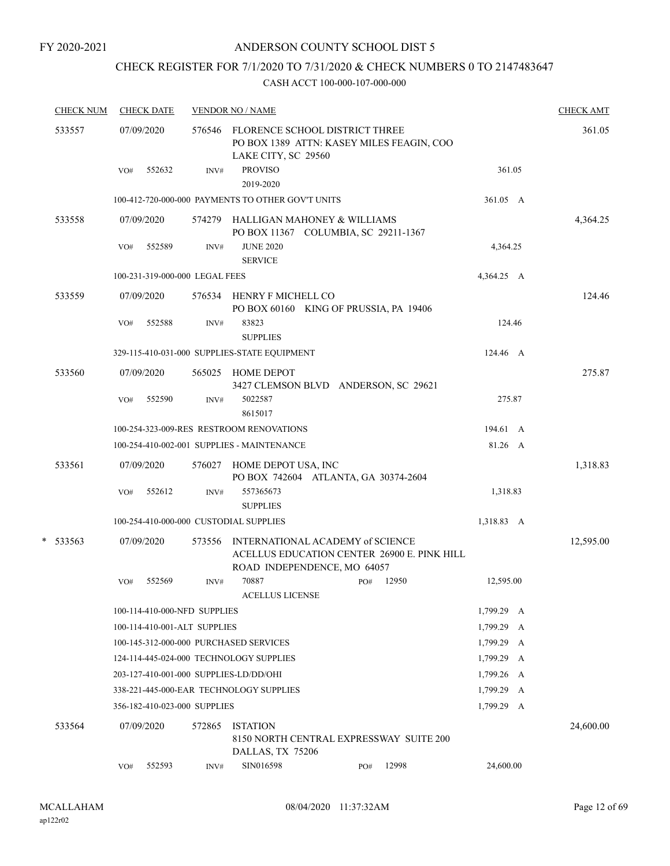## CHECK REGISTER FOR 7/1/2020 TO 7/31/2020 & CHECK NUMBERS 0 TO 2147483647

| <b>CHECK NUM</b> |     | <b>CHECK DATE</b> |                                | <b>VENDOR NO / NAME</b>                                                                                        |     |       |            | <b>CHECK AMT</b> |
|------------------|-----|-------------------|--------------------------------|----------------------------------------------------------------------------------------------------------------|-----|-------|------------|------------------|
| 533557           |     | 07/09/2020        |                                | 576546 FLORENCE SCHOOL DISTRICT THREE<br>PO BOX 1389 ATTN: KASEY MILES FEAGIN, COO<br>LAKE CITY, SC 29560      |     |       |            | 361.05           |
|                  | VO# | 552632            | INV#                           | <b>PROVISO</b><br>2019-2020                                                                                    |     |       | 361.05     |                  |
|                  |     |                   |                                | 100-412-720-000-000 PAYMENTS TO OTHER GOV'T UNITS                                                              |     |       | 361.05 A   |                  |
| 533558           |     | 07/09/2020        | 574279                         | HALLIGAN MAHONEY & WILLIAMS<br>PO BOX 11367 COLUMBIA, SC 29211-1367                                            |     |       |            | 4,364.25         |
|                  | VO# | 552589            | INV#                           | <b>JUNE 2020</b><br><b>SERVICE</b>                                                                             |     |       | 4,364.25   |                  |
|                  |     |                   | 100-231-319-000-000 LEGAL FEES |                                                                                                                |     |       | 4,364.25 A |                  |
| 533559           |     | 07/09/2020        | 576534                         | HENRY F MICHELL CO<br>PO BOX 60160 KING OF PRUSSIA, PA 19406                                                   |     |       |            | 124.46           |
|                  | VO# | 552588            | INV#                           | 83823<br><b>SUPPLIES</b>                                                                                       |     |       | 124.46     |                  |
|                  |     |                   |                                | 329-115-410-031-000 SUPPLIES-STATE EQUIPMENT                                                                   |     |       | 124.46 A   |                  |
| 533560           |     | 07/09/2020        | 565025                         | <b>HOME DEPOT</b><br>3427 CLEMSON BLVD ANDERSON, SC 29621                                                      |     |       |            | 275.87           |
|                  | VO# | 552590            | INV#                           | 5022587<br>8615017                                                                                             |     |       | 275.87     |                  |
|                  |     |                   |                                | 100-254-323-009-RES RESTROOM RENOVATIONS                                                                       |     |       | 194.61 A   |                  |
|                  |     |                   |                                | 100-254-410-002-001 SUPPLIES - MAINTENANCE                                                                     |     |       | 81.26 A    |                  |
| 533561           |     | 07/09/2020        | 576027                         | HOME DEPOT USA, INC<br>PO BOX 742604 ATLANTA, GA 30374-2604                                                    |     |       |            | 1,318.83         |
|                  | VO# | 552612            | INV#                           | 557365673<br><b>SUPPLIES</b>                                                                                   |     |       | 1,318.83   |                  |
|                  |     |                   |                                | 100-254-410-000-000 CUSTODIAL SUPPLIES                                                                         |     |       | 1,318.83 A |                  |
| $*$ 533563       |     | 07/09/2020        | 573556                         | INTERNATIONAL ACADEMY of SCIENCE<br>ACELLUS EDUCATION CENTER 26900 E. PINK HILL<br>ROAD INDEPENDENCE, MO 64057 |     |       |            | 12,595.00        |
|                  | VO# | 552569            | INV#                           | 70887<br><b>ACELLUS LICENSE</b>                                                                                | PO# | 12950 | 12,595.00  |                  |
|                  |     |                   | 100-114-410-000-NFD SUPPLIES   |                                                                                                                |     |       | 1,799.29 A |                  |
|                  |     |                   | 100-114-410-001-ALT SUPPLIES   |                                                                                                                |     |       | 1,799.29 A |                  |
|                  |     |                   |                                | 100-145-312-000-000 PURCHASED SERVICES                                                                         |     |       | 1,799.29 A |                  |
|                  |     |                   |                                | 124-114-445-024-000 TECHNOLOGY SUPPLIES                                                                        |     |       | 1,799.29 A |                  |
|                  |     |                   |                                | 203-127-410-001-000 SUPPLIES-LD/DD/OHI                                                                         |     |       | 1,799.26 A |                  |
|                  |     |                   |                                | 338-221-445-000-EAR TECHNOLOGY SUPPLIES                                                                        |     |       | 1,799.29 A |                  |
|                  |     |                   | 356-182-410-023-000 SUPPLIES   |                                                                                                                |     |       | 1,799.29 A |                  |
| 533564           |     | 07/09/2020        | 572865                         | <b>ISTATION</b><br>8150 NORTH CENTRAL EXPRESSWAY SUITE 200<br>DALLAS, TX 75206                                 |     |       |            | 24,600.00        |
|                  | VO# | 552593            | INV#                           | SIN016598                                                                                                      | PO# | 12998 | 24,600.00  |                  |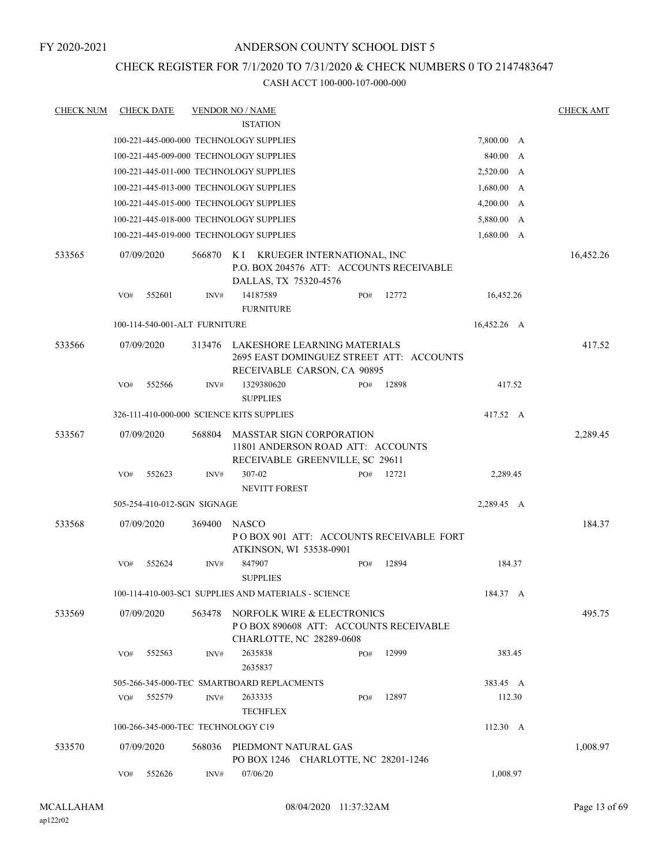## CHECK REGISTER FOR 7/1/2020 TO 7/31/2020 & CHECK NUMBERS 0 TO 2147483647

| <b>CHECK NUM</b> |     | <b>CHECK DATE</b>             |        | <b>VENDOR NO / NAME</b>                                                                                 |     |       |                    | <b>CHECK AMT</b> |
|------------------|-----|-------------------------------|--------|---------------------------------------------------------------------------------------------------------|-----|-------|--------------------|------------------|
|                  |     |                               |        | <b>ISTATION</b>                                                                                         |     |       |                    |                  |
|                  |     |                               |        | 100-221-445-000-000 TECHNOLOGY SUPPLIES                                                                 |     |       | 7,800.00 A         |                  |
|                  |     |                               |        | 100-221-445-009-000 TECHNOLOGY SUPPLIES                                                                 |     |       | 840.00 A           |                  |
|                  |     |                               |        | 100-221-445-011-000 TECHNOLOGY SUPPLIES                                                                 |     |       | 2,520.00 A         |                  |
|                  |     |                               |        | 100-221-445-013-000 TECHNOLOGY SUPPLIES                                                                 |     |       | 1,680.00 A         |                  |
|                  |     |                               |        | 100-221-445-015-000 TECHNOLOGY SUPPLIES                                                                 |     |       | 4,200.00 A         |                  |
|                  |     |                               |        | 100-221-445-018-000 TECHNOLOGY SUPPLIES                                                                 |     |       | 5,880.00 A         |                  |
|                  |     |                               |        | 100-221-445-019-000 TECHNOLOGY SUPPLIES                                                                 |     |       | 1,680.00 A         |                  |
| 533565           |     | 07/09/2020                    | 566870 | K I KRUEGER INTERNATIONAL, INC<br>P.O. BOX 204576 ATT: ACCOUNTS RECEIVABLE<br>DALLAS, TX 75320-4576     |     |       |                    | 16,452.26        |
|                  | VO# | 552601                        | INV#   | 14187589<br><b>FURNITURE</b>                                                                            | PO# | 12772 | 16,452.26          |                  |
|                  |     | 100-114-540-001-ALT FURNITURE |        |                                                                                                         |     |       | 16,452.26 A        |                  |
| 533566           |     | 07/09/2020                    | 313476 | LAKESHORE LEARNING MATERIALS<br>2695 EAST DOMINGUEZ STREET ATT: ACCOUNTS<br>RECEIVABLE CARSON, CA 90895 |     |       |                    | 417.52           |
|                  | VO# | 552566                        | INV#   | 1329380620<br><b>SUPPLIES</b>                                                                           | PO# | 12898 | 417.52             |                  |
|                  |     |                               |        | 326-111-410-000-000 SCIENCE KITS SUPPLIES                                                               |     |       | 417.52 A           |                  |
| 533567           |     | 07/09/2020                    | 568804 | <b>MASSTAR SIGN CORPORATION</b><br>11801 ANDERSON ROAD ATT: ACCOUNTS<br>RECEIVABLE GREENVILLE, SC 29611 |     |       |                    | 2,289.45         |
|                  | VO# | 552623                        | INV#   | 307-02<br><b>NEVITT FOREST</b>                                                                          | PO# | 12721 | 2,289.45           |                  |
|                  |     | 505-254-410-012-SGN SIGNAGE   |        |                                                                                                         |     |       | 2,289.45 A         |                  |
| 533568           |     | 07/09/2020                    | 369400 | <b>NASCO</b><br>POBOX 901 ATT: ACCOUNTS RECEIVABLE FORT<br>ATKINSON, WI 53538-0901                      |     |       |                    | 184.37           |
|                  | VO# | 552624                        | INV#   | 847907<br><b>SUPPLIES</b>                                                                               | PO# | 12894 | 184.37             |                  |
|                  |     |                               |        | 100-114-410-003-SCI SUPPLIES AND MATERIALS - SCIENCE                                                    |     |       | 184.37 A           |                  |
| 533569           |     | 07/09/2020                    | 563478 | NORFOLK WIRE & ELECTRONICS<br>PO BOX 890608 ATT: ACCOUNTS RECEIVABLE<br>CHARLOTTE, NC 28289-0608        |     |       |                    | 495.75           |
|                  | VO# | 552563                        | INV#   | 2635838<br>2635837                                                                                      | PO# | 12999 | 383.45             |                  |
|                  |     |                               |        | 505-266-345-000-TEC SMARTBOARD REPLACMENTS                                                              |     |       | 383.45 A           |                  |
|                  | VO# | 552579                        | INV#   | 2633335<br><b>TECHFLEX</b>                                                                              | PO# | 12897 | 112.30             |                  |
|                  |     |                               |        | 100-266-345-000-TEC TECHNOLOGY C19                                                                      |     |       | $112.30 \text{ A}$ |                  |
| 533570           |     | 07/09/2020                    | 568036 | PIEDMONT NATURAL GAS<br>PO BOX 1246 CHARLOTTE, NC 28201-1246                                            |     |       |                    | 1,008.97         |
|                  | VO# | 552626                        | INV#   | 07/06/20                                                                                                |     |       | 1,008.97           |                  |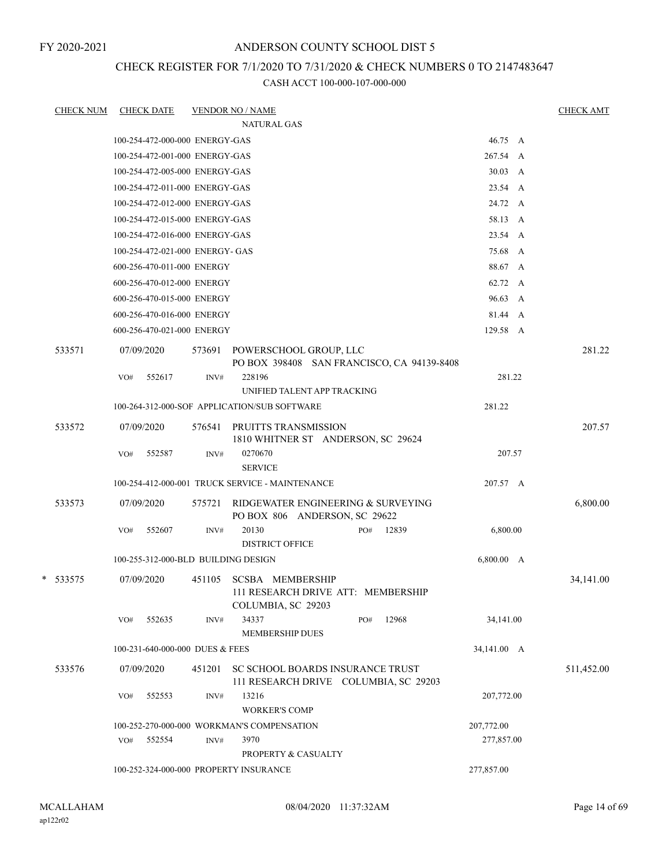## CHECK REGISTER FOR 7/1/2020 TO 7/31/2020 & CHECK NUMBERS 0 TO 2147483647

| <b>CHECK NUM</b> |     | <b>CHECK DATE</b>                   |        | <b>VENDOR NO / NAME</b>                                                             |             | <b>CHECK AMT</b> |
|------------------|-----|-------------------------------------|--------|-------------------------------------------------------------------------------------|-------------|------------------|
|                  |     |                                     |        | <b>NATURAL GAS</b>                                                                  |             |                  |
|                  |     | 100-254-472-000-000 ENERGY-GAS      |        |                                                                                     | 46.75 A     |                  |
|                  |     | 100-254-472-001-000 ENERGY-GAS      |        |                                                                                     | 267.54 A    |                  |
|                  |     | 100-254-472-005-000 ENERGY-GAS      |        |                                                                                     | 30.03 A     |                  |
|                  |     | 100-254-472-011-000 ENERGY-GAS      |        |                                                                                     | 23.54 A     |                  |
|                  |     | 100-254-472-012-000 ENERGY-GAS      |        |                                                                                     | 24.72 A     |                  |
|                  |     | 100-254-472-015-000 ENERGY-GAS      |        |                                                                                     | 58.13 A     |                  |
|                  |     | 100-254-472-016-000 ENERGY-GAS      |        |                                                                                     | 23.54 A     |                  |
|                  |     | 100-254-472-021-000 ENERGY- GAS     |        |                                                                                     | 75.68 A     |                  |
|                  |     | 600-256-470-011-000 ENERGY          |        |                                                                                     | 88.67 A     |                  |
|                  |     | 600-256-470-012-000 ENERGY          |        |                                                                                     | 62.72 A     |                  |
|                  |     | 600-256-470-015-000 ENERGY          |        |                                                                                     | 96.63 A     |                  |
|                  |     | 600-256-470-016-000 ENERGY          |        |                                                                                     | 81.44 A     |                  |
|                  |     | 600-256-470-021-000 ENERGY          |        |                                                                                     | 129.58 A    |                  |
| 533571           |     | 07/09/2020                          | 573691 | POWERSCHOOL GROUP, LLC<br>PO BOX 398408 SAN FRANCISCO, CA 94139-8408                |             | 281.22           |
|                  | VO# | 552617                              | INV#   | 228196                                                                              | 281.22      |                  |
|                  |     |                                     |        | UNIFIED TALENT APP TRACKING                                                         |             |                  |
|                  |     |                                     |        | 100-264-312-000-SOF APPLICATION/SUB SOFTWARE                                        | 281.22      |                  |
| 533572           |     | 07/09/2020                          | 576541 | PRUITTS TRANSMISSION<br>1810 WHITNER ST ANDERSON, SC 29624                          |             | 207.57           |
|                  | VO# | 552587                              | INV#   | 0270670                                                                             | 207.57      |                  |
|                  |     |                                     |        | <b>SERVICE</b>                                                                      |             |                  |
|                  |     |                                     |        | 100-254-412-000-001 TRUCK SERVICE - MAINTENANCE                                     | 207.57 A    |                  |
| 533573           |     | 07/09/2020                          | 575721 | RIDGEWATER ENGINEERING & SURVEYING<br>PO BOX 806 ANDERSON, SC 29622                 |             | 6,800.00         |
|                  | VO# | 552607                              | INV#   | 20130<br>12839<br>PO#<br><b>DISTRICT OFFICE</b>                                     | 6,800.00    |                  |
|                  |     | 100-255-312-000-BLD BUILDING DESIGN |        |                                                                                     | 6,800.00 A  |                  |
| * 533575         |     | 07/09/2020                          | 451105 | <b>SCSBA MEMBERSHIP</b><br>111 RESEARCH DRIVE ATT: MEMBERSHIP<br>COLUMBIA, SC 29203 |             | 34,141.00        |
|                  | VO# | 552635                              | INV#   | 34337<br>12968<br>PO#<br><b>MEMBERSHIP DUES</b>                                     | 34,141.00   |                  |
|                  |     | 100-231-640-000-000 DUES & FEES     |        |                                                                                     | 34,141.00 A |                  |
| 533576           |     | 07/09/2020                          | 451201 | SC SCHOOL BOARDS INSURANCE TRUST<br>111 RESEARCH DRIVE COLUMBIA, SC 29203           |             | 511,452.00       |
|                  | VO# | 552553                              | INV#   | 13216<br><b>WORKER'S COMP</b>                                                       | 207,772.00  |                  |
|                  |     |                                     |        | 100-252-270-000-000 WORKMAN'S COMPENSATION                                          | 207,772.00  |                  |
|                  | VO# | 552554                              | INV#   | 3970                                                                                | 277,857.00  |                  |
|                  |     |                                     |        | PROPERTY & CASUALTY                                                                 |             |                  |
|                  |     |                                     |        | 100-252-324-000-000 PROPERTY INSURANCE                                              | 277,857.00  |                  |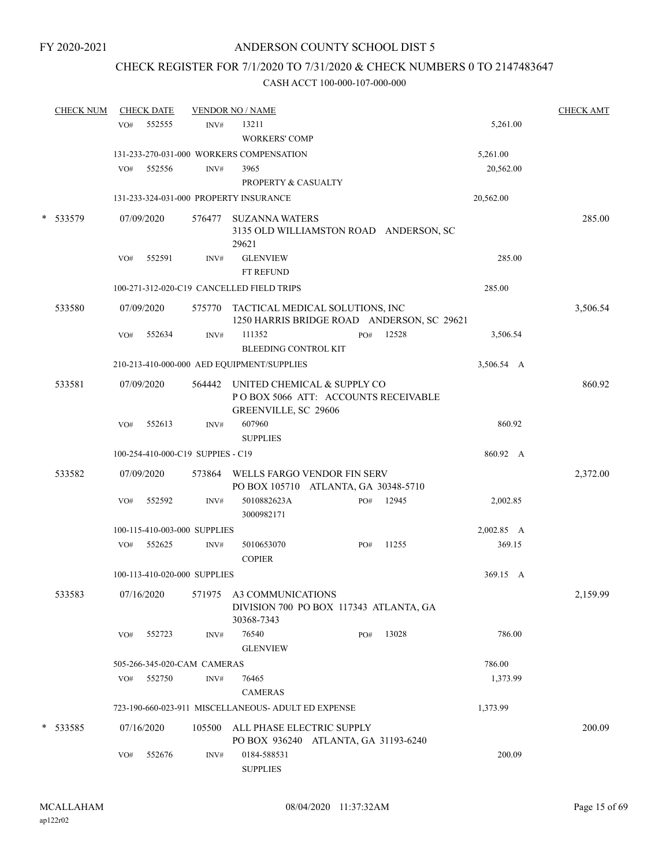## CHECK REGISTER FOR 7/1/2020 TO 7/31/2020 & CHECK NUMBERS 0 TO 2147483647

| <b>CHECK NUM</b> |     | <b>CHECK DATE</b> |                                   | <b>VENDOR NO / NAME</b>                                                                    |     |       |            | <b>CHECK AMT</b> |
|------------------|-----|-------------------|-----------------------------------|--------------------------------------------------------------------------------------------|-----|-------|------------|------------------|
|                  | VO# | 552555            | INV#                              | 13211                                                                                      |     |       | 5,261.00   |                  |
|                  |     |                   |                                   | <b>WORKERS' COMP</b>                                                                       |     |       |            |                  |
|                  |     |                   |                                   | 131-233-270-031-000 WORKERS COMPENSATION                                                   |     |       | 5,261.00   |                  |
|                  | VO# | 552556            | INV#                              | 3965                                                                                       |     |       | 20,562.00  |                  |
|                  |     |                   |                                   | PROPERTY & CASUALTY                                                                        |     |       |            |                  |
|                  |     |                   |                                   | 131-233-324-031-000 PROPERTY INSURANCE                                                     |     |       | 20,562.00  |                  |
| * 533579         |     | 07/09/2020        |                                   | 576477 SUZANNA WATERS<br>3135 OLD WILLIAMSTON ROAD ANDERSON, SC<br>29621                   |     |       |            | 285.00           |
|                  | VO# | 552591            | INV#                              | <b>GLENVIEW</b>                                                                            |     |       | 285.00     |                  |
|                  |     |                   |                                   | FT REFUND                                                                                  |     |       |            |                  |
|                  |     |                   |                                   | 100-271-312-020-C19 CANCELLED FIELD TRIPS                                                  |     |       | 285.00     |                  |
| 533580           |     | 07/09/2020        |                                   | 575770 TACTICAL MEDICAL SOLUTIONS, INC<br>1250 HARRIS BRIDGE ROAD ANDERSON, SC 29621       |     |       |            | 3,506.54         |
|                  | VO# | 552634            | INV#                              | 111352<br><b>BLEEDING CONTROL KIT</b>                                                      | PO# | 12528 | 3,506.54   |                  |
|                  |     |                   |                                   | 210-213-410-000-000 AED EQUIPMENT/SUPPLIES                                                 |     |       | 3,506.54 A |                  |
| 533581           |     | 07/09/2020        | 564442                            | UNITED CHEMICAL & SUPPLY CO<br>POBOX 5066 ATT: ACCOUNTS RECEIVABLE<br>GREENVILLE, SC 29606 |     |       |            | 860.92           |
|                  | VO# | 552613            | INV#                              | 607960<br><b>SUPPLIES</b>                                                                  |     |       | 860.92     |                  |
|                  |     |                   | 100-254-410-000-C19 SUPPIES - C19 |                                                                                            |     |       | 860.92 A   |                  |
| 533582           |     | 07/09/2020        |                                   | 573864 WELLS FARGO VENDOR FIN SERV<br>PO BOX 105710 ATLANTA, GA 30348-5710                 |     |       |            | 2,372.00         |
|                  | VO# | 552592            | INV#                              | 5010882623A<br>3000982171                                                                  | PO# | 12945 | 2,002.85   |                  |
|                  |     |                   | 100-115-410-003-000 SUPPLIES      |                                                                                            |     |       | 2,002.85 A |                  |
|                  | VO# | 552625            | INV#                              | 5010653070<br><b>COPIER</b>                                                                | PO# | 11255 | 369.15     |                  |
|                  |     |                   | 100-113-410-020-000 SUPPLIES      |                                                                                            |     |       | 369.15 A   |                  |
| 533583           |     | 07/16/2020        |                                   | 571975 A3 COMMUNICATIONS<br>DIVISION 700 PO BOX 117343 ATLANTA, GA<br>30368-7343           |     |       |            | 2,159.99         |
|                  | VO# | 552723            | INV#                              | 76540<br><b>GLENVIEW</b>                                                                   | PO# | 13028 | 786.00     |                  |
|                  |     |                   | 505-266-345-020-CAM CAMERAS       |                                                                                            |     |       | 786.00     |                  |
|                  | VO# | 552750            | INV#                              | 76465<br><b>CAMERAS</b>                                                                    |     |       | 1,373.99   |                  |
|                  |     |                   |                                   | 723-190-660-023-911 MISCELLANEOUS- ADULT ED EXPENSE                                        |     |       | 1,373.99   |                  |
| * 533585         |     | 07/16/2020        | 105500                            | ALL PHASE ELECTRIC SUPPLY                                                                  |     |       |            | 200.09           |
|                  | VO# | 552676            | INV#                              | PO BOX 936240 ATLANTA, GA 31193-6240<br>0184-588531<br><b>SUPPLIES</b>                     |     |       | 200.09     |                  |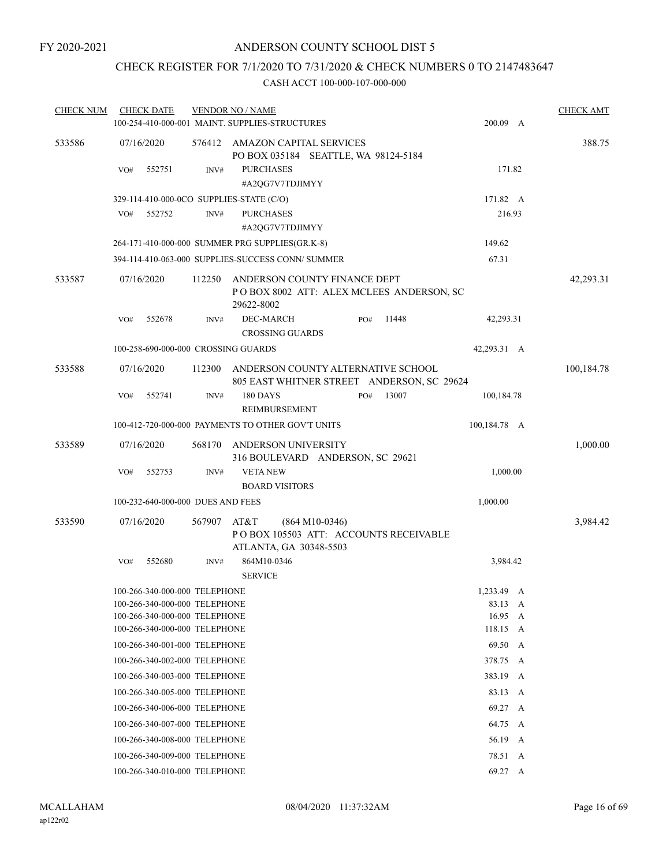## CHECK REGISTER FOR 7/1/2020 TO 7/31/2020 & CHECK NUMBERS 0 TO 2147483647

| <b>CHECK NUM</b> | <b>CHECK DATE</b>                                                                                                                |        | <b>VENDOR NO / NAME</b>                                                                |                  |       |                                            |   | <b>CHECK AMT</b> |
|------------------|----------------------------------------------------------------------------------------------------------------------------------|--------|----------------------------------------------------------------------------------------|------------------|-------|--------------------------------------------|---|------------------|
|                  |                                                                                                                                  |        | 100-254-410-000-001 MAINT. SUPPLIES-STRUCTURES                                         |                  |       | 200.09 A                                   |   |                  |
| 533586           | 07/16/2020                                                                                                                       | 576412 | AMAZON CAPITAL SERVICES<br>PO BOX 035184 SEATTLE, WA 98124-5184                        |                  |       |                                            |   | 388.75           |
|                  | VO#<br>552751                                                                                                                    | INV#   | <b>PURCHASES</b><br>#A2QG7V7TDJIMYY                                                    |                  |       | 171.82                                     |   |                  |
|                  | 329-114-410-000-0CO SUPPLIES-STATE (C/O)                                                                                         |        |                                                                                        |                  |       | 171.82 A                                   |   |                  |
|                  | 552752<br>VO#                                                                                                                    | INV#   | <b>PURCHASES</b>                                                                       |                  |       | 216.93                                     |   |                  |
|                  |                                                                                                                                  |        | #A2QG7V7TDJIMYY                                                                        |                  |       |                                            |   |                  |
|                  |                                                                                                                                  |        | 264-171-410-000-000 SUMMER PRG SUPPLIES(GR.K-8)                                        |                  |       | 149.62                                     |   |                  |
|                  |                                                                                                                                  |        | 394-114-410-063-000 SUPPLIES-SUCCESS CONN/ SUMMER                                      |                  |       | 67.31                                      |   |                  |
| 533587           | 07/16/2020                                                                                                                       | 112250 | ANDERSON COUNTY FINANCE DEPT<br>POBOX 8002 ATT: ALEX MCLEES ANDERSON, SC<br>29622-8002 |                  |       |                                            |   | 42,293.31        |
|                  | 552678<br>VO#                                                                                                                    | INV#   | DEC-MARCH<br><b>CROSSING GUARDS</b>                                                    | PO#              | 11448 | 42,293.31                                  |   |                  |
|                  | 100-258-690-000-000 CROSSING GUARDS                                                                                              |        |                                                                                        |                  |       | 42,293.31 A                                |   |                  |
| 533588           | 07/16/2020                                                                                                                       | 112300 | ANDERSON COUNTY ALTERNATIVE SCHOOL<br>805 EAST WHITNER STREET ANDERSON, SC 29624       |                  |       |                                            |   | 100,184.78       |
|                  | VO#<br>552741                                                                                                                    | INV#   | <b>180 DAYS</b><br>REIMBURSEMENT                                                       | PO#              | 13007 | 100,184.78                                 |   |                  |
|                  |                                                                                                                                  |        | 100-412-720-000-000 PAYMENTS TO OTHER GOV'T UNITS                                      |                  |       | 100,184.78 A                               |   |                  |
| 533589           | 07/16/2020                                                                                                                       | 568170 | ANDERSON UNIVERSITY<br>316 BOULEVARD ANDERSON, SC 29621                                |                  |       |                                            |   | 1,000.00         |
|                  | 552753<br>VO#                                                                                                                    | INV#   | <b>VETA NEW</b><br><b>BOARD VISITORS</b>                                               |                  |       | 1,000.00                                   |   |                  |
|                  | 100-232-640-000-000 DUES AND FEES                                                                                                |        |                                                                                        |                  |       | 1,000.00                                   |   |                  |
| 533590           | 07/16/2020                                                                                                                       | 567907 | AT&T<br>PO BOX 105503 ATT: ACCOUNTS RECEIVABLE<br>ATLANTA, GA 30348-5503               | $(864 M10-0346)$ |       |                                            |   | 3,984.42         |
|                  | 552680<br>VO#                                                                                                                    | INV#   | 864M10-0346<br><b>SERVICE</b>                                                          |                  |       | 3,984.42                                   |   |                  |
|                  | 100-266-340-000-000 TELEPHONE<br>100-266-340-000-000 TELEPHONE<br>100-266-340-000-000 TELEPHONE<br>100-266-340-000-000 TELEPHONE |        |                                                                                        |                  |       | 1,233.49 A<br>83.13<br>16.95 A<br>118.15 A | A |                  |
|                  | 100-266-340-001-000 TELEPHONE                                                                                                    |        |                                                                                        |                  |       | 69.50                                      | A |                  |
|                  | 100-266-340-002-000 TELEPHONE                                                                                                    |        |                                                                                        |                  |       | 378.75 A                                   |   |                  |
|                  | 100-266-340-003-000 TELEPHONE                                                                                                    |        |                                                                                        |                  |       | 383.19 A                                   |   |                  |
|                  | 100-266-340-005-000 TELEPHONE                                                                                                    |        |                                                                                        |                  |       | 83.13 A                                    |   |                  |
|                  | 100-266-340-006-000 TELEPHONE                                                                                                    |        |                                                                                        |                  |       | 69.27                                      | A |                  |
|                  | 100-266-340-007-000 TELEPHONE                                                                                                    |        |                                                                                        |                  |       | 64.75 A                                    |   |                  |
|                  | 100-266-340-008-000 TELEPHONE                                                                                                    |        |                                                                                        |                  |       | 56.19 A                                    |   |                  |
|                  | 100-266-340-009-000 TELEPHONE                                                                                                    |        |                                                                                        |                  |       | 78.51 A                                    |   |                  |
|                  | 100-266-340-010-000 TELEPHONE                                                                                                    |        |                                                                                        |                  |       | 69.27 A                                    |   |                  |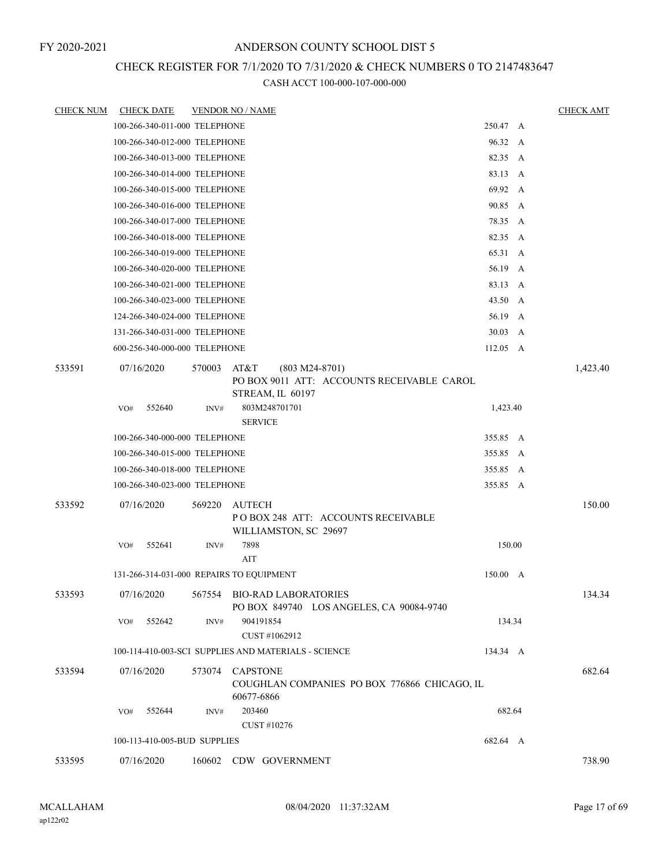## CHECK REGISTER FOR 7/1/2020 TO 7/31/2020 & CHECK NUMBERS 0 TO 2147483647

| <b>CHECK NUM</b> | <b>CHECK DATE</b>                        |        | <b>VENDOR NO / NAME</b>                                                                    |          | <b>CHECK AMT</b> |
|------------------|------------------------------------------|--------|--------------------------------------------------------------------------------------------|----------|------------------|
|                  | 100-266-340-011-000 TELEPHONE            |        |                                                                                            | 250.47 A |                  |
|                  | 100-266-340-012-000 TELEPHONE            |        |                                                                                            | 96.32 A  |                  |
|                  | 100-266-340-013-000 TELEPHONE            |        |                                                                                            | 82.35 A  |                  |
|                  | 100-266-340-014-000 TELEPHONE            |        |                                                                                            | 83.13 A  |                  |
|                  | 100-266-340-015-000 TELEPHONE            |        |                                                                                            | 69.92 A  |                  |
|                  | 100-266-340-016-000 TELEPHONE            |        |                                                                                            | 90.85 A  |                  |
|                  | 100-266-340-017-000 TELEPHONE            |        |                                                                                            | 78.35 A  |                  |
|                  | 100-266-340-018-000 TELEPHONE            |        |                                                                                            | 82.35 A  |                  |
|                  | 100-266-340-019-000 TELEPHONE            |        |                                                                                            | 65.31 A  |                  |
|                  | 100-266-340-020-000 TELEPHONE            |        |                                                                                            | 56.19 A  |                  |
|                  | 100-266-340-021-000 TELEPHONE            |        |                                                                                            | 83.13 A  |                  |
|                  | 100-266-340-023-000 TELEPHONE            |        |                                                                                            | 43.50 A  |                  |
|                  | 124-266-340-024-000 TELEPHONE            |        |                                                                                            | 56.19 A  |                  |
|                  | 131-266-340-031-000 TELEPHONE            |        |                                                                                            | 30.03 A  |                  |
|                  | 600-256-340-000-000 TELEPHONE            |        |                                                                                            | 112.05 A |                  |
| 533591           | 07/16/2020                               | 570003 | AT&T<br>$(803 M24-8701)$<br>PO BOX 9011 ATT: ACCOUNTS RECEIVABLE CAROL<br>STREAM, IL 60197 |          | 1,423.40         |
|                  | 552640<br>VO#                            | INV#   | 803M248701701<br><b>SERVICE</b>                                                            | 1,423.40 |                  |
|                  | 100-266-340-000-000 TELEPHONE            |        |                                                                                            | 355.85 A |                  |
|                  | 100-266-340-015-000 TELEPHONE            |        |                                                                                            | 355.85 A |                  |
|                  | 100-266-340-018-000 TELEPHONE            |        |                                                                                            | 355.85 A |                  |
|                  | 100-266-340-023-000 TELEPHONE            |        |                                                                                            | 355.85 A |                  |
| 533592           | 07/16/2020                               | 569220 | <b>AUTECH</b><br>PO BOX 248 ATT: ACCOUNTS RECEIVABLE<br>WILLIAMSTON, SC 29697              |          | 150.00           |
|                  | 552641<br>VO#                            | INV#   | 7898                                                                                       | 150.00   |                  |
|                  |                                          |        | AIT                                                                                        |          |                  |
|                  | 131-266-314-031-000 REPAIRS TO EQUIPMENT |        |                                                                                            | 150.00 A |                  |
| 533593           |                                          |        | 07/16/2020   567554   BIO-RAD LABORATORIES<br>PO BOX 849740 LOS ANGELES, CA 90084-9740     |          | 134.34           |
|                  | 552642<br>VO#                            | INV#   | 904191854<br>CUST #1062912                                                                 | 134.34   |                  |
|                  |                                          |        | 100-114-410-003-SCI SUPPLIES AND MATERIALS - SCIENCE                                       | 134.34 A |                  |
| 533594           | 07/16/2020                               | 573074 | <b>CAPSTONE</b><br>COUGHLAN COMPANIES PO BOX 776866 CHICAGO, IL<br>60677-6866              |          | 682.64           |
|                  | 552644<br>VO#                            | INV#   | 203460<br>CUST #10276                                                                      | 682.64   |                  |
|                  | 100-113-410-005-BUD SUPPLIES             |        |                                                                                            | 682.64 A |                  |
| 533595           | 07/16/2020                               | 160602 | CDW GOVERNMENT                                                                             |          | 738.90           |
|                  |                                          |        |                                                                                            |          |                  |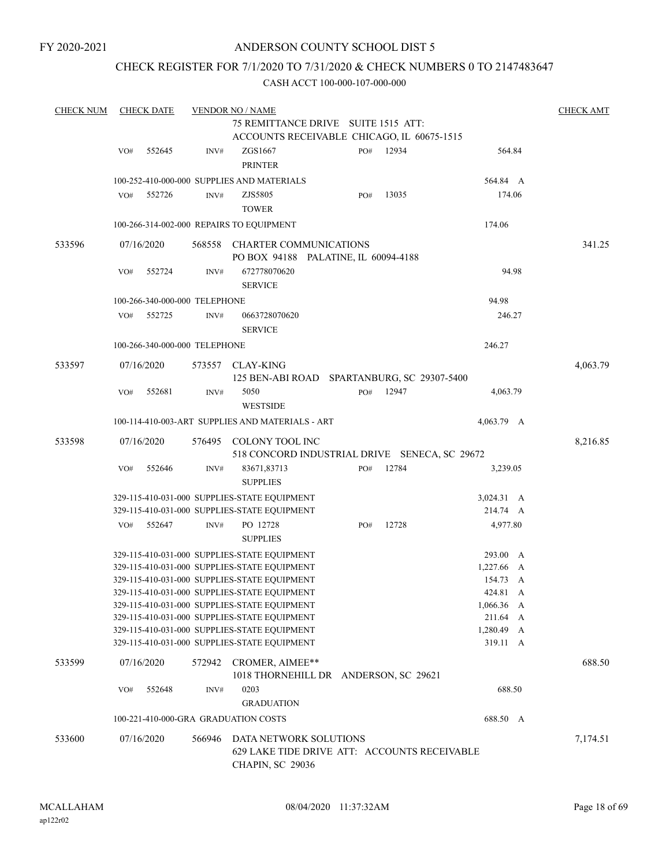## CHECK REGISTER FOR 7/1/2020 TO 7/31/2020 & CHECK NUMBERS 0 TO 2147483647

| <b>CHECK NUM</b> |     | <b>CHECK DATE</b>             |        | <b>VENDOR NO / NAME</b>                                                                           |  |     |       |                        |  | <b>CHECK AMT</b> |
|------------------|-----|-------------------------------|--------|---------------------------------------------------------------------------------------------------|--|-----|-------|------------------------|--|------------------|
|                  |     |                               |        | 75 REMITTANCE DRIVE SUITE 1515 ATT:                                                               |  |     |       |                        |  |                  |
|                  |     |                               |        | ACCOUNTS RECEIVABLE CHICAGO, IL 60675-1515                                                        |  |     |       |                        |  |                  |
|                  | VO# | 552645                        | INV#   | ZGS1667<br><b>PRINTER</b>                                                                         |  | PO# | 12934 | 564.84                 |  |                  |
|                  |     |                               |        | 100-252-410-000-000 SUPPLIES AND MATERIALS                                                        |  |     |       | 564.84 A               |  |                  |
|                  | VO# | 552726                        | INV#   | ZJS5805<br><b>TOWER</b>                                                                           |  | PO# | 13035 | 174.06                 |  |                  |
|                  |     |                               |        | 100-266-314-002-000 REPAIRS TO EQUIPMENT                                                          |  |     |       | 174.06                 |  |                  |
|                  |     |                               |        |                                                                                                   |  |     |       |                        |  |                  |
| 533596           |     | 07/16/2020                    |        | 568558 CHARTER COMMUNICATIONS<br>PO BOX 94188 PALATINE, IL 60094-4188                             |  |     |       |                        |  | 341.25           |
|                  | VO# | 552724                        | INV#   | 672778070620<br><b>SERVICE</b>                                                                    |  |     |       | 94.98                  |  |                  |
|                  |     | 100-266-340-000-000 TELEPHONE |        |                                                                                                   |  |     |       | 94.98                  |  |                  |
|                  | VO# | 552725                        | INV#   | 0663728070620                                                                                     |  |     |       | 246.27                 |  |                  |
|                  |     |                               |        | <b>SERVICE</b>                                                                                    |  |     |       |                        |  |                  |
|                  |     | 100-266-340-000-000 TELEPHONE |        |                                                                                                   |  |     |       | 246.27                 |  |                  |
| 533597           |     | 07/16/2020                    |        | 573557 CLAY-KING<br>125 BEN-ABI ROAD SPARTANBURG, SC 29307-5400                                   |  |     |       |                        |  | 4,063.79         |
|                  | VO# | 552681                        | INV#   | 5050<br><b>WESTSIDE</b>                                                                           |  | PO# | 12947 | 4,063.79               |  |                  |
|                  |     |                               |        | 100-114-410-003-ART SUPPLIES AND MATERIALS - ART                                                  |  |     |       | 4,063.79 A             |  |                  |
| 533598           |     | 07/16/2020                    |        | 576495 COLONY TOOL INC                                                                            |  |     |       |                        |  | 8,216.85         |
|                  |     |                               |        | 518 CONCORD INDUSTRIAL DRIVE SENECA, SC 29672                                                     |  |     |       |                        |  |                  |
|                  | VO# | 552646                        | INV#   | 83671,83713<br><b>SUPPLIES</b>                                                                    |  | PO# | 12784 | 3,239.05               |  |                  |
|                  |     |                               |        | 329-115-410-031-000 SUPPLIES-STATE EQUIPMENT                                                      |  |     |       | $3,024.31 \quad A$     |  |                  |
|                  |     |                               |        | 329-115-410-031-000 SUPPLIES-STATE EQUIPMENT                                                      |  |     |       | 214.74 A               |  |                  |
|                  | VO# | 552647                        | INV#   | PO 12728<br><b>SUPPLIES</b>                                                                       |  | PO# | 12728 | 4,977.80               |  |                  |
|                  |     |                               |        | 329-115-410-031-000 SUPPLIES-STATE EQUIPMENT                                                      |  |     |       | 293.00 A               |  |                  |
|                  |     |                               |        | 329-115-410-031-000 SUPPLIES-STATE EQUIPMENT                                                      |  |     |       | 1,227.66 A             |  |                  |
|                  |     |                               |        | 329-115-410-031-000 SUPPLIES-STATE EQUIPMENT                                                      |  |     |       | 154.73 A               |  |                  |
|                  |     |                               |        | 329-115-410-031-000 SUPPLIES-STATE EQUIPMENT                                                      |  |     |       | 424.81 A               |  |                  |
|                  |     |                               |        | 329-115-410-031-000 SUPPLIES-STATE EQUIPMENT                                                      |  |     |       | $1,066.36$ A           |  |                  |
|                  |     |                               |        | 329-115-410-031-000 SUPPLIES-STATE EQUIPMENT                                                      |  |     |       | 211.64 A               |  |                  |
|                  |     |                               |        | 329-115-410-031-000 SUPPLIES-STATE EQUIPMENT<br>329-115-410-031-000 SUPPLIES-STATE EQUIPMENT      |  |     |       | 1,280.49 A<br>319.11 A |  |                  |
|                  |     |                               |        |                                                                                                   |  |     |       |                        |  |                  |
| 533599           |     | 07/16/2020                    |        | 572942 CROMER, AIMEE**<br>1018 THORNEHILL DR ANDERSON, SC 29621                                   |  |     |       |                        |  | 688.50           |
|                  | VO# | 552648                        | INV#   | 0203                                                                                              |  |     |       | 688.50                 |  |                  |
|                  |     |                               |        | <b>GRADUATION</b>                                                                                 |  |     |       |                        |  |                  |
|                  |     |                               |        | 100-221-410-000-GRA GRADUATION COSTS                                                              |  |     |       | 688.50 A               |  |                  |
| 533600           |     | 07/16/2020                    | 566946 | DATA NETWORK SOLUTIONS<br>629 LAKE TIDE DRIVE ATT: ACCOUNTS RECEIVABLE<br><b>CHAPIN, SC 29036</b> |  |     |       |                        |  | 7,174.51         |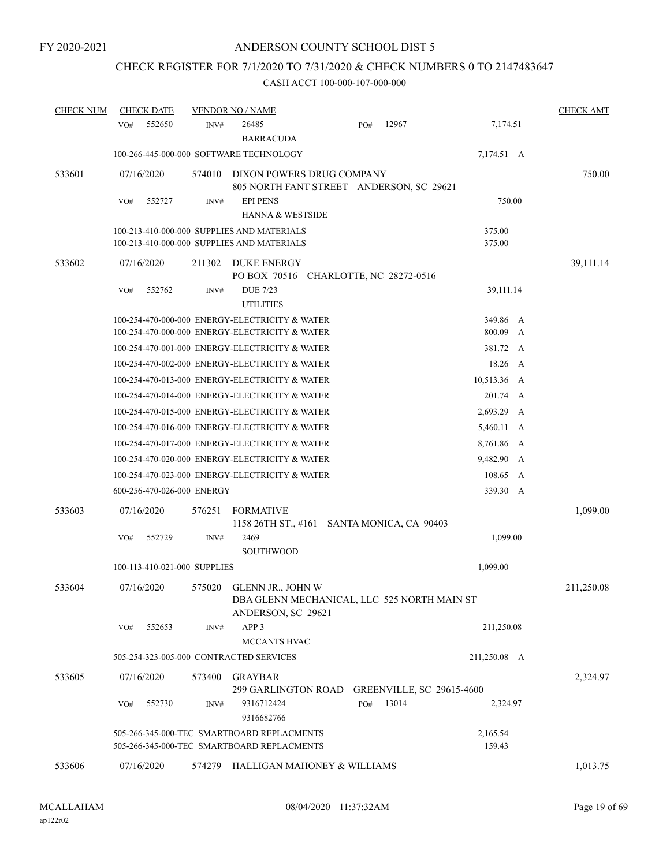## CHECK REGISTER FOR 7/1/2020 TO 7/31/2020 & CHECK NUMBERS 0 TO 2147483647

| <b>CHECK NUM</b> | <b>CHECK DATE</b>                       |        | <b>VENDOR NO / NAME</b>                                                                          |     |                                  |                    |        | <b>CHECK AMT</b> |
|------------------|-----------------------------------------|--------|--------------------------------------------------------------------------------------------------|-----|----------------------------------|--------------------|--------|------------------|
|                  | 552650<br>VO#                           | INV#   | 26485<br><b>BARRACUDA</b>                                                                        | PO# | 12967                            | 7,174.51           |        |                  |
|                  |                                         |        | 100-266-445-000-000 SOFTWARE TECHNOLOGY                                                          |     |                                  | 7,174.51 A         |        |                  |
| 533601           | 07/16/2020                              | 574010 | DIXON POWERS DRUG COMPANY<br>805 NORTH FANT STREET ANDERSON, SC 29621                            |     |                                  |                    |        | 750.00           |
|                  | 552727<br>VO#                           | INV#   | <b>EPI PENS</b><br><b>HANNA &amp; WESTSIDE</b>                                                   |     |                                  | 750.00             |        |                  |
|                  |                                         |        | 100-213-410-000-000 SUPPLIES AND MATERIALS<br>100-213-410-000-000 SUPPLIES AND MATERIALS         |     |                                  | 375.00<br>375.00   |        |                  |
| 533602           | 07/16/2020                              | 211302 | DUKE ENERGY<br>PO BOX 70516 CHARLOTTE, NC 28272-0516                                             |     |                                  |                    |        | 39,111.14        |
|                  | VO#<br>552762                           | INV#   | <b>DUE 7/23</b><br><b>UTILITIES</b>                                                              |     |                                  | 39,111.14          |        |                  |
|                  |                                         |        | 100-254-470-000-000 ENERGY-ELECTRICITY & WATER<br>100-254-470-000-000 ENERGY-ELECTRICITY & WATER |     |                                  | 349.86<br>800.09   | A<br>A |                  |
|                  |                                         |        | 100-254-470-001-000 ENERGY-ELECTRICITY & WATER                                                   |     |                                  | 381.72 A           |        |                  |
|                  |                                         |        | 100-254-470-002-000 ENERGY-ELECTRICITY & WATER                                                   |     |                                  | 18.26 A            |        |                  |
|                  |                                         |        | 100-254-470-013-000 ENERGY-ELECTRICITY & WATER                                                   |     |                                  | 10,513.36 A        |        |                  |
|                  |                                         |        | 100-254-470-014-000 ENERGY-ELECTRICITY & WATER                                                   |     |                                  | 201.74 A           |        |                  |
|                  |                                         |        | 100-254-470-015-000 ENERGY-ELECTRICITY & WATER                                                   |     |                                  | 2,693.29 A         |        |                  |
|                  |                                         |        | 100-254-470-016-000 ENERGY-ELECTRICITY & WATER                                                   |     |                                  | 5,460.11 A         |        |                  |
|                  |                                         |        | 100-254-470-017-000 ENERGY-ELECTRICITY & WATER                                                   |     |                                  | 8,761.86 A         |        |                  |
|                  |                                         |        | 100-254-470-020-000 ENERGY-ELECTRICITY & WATER                                                   |     |                                  | 9,482.90 A         |        |                  |
|                  |                                         |        | 100-254-470-023-000 ENERGY-ELECTRICITY & WATER                                                   |     |                                  | 108.65 A           |        |                  |
|                  | 600-256-470-026-000 ENERGY              |        |                                                                                                  |     |                                  | 339.30 A           |        |                  |
| 533603           | 07/16/2020                              | 576251 | <b>FORMATIVE</b><br>1158 26TH ST., #161 SANTA MONICA, CA 90403                                   |     |                                  |                    |        | 1,099.00         |
|                  | 552729<br>VO#                           | INV#   | 2469<br><b>SOUTHWOOD</b>                                                                         |     |                                  | 1,099.00           |        |                  |
|                  | 100-113-410-021-000 SUPPLIES            |        |                                                                                                  |     |                                  | 1,099.00           |        |                  |
| 533604           | 07/16/2020                              | 575020 | GLENN JR., JOHN W<br>DBA GLENN MECHANICAL, LLC 525 NORTH MAIN ST<br>ANDERSON, SC 29621           |     |                                  |                    |        | 211,250.08       |
|                  | 552653<br>VO#                           | INV#   | APP <sub>3</sub><br>MCCANTS HVAC                                                                 |     |                                  | 211,250.08         |        |                  |
|                  | 505-254-323-005-000 CONTRACTED SERVICES |        |                                                                                                  |     |                                  | 211,250.08 A       |        |                  |
| 533605           | 07/16/2020                              | 573400 | GRAYBAR<br>299 GARLINGTON ROAD                                                                   |     | <b>GREENVILLE, SC 29615-4600</b> |                    |        | 2,324.97         |
|                  | 552730<br>VO#                           | INV#   | 9316712424<br>9316682766                                                                         | PO# | 13014                            | 2,324.97           |        |                  |
|                  |                                         |        | 505-266-345-000-TEC SMARTBOARD REPLACMENTS<br>505-266-345-000-TEC SMARTBOARD REPLACMENTS         |     |                                  | 2,165.54<br>159.43 |        |                  |
| 533606           | 07/16/2020                              | 574279 | HALLIGAN MAHONEY & WILLIAMS                                                                      |     |                                  |                    |        | 1,013.75         |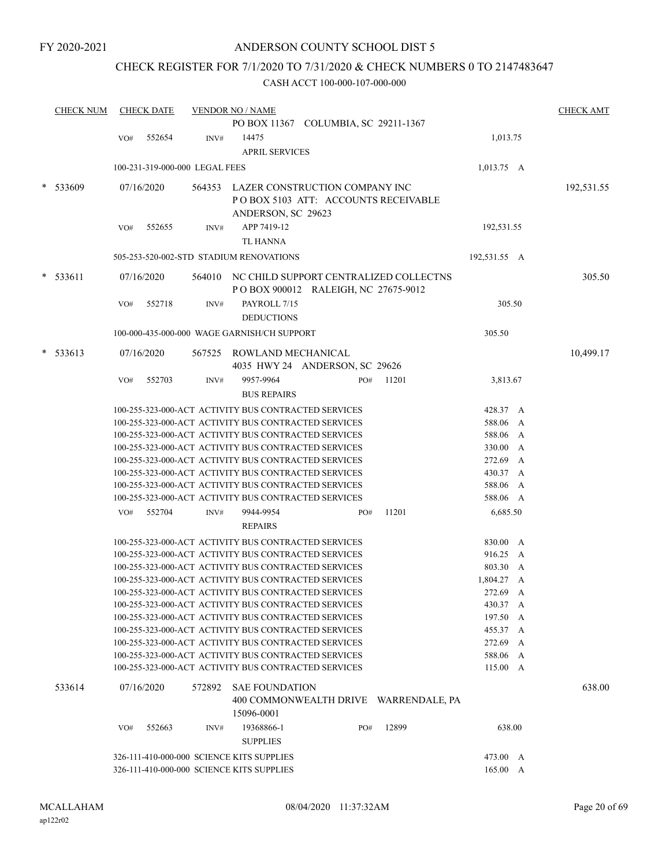## ANDERSON COUNTY SCHOOL DIST 5

## CHECK REGISTER FOR 7/1/2020 TO 7/31/2020 & CHECK NUMBERS 0 TO 2147483647

|   | <b>CHECK NUM</b> |     | <b>CHECK DATE</b> |                                | <b>VENDOR NO / NAME</b>                                                                                      |                                               |       |                      | <b>CHECK AMT</b> |
|---|------------------|-----|-------------------|--------------------------------|--------------------------------------------------------------------------------------------------------------|-----------------------------------------------|-------|----------------------|------------------|
|   |                  |     |                   |                                |                                                                                                              | PO BOX 11367 COLUMBIA, SC 29211-1367          |       |                      |                  |
|   |                  | VO# | 552654            | INV#                           | 14475                                                                                                        |                                               |       | 1,013.75             |                  |
|   |                  |     |                   |                                | <b>APRIL SERVICES</b>                                                                                        |                                               |       |                      |                  |
|   |                  |     |                   | 100-231-319-000-000 LEGAL FEES |                                                                                                              |                                               |       |                      |                  |
|   |                  |     |                   |                                |                                                                                                              |                                               |       | $1,013.75$ A         |                  |
|   | 533609           |     | 07/16/2020        |                                |                                                                                                              | 564353 LAZER CONSTRUCTION COMPANY INC         |       |                      | 192,531.55       |
|   |                  |     |                   |                                |                                                                                                              | POBOX 5103 ATT: ACCOUNTS RECEIVABLE           |       |                      |                  |
|   |                  |     |                   |                                | ANDERSON, SC 29623                                                                                           |                                               |       |                      |                  |
|   |                  | VO# | 552655            | INV#                           | APP 7419-12                                                                                                  |                                               |       | 192,531.55           |                  |
|   |                  |     |                   |                                | <b>TL HANNA</b>                                                                                              |                                               |       |                      |                  |
|   |                  |     |                   |                                | 505-253-520-002-STD STADIUM RENOVATIONS                                                                      |                                               |       | 192,531.55 A         |                  |
| * | 533611           |     | 07/16/2020        |                                |                                                                                                              | 564010 NC CHILD SUPPORT CENTRALIZED COLLECTNS |       |                      | 305.50           |
|   |                  |     |                   |                                |                                                                                                              | POBOX 900012 RALEIGH, NC 27675-9012           |       |                      |                  |
|   |                  | VO# | 552718            | INV#                           | PAYROLL 7/15                                                                                                 |                                               |       | 305.50               |                  |
|   |                  |     |                   |                                | <b>DEDUCTIONS</b>                                                                                            |                                               |       |                      |                  |
|   |                  |     |                   |                                |                                                                                                              |                                               |       |                      |                  |
|   |                  |     |                   |                                | 100-000-435-000-000 WAGE GARNISH/CH SUPPORT                                                                  |                                               |       | 305.50               |                  |
|   | $* 533613$       |     | 07/16/2020        | 567525                         | ROWLAND MECHANICAL                                                                                           |                                               |       |                      | 10,499.17        |
|   |                  |     |                   |                                |                                                                                                              | 4035 HWY 24 ANDERSON, SC 29626                |       |                      |                  |
|   |                  | VO# | 552703            | INV#                           | 9957-9964                                                                                                    | PO#                                           | 11201 | 3,813.67             |                  |
|   |                  |     |                   |                                | <b>BUS REPAIRS</b>                                                                                           |                                               |       |                      |                  |
|   |                  |     |                   |                                | 100-255-323-000-ACT ACTIVITY BUS CONTRACTED SERVICES                                                         |                                               |       | 428.37 A             |                  |
|   |                  |     |                   |                                | 100-255-323-000-ACT ACTIVITY BUS CONTRACTED SERVICES                                                         |                                               |       | 588.06 A             |                  |
|   |                  |     |                   |                                | 100-255-323-000-ACT ACTIVITY BUS CONTRACTED SERVICES                                                         |                                               |       | 588.06 A             |                  |
|   |                  |     |                   |                                | 100-255-323-000-ACT ACTIVITY BUS CONTRACTED SERVICES                                                         |                                               |       | 330.00 A             |                  |
|   |                  |     |                   |                                | 100-255-323-000-ACT ACTIVITY BUS CONTRACTED SERVICES                                                         |                                               |       | 272.69 A             |                  |
|   |                  |     |                   |                                | 100-255-323-000-ACT ACTIVITY BUS CONTRACTED SERVICES                                                         |                                               |       | 430.37 A             |                  |
|   |                  |     |                   |                                | 100-255-323-000-ACT ACTIVITY BUS CONTRACTED SERVICES                                                         |                                               |       | 588.06 A             |                  |
|   |                  |     |                   |                                | 100-255-323-000-ACT ACTIVITY BUS CONTRACTED SERVICES                                                         |                                               |       | 588.06 A             |                  |
|   |                  | VO# | 552704            | INV#                           | 9944-9954                                                                                                    | PO#                                           | 11201 | 6,685.50             |                  |
|   |                  |     |                   |                                | <b>REPAIRS</b>                                                                                               |                                               |       |                      |                  |
|   |                  |     |                   |                                | 100-255-323-000-ACT ACTIVITY BUS CONTRACTED SERVICES                                                         |                                               |       | 830.00 A             |                  |
|   |                  |     |                   |                                | 100-255-323-000-ACT ACTIVITY BUS CONTRACTED SERVICES                                                         |                                               |       | 916.25 A             |                  |
|   |                  |     |                   |                                | 100-255-323-000-ACT ACTIVITY BUS CONTRACTED SERVICES                                                         |                                               |       | 803.30 A             |                  |
|   |                  |     |                   |                                | 100-255-323-000-ACT ACTIVITY BUS CONTRACTED SERVICES                                                         |                                               |       | 1,804.27 A           |                  |
|   |                  |     |                   |                                | 100-255-323-000-ACT ACTIVITY BUS CONTRACTED SERVICES                                                         |                                               |       | 272.69 A             |                  |
|   |                  |     |                   |                                | 100-255-323-000-ACT ACTIVITY BUS CONTRACTED SERVICES                                                         |                                               |       | 430.37 A             |                  |
|   |                  |     |                   |                                | 100-255-323-000-ACT ACTIVITY BUS CONTRACTED SERVICES<br>100-255-323-000-ACT ACTIVITY BUS CONTRACTED SERVICES |                                               |       | 197.50 A             |                  |
|   |                  |     |                   |                                | 100-255-323-000-ACT ACTIVITY BUS CONTRACTED SERVICES                                                         |                                               |       | 455.37 A<br>272.69 A |                  |
|   |                  |     |                   |                                | 100-255-323-000-ACT ACTIVITY BUS CONTRACTED SERVICES                                                         |                                               |       | 588.06 A             |                  |
|   |                  |     |                   |                                | 100-255-323-000-ACT ACTIVITY BUS CONTRACTED SERVICES                                                         |                                               |       | 115.00 A             |                  |
|   |                  |     |                   |                                |                                                                                                              |                                               |       |                      |                  |
|   | 533614           |     | 07/16/2020        |                                | 572892 SAE FOUNDATION                                                                                        |                                               |       |                      | 638.00           |
|   |                  |     |                   |                                |                                                                                                              | 400 COMMONWEALTH DRIVE WARRENDALE, PA         |       |                      |                  |
|   |                  |     |                   |                                | 15096-0001                                                                                                   |                                               |       |                      |                  |
|   |                  | VO# | 552663            | INV#                           | 19368866-1                                                                                                   | PO#                                           | 12899 | 638.00               |                  |
|   |                  |     |                   |                                | <b>SUPPLIES</b>                                                                                              |                                               |       |                      |                  |
|   |                  |     |                   |                                | 326-111-410-000-000 SCIENCE KITS SUPPLIES                                                                    |                                               |       | 473.00 A             |                  |
|   |                  |     |                   |                                | 326-111-410-000-000 SCIENCE KITS SUPPLIES                                                                    |                                               |       | 165.00 A             |                  |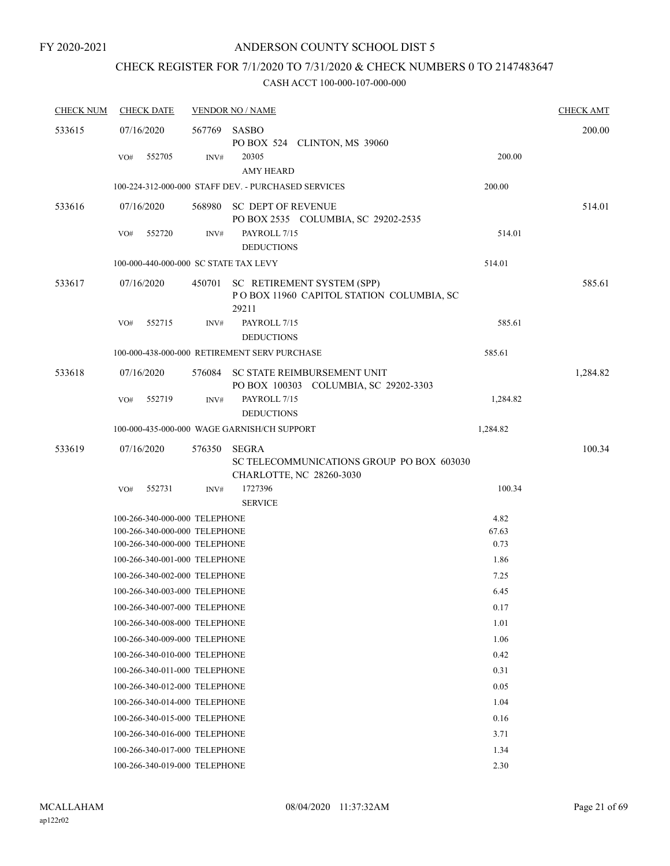# CHECK REGISTER FOR 7/1/2020 TO 7/31/2020 & CHECK NUMBERS 0 TO 2147483647

| <b>CHECK NUM</b> | <b>CHECK DATE</b><br><b>VENDOR NO / NAME</b> |        |                                                                                       |          |          |  |  |  |
|------------------|----------------------------------------------|--------|---------------------------------------------------------------------------------------|----------|----------|--|--|--|
| 533615           | 07/16/2020                                   | 567769 | SASBO<br>PO BOX 524 CLINTON, MS 39060                                                 |          | 200.00   |  |  |  |
|                  | 552705<br>VO#                                | INV#   | 20305<br><b>AMY HEARD</b>                                                             | 200.00   |          |  |  |  |
|                  |                                              |        | 100-224-312-000-000 STAFF DEV. - PURCHASED SERVICES                                   | 200.00   |          |  |  |  |
| 533616           | 07/16/2020                                   | 568980 | SC DEPT OF REVENUE<br>PO BOX 2535 COLUMBIA, SC 29202-2535                             |          | 514.01   |  |  |  |
|                  | 552720<br>VO#                                | INV#   | PAYROLL 7/15<br><b>DEDUCTIONS</b>                                                     | 514.01   |          |  |  |  |
|                  | 100-000-440-000-000 SC STATE TAX LEVY        |        |                                                                                       | 514.01   |          |  |  |  |
| 533617           | 07/16/2020                                   | 450701 | SC RETIREMENT SYSTEM (SPP)<br>POBOX 11960 CAPITOL STATION COLUMBIA, SC<br>29211       |          | 585.61   |  |  |  |
|                  | VO#<br>552715                                | INV#   | PAYROLL 7/15<br><b>DEDUCTIONS</b>                                                     | 585.61   |          |  |  |  |
|                  |                                              |        | 100-000-438-000-000 RETIREMENT SERV PURCHASE                                          | 585.61   |          |  |  |  |
| 533618           | 07/16/2020                                   |        | 576084 SC STATE REIMBURSEMENT UNIT<br>PO BOX 100303 COLUMBIA, SC 29202-3303           |          | 1,284.82 |  |  |  |
|                  | 552719<br>VO#                                | INV#   | PAYROLL 7/15<br><b>DEDUCTIONS</b>                                                     | 1,284.82 |          |  |  |  |
|                  |                                              |        | 100-000-435-000-000 WAGE GARNISH/CH SUPPORT                                           | 1,284.82 |          |  |  |  |
| 533619           | 07/16/2020                                   | 576350 | <b>SEGRA</b><br>SC TELECOMMUNICATIONS GROUP PO BOX 603030<br>CHARLOTTE, NC 28260-3030 |          | 100.34   |  |  |  |
|                  | 552731<br>VO#                                | INV#   | 1727396<br><b>SERVICE</b>                                                             | 100.34   |          |  |  |  |
|                  | 100-266-340-000-000 TELEPHONE                |        |                                                                                       | 4.82     |          |  |  |  |
|                  | 100-266-340-000-000 TELEPHONE                |        |                                                                                       | 67.63    |          |  |  |  |
|                  | 100-266-340-000-000 TELEPHONE                |        |                                                                                       | 0.73     |          |  |  |  |
|                  | 100-266-340-001-000 TELEPHONE                |        |                                                                                       | 1.86     |          |  |  |  |
|                  | 100-266-340-002-000 TELEPHONE                |        |                                                                                       | 7.25     |          |  |  |  |
|                  | 100-266-340-003-000 TELEPHONE                |        |                                                                                       | 6.45     |          |  |  |  |
|                  | 100-266-340-007-000 TELEPHONE                |        |                                                                                       | 0.17     |          |  |  |  |
|                  | 100-266-340-008-000 TELEPHONE                |        |                                                                                       | 1.01     |          |  |  |  |
|                  | 100-266-340-009-000 TELEPHONE                |        |                                                                                       | 1.06     |          |  |  |  |
|                  | 100-266-340-010-000 TELEPHONE                |        |                                                                                       | 0.42     |          |  |  |  |
|                  | 100-266-340-011-000 TELEPHONE                |        |                                                                                       | 0.31     |          |  |  |  |
|                  | 100-266-340-012-000 TELEPHONE                |        |                                                                                       | 0.05     |          |  |  |  |
|                  | 100-266-340-014-000 TELEPHONE                |        |                                                                                       | 1.04     |          |  |  |  |
|                  | 100-266-340-015-000 TELEPHONE                |        |                                                                                       | 0.16     |          |  |  |  |
|                  | 100-266-340-016-000 TELEPHONE                |        |                                                                                       | 3.71     |          |  |  |  |
|                  | 100-266-340-017-000 TELEPHONE                |        |                                                                                       | 1.34     |          |  |  |  |
|                  | 100-266-340-019-000 TELEPHONE                |        |                                                                                       | 2.30     |          |  |  |  |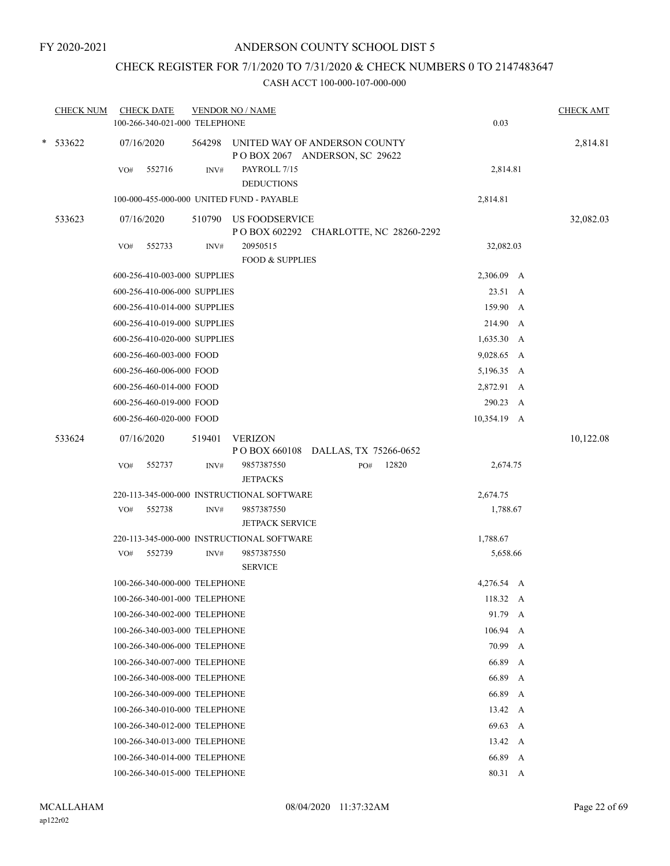# CHECK REGISTER FOR 7/1/2020 TO 7/31/2020 & CHECK NUMBERS 0 TO 2147483647

|  | <b>CHECK NUM</b> | <b>CHECK DATE</b><br>100-266-340-021-000 TELEPHONE |        | <b>VENDOR NO / NAME</b>                                        |     |       | 0.03         |   | <b>CHECK AMT</b> |
|--|------------------|----------------------------------------------------|--------|----------------------------------------------------------------|-----|-------|--------------|---|------------------|
|  | * 533622         | 07/16/2020                                         | 564298 | UNITED WAY OF ANDERSON COUNTY<br>POBOX 2067 ANDERSON, SC 29622 |     |       |              |   | 2,814.81         |
|  |                  | 552716<br>VO#                                      | INV#   | PAYROLL 7/15<br><b>DEDUCTIONS</b>                              |     |       | 2,814.81     |   |                  |
|  |                  | 100-000-455-000-000 UNITED FUND - PAYABLE          |        |                                                                |     |       | 2,814.81     |   |                  |
|  | 533623           | 07/16/2020                                         |        | 510790 US FOODSERVICE<br>POBOX 602292 CHARLOTTE, NC 28260-2292 |     |       |              |   | 32,082.03        |
|  |                  | 552733<br>VO#                                      | INV#   | 20950515<br><b>FOOD &amp; SUPPLIES</b>                         |     |       | 32,082.03    |   |                  |
|  |                  | 600-256-410-003-000 SUPPLIES                       |        |                                                                |     |       | 2,306.09 A   |   |                  |
|  |                  | 600-256-410-006-000 SUPPLIES                       |        |                                                                |     |       | 23.51 A      |   |                  |
|  |                  | 600-256-410-014-000 SUPPLIES                       |        | 159.90 A                                                       |     |       |              |   |                  |
|  |                  | 600-256-410-019-000 SUPPLIES                       |        |                                                                |     |       | 214.90 A     |   |                  |
|  |                  | 600-256-410-020-000 SUPPLIES                       |        |                                                                |     |       | $1,635.30$ A |   |                  |
|  |                  | 600-256-460-003-000 FOOD                           |        |                                                                |     |       | 9,028.65 A   |   |                  |
|  |                  | 600-256-460-006-000 FOOD                           |        |                                                                |     |       | 5,196.35 A   |   |                  |
|  |                  | 600-256-460-014-000 FOOD                           |        |                                                                |     |       | 2,872.91 A   |   |                  |
|  |                  | 600-256-460-019-000 FOOD                           |        |                                                                |     |       | 290.23 A     |   |                  |
|  |                  | 600-256-460-020-000 FOOD                           |        |                                                                |     |       | 10,354.19 A  |   |                  |
|  | 533624           | 07/16/2020                                         | 519401 | <b>VERIZON</b>                                                 |     |       |              |   | 10,122.08        |
|  |                  |                                                    |        | P O BOX 660108 DALLAS, TX 75266-0652                           |     |       |              |   |                  |
|  |                  | 552737<br>VO#                                      | INV#   | 9857387550<br><b>JETPACKS</b>                                  | PO# | 12820 | 2,674.75     |   |                  |
|  |                  |                                                    |        | 220-113-345-000-000 INSTRUCTIONAL SOFTWARE                     |     |       | 2,674.75     |   |                  |
|  |                  | 552738<br>VO#                                      | INV#   | 9857387550<br><b>JETPACK SERVICE</b>                           |     |       | 1,788.67     |   |                  |
|  |                  |                                                    |        | 220-113-345-000-000 INSTRUCTIONAL SOFTWARE                     |     |       | 1,788.67     |   |                  |
|  |                  | 552739<br>VO#                                      | INV#   | 9857387550<br><b>SERVICE</b>                                   |     |       | 5,658.66     |   |                  |
|  |                  | 100-266-340-000-000 TELEPHONE                      |        |                                                                |     |       | 4,276.54 A   |   |                  |
|  |                  | 100-266-340-001-000 TELEPHONE                      |        |                                                                |     |       | 118.32 A     |   |                  |
|  |                  | 100-266-340-002-000 TELEPHONE                      |        |                                                                |     |       | 91.79 A      |   |                  |
|  |                  | 100-266-340-003-000 TELEPHONE                      |        |                                                                |     |       | 106.94 A     |   |                  |
|  |                  | 100-266-340-006-000 TELEPHONE                      |        |                                                                |     |       | 70.99        | A |                  |
|  |                  | 100-266-340-007-000 TELEPHONE                      |        |                                                                |     |       | 66.89        | A |                  |
|  |                  | 100-266-340-008-000 TELEPHONE                      |        |                                                                |     |       | 66.89        | A |                  |
|  |                  | 100-266-340-009-000 TELEPHONE                      |        |                                                                |     |       | 66.89        | A |                  |
|  |                  | 100-266-340-010-000 TELEPHONE                      |        |                                                                |     |       | 13.42 A      |   |                  |
|  |                  | 100-266-340-012-000 TELEPHONE                      |        |                                                                |     |       | 69.63 A      |   |                  |
|  |                  | 100-266-340-013-000 TELEPHONE                      |        |                                                                |     |       | 13.42 A      |   |                  |
|  |                  | 100-266-340-014-000 TELEPHONE                      |        |                                                                |     |       | 66.89        | A |                  |
|  |                  | 100-266-340-015-000 TELEPHONE                      |        |                                                                |     |       | 80.31 A      |   |                  |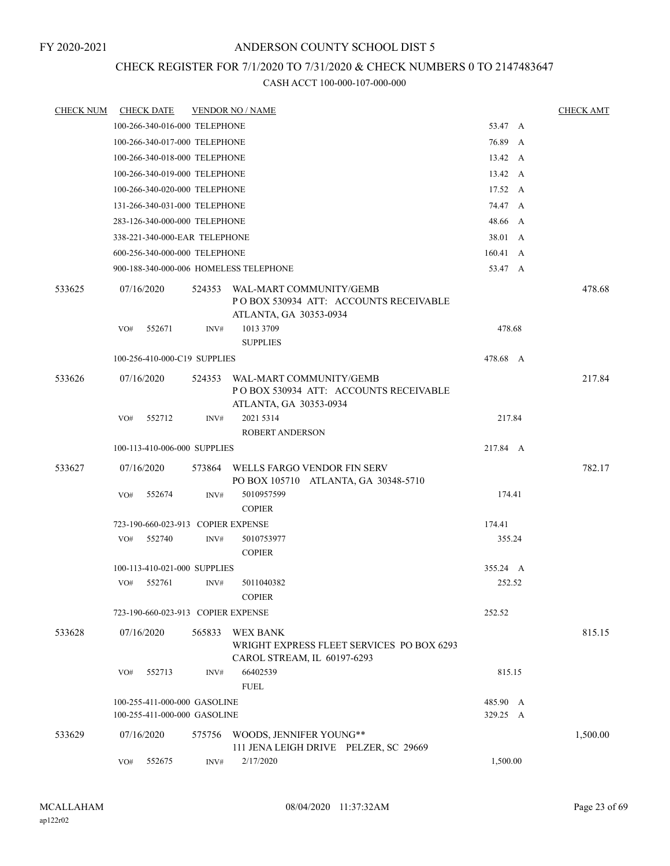## CHECK REGISTER FOR 7/1/2020 TO 7/31/2020 & CHECK NUMBERS 0 TO 2147483647

| <b>CHECK NUM</b> |            | <b>CHECK DATE</b> |                               | <b>VENDOR NO / NAME</b>                                                                     |          | <b>CHECK AMT</b> |
|------------------|------------|-------------------|-------------------------------|---------------------------------------------------------------------------------------------|----------|------------------|
|                  |            |                   | 100-266-340-016-000 TELEPHONE |                                                                                             | 53.47 A  |                  |
|                  |            |                   | 100-266-340-017-000 TELEPHONE |                                                                                             | 76.89 A  |                  |
|                  |            |                   | 100-266-340-018-000 TELEPHONE |                                                                                             | 13.42 A  |                  |
|                  |            |                   | 100-266-340-019-000 TELEPHONE |                                                                                             | 13.42 A  |                  |
|                  |            |                   | 100-266-340-020-000 TELEPHONE |                                                                                             | 17.52 A  |                  |
|                  |            |                   | 131-266-340-031-000 TELEPHONE |                                                                                             | 74.47 A  |                  |
|                  |            |                   | 283-126-340-000-000 TELEPHONE |                                                                                             | 48.66 A  |                  |
|                  |            |                   | 338-221-340-000-EAR TELEPHONE |                                                                                             | 38.01 A  |                  |
|                  |            |                   | 600-256-340-000-000 TELEPHONE |                                                                                             | 160.41 A |                  |
|                  |            |                   |                               | 900-188-340-000-006 HOMELESS TELEPHONE                                                      | 53.47 A  |                  |
| 533625           | 07/16/2020 |                   | 524353                        | WAL-MART COMMUNITY/GEMB<br>PO BOX 530934 ATT: ACCOUNTS RECEIVABLE<br>ATLANTA, GA 30353-0934 |          | 478.68           |
|                  | VO#        | 552671            | INV#                          | 1013 3709<br><b>SUPPLIES</b>                                                                | 478.68   |                  |
|                  |            |                   | 100-256-410-000-C19 SUPPLIES  |                                                                                             | 478.68 A |                  |
| 533626           | 07/16/2020 |                   | 524353                        | WAL-MART COMMUNITY/GEMB<br>PO BOX 530934 ATT: ACCOUNTS RECEIVABLE<br>ATLANTA, GA 30353-0934 |          | 217.84           |
|                  | VO#        | 552712            | INV#                          | 2021 5314                                                                                   | 217.84   |                  |
|                  |            |                   |                               | <b>ROBERT ANDERSON</b>                                                                      |          |                  |
|                  |            |                   | 100-113-410-006-000 SUPPLIES  |                                                                                             | 217.84 A |                  |
| 533627           | 07/16/2020 |                   | 573864                        | WELLS FARGO VENDOR FIN SERV<br>PO BOX 105710 ATLANTA, GA 30348-5710                         |          | 782.17           |
|                  | VO#        | 552674            | INV#                          | 5010957599<br><b>COPIER</b>                                                                 | 174.41   |                  |
|                  |            |                   |                               | 723-190-660-023-913 COPIER EXPENSE                                                          | 174.41   |                  |
|                  | VO#        | 552740            | INV#                          | 5010753977<br><b>COPIER</b>                                                                 | 355.24   |                  |
|                  |            |                   | 100-113-410-021-000 SUPPLIES  |                                                                                             | 355.24 A |                  |
|                  | VO#        | 552761            | INV#                          | 5011040382<br><b>COPIER</b>                                                                 | 252.52   |                  |
|                  |            |                   |                               | 723-190-660-023-913 COPIER EXPENSE                                                          | 252.52   |                  |
| 533628           | 07/16/2020 |                   | 565833                        | <b>WEX BANK</b><br>WRIGHT EXPRESS FLEET SERVICES PO BOX 6293<br>CAROL STREAM, IL 60197-6293 |          | 815.15           |
|                  | VO#        | 552713            | INV#                          | 66402539<br><b>FUEL</b>                                                                     | 815.15   |                  |
|                  |            |                   | 100-255-411-000-000 GASOLINE  |                                                                                             | 485.90 A |                  |
|                  |            |                   | 100-255-411-000-000 GASOLINE  |                                                                                             | 329.25 A |                  |
| 533629           | 07/16/2020 |                   | 575756                        | WOODS, JENNIFER YOUNG**<br>111 JENA LEIGH DRIVE PELZER, SC 29669                            |          | 1,500.00         |
|                  | VO#        | 552675            | INV#                          | 2/17/2020                                                                                   | 1,500.00 |                  |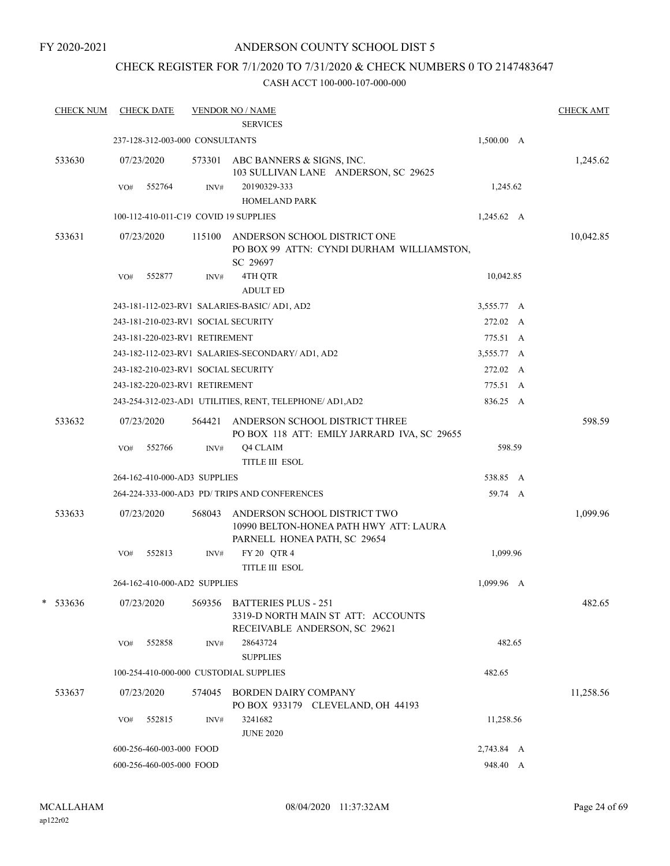## CHECK REGISTER FOR 7/1/2020 TO 7/31/2020 & CHECK NUMBERS 0 TO 2147483647

|   | <b>CHECK NUM</b> |     | <b>CHECK DATE</b>        |                                     | <b>VENDOR NO / NAME</b><br><b>SERVICES</b>                                                             |            | <b>CHECK AMT</b> |
|---|------------------|-----|--------------------------|-------------------------------------|--------------------------------------------------------------------------------------------------------|------------|------------------|
|   |                  |     |                          | 237-128-312-003-000 CONSULTANTS     |                                                                                                        | 1,500.00 A |                  |
|   | 533630           |     | 07/23/2020               | 573301                              | ABC BANNERS & SIGNS, INC.<br>103 SULLIVAN LANE ANDERSON, SC 29625                                      |            | 1,245.62         |
|   |                  | VO# | 552764                   | INV#                                | 20190329-333<br><b>HOMELAND PARK</b>                                                                   | 1,245.62   |                  |
|   |                  |     |                          |                                     | 100-112-410-011-C19 COVID 19 SUPPLIES                                                                  | 1,245.62 A |                  |
|   | 533631           |     | 07/23/2020               | 115100                              | ANDERSON SCHOOL DISTRICT ONE<br>PO BOX 99 ATTN: CYNDI DURHAM WILLIAMSTON,<br>SC 29697                  |            | 10,042.85        |
|   |                  | VO# | 552877                   | INV#                                | 4TH QTR<br><b>ADULT ED</b>                                                                             | 10,042.85  |                  |
|   |                  |     |                          |                                     | 243-181-112-023-RV1 SALARIES-BASIC/AD1, AD2                                                            | 3,555.77 A |                  |
|   |                  |     |                          | 243-181-210-023-RV1 SOCIAL SECURITY |                                                                                                        | 272.02 A   |                  |
|   |                  |     |                          | 243-181-220-023-RV1 RETIREMENT      |                                                                                                        | 775.51 A   |                  |
|   |                  |     |                          |                                     | 243-182-112-023-RV1 SALARIES-SECONDARY/ AD1, AD2                                                       | 3,555.77 A |                  |
|   |                  |     |                          | 243-182-210-023-RV1 SOCIAL SECURITY |                                                                                                        | 272.02 A   |                  |
|   |                  |     |                          | 243-182-220-023-RV1 RETIREMENT      |                                                                                                        | 775.51 A   |                  |
|   |                  |     |                          |                                     | 243-254-312-023-AD1 UTILITIES, RENT, TELEPHONE/ AD1, AD2                                               | 836.25 A   |                  |
|   | 533632           |     | 07/23/2020               | 564421                              | ANDERSON SCHOOL DISTRICT THREE<br>PO BOX 118 ATT: EMILY JARRARD IVA, SC 29655                          |            | 598.59           |
|   |                  | VO# | 552766                   | INV#                                | Q4 CLAIM<br><b>TITLE III ESOL</b>                                                                      | 598.59     |                  |
|   |                  |     |                          | 264-162-410-000-AD3 SUPPLIES        |                                                                                                        | 538.85 A   |                  |
|   |                  |     |                          |                                     | 264-224-333-000-AD3 PD/ TRIPS AND CONFERENCES                                                          | 59.74 A    |                  |
|   | 533633           |     | 07/23/2020               | 568043                              | ANDERSON SCHOOL DISTRICT TWO<br>10990 BELTON-HONEA PATH HWY ATT: LAURA<br>PARNELL HONEA PATH, SC 29654 |            | 1,099.96         |
|   |                  | VO# | 552813                   | INV#                                | FY 20 QTR 4<br><b>TITLE III ESOL</b>                                                                   | 1,099.96   |                  |
|   |                  |     |                          | 264-162-410-000-AD2 SUPPLIES        |                                                                                                        | 1,099.96 A |                  |
| * | 533636           |     | 07/23/2020               | 569356                              | <b>BATTERIES PLUS - 251</b><br>3319-D NORTH MAIN ST ATT: ACCOUNTS<br>RECEIVABLE ANDERSON, SC 29621     |            | 482.65           |
|   |                  | VO# | 552858                   | INV#                                | 28643724<br><b>SUPPLIES</b>                                                                            | 482.65     |                  |
|   |                  |     |                          |                                     | 100-254-410-000-000 CUSTODIAL SUPPLIES                                                                 | 482.65     |                  |
|   | 533637           |     | 07/23/2020               | 574045                              | <b>BORDEN DAIRY COMPANY</b><br>PO BOX 933179 CLEVELAND, OH 44193                                       |            | 11,258.56        |
|   |                  | VO# | 552815                   | INV#                                | 3241682<br><b>JUNE 2020</b>                                                                            | 11,258.56  |                  |
|   |                  |     | 600-256-460-003-000 FOOD |                                     |                                                                                                        | 2,743.84 A |                  |
|   |                  |     | 600-256-460-005-000 FOOD |                                     |                                                                                                        | 948.40 A   |                  |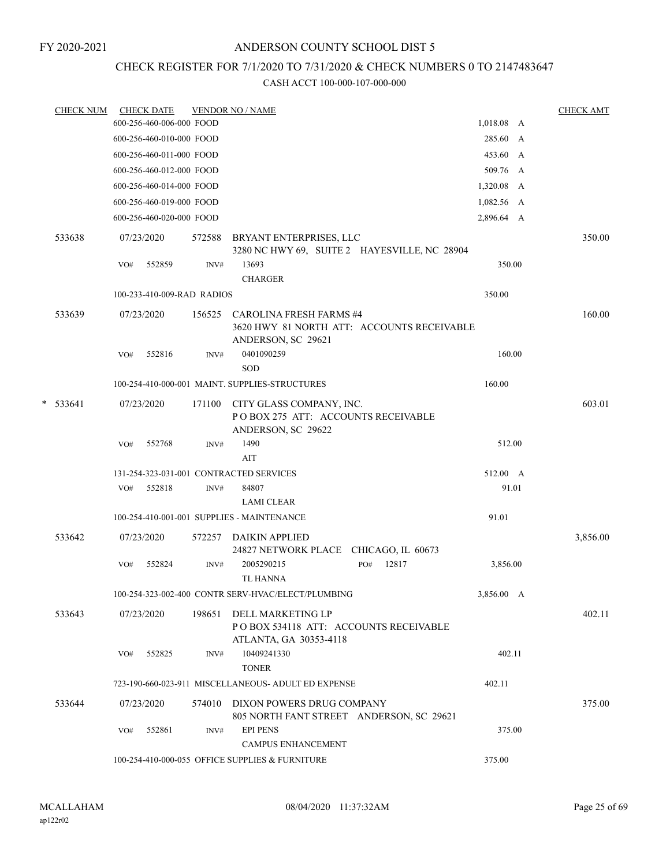## ANDERSON COUNTY SCHOOL DIST 5

## CHECK REGISTER FOR 7/1/2020 TO 7/31/2020 & CHECK NUMBERS 0 TO 2147483647

| <b>CHECK NUM</b> |     | <b>CHECK DATE</b>          |        | <b>VENDOR NO / NAME</b>                                                                            |              |            | <b>CHECK AMT</b> |
|------------------|-----|----------------------------|--------|----------------------------------------------------------------------------------------------------|--------------|------------|------------------|
|                  |     | 600-256-460-006-000 FOOD   |        |                                                                                                    |              | 1,018.08 A |                  |
|                  |     | 600-256-460-010-000 FOOD   |        |                                                                                                    |              | 285.60 A   |                  |
|                  |     | 600-256-460-011-000 FOOD   |        |                                                                                                    |              | 453.60 A   |                  |
|                  |     | 600-256-460-012-000 FOOD   |        |                                                                                                    |              | 509.76 A   |                  |
|                  |     | 600-256-460-014-000 FOOD   |        |                                                                                                    |              | 1,320.08 A |                  |
|                  |     | 600-256-460-019-000 FOOD   |        |                                                                                                    |              | 1,082.56 A |                  |
|                  |     | 600-256-460-020-000 FOOD   |        |                                                                                                    |              | 2,896.64 A |                  |
| 533638           |     | 07/23/2020                 | 572588 | BRYANT ENTERPRISES, LLC<br>3280 NC HWY 69, SUITE 2 HAYESVILLE, NC 28904                            |              |            | 350.00           |
|                  | VO# | 552859                     | INV#   | 13693<br><b>CHARGER</b>                                                                            |              | 350.00     |                  |
|                  |     | 100-233-410-009-RAD RADIOS |        |                                                                                                    |              | 350.00     |                  |
| 533639           |     | 07/23/2020                 |        | 156525 CAROLINA FRESH FARMS #4<br>3620 HWY 81 NORTH ATT: ACCOUNTS RECEIVABLE<br>ANDERSON, SC 29621 |              |            | 160.00           |
|                  | VO# | 552816                     | INV#   | 0401090259<br><b>SOD</b>                                                                           |              | 160.00     |                  |
|                  |     |                            |        | 100-254-410-000-001 MAINT, SUPPLIES-STRUCTURES                                                     |              | 160.00     |                  |
| $*$ 533641       |     | 07/23/2020                 | 171100 | CITY GLASS COMPANY, INC.<br>POBOX 275 ATT: ACCOUNTS RECEIVABLE<br>ANDERSON, SC 29622               |              |            | 603.01           |
|                  | VO# | 552768                     | INV#   | 1490<br>AIT                                                                                        |              | 512.00     |                  |
|                  |     |                            |        | 131-254-323-031-001 CONTRACTED SERVICES                                                            |              | 512.00 A   |                  |
|                  | VO# | 552818                     | INV#   | 84807                                                                                              |              | 91.01      |                  |
|                  |     |                            |        | <b>LAMI CLEAR</b>                                                                                  |              |            |                  |
|                  |     |                            |        | 100-254-410-001-001 SUPPLIES - MAINTENANCE                                                         |              | 91.01      |                  |
| 533642           |     | 07/23/2020                 | 572257 | DAIKIN APPLIED<br>24827 NETWORK PLACE CHICAGO, IL 60673                                            |              |            | 3,856.00         |
|                  | VO# | 552824                     | INV#   | 2005290215<br><b>TL HANNA</b>                                                                      | 12817<br>PO# | 3,856.00   |                  |
|                  |     |                            |        | 100-254-323-002-400 CONTR SERV-HVAC/ELECT/PLUMBING                                                 |              | 3,856.00 A |                  |
| 533643           |     | 07/23/2020                 | 198651 | DELL MARKETING LP<br>PO BOX 534118 ATT: ACCOUNTS RECEIVABLE<br>ATLANTA, GA 30353-4118              |              |            | 402.11           |
|                  | VO# | 552825                     | INV#   | 10409241330<br><b>TONER</b>                                                                        |              | 402.11     |                  |
|                  |     |                            |        | 723-190-660-023-911 MISCELLANEOUS- ADULT ED EXPENSE                                                |              | 402.11     |                  |
| 533644           |     | 07/23/2020                 |        | 574010 DIXON POWERS DRUG COMPANY<br>805 NORTH FANT STREET ANDERSON, SC 29621                       |              |            | 375.00           |
|                  | VO# | 552861                     | INV#   | <b>EPI PENS</b><br><b>CAMPUS ENHANCEMENT</b>                                                       |              | 375.00     |                  |
|                  |     |                            |        | 100-254-410-000-055 OFFICE SUPPLIES & FURNITURE                                                    |              | 375.00     |                  |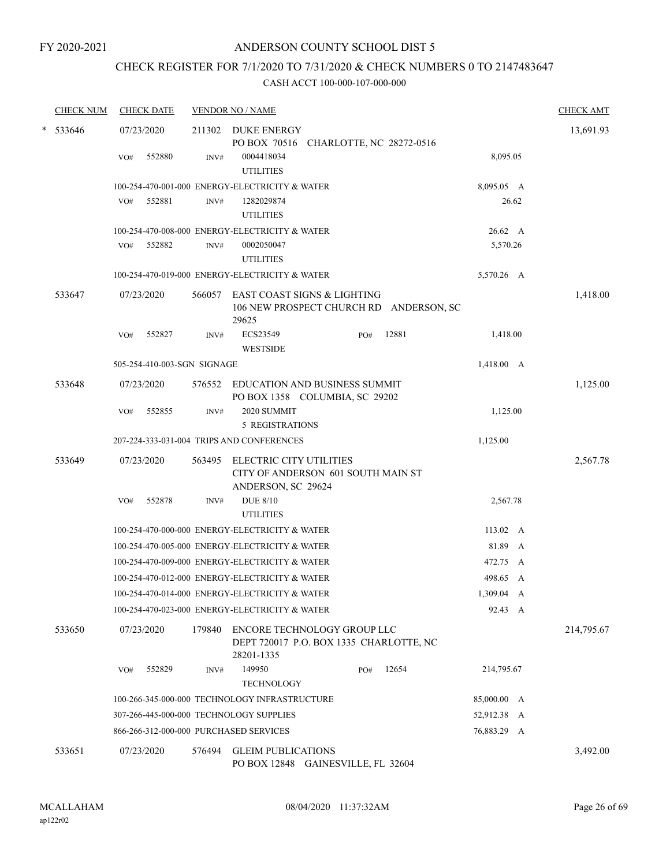# CHECK REGISTER FOR 7/1/2020 TO 7/31/2020 & CHECK NUMBERS 0 TO 2147483647

| <b>CHECK NUM</b> |     | <b>CHECK DATE</b>           |        | <b>VENDOR NO / NAME</b>                                            |                                                                        |       |                | <b>CHECK AMT</b> |
|------------------|-----|-----------------------------|--------|--------------------------------------------------------------------|------------------------------------------------------------------------|-------|----------------|------------------|
| * 533646         | VO# | 07/23/2020<br>552880        | INV#   | 211302 DUKE ENERGY<br>0004418034                                   | PO BOX 70516 CHARLOTTE, NC 28272-0516                                  |       | 8,095.05       | 13,691.93        |
|                  |     |                             |        | <b>UTILITIES</b><br>100-254-470-001-000 ENERGY-ELECTRICITY & WATER |                                                                        |       | 8,095.05 A     |                  |
|                  | VO# | 552881                      | INV#   | 1282029874<br><b>UTILITIES</b>                                     |                                                                        |       | 26.62          |                  |
|                  |     |                             |        | 100-254-470-008-000 ENERGY-ELECTRICITY & WATER                     |                                                                        |       | $26.62\quad A$ |                  |
|                  | VO# | 552882                      | INV#   | 0002050047<br><b>UTILITIES</b>                                     |                                                                        |       | 5,570.26       |                  |
|                  |     |                             |        | 100-254-470-019-000 ENERGY-ELECTRICITY & WATER                     |                                                                        |       | 5,570.26 A     |                  |
| 533647           |     | 07/23/2020                  | 566057 | 29625                                                              | EAST COAST SIGNS & LIGHTING<br>106 NEW PROSPECT CHURCH RD ANDERSON, SC |       |                | 1,418.00         |
|                  | VO# | 552827                      | INV#   | ECS23549<br><b>WESTSIDE</b>                                        | PO#                                                                    | 12881 | 1,418.00       |                  |
|                  |     | 505-254-410-003-SGN SIGNAGE |        |                                                                    |                                                                        |       | 1,418.00 A     |                  |
| 533648           |     | 07/23/2020                  | 576552 |                                                                    | EDUCATION AND BUSINESS SUMMIT<br>PO BOX 1358 COLUMBIA, SC 29202        |       |                | 1,125.00         |
|                  | VO# | 552855                      | INV#   | 2020 SUMMIT<br><b>5 REGISTRATIONS</b>                              |                                                                        |       | 1,125.00       |                  |
|                  |     |                             |        | 207-224-333-031-004 TRIPS AND CONFERENCES                          |                                                                        |       | 1,125.00       |                  |
| 533649           |     | 07/23/2020                  | 563495 | ELECTRIC CITY UTILITIES<br>ANDERSON, SC 29624                      | CITY OF ANDERSON 601 SOUTH MAIN ST                                     |       |                | 2,567.78         |
|                  | VO# | 552878                      | INV#   | <b>DUE 8/10</b><br><b>UTILITIES</b>                                |                                                                        |       | 2,567.78       |                  |
|                  |     |                             |        | 100-254-470-000-000 ENERGY-ELECTRICITY & WATER                     |                                                                        |       | 113.02 A       |                  |
|                  |     |                             |        | 100-254-470-005-000 ENERGY-ELECTRICITY & WATER                     |                                                                        |       | 81.89 A        |                  |
|                  |     |                             |        | 100-254-470-009-000 ENERGY-ELECTRICITY & WATER                     |                                                                        |       | 472.75 A       |                  |
|                  |     |                             |        | 100-254-470-012-000 ENERGY-ELECTRICITY & WATER                     |                                                                        |       | 498.65 A       |                  |
|                  |     |                             |        | 100-254-470-014-000 ENERGY-ELECTRICITY & WATER                     |                                                                        |       | 1,309.04 A     |                  |
|                  |     |                             |        | 100-254-470-023-000 ENERGY-ELECTRICITY & WATER                     |                                                                        |       | 92.43 A        |                  |
| 533650           |     | 07/23/2020                  | 179840 | 28201-1335                                                         | ENCORE TECHNOLOGY GROUP LLC<br>DEPT 720017 P.O. BOX 1335 CHARLOTTE, NC |       |                | 214,795.67       |
|                  | VO# | 552829                      | INV#   | 149950<br><b>TECHNOLOGY</b>                                        | PO#                                                                    | 12654 | 214,795.67     |                  |
|                  |     |                             |        | 100-266-345-000-000 TECHNOLOGY INFRASTRUCTURE                      |                                                                        |       | 85,000.00 A    |                  |
|                  |     |                             |        | 307-266-445-000-000 TECHNOLOGY SUPPLIES                            |                                                                        |       | 52,912.38 A    |                  |
|                  |     |                             |        | 866-266-312-000-000 PURCHASED SERVICES                             |                                                                        |       | 76,883.29 A    |                  |
| 533651           |     | 07/23/2020                  | 576494 | <b>GLEIM PUBLICATIONS</b>                                          | PO BOX 12848 GAINESVILLE, FL 32604                                     |       |                | 3,492.00         |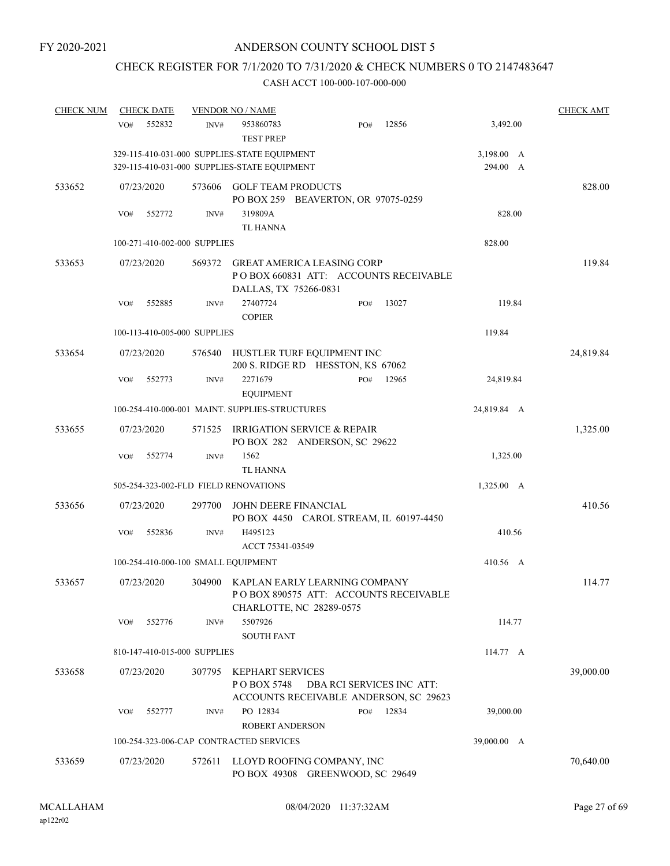# CHECK REGISTER FOR 7/1/2020 TO 7/31/2020 & CHECK NUMBERS 0 TO 2147483647

| <b>CHECK NUM</b> | <b>CHECK DATE</b>                     |        | <b>VENDOR NO / NAME</b>                                                                                    |                           |       |                        | <b>CHECK AMT</b> |
|------------------|---------------------------------------|--------|------------------------------------------------------------------------------------------------------------|---------------------------|-------|------------------------|------------------|
|                  | 552832<br>VO#                         | INV#   | 953860783<br><b>TEST PREP</b>                                                                              | PO#                       | 12856 | 3,492.00               |                  |
|                  |                                       |        | 329-115-410-031-000 SUPPLIES-STATE EQUIPMENT<br>329-115-410-031-000 SUPPLIES-STATE EQUIPMENT               |                           |       | 3,198.00 A<br>294.00 A |                  |
| 533652           | 07/23/2020                            | 573606 | <b>GOLF TEAM PRODUCTS</b><br>PO BOX 259 BEAVERTON, OR 97075-0259                                           |                           |       |                        | 828.00           |
|                  | 552772<br>VO#                         | INV#   | 319809A<br><b>TL HANNA</b>                                                                                 |                           |       | 828.00                 |                  |
|                  | 100-271-410-002-000 SUPPLIES          |        |                                                                                                            |                           |       | 828.00                 |                  |
| 533653           | 07/23/2020                            | 569372 | <b>GREAT AMERICA LEASING CORP</b><br>POBOX 660831 ATT: ACCOUNTS RECEIVABLE<br>DALLAS, TX 75266-0831        |                           |       |                        | 119.84           |
|                  | 552885<br>VO#                         | INV#   | 27407724<br><b>COPIER</b>                                                                                  | PO#                       | 13027 | 119.84                 |                  |
|                  | 100-113-410-005-000 SUPPLIES          |        |                                                                                                            |                           |       | 119.84                 |                  |
| 533654           | 07/23/2020                            | 576540 | HUSTLER TURF EQUIPMENT INC<br>200 S. RIDGE RD HESSTON, KS 67062                                            |                           |       |                        | 24,819.84        |
|                  | VO#<br>552773                         | INV#   | 2271679<br><b>EQUIPMENT</b>                                                                                | PO#                       | 12965 | 24,819.84              |                  |
|                  |                                       |        | 100-254-410-000-001 MAINT. SUPPLIES-STRUCTURES                                                             |                           |       | 24,819.84 A            |                  |
| 533655           | 07/23/2020                            | 571525 | IRRIGATION SERVICE & REPAIR<br>PO BOX 282 ANDERSON, SC 29622                                               |                           |       |                        | 1,325.00         |
|                  | 552774<br>VO#                         | INV#   | 1562<br><b>TL HANNA</b>                                                                                    |                           |       | 1,325.00               |                  |
|                  | 505-254-323-002-FLD FIELD RENOVATIONS |        |                                                                                                            |                           |       | 1,325.00 A             |                  |
| 533656           | 07/23/2020                            | 297700 | JOHN DEERE FINANCIAL<br>PO BOX 4450 CAROL STREAM, IL 60197-4450                                            |                           |       |                        | 410.56           |
|                  | VO#<br>552836                         | INV#   | H495123<br>ACCT 75341-03549                                                                                |                           |       | 410.56                 |                  |
|                  | 100-254-410-000-100 SMALL EQUIPMENT   |        |                                                                                                            |                           |       | 410.56 A               |                  |
| 533657           | 07/23/2020                            |        | 304900 KAPLAN EARLY LEARNING COMPANY<br>PO BOX 890575 ATT: ACCOUNTS RECEIVABLE<br>CHARLOTTE, NC 28289-0575 |                           |       |                        | 114.77           |
|                  | 552776<br>VO#                         | INV#   | 5507926<br><b>SOUTH FANT</b>                                                                               |                           |       | 114.77                 |                  |
|                  | 810-147-410-015-000 SUPPLIES          |        |                                                                                                            |                           |       | 114.77 A               |                  |
| 533658           | 07/23/2020                            | 307795 | <b>KEPHART SERVICES</b><br>POBOX 5748<br>ACCOUNTS RECEIVABLE ANDERSON, SC 29623                            | DBA RCI SERVICES INC ATT: |       |                        | 39,000.00        |
|                  | VO#<br>552777                         | INV#   | PO 12834<br><b>ROBERT ANDERSON</b>                                                                         | PO#                       | 12834 | 39,000.00              |                  |
|                  |                                       |        | 100-254-323-006-CAP CONTRACTED SERVICES                                                                    |                           |       | 39,000.00 A            |                  |
| 533659           | 07/23/2020                            | 572611 | LLOYD ROOFING COMPANY, INC<br>PO BOX 49308 GREENWOOD, SC 29649                                             |                           |       |                        | 70,640.00        |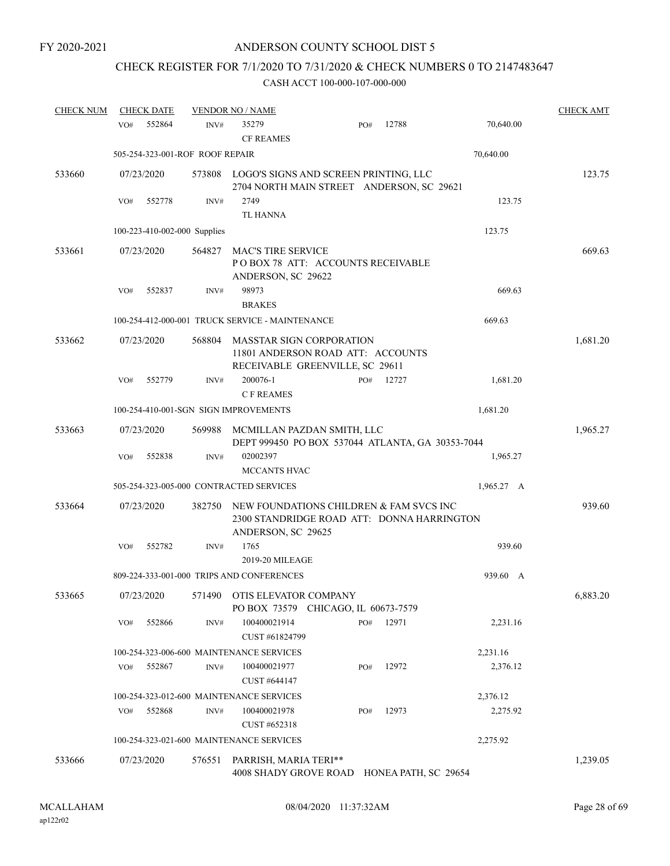# CHECK REGISTER FOR 7/1/2020 TO 7/31/2020 & CHECK NUMBERS 0 TO 2147483647

| <b>CHECK NUM</b> | <b>CHECK DATE</b>               |        | <b>VENDOR NO / NAME</b>                                                                                     |     |       |            | <b>CHECK AMT</b> |
|------------------|---------------------------------|--------|-------------------------------------------------------------------------------------------------------------|-----|-------|------------|------------------|
|                  | 552864<br>VO#                   | INV#   | 35279<br><b>CF REAMES</b>                                                                                   | PO# | 12788 | 70,640.00  |                  |
|                  | 505-254-323-001-ROF ROOF REPAIR |        |                                                                                                             |     |       | 70,640.00  |                  |
| 533660           | 07/23/2020                      | 573808 | LOGO'S SIGNS AND SCREEN PRINTING, LLC<br>2704 NORTH MAIN STREET ANDERSON, SC 29621                          |     |       |            | 123.75           |
|                  | 552778<br>VO#                   | INV#   | 2749<br>TL HANNA                                                                                            |     |       | 123.75     |                  |
|                  | 100-223-410-002-000 Supplies    |        |                                                                                                             |     |       | 123.75     |                  |
| 533661           | 07/23/2020                      | 564827 | <b>MAC'S TIRE SERVICE</b><br>POBOX 78 ATT: ACCOUNTS RECEIVABLE<br>ANDERSON, SC 29622                        |     |       |            | 669.63           |
|                  | 552837<br>VO#                   | INV#   | 98973<br><b>BRAKES</b>                                                                                      |     |       | 669.63     |                  |
|                  |                                 |        | 100-254-412-000-001 TRUCK SERVICE - MAINTENANCE                                                             |     |       | 669.63     |                  |
| 533662           | 07/23/2020                      | 568804 | <b>MASSTAR SIGN CORPORATION</b><br>11801 ANDERSON ROAD ATT: ACCOUNTS<br>RECEIVABLE GREENVILLE, SC 29611     |     |       |            | 1,681.20         |
|                  | 552779<br>VO#                   | INV#   | 200076-1<br><b>CF REAMES</b>                                                                                | PO# | 12727 | 1,681.20   |                  |
|                  |                                 |        | 100-254-410-001-SGN SIGN IMPROVEMENTS                                                                       |     |       | 1,681.20   |                  |
| 533663           | 07/23/2020                      | 569988 | MCMILLAN PAZDAN SMITH, LLC<br>DEPT 999450 PO BOX 537044 ATLANTA, GA 30353-7044                              |     |       |            | 1,965.27         |
|                  | VO#<br>552838                   | INV#   | 02002397                                                                                                    |     |       | 1,965.27   |                  |
|                  |                                 |        | MCCANTS HVAC                                                                                                |     |       |            |                  |
|                  |                                 |        | 505-254-323-005-000 CONTRACTED SERVICES                                                                     |     |       | 1,965.27 A |                  |
| 533664           | 07/23/2020                      | 382750 | NEW FOUNDATIONS CHILDREN & FAM SVCS INC<br>2300 STANDRIDGE ROAD ATT: DONNA HARRINGTON<br>ANDERSON, SC 29625 |     |       |            | 939.60           |
|                  | 552782<br>VO#                   | INV#   | 1765<br>2019-20 MILEAGE                                                                                     |     |       | 939.60     |                  |
|                  |                                 |        | 809-224-333-001-000 TRIPS AND CONFERENCES                                                                   |     |       | 939.60 A   |                  |
| 533665           |                                 |        | 07/23/2020 571490 OTIS ELEVATOR COMPANY<br>PO BOX 73579 CHICAGO, IL 60673-7579                              |     |       |            | 6,883.20         |
|                  | 552866<br>VO#                   | INV#   | 100400021914<br>CUST #61824799                                                                              | PO# | 12971 | 2,231.16   |                  |
|                  |                                 |        | 100-254-323-006-600 MAINTENANCE SERVICES                                                                    |     |       | 2,231.16   |                  |
|                  | 552867<br>VO#                   | INV#   | 100400021977<br>CUST #644147                                                                                | PO# | 12972 | 2,376.12   |                  |
|                  |                                 |        | 100-254-323-012-600 MAINTENANCE SERVICES                                                                    |     |       | 2,376.12   |                  |
|                  | 552868<br>VO#                   | INV#   | 100400021978<br>CUST #652318                                                                                | PO# | 12973 | 2,275.92   |                  |
|                  |                                 |        | 100-254-323-021-600 MAINTENANCE SERVICES                                                                    |     |       | 2,275.92   |                  |
| 533666           | 07/23/2020                      | 576551 | PARRISH, MARIA TERI**<br>4008 SHADY GROVE ROAD HONEA PATH, SC 29654                                         |     |       |            | 1,239.05         |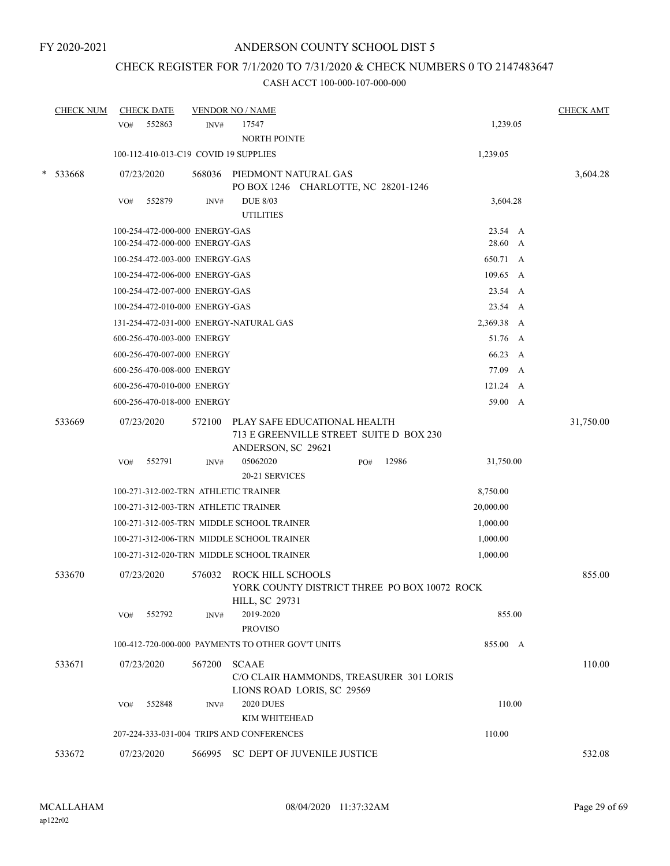# CHECK REGISTER FOR 7/1/2020 TO 7/31/2020 & CHECK NUMBERS 0 TO 2147483647

|        | <b>CHECK NUM</b> | <b>CHECK DATE</b>                      |        | <b>VENDOR NO / NAME</b>                                                                       |     |       |                  |   | <b>CHECK AMT</b> |
|--------|------------------|----------------------------------------|--------|-----------------------------------------------------------------------------------------------|-----|-------|------------------|---|------------------|
|        |                  | 552863<br>VO#                          | INV#   | 17547<br>NORTH POINTE                                                                         |     |       | 1,239.05         |   |                  |
|        |                  | 100-112-410-013-C19 COVID 19 SUPPLIES  |        |                                                                                               |     |       | 1,239.05         |   |                  |
| $\ast$ | 533668           | 07/23/2020                             | 568036 | PIEDMONT NATURAL GAS<br>PO BOX 1246 CHARLOTTE, NC 28201-1246                                  |     |       |                  |   | 3,604.28         |
|        |                  | 552879<br>VO#                          | INV#   | <b>DUE 8/03</b><br><b>UTILITIES</b>                                                           |     |       | 3,604.28         |   |                  |
|        |                  | 100-254-472-000-000 ENERGY-GAS         |        |                                                                                               |     |       | 23.54 A          |   |                  |
|        |                  | 100-254-472-000-000 ENERGY-GAS         |        |                                                                                               |     |       | 28.60 A          |   |                  |
|        |                  | 100-254-472-003-000 ENERGY-GAS         |        |                                                                                               |     |       | 650.71 A         |   |                  |
|        |                  | 100-254-472-006-000 ENERGY-GAS         |        |                                                                                               |     |       | 109.65 A         |   |                  |
|        |                  | 100-254-472-007-000 ENERGY-GAS         |        |                                                                                               |     |       | 23.54 A          |   |                  |
|        |                  | 100-254-472-010-000 ENERGY-GAS         |        |                                                                                               |     |       | 23.54 A          |   |                  |
|        |                  | 131-254-472-031-000 ENERGY-NATURAL GAS |        |                                                                                               |     |       | 2,369.38 A       |   |                  |
|        |                  | 600-256-470-003-000 ENERGY             |        |                                                                                               |     |       | 51.76 A          |   |                  |
|        |                  | 600-256-470-007-000 ENERGY             |        |                                                                                               |     |       | 66.23 A          |   |                  |
|        |                  | 600-256-470-008-000 ENERGY             |        |                                                                                               |     |       | 77.09            | A |                  |
|        |                  | 600-256-470-010-000 ENERGY             |        |                                                                                               |     |       | $121.24 \quad A$ |   |                  |
|        |                  | 600-256-470-018-000 ENERGY             |        |                                                                                               |     |       | 59.00 A          |   |                  |
|        | 533669           | 07/23/2020                             | 572100 | PLAY SAFE EDUCATIONAL HEALTH<br>713 E GREENVILLE STREET SUITE D BOX 230<br>ANDERSON, SC 29621 |     |       |                  |   | 31,750.00        |
|        |                  | 552791<br>VO#                          | INV#   | 05062020                                                                                      | PO# | 12986 | 31,750.00        |   |                  |
|        |                  |                                        |        | 20-21 SERVICES                                                                                |     |       |                  |   |                  |
|        |                  | 100-271-312-002-TRN ATHLETIC TRAINER   |        |                                                                                               |     |       | 8,750.00         |   |                  |
|        |                  | 100-271-312-003-TRN ATHLETIC TRAINER   |        |                                                                                               |     |       | 20,000.00        |   |                  |
|        |                  |                                        |        | 100-271-312-005-TRN MIDDLE SCHOOL TRAINER                                                     |     |       | 1,000.00         |   |                  |
|        |                  |                                        |        | 100-271-312-006-TRN MIDDLE SCHOOL TRAINER                                                     |     |       | 1,000.00         |   |                  |
|        |                  |                                        |        | 100-271-312-020-TRN MIDDLE SCHOOL TRAINER                                                     |     |       | 1,000.00         |   |                  |
|        | 533670           | 07/23/2020                             | 576032 | ROCK HILL SCHOOLS<br>YORK COUNTY DISTRICT THREE PO BOX 10072 ROCK<br>HILL, SC 29731           |     |       |                  |   | 855.00           |
|        |                  | 552792<br>VO#                          | INV#   | 2019-2020<br><b>PROVISO</b>                                                                   |     |       | 855.00           |   |                  |
|        |                  |                                        |        | 100-412-720-000-000 PAYMENTS TO OTHER GOV'T UNITS                                             |     |       | 855.00 A         |   |                  |
|        | 533671           | 07/23/2020                             | 567200 | <b>SCAAE</b><br>C/O CLAIR HAMMONDS, TREASURER 301 LORIS<br>LIONS ROAD LORIS, SC 29569         |     |       |                  |   | 110.00           |
|        |                  | 552848<br>VO#                          | INV#   | <b>2020 DUES</b><br>KIM WHITEHEAD                                                             |     |       | 110.00           |   |                  |
|        |                  |                                        |        | 207-224-333-031-004 TRIPS AND CONFERENCES                                                     |     |       | 110.00           |   |                  |
|        | 533672           | 07/23/2020                             |        | 566995 SC DEPT OF JUVENILE JUSTICE                                                            |     |       |                  |   | 532.08           |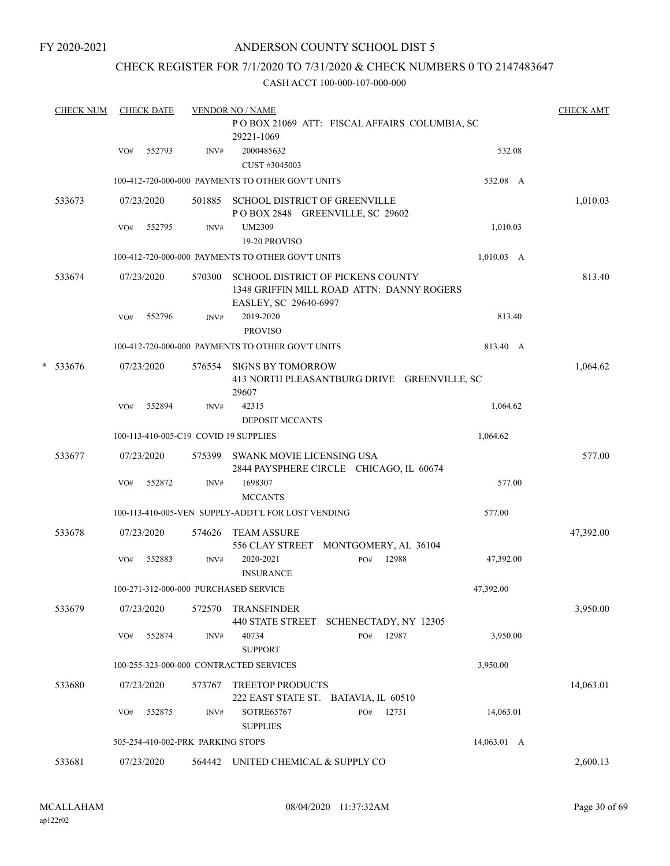## ANDERSON COUNTY SCHOOL DIST 5

## CHECK REGISTER FOR 7/1/2020 TO 7/31/2020 & CHECK NUMBERS 0 TO 2147483647

|   | <b>CHECK NUM</b> |     | <b>CHECK DATE</b> |                                   | <b>VENDOR NO / NAME</b>                            |                                                                                |             | <b>CHECK AMT</b> |
|---|------------------|-----|-------------------|-----------------------------------|----------------------------------------------------|--------------------------------------------------------------------------------|-------------|------------------|
|   |                  |     |                   |                                   | 29221-1069                                         | POBOX 21069 ATT: FISCAL AFFAIRS COLUMBIA, SC                                   |             |                  |
|   |                  | VO# | 552793            | INV#                              | 2000485632<br>CUST #3045003                        |                                                                                | 532.08      |                  |
|   |                  |     |                   |                                   | 100-412-720-000-000 PAYMENTS TO OTHER GOV'T UNITS  |                                                                                | 532.08 A    |                  |
|   | 533673           |     | 07/23/2020        | 501885                            | SCHOOL DISTRICT OF GREENVILLE                      | POBOX 2848 GREENVILLE, SC 29602                                                |             | 1,010.03         |
|   |                  | VO# | 552795            | INV#                              | UM2309                                             |                                                                                | 1,010.03    |                  |
|   |                  |     |                   |                                   | 19-20 PROVISO                                      |                                                                                |             |                  |
|   |                  |     |                   |                                   | 100-412-720-000-000 PAYMENTS TO OTHER GOV'T UNITS  |                                                                                | 1,010.03 A  |                  |
|   | 533674           |     | 07/23/2020        | 570300                            | EASLEY, SC 29640-6997                              | SCHOOL DISTRICT OF PICKENS COUNTY<br>1348 GRIFFIN MILL ROAD ATTN: DANNY ROGERS |             | 813.40           |
|   |                  | VO# | 552796            | INV#                              | 2019-2020<br><b>PROVISO</b>                        |                                                                                | 813.40      |                  |
|   |                  |     |                   |                                   | 100-412-720-000-000 PAYMENTS TO OTHER GOV'T UNITS  |                                                                                | 813.40 A    |                  |
| * | 533676           |     | 07/23/2020        | 576554                            | <b>SIGNS BY TOMORROW</b><br>29607                  | 413 NORTH PLEASANTBURG DRIVE GREENVILLE, SC                                    |             | 1,064.62         |
|   |                  | VO# | 552894            | INV#                              | 42315<br><b>DEPOSIT MCCANTS</b>                    |                                                                                | 1,064.62    |                  |
|   |                  |     |                   |                                   | 100-113-410-005-C19 COVID 19 SUPPLIES              |                                                                                | 1,064.62    |                  |
|   | 533677           |     | 07/23/2020        | 575399                            | <b>SWANK MOVIE LICENSING USA</b>                   | 2844 PAYSPHERE CIRCLE CHICAGO, IL 60674                                        |             | 577.00           |
|   |                  | VO# | 552872            | INV#                              | 1698307<br><b>MCCANTS</b>                          |                                                                                | 577.00      |                  |
|   |                  |     |                   |                                   | 100-113-410-005-VEN SUPPLY-ADDT'L FOR LOST VENDING |                                                                                | 577.00      |                  |
|   | 533678           |     | 07/23/2020        | 574626                            | <b>TEAM ASSURE</b>                                 | 556 CLAY STREET MONTGOMERY, AL 36104                                           |             | 47,392.00        |
|   |                  | VO# | 552883            | INV#                              | 2020-2021<br><b>INSURANCE</b>                      | 12988<br>PO#                                                                   | 47,392.00   |                  |
|   |                  |     |                   |                                   | 100-271-312-000-000 PURCHASED SERVICE              |                                                                                | 47,392.00   |                  |
|   | 533679           |     | 07/23/2020        | 572570                            | <b>TRANSFINDER</b>                                 | 440 STATE STREET SCHENECTADY, NY 12305                                         |             | 3,950.00         |
|   |                  | VO# | 552874            | INV#                              | 40734<br><b>SUPPORT</b>                            | 12987<br>PO#                                                                   | 3,950.00    |                  |
|   |                  |     |                   |                                   | 100-255-323-000-000 CONTRACTED SERVICES            |                                                                                | 3,950.00    |                  |
|   | 533680           |     | 07/23/2020        | 573767                            | TREETOP PRODUCTS                                   | 222 EAST STATE ST. BATAVIA, IL 60510                                           |             | 14,063.01        |
|   |                  | VO# | 552875            | INV#                              | SOTRE65767<br><b>SUPPLIES</b>                      | 12731<br>PO#                                                                   | 14,063.01   |                  |
|   |                  |     |                   | 505-254-410-002-PRK PARKING STOPS |                                                    |                                                                                | 14,063.01 A |                  |
|   | 533681           |     | 07/23/2020        |                                   | 564442 UNITED CHEMICAL & SUPPLY CO                 |                                                                                |             | 2,600.13         |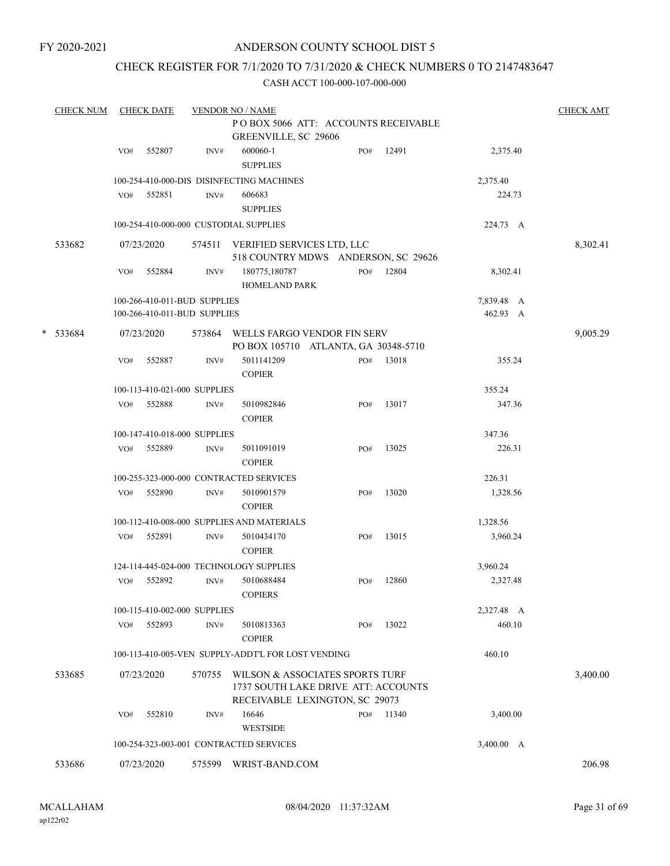## ANDERSON COUNTY SCHOOL DIST 5

## CHECK REGISTER FOR 7/1/2020 TO 7/31/2020 & CHECK NUMBERS 0 TO 2147483647

|   | <b>CHECK NUM</b> |     | <b>CHECK DATE</b>                    |        | <b>VENDOR NO / NAME</b>                            |                                     |     |       |            |  | <b>CHECK AMT</b> |  |
|---|------------------|-----|--------------------------------------|--------|----------------------------------------------------|-------------------------------------|-----|-------|------------|--|------------------|--|
|   |                  |     | PO BOX 5066 ATT: ACCOUNTS RECEIVABLE |        |                                                    |                                     |     |       |            |  |                  |  |
|   |                  |     |                                      |        | GREENVILLE, SC 29606                               |                                     |     |       |            |  |                  |  |
|   |                  | VO# | 552807                               | INV#   | 600060-1                                           |                                     | PO# | 12491 | 2,375.40   |  |                  |  |
|   |                  |     |                                      |        | <b>SUPPLIES</b>                                    |                                     |     |       |            |  |                  |  |
|   |                  |     |                                      |        | 100-254-410-000-DIS DISINFECTING MACHINES          |                                     |     |       | 2,375.40   |  |                  |  |
|   |                  | VO# | 552851                               | INV#   | 606683                                             |                                     |     |       | 224.73     |  |                  |  |
|   |                  |     |                                      |        | <b>SUPPLIES</b>                                    |                                     |     |       |            |  |                  |  |
|   |                  |     |                                      |        | 100-254-410-000-000 CUSTODIAL SUPPLIES             |                                     |     |       | 224.73 A   |  |                  |  |
|   |                  |     |                                      |        |                                                    |                                     |     |       |            |  |                  |  |
|   | 533682           |     | 07/23/2020                           | 574511 | VERIFIED SERVICES LTD, LLC                         |                                     |     |       |            |  | 8,302.41         |  |
|   |                  |     |                                      |        | 518 COUNTRY MDWS ANDERSON, SC 29626                |                                     |     |       |            |  |                  |  |
|   |                  | VO# | 552884                               | INV#   | 180775,180787                                      |                                     | PO# | 12804 | 8,302.41   |  |                  |  |
|   |                  |     |                                      |        | <b>HOMELAND PARK</b>                               |                                     |     |       |            |  |                  |  |
|   |                  |     | 100-266-410-011-BUD SUPPLIES         |        |                                                    |                                     |     |       | 7,839.48 A |  |                  |  |
|   |                  |     | 100-266-410-011-BUD SUPPLIES         |        |                                                    |                                     |     |       | 462.93 A   |  |                  |  |
| * | 533684           |     | 07/23/2020                           | 573864 | WELLS FARGO VENDOR FIN SERV                        |                                     |     |       |            |  | 9,005.29         |  |
|   |                  |     |                                      |        | PO BOX 105710 ATLANTA, GA 30348-5710               |                                     |     |       |            |  |                  |  |
|   |                  | VO# | 552887                               | INV#   | 5011141209                                         |                                     | PO# | 13018 | 355.24     |  |                  |  |
|   |                  |     |                                      |        | <b>COPIER</b>                                      |                                     |     |       |            |  |                  |  |
|   |                  |     | 100-113-410-021-000 SUPPLIES         |        |                                                    |                                     |     |       | 355.24     |  |                  |  |
|   |                  | VO# | 552888                               | INV#   | 5010982846                                         |                                     | PO# | 13017 | 347.36     |  |                  |  |
|   |                  |     |                                      |        | <b>COPIER</b>                                      |                                     |     |       |            |  |                  |  |
|   |                  |     |                                      |        |                                                    |                                     |     |       | 347.36     |  |                  |  |
|   |                  |     | 100-147-410-018-000 SUPPLIES         |        |                                                    |                                     |     |       |            |  |                  |  |
|   |                  | VO# | 552889                               | INV#   | 5011091019                                         |                                     | PO# | 13025 | 226.31     |  |                  |  |
|   |                  |     |                                      |        | <b>COPIER</b>                                      |                                     |     |       |            |  |                  |  |
|   |                  |     |                                      |        | 100-255-323-000-000 CONTRACTED SERVICES            |                                     |     |       | 226.31     |  |                  |  |
|   |                  | VO# | 552890                               | INV#   | 5010901579                                         |                                     | PO# | 13020 | 1,328.56   |  |                  |  |
|   |                  |     |                                      |        | <b>COPIER</b>                                      |                                     |     |       |            |  |                  |  |
|   |                  |     |                                      |        | 100-112-410-008-000 SUPPLIES AND MATERIALS         |                                     |     |       | 1,328.56   |  |                  |  |
|   |                  | VO# | 552891                               | INV#   | 5010434170                                         |                                     | PO# | 13015 | 3,960.24   |  |                  |  |
|   |                  |     |                                      |        | <b>COPIER</b>                                      |                                     |     |       |            |  |                  |  |
|   |                  |     |                                      |        | 124-114-445-024-000 TECHNOLOGY SUPPLIES            |                                     |     |       | 3,960.24   |  |                  |  |
|   |                  | VO# | 552892                               | INV#   | 5010688484                                         |                                     | PO# | 12860 | 2,327.48   |  |                  |  |
|   |                  |     |                                      |        | <b>COPIERS</b>                                     |                                     |     |       |            |  |                  |  |
|   |                  |     | 100-115-410-002-000 SUPPLIES         |        |                                                    |                                     |     |       | 2,327.48 A |  |                  |  |
|   |                  | VO# | 552893                               | INV#   | 5010813363                                         |                                     | PO# | 13022 | 460.10     |  |                  |  |
|   |                  |     |                                      |        | <b>COPIER</b>                                      |                                     |     |       |            |  |                  |  |
|   |                  |     |                                      |        | 100-113-410-005-VEN SUPPLY-ADDT'L FOR LOST VENDING |                                     |     |       | 460.10     |  |                  |  |
|   |                  |     |                                      |        |                                                    |                                     |     |       |            |  |                  |  |
|   | 533685           |     | 07/23/2020                           | 570755 | WILSON & ASSOCIATES SPORTS TURF                    |                                     |     |       |            |  | 3,400.00         |  |
|   |                  |     |                                      |        |                                                    | 1737 SOUTH LAKE DRIVE ATT: ACCOUNTS |     |       |            |  |                  |  |
|   |                  |     |                                      |        | RECEIVABLE LEXINGTON, SC 29073                     |                                     |     |       |            |  |                  |  |
|   |                  | VO# | 552810                               | INV#   | 16646                                              |                                     | PO# | 11340 | 3,400.00   |  |                  |  |
|   |                  |     |                                      |        | <b>WESTSIDE</b>                                    |                                     |     |       |            |  |                  |  |
|   |                  |     |                                      |        | 100-254-323-003-001 CONTRACTED SERVICES            |                                     |     |       | 3,400.00 A |  |                  |  |
|   | 533686           |     | 07/23/2020                           |        | 575599 WRIST-BAND.COM                              |                                     |     |       |            |  | 206.98           |  |
|   |                  |     |                                      |        |                                                    |                                     |     |       |            |  |                  |  |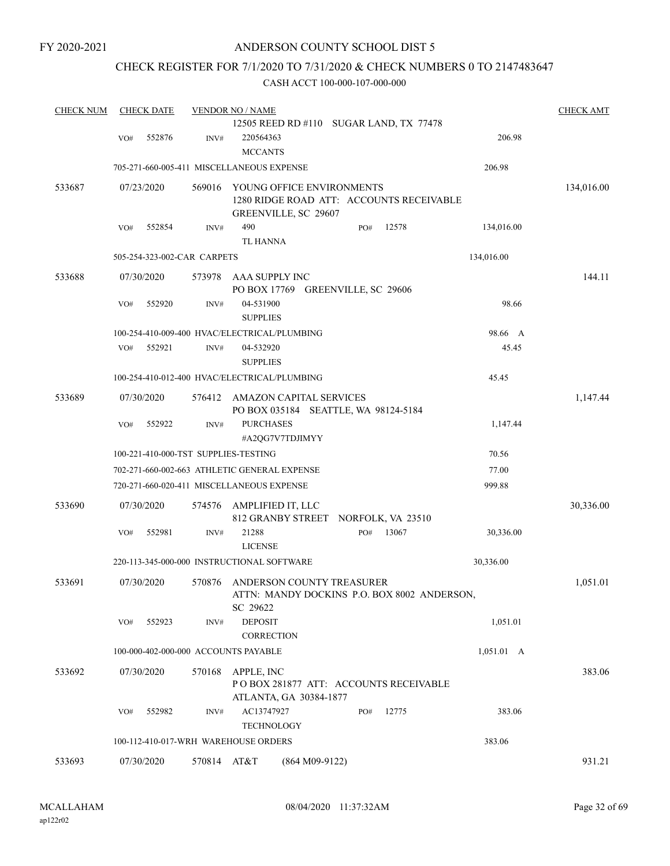## CHECK REGISTER FOR 7/1/2020 TO 7/31/2020 & CHECK NUMBERS 0 TO 2147483647

| <b>CHECK NUM</b> |     | <b>CHECK DATE</b> |                             | <b>VENDOR NO / NAME</b>                      |                                             |                    | <b>CHECK AMT</b> |
|------------------|-----|-------------------|-----------------------------|----------------------------------------------|---------------------------------------------|--------------------|------------------|
|                  |     |                   |                             |                                              | 12505 REED RD #110 SUGAR LAND, TX 77478     |                    |                  |
|                  | VO# | 552876            | INV#                        | 220564363                                    |                                             | 206.98             |                  |
|                  |     |                   |                             | <b>MCCANTS</b>                               |                                             |                    |                  |
|                  |     |                   |                             | 705-271-660-005-411 MISCELLANEOUS EXPENSE    |                                             | 206.98             |                  |
| 533687           |     | 07/23/2020        | 569016                      | YOUNG OFFICE ENVIRONMENTS                    |                                             |                    | 134,016.00       |
|                  |     |                   |                             |                                              | 1280 RIDGE ROAD ATT: ACCOUNTS RECEIVABLE    |                    |                  |
|                  |     |                   |                             | GREENVILLE, SC 29607                         |                                             |                    |                  |
|                  | VO# | 552854            | INV#                        | 490                                          | 12578<br>PO#                                | 134,016.00         |                  |
|                  |     |                   |                             | <b>TL HANNA</b>                              |                                             |                    |                  |
|                  |     |                   | 505-254-323-002-CAR CARPETS |                                              |                                             | 134,016.00         |                  |
| 533688           |     | 07/30/2020        | 573978                      | AAA SUPPLY INC                               |                                             |                    | 144.11           |
|                  |     |                   |                             | PO BOX 17769 GREENVILLE, SC 29606            |                                             |                    |                  |
|                  | VO# | 552920            | INV#                        | 04-531900                                    |                                             | 98.66              |                  |
|                  |     |                   |                             | <b>SUPPLIES</b>                              |                                             |                    |                  |
|                  |     |                   |                             | 100-254-410-009-400 HVAC/ELECTRICAL/PLUMBING |                                             | 98.66 A            |                  |
|                  | VO# | 552921            | INV#                        | 04-532920                                    |                                             | 45.45              |                  |
|                  |     |                   |                             | <b>SUPPLIES</b>                              |                                             |                    |                  |
|                  |     |                   |                             | 100-254-410-012-400 HVAC/ELECTRICAL/PLUMBING |                                             | 45.45              |                  |
| 533689           |     | 07/30/2020        | 576412                      | AMAZON CAPITAL SERVICES                      |                                             |                    | 1,147.44         |
|                  |     |                   |                             | PO BOX 035184 SEATTLE, WA 98124-5184         |                                             |                    |                  |
|                  | VO# | 552922            | INV#                        | <b>PURCHASES</b>                             |                                             | 1,147.44           |                  |
|                  |     |                   |                             | #A2QG7V7TDJIMYY                              |                                             |                    |                  |
|                  |     |                   |                             | 100-221-410-000-TST SUPPLIES-TESTING         |                                             | 70.56              |                  |
|                  |     |                   |                             | 702-271-660-002-663 ATHLETIC GENERAL EXPENSE |                                             | 77.00              |                  |
|                  |     |                   |                             | 720-271-660-020-411 MISCELLANEOUS EXPENSE    |                                             | 999.88             |                  |
| 533690           |     | 07/30/2020        | 574576                      | AMPLIFIED IT, LLC                            |                                             |                    | 30,336.00        |
|                  |     |                   |                             | 812 GRANBY STREET NORFOLK, VA 23510          |                                             |                    |                  |
|                  | VO# | 552981            | INV#                        | 21288                                        | 13067<br>PO#                                | 30,336.00          |                  |
|                  |     |                   |                             | <b>LICENSE</b>                               |                                             |                    |                  |
|                  |     |                   |                             | 220-113-345-000-000 INSTRUCTIONAL SOFTWARE   |                                             | 30,336.00          |                  |
| 533691           |     | 07/30/2020        | 570876                      | ANDERSON COUNTY TREASURER                    |                                             |                    | 1,051.01         |
|                  |     |                   |                             |                                              | ATTN: MANDY DOCKINS P.O. BOX 8002 ANDERSON, |                    |                  |
|                  |     |                   |                             | SC 29622                                     |                                             |                    |                  |
|                  | VO# | 552923            | INV#                        | <b>DEPOSIT</b>                               |                                             | 1,051.01           |                  |
|                  |     |                   |                             | <b>CORRECTION</b>                            |                                             |                    |                  |
|                  |     |                   |                             | 100-000-402-000-000 ACCOUNTS PAYABLE         |                                             | $1,051.01 \quad A$ |                  |
| 533692           |     | 07/30/2020        | 570168                      | APPLE, INC                                   |                                             |                    | 383.06           |
|                  |     |                   |                             |                                              | POBOX 281877 ATT: ACCOUNTS RECEIVABLE       |                    |                  |
|                  |     |                   |                             | ATLANTA, GA 30384-1877                       |                                             |                    |                  |
|                  | VO# | 552982            | INV#                        | AC13747927                                   | 12775<br>PO#                                | 383.06             |                  |
|                  |     |                   |                             | <b>TECHNOLOGY</b>                            |                                             |                    |                  |
|                  |     |                   |                             | 100-112-410-017-WRH WAREHOUSE ORDERS         |                                             | 383.06             |                  |
| 533693           |     | 07/30/2020        | 570814 AT&T                 | $(864 M09-9122)$                             |                                             |                    | 931.21           |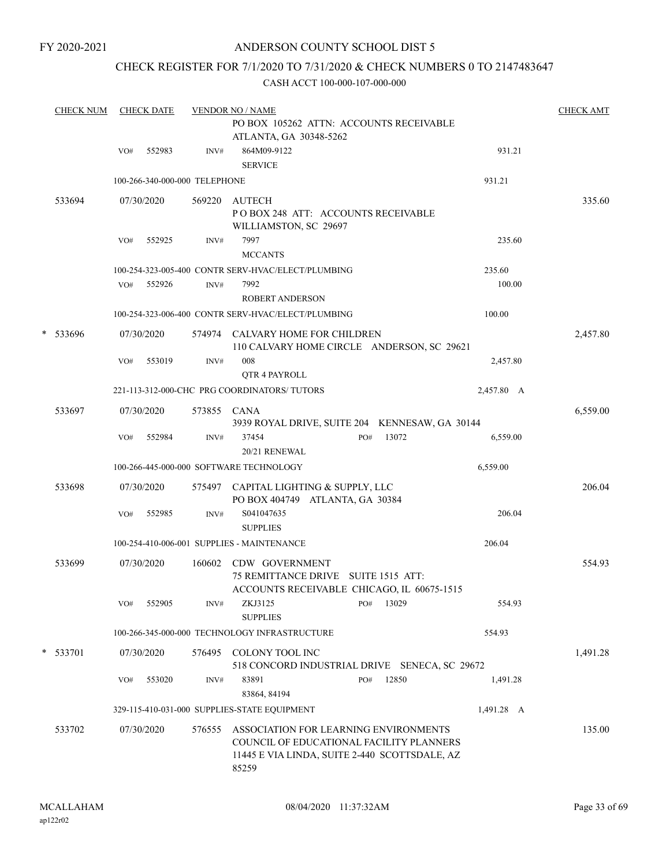## CHECK REGISTER FOR 7/1/2020 TO 7/31/2020 & CHECK NUMBERS 0 TO 2147483647

|   | <b>CHECK NUM</b> |     | <b>CHECK DATE</b> |                               | <b>VENDOR NO / NAME</b>                                                                                                                     | <b>CHECK AMT</b> |
|---|------------------|-----|-------------------|-------------------------------|---------------------------------------------------------------------------------------------------------------------------------------------|------------------|
|   |                  |     |                   |                               | PO BOX 105262 ATTN: ACCOUNTS RECEIVABLE<br>ATLANTA, GA 30348-5262                                                                           |                  |
|   |                  | VO# | 552983            | INV#                          | 864M09-9122<br>931.21<br><b>SERVICE</b>                                                                                                     |                  |
|   |                  |     |                   | 100-266-340-000-000 TELEPHONE | 931.21                                                                                                                                      |                  |
|   | 533694           |     | 07/30/2020        | 569220                        | <b>AUTECH</b><br>PO BOX 248 ATT: ACCOUNTS RECEIVABLE<br>WILLIAMSTON, SC 29697                                                               | 335.60           |
|   |                  | VO# | 552925            | INV#                          | 7997<br>235.60<br><b>MCCANTS</b>                                                                                                            |                  |
|   |                  |     |                   |                               | 235.60<br>100-254-323-005-400 CONTR SERV-HVAC/ELECT/PLUMBING                                                                                |                  |
|   |                  | VO# | 552926            | INV#                          | 7992<br>100.00<br><b>ROBERT ANDERSON</b>                                                                                                    |                  |
|   |                  |     |                   |                               | 100-254-323-006-400 CONTR SERV-HVAC/ELECT/PLUMBING<br>100.00                                                                                |                  |
|   | * 533696         |     | 07/30/2020        |                               | 574974 CALVARY HOME FOR CHILDREN<br>110 CALVARY HOME CIRCLE ANDERSON, SC 29621                                                              | 2,457.80         |
|   |                  | VO# | 553019            | INV#                          | 008<br>2,457.80<br>QTR 4 PAYROLL                                                                                                            |                  |
|   |                  |     |                   |                               | 221-113-312-000-CHC PRG COORDINATORS/TUTORS<br>2,457.80 A                                                                                   |                  |
|   | 533697           |     | 07/30/2020        | 573855 CANA                   | 3939 ROYAL DRIVE, SUITE 204 KENNESAW, GA 30144                                                                                              | 6,559.00         |
|   |                  | VO# | 552984            | INV#                          | 13072<br>37454<br>PO#<br>6,559.00<br>20/21 RENEWAL                                                                                          |                  |
|   |                  |     |                   |                               | 100-266-445-000-000 SOFTWARE TECHNOLOGY<br>6,559.00                                                                                         |                  |
|   | 533698           |     | 07/30/2020        |                               | 575497 CAPITAL LIGHTING & SUPPLY, LLC<br>PO BOX 404749 ATLANTA, GA 30384                                                                    | 206.04           |
|   |                  | VO# | 552985            | INV#                          | S041047635<br>206.04<br><b>SUPPLIES</b>                                                                                                     |                  |
|   |                  |     |                   |                               | 100-254-410-006-001 SUPPLIES - MAINTENANCE<br>206.04                                                                                        |                  |
|   | 533699           |     | 07/30/2020        |                               | 160602 CDW GOVERNMENT<br>75 REMITTANCE DRIVE SUITE 1515 ATT:<br>ACCOUNTS RECEIVABLE CHICAGO, IL 60675-1515                                  | 554.93           |
|   |                  | VO# | 552905            | INV#                          | 13029<br>ZKJ3125<br>PO#<br>554.93<br><b>SUPPLIES</b>                                                                                        |                  |
|   |                  |     |                   |                               | 100-266-345-000-000 TECHNOLOGY INFRASTRUCTURE<br>554.93                                                                                     |                  |
| * | 533701           |     | 07/30/2020        | 576495                        | COLONY TOOL INC<br>518 CONCORD INDUSTRIAL DRIVE SENECA, SC 29672                                                                            | 1,491.28         |
|   |                  | VO# | 553020            | INV#                          | 83891<br>12850<br>PO#<br>1,491.28<br>83864, 84194                                                                                           |                  |
|   |                  |     |                   |                               | 329-115-410-031-000 SUPPLIES-STATE EQUIPMENT<br>1,491.28 A                                                                                  |                  |
|   | 533702           |     | 07/30/2020        | 576555                        | ASSOCIATION FOR LEARNING ENVIRONMENTS<br>COUNCIL OF EDUCATIONAL FACILITY PLANNERS<br>11445 E VIA LINDA, SUITE 2-440 SCOTTSDALE, AZ<br>85259 | 135.00           |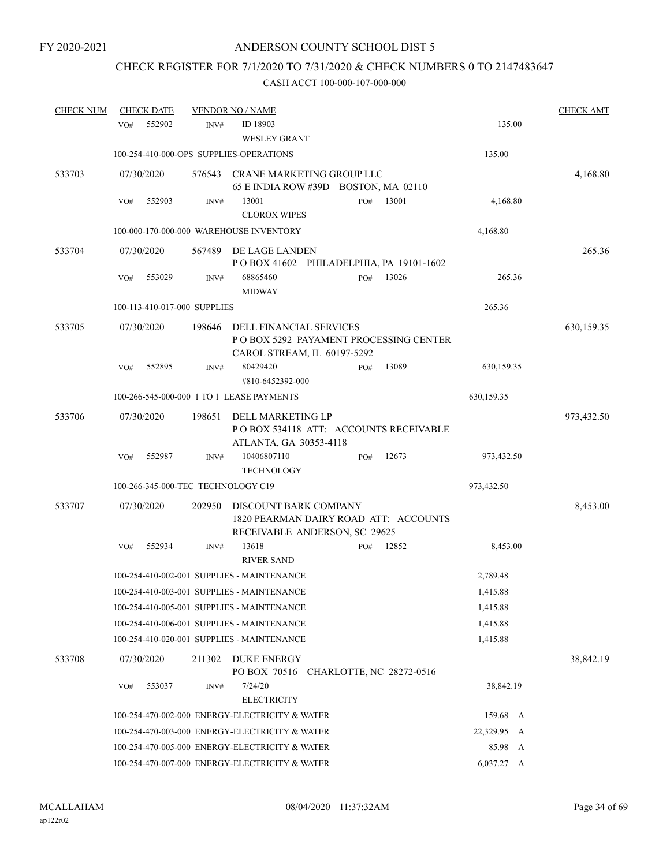# CHECK REGISTER FOR 7/1/2020 TO 7/31/2020 & CHECK NUMBERS 0 TO 2147483647

| <b>CHECK NUM</b> | <b>CHECK DATE</b> |                                         | <b>VENDOR NO / NAME</b>                                                                          |                                                                          |       |                       | <b>CHECK AMT</b> |
|------------------|-------------------|-----------------------------------------|--------------------------------------------------------------------------------------------------|--------------------------------------------------------------------------|-------|-----------------------|------------------|
|                  | VO#               | 552902<br>INV#                          | ID 18903<br><b>WESLEY GRANT</b>                                                                  |                                                                          |       | 135.00                |                  |
|                  |                   | 100-254-410-000-OPS SUPPLIES-OPERATIONS |                                                                                                  |                                                                          |       | 135.00                |                  |
| 533703           | 07/30/2020        |                                         |                                                                                                  | 576543 CRANE MARKETING GROUP LLC<br>65 E INDIA ROW #39D BOSTON, MA 02110 |       |                       | 4,168.80         |
|                  | VO#               | 552903<br>INV#                          | 13001<br><b>CLOROX WIPES</b>                                                                     | PO#                                                                      | 13001 | 4,168.80              |                  |
|                  |                   |                                         | 100-000-170-000-000 WAREHOUSE INVENTORY                                                          |                                                                          |       | 4,168.80              |                  |
| 533704           | 07/30/2020        | 567489                                  | DE LAGE LANDEN                                                                                   | POBOX 41602 PHILADELPHIA, PA 19101-1602                                  |       |                       | 265.36           |
|                  | VO#               | 553029<br>INV#                          | 68865460<br><b>MIDWAY</b>                                                                        | PO#                                                                      | 13026 | 265.36                |                  |
|                  |                   | 100-113-410-017-000 SUPPLIES            |                                                                                                  |                                                                          |       | 265.36                |                  |
| 533705           | 07/30/2020        | 198646                                  | DELL FINANCIAL SERVICES                                                                          | P O BOX 5292 PAYAMENT PROCESSING CENTER<br>CAROL STREAM, IL 60197-5292   |       |                       | 630,159.35       |
|                  | VO#               | 552895<br>INV#                          | 80429420<br>#810-6452392-000                                                                     | PO#                                                                      | 13089 | 630,159.35            |                  |
|                  |                   |                                         | 100-266-545-000-000 1 TO 1 LEASE PAYMENTS                                                        |                                                                          |       | 630,159.35            |                  |
| 533706           | 07/30/2020        | 198651                                  | DELL MARKETING LP<br>ATLANTA, GA 30353-4118                                                      | POBOX 534118 ATT: ACCOUNTS RECEIVABLE                                    |       |                       | 973,432.50       |
|                  | VO#               | 552987<br>INV#                          | 10406807110<br><b>TECHNOLOGY</b>                                                                 | PO#                                                                      | 12673 | 973,432.50            |                  |
|                  |                   | 100-266-345-000-TEC TECHNOLOGY C19      |                                                                                                  |                                                                          |       | 973,432.50            |                  |
| 533707           | 07/30/2020        | 202950                                  | DISCOUNT BARK COMPANY                                                                            | 1820 PEARMAN DAIRY ROAD ATT: ACCOUNTS<br>RECEIVABLE ANDERSON, SC 29625   |       |                       | 8,453.00         |
|                  | VO#               | 552934<br>INV#                          | 13618<br><b>RIVER SAND</b>                                                                       | PO#                                                                      | 12852 | 8,453.00              |                  |
|                  |                   |                                         | 100-254-410-002-001 SUPPLIES - MAINTENANCE                                                       |                                                                          |       | 2,789.48              |                  |
|                  |                   |                                         | 100-254-410-003-001 SUPPLIES - MAINTENANCE                                                       |                                                                          |       | 1,415.88              |                  |
|                  |                   |                                         | 100-254-410-005-001 SUPPLIES - MAINTENANCE                                                       |                                                                          |       | 1,415.88              |                  |
|                  |                   |                                         | 100-254-410-006-001 SUPPLIES - MAINTENANCE                                                       |                                                                          |       | 1,415.88              |                  |
|                  |                   |                                         | 100-254-410-020-001 SUPPLIES - MAINTENANCE                                                       |                                                                          |       | 1,415.88              |                  |
| 533708           | 07/30/2020        | 211302                                  | DUKE ENERGY                                                                                      | PO BOX 70516 CHARLOTTE, NC 28272-0516                                    |       |                       | 38,842.19        |
|                  | VO#               | 553037<br>INV#                          | 7/24/20                                                                                          |                                                                          |       | 38,842.19             |                  |
|                  |                   |                                         | <b>ELECTRICITY</b>                                                                               |                                                                          |       |                       |                  |
|                  |                   |                                         | 100-254-470-002-000 ENERGY-ELECTRICITY & WATER                                                   |                                                                          |       | 159.68 A              |                  |
|                  |                   |                                         | 100-254-470-003-000 ENERGY-ELECTRICITY & WATER                                                   |                                                                          |       | 22,329.95 A           |                  |
|                  |                   |                                         | 100-254-470-005-000 ENERGY-ELECTRICITY & WATER<br>100-254-470-007-000 ENERGY-ELECTRICITY & WATER |                                                                          |       | 85.98 A<br>6,037.27 A |                  |
|                  |                   |                                         |                                                                                                  |                                                                          |       |                       |                  |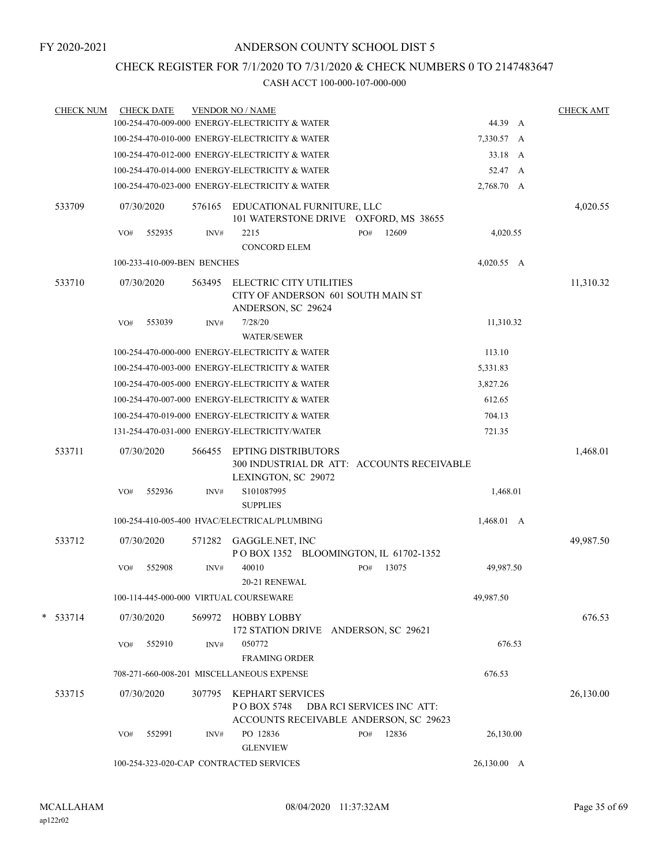## CHECK REGISTER FOR 7/1/2020 TO 7/31/2020 & CHECK NUMBERS 0 TO 2147483647

| <b>CHECK NUM</b> |     | <b>CHECK DATE</b>           |        | <b>VENDOR NO / NAME</b>                                                                         |     |                           |                    | <b>CHECK AMT</b> |
|------------------|-----|-----------------------------|--------|-------------------------------------------------------------------------------------------------|-----|---------------------------|--------------------|------------------|
|                  |     |                             |        | 100-254-470-009-000 ENERGY-ELECTRICITY & WATER                                                  |     |                           | 44.39 A            |                  |
|                  |     |                             |        | 100-254-470-010-000 ENERGY-ELECTRICITY & WATER                                                  |     |                           | 7,330.57 A         |                  |
|                  |     |                             |        | 100-254-470-012-000 ENERGY-ELECTRICITY & WATER                                                  |     |                           | 33.18 A            |                  |
|                  |     |                             |        | 100-254-470-014-000 ENERGY-ELECTRICITY & WATER                                                  |     |                           | 52.47 A            |                  |
|                  |     |                             |        | 100-254-470-023-000 ENERGY-ELECTRICITY & WATER                                                  |     |                           | 2,768.70 A         |                  |
| 533709           |     | 07/30/2020                  | 576165 | EDUCATIONAL FURNITURE, LLC<br>101 WATERSTONE DRIVE OXFORD, MS 38655                             |     |                           |                    | 4,020.55         |
|                  | VO# | 552935                      | INV#   | 2215<br><b>CONCORD ELEM</b>                                                                     | PO# | 12609                     | 4,020.55           |                  |
|                  |     | 100-233-410-009-BEN BENCHES |        |                                                                                                 |     |                           | $4,020.55$ A       |                  |
| 533710           |     | 07/30/2020                  | 563495 | ELECTRIC CITY UTILITIES<br>CITY OF ANDERSON 601 SOUTH MAIN ST<br>ANDERSON, SC 29624             |     |                           |                    | 11,310.32        |
|                  | VO# | 553039                      | INV#   | 7/28/20<br><b>WATER/SEWER</b>                                                                   |     |                           | 11,310.32          |                  |
|                  |     |                             |        | 100-254-470-000-000 ENERGY-ELECTRICITY & WATER                                                  |     |                           | 113.10             |                  |
|                  |     |                             |        | 100-254-470-003-000 ENERGY-ELECTRICITY & WATER                                                  |     |                           | 5,331.83           |                  |
|                  |     |                             |        | 100-254-470-005-000 ENERGY-ELECTRICITY & WATER                                                  |     |                           | 3,827.26           |                  |
|                  |     |                             |        | 100-254-470-007-000 ENERGY-ELECTRICITY & WATER                                                  |     |                           | 612.65             |                  |
|                  |     |                             |        | 100-254-470-019-000 ENERGY-ELECTRICITY & WATER                                                  |     |                           | 704.13             |                  |
|                  |     |                             |        | 131-254-470-031-000 ENERGY-ELECTRICITY/WATER                                                    |     |                           | 721.35             |                  |
| 533711           |     | 07/30/2020                  | 566455 | <b>EPTING DISTRIBUTORS</b><br>300 INDUSTRIAL DR ATT: ACCOUNTS RECEIVABLE<br>LEXINGTON, SC 29072 |     |                           |                    | 1,468.01         |
|                  | VO# | 552936                      | INV#   | S101087995<br><b>SUPPLIES</b>                                                                   |     |                           | 1,468.01           |                  |
|                  |     |                             |        | 100-254-410-005-400 HVAC/ELECTRICAL/PLUMBING                                                    |     |                           | $1,468.01 \quad A$ |                  |
| 533712           |     | 07/30/2020                  |        | 571282 GAGGLE.NET, INC<br>POBOX 1352 BLOOMINGTON, IL 61702-1352                                 |     |                           |                    | 49,987.50        |
|                  | VO# | 552908                      | INV#   | 40010<br>20-21 RENEWAL                                                                          | PO# | 13075                     | 49,987.50          |                  |
|                  |     |                             |        | 100-114-445-000-000 VIRTUAL COURSEWARE                                                          |     |                           | 49,987.50          |                  |
| $*$ 533714       |     | 07/30/2020                  | 569972 | <b>HOBBY LOBBY</b><br>172 STATION DRIVE ANDERSON, SC 29621                                      |     |                           |                    | 676.53           |
|                  | VO# | 552910                      | INV#   | 050772<br><b>FRAMING ORDER</b>                                                                  |     |                           | 676.53             |                  |
|                  |     |                             |        | 708-271-660-008-201 MISCELLANEOUS EXPENSE                                                       |     |                           | 676.53             |                  |
| 533715           |     | 07/30/2020                  | 307795 | <b>KEPHART SERVICES</b><br>PO BOX 5748                                                          |     | DBA RCI SERVICES INC ATT: |                    | 26,130.00        |
|                  |     |                             |        | ACCOUNTS RECEIVABLE ANDERSON, SC 29623                                                          |     |                           |                    |                  |
|                  | VO# | 552991                      | INV#   | PO 12836<br><b>GLENVIEW</b>                                                                     | PO# | 12836                     | 26,130.00          |                  |
|                  |     |                             |        | 100-254-323-020-CAP CONTRACTED SERVICES                                                         |     |                           | 26,130.00 A        |                  |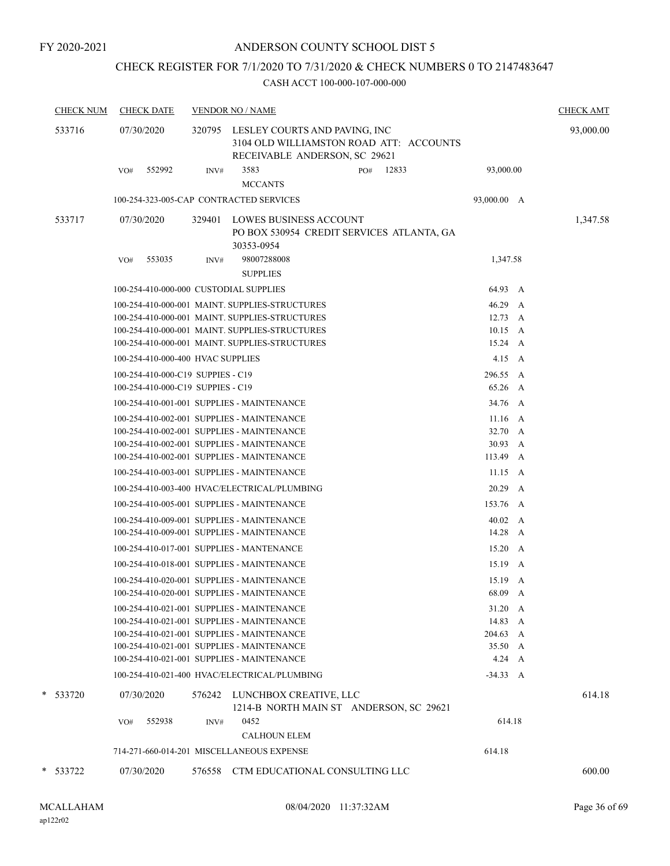## CHECK REGISTER FOR 7/1/2020 TO 7/31/2020 & CHECK NUMBERS 0 TO 2147483647

| <b>CHECK NUM</b> | <b>CHECK DATE</b>                                                      |        | <b>VENDOR NO / NAME</b>                                                                  |                                                                          |                      | <b>CHECK AMT</b> |
|------------------|------------------------------------------------------------------------|--------|------------------------------------------------------------------------------------------|--------------------------------------------------------------------------|----------------------|------------------|
| 533716           | 07/30/2020                                                             |        | 320795 LESLEY COURTS AND PAVING, INC                                                     | 3104 OLD WILLIAMSTON ROAD ATT: ACCOUNTS<br>RECEIVABLE ANDERSON, SC 29621 |                      | 93,000.00        |
|                  | 552992<br>VO#                                                          | INV#   | 3583<br><b>MCCANTS</b>                                                                   | 12833<br>PO#                                                             | 93,000.00            |                  |
|                  |                                                                        |        | 100-254-323-005-CAP CONTRACTED SERVICES                                                  |                                                                          | 93,000.00 A          |                  |
| 533717           | 07/30/2020                                                             | 329401 | LOWES BUSINESS ACCOUNT<br>30353-0954                                                     | PO BOX 530954 CREDIT SERVICES ATLANTA, GA                                |                      | 1,347.58         |
|                  | 553035<br>VO#                                                          | INV#   | 98007288008<br><b>SUPPLIES</b>                                                           |                                                                          | 1,347.58             |                  |
|                  | 100-254-410-000-000 CUSTODIAL SUPPLIES                                 |        |                                                                                          |                                                                          | 64.93 A              |                  |
|                  |                                                                        |        | 100-254-410-000-001 MAINT. SUPPLIES-STRUCTURES                                           |                                                                          | 46.29 A              |                  |
|                  |                                                                        |        | 100-254-410-000-001 MAINT. SUPPLIES-STRUCTURES                                           |                                                                          | $12.73 \quad A$      |                  |
|                  |                                                                        |        | 100-254-410-000-001 MAINT. SUPPLIES-STRUCTURES                                           |                                                                          | $10.15\quad A$       |                  |
|                  |                                                                        |        | 100-254-410-000-001 MAINT. SUPPLIES-STRUCTURES                                           |                                                                          | $15.24 \quad A$      |                  |
|                  | 100-254-410-000-400 HVAC SUPPLIES                                      |        |                                                                                          |                                                                          | $4.15\quad A$        |                  |
|                  | 100-254-410-000-C19 SUPPIES - C19<br>100-254-410-000-C19 SUPPIES - C19 |        |                                                                                          |                                                                          | 296.55 A<br>65.26 A  |                  |
|                  |                                                                        |        |                                                                                          |                                                                          |                      |                  |
|                  |                                                                        |        | 100-254-410-001-001 SUPPLIES - MAINTENANCE                                               |                                                                          | 34.76 A              |                  |
|                  |                                                                        |        | 100-254-410-002-001 SUPPLIES - MAINTENANCE<br>100-254-410-002-001 SUPPLIES - MAINTENANCE |                                                                          | $11.16$ A<br>32.70 A |                  |
|                  |                                                                        |        | 100-254-410-002-001 SUPPLIES - MAINTENANCE                                               |                                                                          | 30.93 A              |                  |
|                  |                                                                        |        | 100-254-410-002-001 SUPPLIES - MAINTENANCE                                               |                                                                          | 113.49 A             |                  |
|                  |                                                                        |        | 100-254-410-003-001 SUPPLIES - MAINTENANCE                                               |                                                                          | $11.15 \quad A$      |                  |
|                  |                                                                        |        | 100-254-410-003-400 HVAC/ELECTRICAL/PLUMBING                                             |                                                                          | 20.29 A              |                  |
|                  |                                                                        |        | 100-254-410-005-001 SUPPLIES - MAINTENANCE                                               |                                                                          | 153.76 A             |                  |
|                  |                                                                        |        | 100-254-410-009-001 SUPPLIES - MAINTENANCE                                               |                                                                          | 40.02 A              |                  |
|                  |                                                                        |        | 100-254-410-009-001 SUPPLIES - MAINTENANCE                                               |                                                                          | 14.28 A              |                  |
|                  |                                                                        |        | 100-254-410-017-001 SUPPLIES - MANTENANCE                                                |                                                                          | $15.20\quad A$       |                  |
|                  |                                                                        |        | 100-254-410-018-001 SUPPLIES - MAINTENANCE                                               |                                                                          | 15.19<br>A           |                  |
|                  |                                                                        |        | 100-254-410-020-001 SUPPLIES - MAINTENANCE                                               |                                                                          | 15.19 A              |                  |
|                  |                                                                        |        | 100-254-410-020-001 SUPPLIES - MAINTENANCE                                               |                                                                          | 68.09 A              |                  |
|                  |                                                                        |        | 100-254-410-021-001 SUPPLIES - MAINTENANCE                                               |                                                                          | $31.20\quad A$       |                  |
|                  |                                                                        |        | 100-254-410-021-001 SUPPLIES - MAINTENANCE                                               |                                                                          | 14.83 A              |                  |
|                  |                                                                        |        | 100-254-410-021-001 SUPPLIES - MAINTENANCE<br>100-254-410-021-001 SUPPLIES - MAINTENANCE |                                                                          | 204.63 A<br>35.50 A  |                  |
|                  |                                                                        |        | 100-254-410-021-001 SUPPLIES - MAINTENANCE                                               |                                                                          | $4.24\quad A$        |                  |
|                  |                                                                        |        | 100-254-410-021-400 HVAC/ELECTRICAL/PLUMBING                                             |                                                                          | $-34.33 A$           |                  |
| * 533720         | 07/30/2020                                                             |        | 576242 LUNCHBOX CREATIVE, LLC                                                            | 1214-B NORTH MAIN ST ANDERSON, SC 29621                                  |                      | 614.18           |
|                  | 552938<br>VO#                                                          | INV#   | 0452                                                                                     |                                                                          | 614.18               |                  |
|                  |                                                                        |        | <b>CALHOUN ELEM</b>                                                                      |                                                                          |                      |                  |
|                  |                                                                        |        | 714-271-660-014-201 MISCELLANEOUS EXPENSE                                                |                                                                          | 614.18               |                  |
| * 533722         | 07/30/2020                                                             | 576558 |                                                                                          | CTM EDUCATIONAL CONSULTING LLC                                           |                      | 600.00           |
|                  |                                                                        |        |                                                                                          |                                                                          |                      |                  |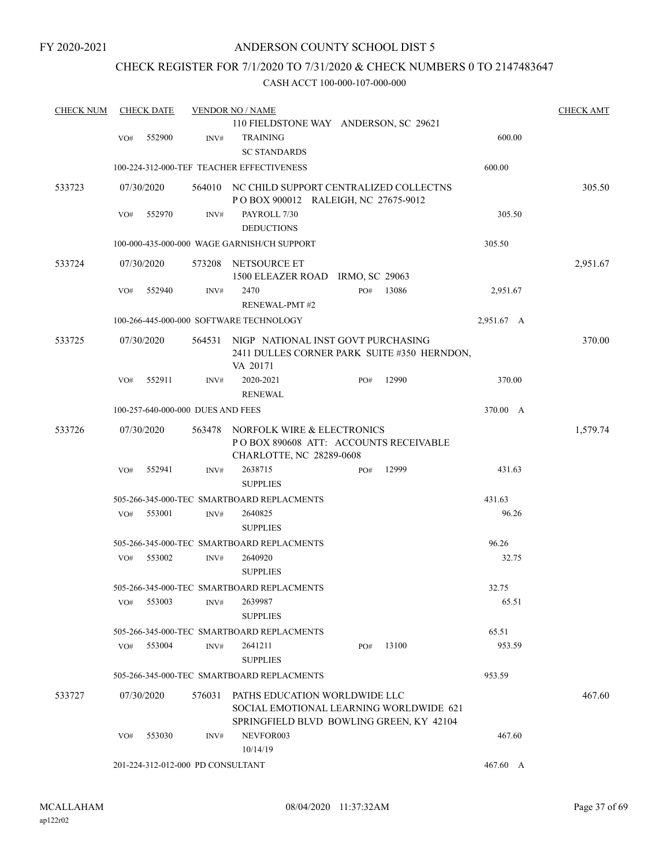## CHECK REGISTER FOR 7/1/2020 TO 7/31/2020 & CHECK NUMBERS 0 TO 2147483647

| <b>CHECK NUM</b> |     | <b>CHECK DATE</b>                 |        | <b>VENDOR NO / NAME</b>                                                                                              |     |       |            | <b>CHECK AMT</b> |
|------------------|-----|-----------------------------------|--------|----------------------------------------------------------------------------------------------------------------------|-----|-------|------------|------------------|
|                  |     |                                   |        | 110 FIELDSTONE WAY ANDERSON, SC 29621                                                                                |     |       |            |                  |
|                  | VO# | 552900                            | INV#   | <b>TRAINING</b><br><b>SC STANDARDS</b>                                                                               |     |       | 600.00     |                  |
|                  |     |                                   |        |                                                                                                                      |     |       |            |                  |
|                  |     |                                   |        | 100-224-312-000-TEF TEACHER EFFECTIVENESS                                                                            |     |       | 600.00     |                  |
| 533723           |     | 07/30/2020                        |        | 564010 NC CHILD SUPPORT CENTRALIZED COLLECTNS<br>POBOX 900012 RALEIGH, NC 27675-9012                                 |     |       |            | 305.50           |
|                  | VO# | 552970                            | INV#   | PAYROLL 7/30<br><b>DEDUCTIONS</b>                                                                                    |     |       | 305.50     |                  |
|                  |     |                                   |        | 100-000-435-000-000 WAGE GARNISH/CH SUPPORT                                                                          |     |       | 305.50     |                  |
| 533724           |     | 07/30/2020                        | 573208 | NETSOURCE ET<br>1500 ELEAZER ROAD IRMO, SC 29063                                                                     |     |       |            | 2,951.67         |
|                  | VO# | 552940                            | INV#   | 2470<br><b>RENEWAL-PMT#2</b>                                                                                         | PO# | 13086 | 2,951.67   |                  |
|                  |     |                                   |        | 100-266-445-000-000 SOFTWARE TECHNOLOGY                                                                              |     |       | 2,951.67 A |                  |
|                  |     |                                   |        |                                                                                                                      |     |       |            |                  |
| 533725           |     | 07/30/2020                        | 564531 | NIGP NATIONAL INST GOVT PURCHASING<br>2411 DULLES CORNER PARK SUITE #350 HERNDON,<br>VA 20171                        |     |       |            | 370.00           |
|                  | VO# | 552911                            | INV#   | 2020-2021<br><b>RENEWAL</b>                                                                                          | PO# | 12990 | 370.00     |                  |
|                  |     | 100-257-640-000-000 DUES AND FEES |        |                                                                                                                      |     |       | 370.00 A   |                  |
| 533726           |     | 07/30/2020                        | 563478 | NORFOLK WIRE & ELECTRONICS                                                                                           |     |       |            | 1,579.74         |
|                  |     |                                   |        | PO BOX 890608 ATT: ACCOUNTS RECEIVABLE<br>CHARLOTTE, NC 28289-0608                                                   |     |       |            |                  |
|                  | VO# | 552941                            | INV#   | 2638715                                                                                                              | PO# | 12999 | 431.63     |                  |
|                  |     |                                   |        | <b>SUPPLIES</b>                                                                                                      |     |       |            |                  |
|                  |     |                                   |        | 505-266-345-000-TEC SMARTBOARD REPLACMENTS                                                                           |     |       | 431.63     |                  |
|                  | VO# | 553001                            | INV#   | 2640825<br><b>SUPPLIES</b>                                                                                           |     |       | 96.26      |                  |
|                  |     |                                   |        | 505-266-345-000-TEC SMARTBOARD REPLACMENTS                                                                           |     |       | 96.26      |                  |
|                  | VO# | 553002                            | INV#   | 2640920<br><b>SUPPLIES</b>                                                                                           |     |       | 32.75      |                  |
|                  |     |                                   |        | 505-266-345-000-TEC SMARTBOARD REPLACMENTS                                                                           |     |       | 32.75      |                  |
|                  | VO# | 553003                            | INV#   | 2639987<br><b>SUPPLIES</b>                                                                                           |     |       | 65.51      |                  |
|                  |     |                                   |        | 505-266-345-000-TEC SMARTBOARD REPLACMENTS                                                                           |     |       | 65.51      |                  |
|                  | VO# | 553004                            | INV#   | 2641211                                                                                                              | PO# | 13100 | 953.59     |                  |
|                  |     |                                   |        | <b>SUPPLIES</b>                                                                                                      |     |       |            |                  |
|                  |     |                                   |        | 505-266-345-000-TEC SMARTBOARD REPLACMENTS                                                                           |     |       | 953.59     |                  |
| 533727           |     | 07/30/2020                        | 576031 | PATHS EDUCATION WORLDWIDE LLC<br>SOCIAL EMOTIONAL LEARNING WORLDWIDE 621<br>SPRINGFIELD BLVD BOWLING GREEN, KY 42104 |     |       |            | 467.60           |
|                  | VO# | 553030                            | INV#   | NEVFOR003<br>10/14/19                                                                                                |     |       | 467.60     |                  |
|                  |     | 201-224-312-012-000 PD CONSULTANT |        |                                                                                                                      |     |       | 467.60 A   |                  |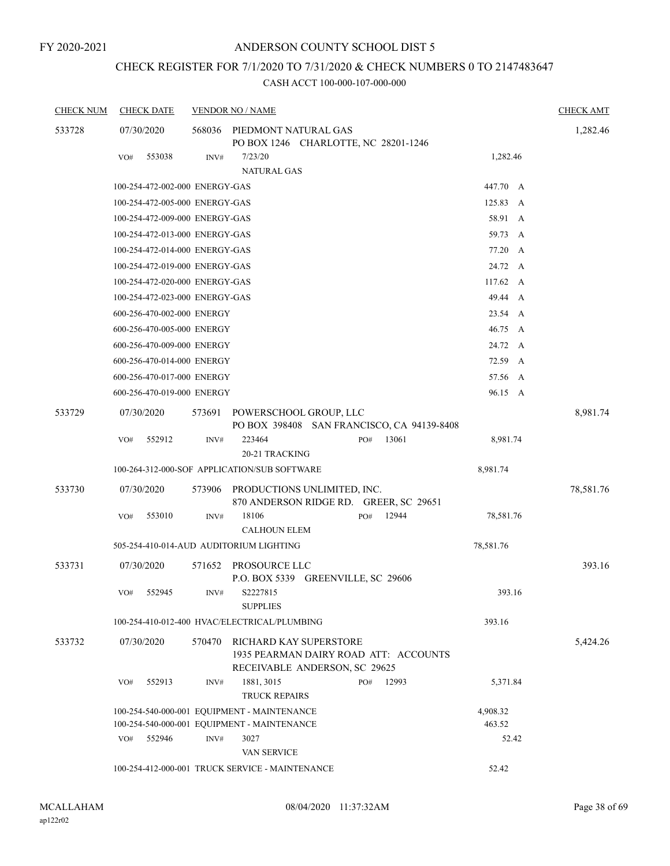# CHECK REGISTER FOR 7/1/2020 TO 7/31/2020 & CHECK NUMBERS 0 TO 2147483647

| <b>CHECK NUM</b> | <b>CHECK DATE</b>              |        | <b>VENDOR NO / NAME</b> |                                                                                                  |  |     |       |           |           |   | <b>CHECK AMT</b> |
|------------------|--------------------------------|--------|-------------------------|--------------------------------------------------------------------------------------------------|--|-----|-------|-----------|-----------|---|------------------|
| 533728           | 07/30/2020                     |        | 568036                  | PIEDMONT NATURAL GAS                                                                             |  |     |       |           |           |   | 1,282.46         |
|                  |                                |        |                         | PO BOX 1246 CHARLOTTE, NC 28201-1246                                                             |  |     |       |           |           |   |                  |
|                  | VO#                            | 553038 | INV#                    | 7/23/20                                                                                          |  |     |       |           | 1,282.46  |   |                  |
|                  |                                |        |                         | <b>NATURAL GAS</b>                                                                               |  |     |       |           |           |   |                  |
|                  | 100-254-472-002-000 ENERGY-GAS |        |                         |                                                                                                  |  |     |       | 447.70 A  |           |   |                  |
|                  | 100-254-472-005-000 ENERGY-GAS |        |                         |                                                                                                  |  |     |       | 125.83 A  |           |   |                  |
|                  | 100-254-472-009-000 ENERGY-GAS |        |                         |                                                                                                  |  |     |       |           | 58.91 A   |   |                  |
|                  | 100-254-472-013-000 ENERGY-GAS |        |                         |                                                                                                  |  |     |       | 59.73     |           | A |                  |
|                  | 100-254-472-014-000 ENERGY-GAS |        |                         |                                                                                                  |  |     |       | 77.20     |           | A |                  |
|                  | 100-254-472-019-000 ENERGY-GAS |        |                         |                                                                                                  |  |     |       |           | 24.72 A   |   |                  |
|                  | 100-254-472-020-000 ENERGY-GAS |        |                         |                                                                                                  |  |     |       |           | 117.62 A  |   |                  |
|                  | 100-254-472-023-000 ENERGY-GAS |        |                         |                                                                                                  |  |     |       |           | 49.44 A   |   |                  |
|                  | 600-256-470-002-000 ENERGY     |        |                         |                                                                                                  |  |     |       |           | 23.54 A   |   |                  |
|                  | 600-256-470-005-000 ENERGY     |        |                         |                                                                                                  |  |     |       | 46.75     | A         |   |                  |
|                  | 600-256-470-009-000 ENERGY     |        |                         |                                                                                                  |  |     |       |           | 24.72 A   |   |                  |
|                  | 600-256-470-014-000 ENERGY     |        |                         |                                                                                                  |  |     |       |           | 72.59 A   |   |                  |
|                  | 600-256-470-017-000 ENERGY     |        |                         |                                                                                                  |  |     |       |           | 57.56 A   |   |                  |
|                  | 600-256-470-019-000 ENERGY     |        |                         |                                                                                                  |  |     |       |           | 96.15 A   |   |                  |
| 533729           | 07/30/2020                     |        | 573691                  | POWERSCHOOL GROUP, LLC                                                                           |  |     |       |           |           |   | 8,981.74         |
|                  |                                |        |                         | PO BOX 398408 SAN FRANCISCO, CA 94139-8408                                                       |  |     |       |           |           |   |                  |
|                  | VO#                            | 552912 | INV#                    | 223464                                                                                           |  | PO# | 13061 |           | 8,981.74  |   |                  |
|                  |                                |        |                         | 20-21 TRACKING                                                                                   |  |     |       |           |           |   |                  |
|                  |                                |        |                         | 100-264-312-000-SOF APPLICATION/SUB SOFTWARE                                                     |  |     |       | 8,981.74  |           |   |                  |
| 533730           | 07/30/2020                     |        | 573906                  | PRODUCTIONS UNLIMITED, INC.<br>870 ANDERSON RIDGE RD. GREER, SC 29651                            |  |     |       |           |           |   | 78,581.76        |
|                  | VO#                            | 553010 | INV#                    | 18106<br><b>CALHOUN ELEM</b>                                                                     |  | PO# | 12944 |           | 78,581.76 |   |                  |
|                  |                                |        |                         | 505-254-410-014-AUD AUDITORIUM LIGHTING                                                          |  |     |       | 78,581.76 |           |   |                  |
|                  |                                |        |                         |                                                                                                  |  |     |       |           |           |   |                  |
| 533731           | 07/30/2020                     |        | 571652                  | PROSOURCE LLC<br>P.O. BOX 5339 GREENVILLE, SC 29606                                              |  |     |       |           |           |   | 393.16           |
|                  | VO#                            | 552945 | INV#                    | S2227815<br><b>SUPPLIES</b>                                                                      |  |     |       |           | 393.16    |   |                  |
|                  |                                |        |                         | 100-254-410-012-400 HVAC/ELECTRICAL/PLUMBING                                                     |  |     |       | 393.16    |           |   |                  |
| 533732           | 07/30/2020                     |        | 570470                  | RICHARD KAY SUPERSTORE<br>1935 PEARMAN DAIRY ROAD ATT: ACCOUNTS<br>RECEIVABLE ANDERSON, SC 29625 |  |     |       |           |           |   | 5,424.26         |
|                  | VO#                            | 552913 | INV#                    | 1881, 3015<br><b>TRUCK REPAIRS</b>                                                               |  | PO# | 12993 |           | 5,371.84  |   |                  |
|                  |                                |        |                         | 100-254-540-000-001 EQUIPMENT - MAINTENANCE                                                      |  |     |       | 4,908.32  |           |   |                  |
|                  |                                |        |                         | 100-254-540-000-001 EQUIPMENT - MAINTENANCE                                                      |  |     |       | 463.52    |           |   |                  |
|                  | VO#                            | 552946 | INV#                    | 3027                                                                                             |  |     |       |           | 52.42     |   |                  |
|                  |                                |        |                         | <b>VAN SERVICE</b>                                                                               |  |     |       |           |           |   |                  |
|                  |                                |        |                         | 100-254-412-000-001 TRUCK SERVICE - MAINTENANCE                                                  |  |     |       | 52.42     |           |   |                  |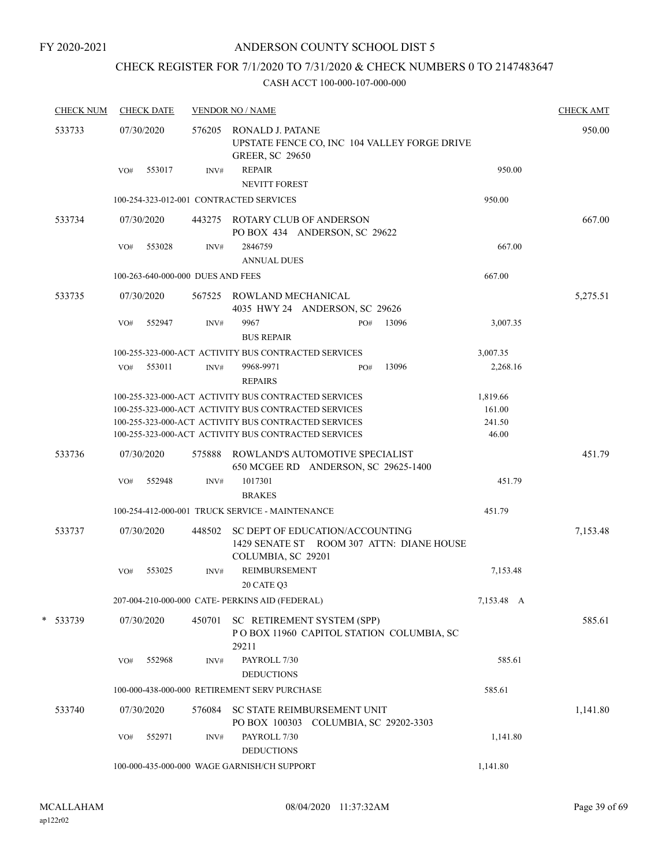## CHECK REGISTER FOR 7/1/2020 TO 7/31/2020 & CHECK NUMBERS 0 TO 2147483647

| <b>CHECK NUM</b> |            | <b>CHECK DATE</b> |                                   | <b>VENDOR NO / NAME</b>                                                                                      | <b>CHECK AMT</b> |
|------------------|------------|-------------------|-----------------------------------|--------------------------------------------------------------------------------------------------------------|------------------|
| 533733           | 07/30/2020 |                   | 576205                            | RONALD J. PATANE<br>UPSTATE FENCE CO, INC 104 VALLEY FORGE DRIVE<br><b>GREER, SC 29650</b>                   | 950.00           |
|                  | VO#        | 553017            | INV#                              | <b>REPAIR</b><br><b>NEVITT FOREST</b>                                                                        | 950.00           |
|                  |            |                   |                                   | 100-254-323-012-001 CONTRACTED SERVICES                                                                      | 950.00           |
| 533734           | 07/30/2020 |                   |                                   | 443275 ROTARY CLUB OF ANDERSON<br>PO BOX 434 ANDERSON, SC 29622                                              | 667.00           |
|                  | VO#        | 553028            | INV#                              | 2846759<br><b>ANNUAL DUES</b>                                                                                | 667.00           |
|                  |            |                   | 100-263-640-000-000 DUES AND FEES |                                                                                                              | 667.00           |
| 533735           | 07/30/2020 |                   |                                   | 567525 ROWLAND MECHANICAL<br>4035 HWY 24 ANDERSON, SC 29626                                                  | 5,275.51         |
|                  | VO#        | 552947            | INV#                              | 9967<br>13096<br>PO#<br><b>BUS REPAIR</b>                                                                    | 3,007.35         |
|                  |            |                   |                                   | 100-255-323-000-ACT ACTIVITY BUS CONTRACTED SERVICES                                                         | 3,007.35         |
|                  | VO#        | 553011            | INV#                              | 9968-9971<br>13096<br>PO#<br><b>REPAIRS</b>                                                                  | 2,268.16         |
|                  |            |                   |                                   | 100-255-323-000-ACT ACTIVITY BUS CONTRACTED SERVICES                                                         | 1,819.66         |
|                  |            |                   |                                   | 100-255-323-000-ACT ACTIVITY BUS CONTRACTED SERVICES                                                         | 161.00           |
|                  |            |                   |                                   | 100-255-323-000-ACT ACTIVITY BUS CONTRACTED SERVICES<br>100-255-323-000-ACT ACTIVITY BUS CONTRACTED SERVICES | 241.50<br>46.00  |
| 533736           | 07/30/2020 |                   | 575888                            | ROWLAND'S AUTOMOTIVE SPECIALIST<br>650 MCGEE RD ANDERSON, SC 29625-1400                                      | 451.79           |
|                  | VO#        | 552948            | INV#                              | 1017301                                                                                                      | 451.79           |
|                  |            |                   |                                   | <b>BRAKES</b>                                                                                                |                  |
|                  |            |                   |                                   | 100-254-412-000-001 TRUCK SERVICE - MAINTENANCE                                                              | 451.79           |
| 533737           | 07/30/2020 |                   | 448502                            | SC DEPT OF EDUCATION/ACCOUNTING<br>1429 SENATE ST ROOM 307 ATTN: DIANE HOUSE<br>COLUMBIA, SC 29201           | 7,153.48         |
|                  | VO#        | 553025            | INV#                              | <b>REIMBURSEMENT</b><br>20 CATE Q3                                                                           | 7,153.48         |
|                  |            |                   |                                   | 207-004-210-000-000 CATE- PERKINS AID (FEDERAL)                                                              | 7,153.48 A       |
| * 533739         | 07/30/2020 |                   | 450701                            | SC RETIREMENT SYSTEM (SPP)<br>POBOX 11960 CAPITOL STATION COLUMBIA, SC<br>29211                              | 585.61           |
|                  | VO#        | 552968            | INV#                              | PAYROLL 7/30<br><b>DEDUCTIONS</b>                                                                            | 585.61           |
|                  |            |                   |                                   | 100-000-438-000-000 RETIREMENT SERV PURCHASE                                                                 | 585.61           |
| 533740           | 07/30/2020 |                   | 576084                            | SC STATE REIMBURSEMENT UNIT<br>PO BOX 100303 COLUMBIA, SC 29202-3303                                         | 1,141.80         |
|                  | VO#        | 552971            | INV#                              | PAYROLL 7/30<br><b>DEDUCTIONS</b>                                                                            | 1,141.80         |
|                  |            |                   |                                   | 100-000-435-000-000 WAGE GARNISH/CH SUPPORT                                                                  | 1,141.80         |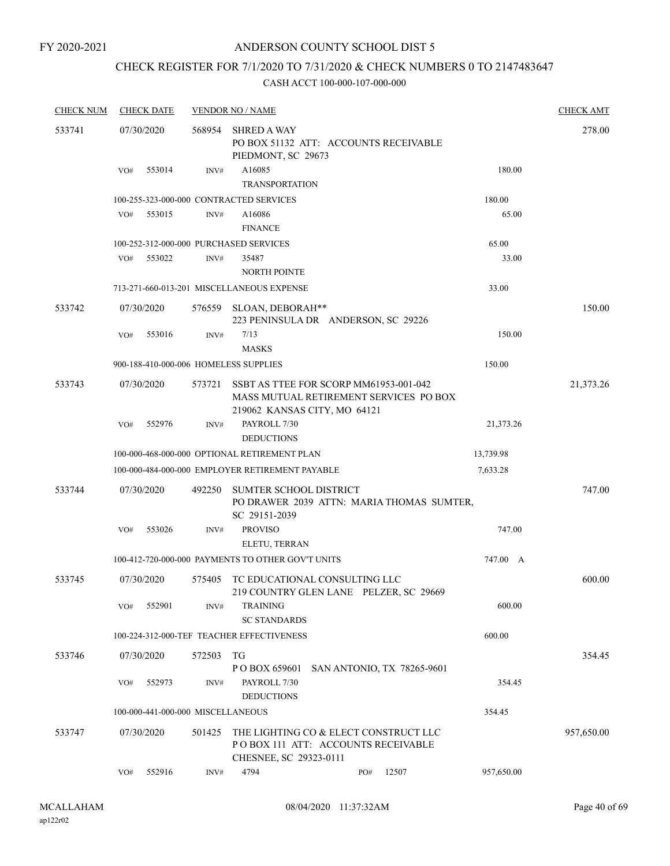## ANDERSON COUNTY SCHOOL DIST 5

## CHECK REGISTER FOR 7/1/2020 TO 7/31/2020 & CHECK NUMBERS 0 TO 2147483647

| <b>CHECK NUM</b> | <b>CHECK DATE</b>                      |        | <b>VENDOR NO / NAME</b>                                                                                          |            | <b>CHECK AMT</b> |
|------------------|----------------------------------------|--------|------------------------------------------------------------------------------------------------------------------|------------|------------------|
| 533741           | 07/30/2020                             | 568954 | <b>SHRED A WAY</b><br>PO BOX 51132 ATT: ACCOUNTS RECEIVABLE<br>PIEDMONT, SC 29673                                |            | 278.00           |
|                  | 553014<br>VO#                          | INV#   | A16085<br><b>TRANSPORTATION</b>                                                                                  | 180.00     |                  |
|                  |                                        |        | 100-255-323-000-000 CONTRACTED SERVICES                                                                          | 180.00     |                  |
|                  | 553015<br>VO#                          | INV#   | A16086<br><b>FINANCE</b>                                                                                         | 65.00      |                  |
|                  | 100-252-312-000-000 PURCHASED SERVICES |        |                                                                                                                  | 65.00      |                  |
|                  | VO#<br>553022                          | INV#   | 35487<br><b>NORTH POINTE</b>                                                                                     | 33.00      |                  |
|                  |                                        |        | 713-271-660-013-201 MISCELLANEOUS EXPENSE                                                                        | 33.00      |                  |
| 533742           | 07/30/2020                             | 576559 | SLOAN, DEBORAH**<br>223 PENINSULA DR ANDERSON, SC 29226                                                          |            | 150.00           |
|                  | 553016<br>VO#                          | INV#   | 7/13<br><b>MASKS</b>                                                                                             | 150.00     |                  |
|                  | 900-188-410-000-006 HOMELESS SUPPLIES  |        |                                                                                                                  | 150.00     |                  |
| 533743           | 07/30/2020                             | 573721 | SSBT AS TTEE FOR SCORP MM61953-001-042<br>MASS MUTUAL RETIREMENT SERVICES PO BOX<br>219062 KANSAS CITY, MO 64121 |            | 21,373.26        |
|                  | 552976<br>VO#                          | INV#   | PAYROLL 7/30<br><b>DEDUCTIONS</b>                                                                                | 21,373.26  |                  |
|                  |                                        |        | 100-000-468-000-000 OPTIONAL RETIREMENT PLAN                                                                     | 13,739.98  |                  |
|                  |                                        |        | 100-000-484-000-000 EMPLOYER RETIREMENT PAYABLE                                                                  | 7,633.28   |                  |
| 533744           | 07/30/2020                             | 492250 | <b>SUMTER SCHOOL DISTRICT</b><br>PO DRAWER 2039 ATTN: MARIA THOMAS SUMTER,<br>SC 29151-2039                      |            | 747.00           |
|                  | 553026<br>VO#                          | INV#   | <b>PROVISO</b><br>ELETU, TERRAN                                                                                  | 747.00     |                  |
|                  |                                        |        | 100-412-720-000-000 PAYMENTS TO OTHER GOV'T UNITS                                                                | 747.00 A   |                  |
| 533745           | 07/30/2020                             | 575405 | TC EDUCATIONAL CONSULTING LLC<br>219 COUNTRY GLEN LANE PELZER, SC 29669                                          |            | 600.00           |
|                  | 552901<br>VO#                          | INV#   | <b>TRAINING</b><br><b>SC STANDARDS</b>                                                                           | 600.00     |                  |
|                  |                                        |        | 100-224-312-000-TEF TEACHER EFFECTIVENESS                                                                        | 600.00     |                  |
| 533746           | 07/30/2020                             | 572503 | TG<br>PO BOX 659601<br>SAN ANTONIO, TX 78265-9601                                                                |            | 354.45           |
|                  | 552973<br>VO#                          | INV#   | PAYROLL 7/30<br><b>DEDUCTIONS</b>                                                                                | 354.45     |                  |
|                  | 100-000-441-000-000 MISCELLANEOUS      |        |                                                                                                                  | 354.45     |                  |
| 533747           | 07/30/2020                             | 501425 | THE LIGHTING CO & ELECT CONSTRUCT LLC<br>PO BOX 111 ATT: ACCOUNTS RECEIVABLE<br>CHESNEE, SC 29323-0111           |            | 957,650.00       |
|                  | 552916<br>VO#                          | INV#   | 4794<br>12507<br>PO#                                                                                             | 957,650.00 |                  |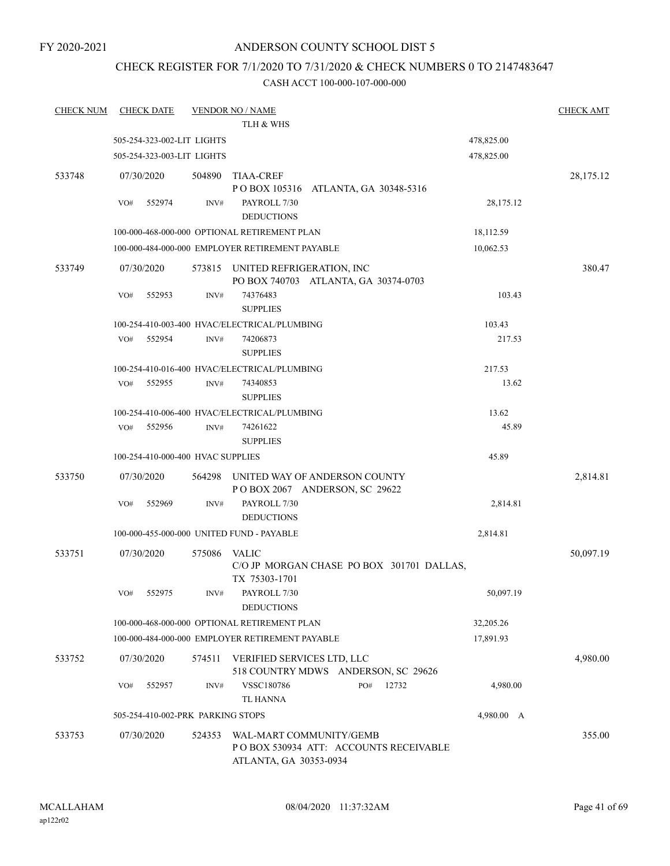## ANDERSON COUNTY SCHOOL DIST 5

# CHECK REGISTER FOR 7/1/2020 TO 7/31/2020 & CHECK NUMBERS 0 TO 2147483647

| <b>CHECK NUM</b> | <b>CHECK DATE</b>                 |        | <b>VENDOR NO / NAME</b>                                                                     |            | <b>CHECK AMT</b> |
|------------------|-----------------------------------|--------|---------------------------------------------------------------------------------------------|------------|------------------|
|                  |                                   |        | TLH & WHS                                                                                   |            |                  |
|                  | 505-254-323-002-LIT LIGHTS        |        |                                                                                             | 478,825.00 |                  |
|                  | 505-254-323-003-LIT LIGHTS        |        |                                                                                             | 478,825.00 |                  |
| 533748           | 07/30/2020                        | 504890 | <b>TIAA-CREF</b>                                                                            |            | 28,175.12        |
|                  |                                   |        | POBOX 105316 ATLANTA, GA 30348-5316                                                         |            |                  |
|                  | 552974<br>VO#                     | INV#   | PAYROLL 7/30                                                                                | 28,175.12  |                  |
|                  |                                   |        | <b>DEDUCTIONS</b>                                                                           |            |                  |
|                  |                                   |        | 100-000-468-000-000 OPTIONAL RETIREMENT PLAN                                                | 18,112.59  |                  |
|                  |                                   |        | 100-000-484-000-000 EMPLOYER RETIREMENT PAYABLE                                             | 10,062.53  |                  |
| 533749           | 07/30/2020                        |        | 573815 UNITED REFRIGERATION, INC<br>PO BOX 740703 ATLANTA, GA 30374-0703                    |            | 380.47           |
|                  | 552953<br>VO#                     | INV#   | 74376483<br><b>SUPPLIES</b>                                                                 | 103.43     |                  |
|                  |                                   |        | 100-254-410-003-400 HVAC/ELECTRICAL/PLUMBING                                                | 103.43     |                  |
|                  | 552954<br>VO#                     | INV#   | 74206873                                                                                    | 217.53     |                  |
|                  |                                   |        | <b>SUPPLIES</b>                                                                             |            |                  |
|                  |                                   |        | 100-254-410-016-400 HVAC/ELECTRICAL/PLUMBING                                                | 217.53     |                  |
|                  | 552955<br>VO#                     | INV#   | 74340853                                                                                    | 13.62      |                  |
|                  |                                   |        | <b>SUPPLIES</b>                                                                             |            |                  |
|                  |                                   |        | 100-254-410-006-400 HVAC/ELECTRICAL/PLUMBING                                                | 13.62      |                  |
|                  | VO#<br>552956                     | INV#   | 74261622                                                                                    | 45.89      |                  |
|                  |                                   |        | <b>SUPPLIES</b>                                                                             |            |                  |
|                  | 100-254-410-000-400 HVAC SUPPLIES |        |                                                                                             | 45.89      |                  |
| 533750           | 07/30/2020                        | 564298 | UNITED WAY OF ANDERSON COUNTY<br>POBOX 2067 ANDERSON, SC 29622                              |            | 2,814.81         |
|                  | 552969<br>VO#                     | INV#   | PAYROLL 7/30                                                                                | 2,814.81   |                  |
|                  |                                   |        | <b>DEDUCTIONS</b>                                                                           |            |                  |
|                  |                                   |        | 100-000-455-000-000 UNITED FUND - PAYABLE                                                   | 2,814.81   |                  |
| 533751           | 07/30/2020                        | 575086 | <b>VALIC</b>                                                                                |            | 50,097.19        |
|                  |                                   |        | C/O JP MORGAN CHASE PO BOX 301701 DALLAS,<br>TX 75303-1701                                  |            |                  |
|                  | VO# 552975                        | INV#   | PAYROLL 7/30<br><b>DEDUCTIONS</b>                                                           | 50,097.19  |                  |
|                  |                                   |        | 100-000-468-000-000 OPTIONAL RETIREMENT PLAN                                                | 32,205.26  |                  |
|                  |                                   |        | 100-000-484-000-000 EMPLOYER RETIREMENT PAYABLE                                             | 17,891.93  |                  |
| 533752           | 07/30/2020                        | 574511 | VERIFIED SERVICES LTD, LLC<br>518 COUNTRY MDWS ANDERSON, SC 29626                           |            | 4,980.00         |
|                  | 552957<br>VO#                     | INV#   | VSSC180786<br>PO#<br>12732                                                                  | 4,980.00   |                  |
|                  |                                   |        | TL HANNA                                                                                    |            |                  |
|                  | 505-254-410-002-PRK PARKING STOPS |        |                                                                                             | 4,980.00 A |                  |
| 533753           | 07/30/2020                        | 524353 | WAL-MART COMMUNITY/GEMB<br>PO BOX 530934 ATT: ACCOUNTS RECEIVABLE<br>ATLANTA, GA 30353-0934 |            | 355.00           |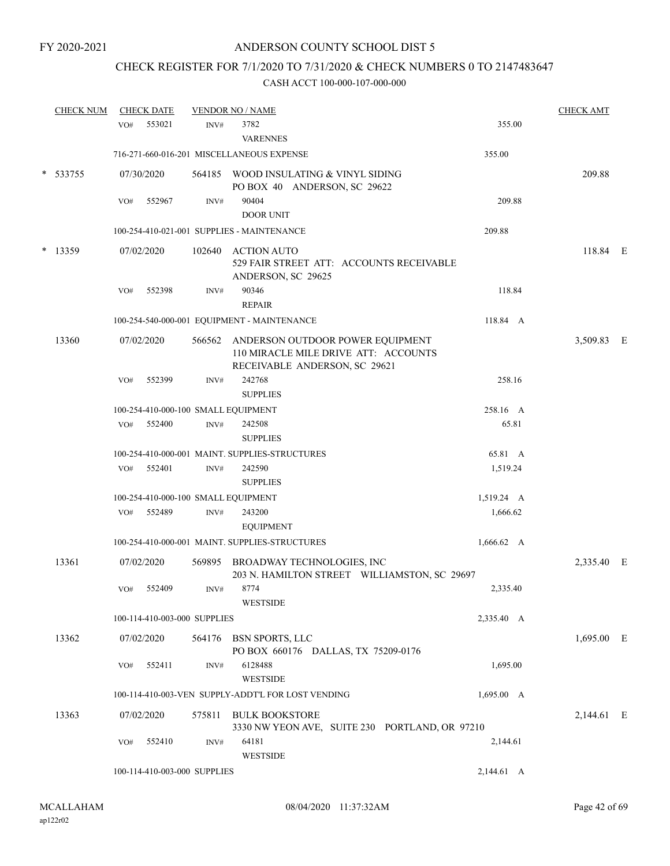## CHECK REGISTER FOR 7/1/2020 TO 7/31/2020 & CHECK NUMBERS 0 TO 2147483647

|            | <b>CHECK NUM</b> |            | <b>CHECK DATE</b>            |                                          | <b>VENDOR NO / NAME</b>                                                                                   |                                                | <b>CHECK AMT</b> |            |
|------------|------------------|------------|------------------------------|------------------------------------------|-----------------------------------------------------------------------------------------------------------|------------------------------------------------|------------------|------------|
|            |                  | VO#        | 553021                       | INV#                                     | 3782<br><b>VARENNES</b>                                                                                   | 355.00                                         |                  |            |
|            |                  |            |                              |                                          | 716-271-660-016-201 MISCELLANEOUS EXPENSE                                                                 | 355.00                                         |                  |            |
|            | $* 533755$       |            | 07/30/2020                   |                                          | 564185 WOOD INSULATING & VINYL SIDING<br>PO BOX 40 ANDERSON, SC 29622                                     |                                                | 209.88           |            |
|            |                  | VO#        | 552967                       | INV#                                     | 90404<br><b>DOOR UNIT</b>                                                                                 | 209.88                                         |                  |            |
|            |                  |            |                              |                                          | 100-254-410-021-001 SUPPLIES - MAINTENANCE                                                                | 209.88                                         |                  |            |
| 13359<br>* |                  | 07/02/2020 | 102640                       | <b>ACTION AUTO</b><br>ANDERSON, SC 29625 | 529 FAIR STREET ATT: ACCOUNTS RECEIVABLE                                                                  | 118.84 E                                       |                  |            |
|            |                  | VO#        | 552398                       | INV#                                     | 90346<br><b>REPAIR</b>                                                                                    | 118.84                                         |                  |            |
|            |                  |            |                              |                                          | 100-254-540-000-001 EQUIPMENT - MAINTENANCE                                                               | 118.84 A                                       |                  |            |
|            | 13360            |            | 07/02/2020                   | 566562                                   | ANDERSON OUTDOOR POWER EQUIPMENT<br>110 MIRACLE MILE DRIVE ATT: ACCOUNTS<br>RECEIVABLE ANDERSON, SC 29621 |                                                | 3,509.83         | $_{\rm E}$ |
|            |                  | VO#        | 552399                       | INV#                                     | 242768<br><b>SUPPLIES</b>                                                                                 | 258.16                                         |                  |            |
|            |                  |            |                              |                                          | 100-254-410-000-100 SMALL EQUIPMENT                                                                       | 258.16 A                                       |                  |            |
|            |                  | VO#        | 552400                       | INV#                                     | 242508<br><b>SUPPLIES</b>                                                                                 | 65.81                                          |                  |            |
|            |                  |            |                              |                                          | 100-254-410-000-001 MAINT. SUPPLIES-STRUCTURES                                                            | 65.81 A                                        |                  |            |
|            |                  | VO#        | 552401                       | INV#                                     | 242590<br><b>SUPPLIES</b>                                                                                 | 1,519.24                                       |                  |            |
|            |                  |            |                              |                                          | 100-254-410-000-100 SMALL EQUIPMENT                                                                       | 1,519.24 A                                     |                  |            |
|            |                  | VO#        | 552489                       | INV#                                     | 243200<br><b>EQUIPMENT</b>                                                                                | 1,666.62                                       |                  |            |
|            |                  |            |                              |                                          | 100-254-410-000-001 MAINT. SUPPLIES-STRUCTURES                                                            | $1,666.62 \quad A$                             |                  |            |
|            | 13361            |            | 07/02/2020                   | 569895                                   | BROADWAY TECHNOLOGIES, INC                                                                                | 203 N. HAMILTON STREET WILLIAMSTON, SC 29697   | 2,335.40 E       |            |
|            |                  | VO#        | 552409                       | INV#                                     | 8774<br><b>WESTSIDE</b>                                                                                   | 2,335.40                                       |                  |            |
|            |                  |            | 100-114-410-003-000 SUPPLIES |                                          |                                                                                                           | 2,335.40 A                                     |                  |            |
|            | 13362            |            | 07/02/2020                   |                                          | 564176 BSN SPORTS, LLC<br>PO BOX 660176 DALLAS, TX 75209-0176                                             |                                                | 1,695.00 E       |            |
|            |                  | VO#        | 552411                       | INV#                                     | 6128488<br><b>WESTSIDE</b>                                                                                | 1,695.00                                       |                  |            |
|            |                  |            |                              |                                          | 100-114-410-003-VEN SUPPLY-ADDT'L FOR LOST VENDING                                                        | 1,695.00 A                                     |                  |            |
|            | 13363            |            | 07/02/2020                   | 575811                                   | <b>BULK BOOKSTORE</b>                                                                                     | 3330 NW YEON AVE, SUITE 230 PORTLAND, OR 97210 | 2,144.61 E       |            |
|            |                  | VO#        | 552410                       | INV#                                     | 64181<br><b>WESTSIDE</b>                                                                                  | 2,144.61                                       |                  |            |
|            |                  |            | 100-114-410-003-000 SUPPLIES |                                          |                                                                                                           | 2,144.61 A                                     |                  |            |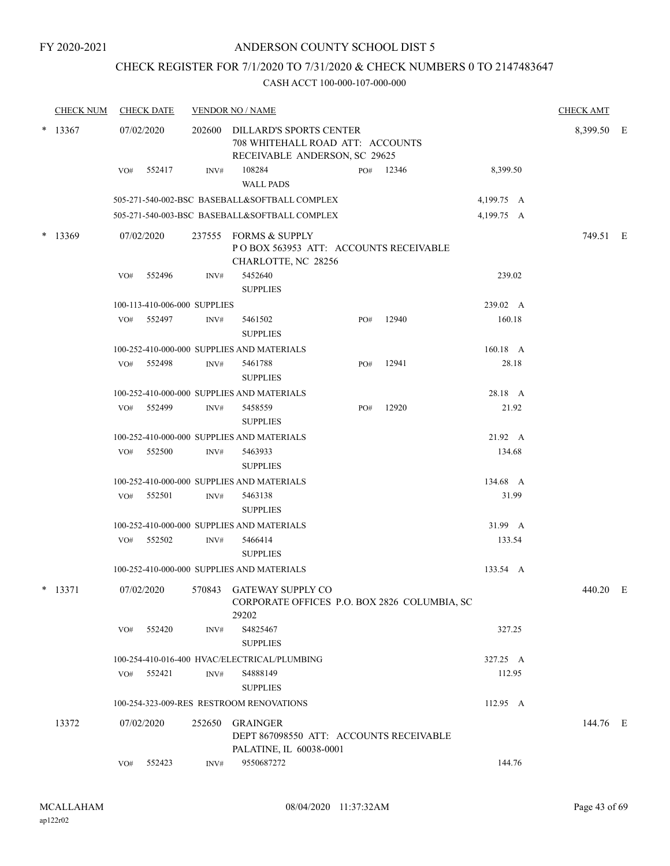## CHECK REGISTER FOR 7/1/2020 TO 7/31/2020 & CHECK NUMBERS 0 TO 2147483647

| <b>CHECK NUM</b> |     | <b>CHECK DATE</b>            |                | <b>VENDOR NO / NAME</b>                                                                             |     |           |            | <b>CHECK AMT</b> |  |
|------------------|-----|------------------------------|----------------|-----------------------------------------------------------------------------------------------------|-----|-----------|------------|------------------|--|
| $*$ 13367        |     | 07/02/2020                   |                | 202600 DILLARD'S SPORTS CENTER<br>708 WHITEHALL ROAD ATT: ACCOUNTS<br>RECEIVABLE ANDERSON, SC 29625 |     |           |            | 8,399.50 E       |  |
|                  | VO# | 552417                       | INV#           | 108284<br><b>WALL PADS</b>                                                                          |     | PO# 12346 | 8,399.50   |                  |  |
|                  |     |                              |                | 505-271-540-002-BSC BASEBALL&SOFTBALL COMPLEX                                                       |     |           | 4,199.75 A |                  |  |
|                  |     |                              |                | 505-271-540-003-BSC BASEBALL&SOFTBALL COMPLEX                                                       |     |           | 4,199.75 A |                  |  |
| $*$ 13369        |     | 07/02/2020                   |                | 237555 FORMS & SUPPLY<br>POBOX 563953 ATT: ACCOUNTS RECEIVABLE<br>CHARLOTTE, NC 28256               |     |           |            | 749.51 E         |  |
|                  | VO# | 552496                       | INV#           | 5452640<br><b>SUPPLIES</b>                                                                          |     |           | 239.02     |                  |  |
|                  |     | 100-113-410-006-000 SUPPLIES |                |                                                                                                     |     |           | 239.02 A   |                  |  |
|                  |     | VO# 552497                   | INV#           | 5461502<br><b>SUPPLIES</b>                                                                          | PO# | 12940     | 160.18     |                  |  |
|                  |     |                              |                | 100-252-410-000-000 SUPPLIES AND MATERIALS                                                          |     |           | 160.18 A   |                  |  |
|                  | VO# | 552498                       | $\text{INV}\#$ | 5461788<br><b>SUPPLIES</b>                                                                          | PO# | 12941     | 28.18      |                  |  |
|                  |     |                              |                | 100-252-410-000-000 SUPPLIES AND MATERIALS                                                          |     |           | 28.18 A    |                  |  |
|                  |     | VO# 552499                   | INV#           | 5458559<br><b>SUPPLIES</b>                                                                          | PO# | 12920     | 21.92      |                  |  |
|                  |     |                              |                | 100-252-410-000-000 SUPPLIES AND MATERIALS                                                          |     |           | 21.92 A    |                  |  |
|                  | VO# | 552500                       | INV#           | 5463933<br><b>SUPPLIES</b>                                                                          |     |           | 134.68     |                  |  |
|                  |     |                              |                | 100-252-410-000-000 SUPPLIES AND MATERIALS                                                          |     |           | 134.68 A   |                  |  |
|                  | VO# | 552501                       | INV#           | 5463138<br><b>SUPPLIES</b>                                                                          |     |           | 31.99      |                  |  |
|                  |     |                              |                | 100-252-410-000-000 SUPPLIES AND MATERIALS                                                          |     |           | 31.99 A    |                  |  |
|                  | VO# | 552502                       | INV#           | 5466414<br><b>SUPPLIES</b>                                                                          |     |           | 133.54     |                  |  |
|                  |     |                              |                | 100-252-410-000-000 SUPPLIES AND MATERIALS                                                          |     |           | 133.54 A   |                  |  |
| $*$ 13371        |     | 07/02/2020                   |                | 570843 GATEWAY SUPPLY CO<br>CORPORATE OFFICES P.O. BOX 2826 COLUMBIA, SC<br>29202                   |     |           |            | 440.20 E         |  |
|                  | VO# | 552420                       | INV#           | S4825467<br><b>SUPPLIES</b>                                                                         |     |           | 327.25     |                  |  |
|                  |     |                              |                | 100-254-410-016-400 HVAC/ELECTRICAL/PLUMBING                                                        |     |           | 327.25 A   |                  |  |
|                  | VO# | 552421                       | INV#           | S4888149                                                                                            |     |           | 112.95     |                  |  |
|                  |     |                              |                | <b>SUPPLIES</b>                                                                                     |     |           |            |                  |  |
|                  |     |                              |                | 100-254-323-009-RES RESTROOM RENOVATIONS                                                            |     |           | 112.95 A   |                  |  |
| 13372            |     | 07/02/2020                   | 252650         | <b>GRAINGER</b><br>DEPT 867098550 ATT: ACCOUNTS RECEIVABLE<br>PALATINE, IL 60038-0001               |     |           |            | 144.76 E         |  |
|                  | VO# | 552423                       | INV#           | 9550687272                                                                                          |     |           | 144.76     |                  |  |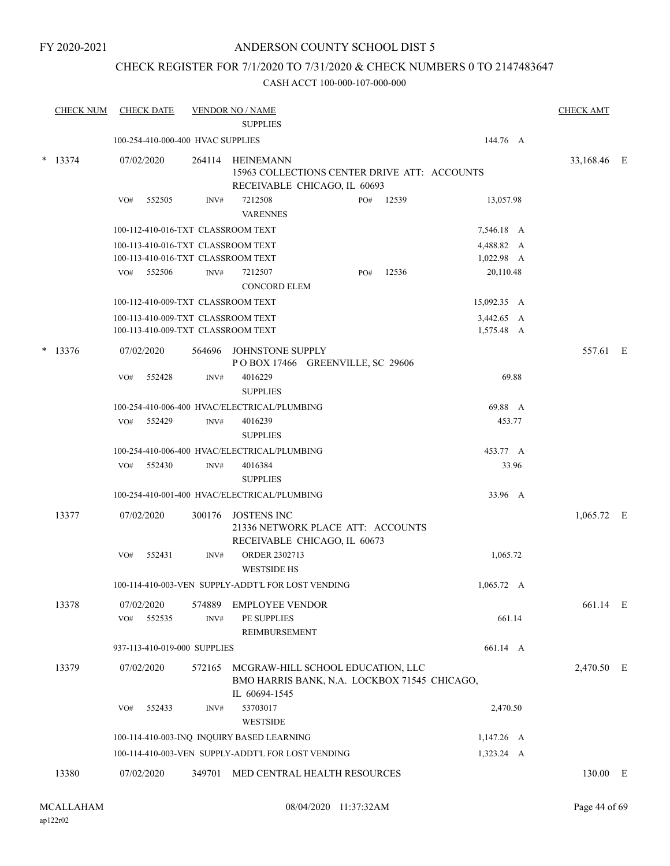## CHECK REGISTER FOR 7/1/2020 TO 7/31/2020 & CHECK NUMBERS 0 TO 2147483647

|        | <b>CHECK NUM</b> |     | <b>CHECK DATE</b>    |                                   | <b>VENDOR NO / NAME</b><br><b>SUPPLIES</b>                                                         |     |       |                          | <b>CHECK AMT</b> |  |
|--------|------------------|-----|----------------------|-----------------------------------|----------------------------------------------------------------------------------------------------|-----|-------|--------------------------|------------------|--|
|        |                  |     |                      | 100-254-410-000-400 HVAC SUPPLIES |                                                                                                    |     |       | 144.76 A                 |                  |  |
|        | $*$ 13374        |     | 07/02/2020           |                                   | 264114 HEINEMANN<br>15963 COLLECTIONS CENTER DRIVE ATT: ACCOUNTS<br>RECEIVABLE CHICAGO, IL 60693   |     |       |                          | 33,168.46 E      |  |
|        |                  | VO# | 552505               | INV#                              | 7212508<br><b>VARENNES</b>                                                                         | PO# | 12539 | 13,057.98                |                  |  |
|        |                  |     |                      |                                   | 100-112-410-016-TXT CLASSROOM TEXT                                                                 |     |       | 7,546.18 A               |                  |  |
|        |                  |     |                      |                                   | 100-113-410-016-TXT CLASSROOM TEXT<br>100-113-410-016-TXT CLASSROOM TEXT                           |     |       | 4,488.82 A<br>1,022.98 A |                  |  |
|        |                  | VO# | 552506               | INV#                              | 7212507<br>CONCORD ELEM                                                                            | PO# | 12536 | 20,110.48                |                  |  |
|        |                  |     |                      |                                   | 100-112-410-009-TXT CLASSROOM TEXT                                                                 |     |       | 15,092.35 A              |                  |  |
|        |                  |     |                      |                                   | 100-113-410-009-TXT CLASSROOM TEXT<br>100-113-410-009-TXT CLASSROOM TEXT                           |     |       | 3,442.65 A<br>1,575.48 A |                  |  |
| $\ast$ | 13376            |     | 07/02/2020           | 564696                            | JOHNSTONE SUPPLY<br>POBOX 17466 GREENVILLE, SC 29606                                               |     |       |                          | 557.61 E         |  |
|        |                  | VO# | 552428               | INV#                              | 4016229<br><b>SUPPLIES</b>                                                                         |     |       | 69.88                    |                  |  |
|        |                  |     |                      |                                   | 100-254-410-006-400 HVAC/ELECTRICAL/PLUMBING                                                       |     |       | 69.88 A                  |                  |  |
|        |                  | VO# | 552429               | INV#                              | 4016239<br><b>SUPPLIES</b>                                                                         |     |       | 453.77                   |                  |  |
|        |                  |     |                      |                                   | 100-254-410-006-400 HVAC/ELECTRICAL/PLUMBING                                                       |     |       | 453.77 A                 |                  |  |
|        |                  |     | VO# 552430           | INV#                              | 4016384<br><b>SUPPLIES</b>                                                                         |     |       | 33.96                    |                  |  |
|        |                  |     |                      |                                   | 100-254-410-001-400 HVAC/ELECTRICAL/PLUMBING                                                       |     |       | 33.96 A                  |                  |  |
|        | 13377            |     | 07/02/2020           | 300176                            | JOSTENS INC<br>21336 NETWORK PLACE ATT: ACCOUNTS<br>RECEIVABLE CHICAGO, IL 60673                   |     |       |                          | $1,065.72$ E     |  |
|        |                  | VO# | 552431               | INV#                              | ORDER 2302713<br><b>WESTSIDE HS</b>                                                                |     |       | 1,065.72                 |                  |  |
|        |                  |     |                      |                                   | 100-114-410-003-VEN SUPPLY-ADDT'L FOR LOST VENDING                                                 |     |       | $1,065.72 \quad A$       |                  |  |
|        | 13378            | VO# | 07/02/2020<br>552535 | 574889<br>INV#                    | <b>EMPLOYEE VENDOR</b><br>PE SUPPLIES                                                              |     |       | 661.14                   | 661.14 E         |  |
|        |                  |     |                      |                                   | REIMBURSEMENT                                                                                      |     |       |                          |                  |  |
|        |                  |     |                      | 937-113-410-019-000 SUPPLIES      |                                                                                                    |     |       | 661.14 A                 |                  |  |
|        | 13379            |     | 07/02/2020           | 572165                            | MCGRAW-HILL SCHOOL EDUCATION, LLC<br>BMO HARRIS BANK, N.A. LOCKBOX 71545 CHICAGO,<br>IL 60694-1545 |     |       |                          | 2,470.50 E       |  |
|        |                  | VO# | 552433               | INV#                              | 53703017<br><b>WESTSIDE</b>                                                                        |     |       | 2,470.50                 |                  |  |
|        |                  |     |                      |                                   | 100-114-410-003-INQ INQUIRY BASED LEARNING                                                         |     |       | $1,147.26$ A             |                  |  |
|        |                  |     |                      |                                   | 100-114-410-003-VEN SUPPLY-ADDT'L FOR LOST VENDING                                                 |     |       | $1,323.24 \quad A$       |                  |  |
|        | 13380            |     | 07/02/2020           | 349701                            | MED CENTRAL HEALTH RESOURCES                                                                       |     |       |                          | 130.00 E         |  |
|        |                  |     |                      |                                   |                                                                                                    |     |       |                          |                  |  |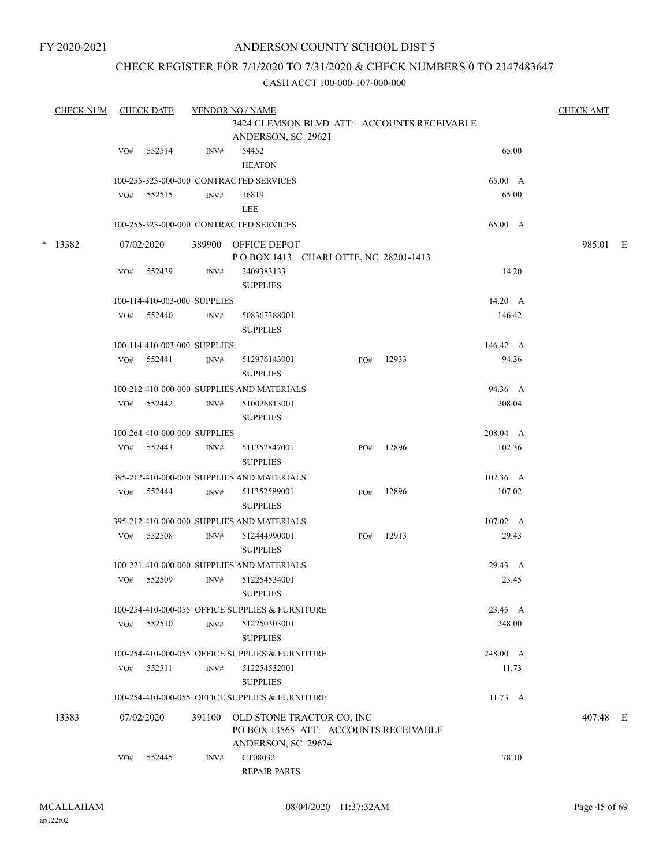## ANDERSON COUNTY SCHOOL DIST 5

## CHECK REGISTER FOR 7/1/2020 TO 7/31/2020 & CHECK NUMBERS 0 TO 2147483647

| <b>CHECK NUM</b> |     | <b>CHECK DATE</b>                      |        | <b>VENDOR NO / NAME</b>                         |     |       |                  | <b>CHECK AMT</b> |  |
|------------------|-----|----------------------------------------|--------|-------------------------------------------------|-----|-------|------------------|------------------|--|
|                  |     |                                        |        | 3424 CLEMSON BLVD ATT: ACCOUNTS RECEIVABLE      |     |       |                  |                  |  |
|                  |     |                                        |        | ANDERSON, SC 29621                              |     |       |                  |                  |  |
|                  | VO# | 552514                                 | INV#   | 54452                                           |     |       | 65.00            |                  |  |
|                  |     |                                        |        | <b>HEATON</b>                                   |     |       |                  |                  |  |
|                  |     |                                        |        | 100-255-323-000-000 CONTRACTED SERVICES         |     |       | 65.00 A          |                  |  |
|                  | VO# | 552515                                 | INV#   | 16819                                           |     |       | 65.00            |                  |  |
|                  |     |                                        |        | LEE                                             |     |       |                  |                  |  |
|                  |     |                                        |        | 100-255-323-000-000 CONTRACTED SERVICES         |     |       | 65.00 A          |                  |  |
| $*$ 13382        |     | 07/02/2020                             |        | 389900 OFFICE DEPOT                             |     |       |                  | 985.01 E         |  |
|                  |     |                                        |        | POBOX 1413 CHARLOTTE, NC 28201-1413             |     |       |                  |                  |  |
|                  | VO# | 552439                                 | INV#   | 2409383133                                      |     |       | 14.20            |                  |  |
|                  |     |                                        |        | <b>SUPPLIES</b>                                 |     |       |                  |                  |  |
|                  |     | 100-114-410-003-000 SUPPLIES           |        |                                                 |     |       | 14.20 A          |                  |  |
|                  | VO# | 552440                                 | INV#   | 508367388001                                    |     |       | 146.42           |                  |  |
|                  |     |                                        |        | <b>SUPPLIES</b>                                 |     |       |                  |                  |  |
|                  |     | 100-114-410-003-000 SUPPLIES           |        |                                                 |     |       | 146.42 A         |                  |  |
|                  |     | VO# 552441                             | INV#   | 512976143001                                    | PO# | 12933 | 94.36            |                  |  |
|                  |     |                                        |        | <b>SUPPLIES</b>                                 |     |       |                  |                  |  |
|                  |     |                                        |        | 100-212-410-000-000 SUPPLIES AND MATERIALS      |     |       | 94.36 A          |                  |  |
|                  |     | VO# 552442                             | INV#   | 510026813001                                    |     |       | 208.04           |                  |  |
|                  |     |                                        |        | <b>SUPPLIES</b>                                 |     |       |                  |                  |  |
|                  |     |                                        |        |                                                 |     |       | 208.04 A         |                  |  |
|                  | VO# | 100-264-410-000-000 SUPPLIES<br>552443 |        |                                                 | PO# | 12896 | 102.36           |                  |  |
|                  |     |                                        | INV#   | 511352847001<br><b>SUPPLIES</b>                 |     |       |                  |                  |  |
|                  |     |                                        |        | 395-212-410-000-000 SUPPLIES AND MATERIALS      |     |       | 102.36 A         |                  |  |
|                  |     | VO# 552444                             | INV#   | 511352589001                                    | PO# | 12896 | 107.02           |                  |  |
|                  |     |                                        |        | <b>SUPPLIES</b>                                 |     |       |                  |                  |  |
|                  |     |                                        |        | 395-212-410-000-000 SUPPLIES AND MATERIALS      |     |       | $107.02 \quad A$ |                  |  |
|                  | VO# | 552508                                 | INV#   | 512444990001                                    | PO# | 12913 | 29.43            |                  |  |
|                  |     |                                        |        | <b>SUPPLIES</b>                                 |     |       |                  |                  |  |
|                  |     |                                        |        | 100-221-410-000-000 SUPPLIES AND MATERIALS      |     |       | 29.43 A          |                  |  |
|                  | VO# | 552509                                 | INV#   | 512254534001                                    |     |       | 23.45            |                  |  |
|                  |     |                                        |        | <b>SUPPLIES</b>                                 |     |       |                  |                  |  |
|                  |     |                                        |        | 100-254-410-000-055 OFFICE SUPPLIES & FURNITURE |     |       | 23.45 A          |                  |  |
|                  | VO# | 552510                                 | INV#   | 512250303001                                    |     |       | 248.00           |                  |  |
|                  |     |                                        |        | <b>SUPPLIES</b>                                 |     |       |                  |                  |  |
|                  |     |                                        |        | 100-254-410-000-055 OFFICE SUPPLIES & FURNITURE |     |       | 248.00 A         |                  |  |
|                  |     | VO# 552511                             | INV#   | 512254532001                                    |     |       | 11.73            |                  |  |
|                  |     |                                        |        | <b>SUPPLIES</b>                                 |     |       |                  |                  |  |
|                  |     |                                        |        | 100-254-410-000-055 OFFICE SUPPLIES & FURNITURE |     |       | $11.73 \quad A$  |                  |  |
| 13383            |     | 07/02/2020                             | 391100 | OLD STONE TRACTOR CO, INC                       |     |       |                  | 407.48 E         |  |
|                  |     |                                        |        | PO BOX 13565 ATT: ACCOUNTS RECEIVABLE           |     |       |                  |                  |  |
|                  |     |                                        |        | ANDERSON, SC 29624                              |     |       |                  |                  |  |
|                  | VO# | 552445                                 | INV#   | CT08032                                         |     |       | 78.10            |                  |  |
|                  |     |                                        |        | <b>REPAIR PARTS</b>                             |     |       |                  |                  |  |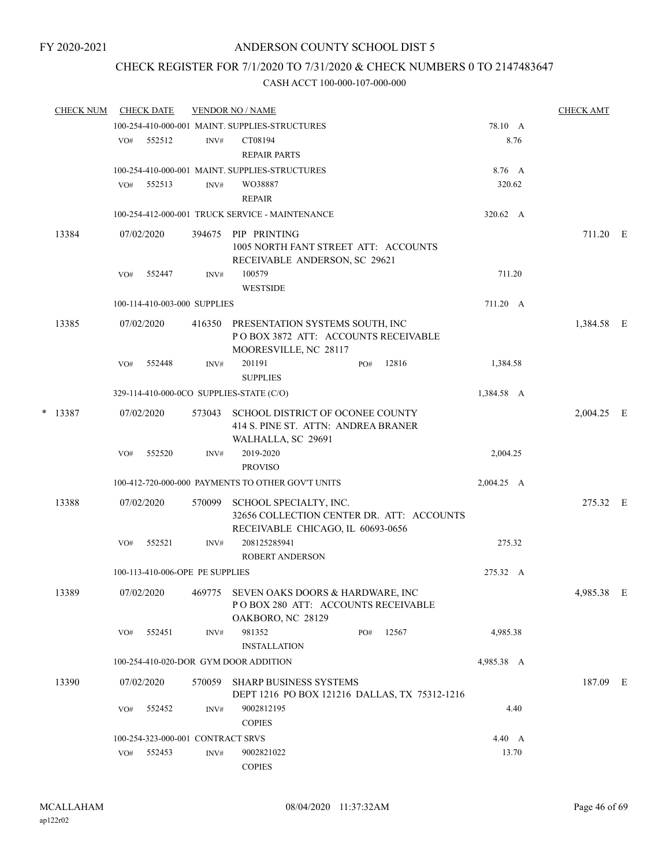# CHECK REGISTER FOR 7/1/2020 TO 7/31/2020 & CHECK NUMBERS 0 TO 2147483647

| <b>CHECK NUM</b> |     | <b>CHECK DATE</b>                 |        | <b>VENDOR NO / NAME</b>                                                                                  |     |       |               | <b>CHECK AMT</b> |   |
|------------------|-----|-----------------------------------|--------|----------------------------------------------------------------------------------------------------------|-----|-------|---------------|------------------|---|
|                  |     |                                   |        | 100-254-410-000-001 MAINT. SUPPLIES-STRUCTURES                                                           |     |       | 78.10 A       |                  |   |
|                  | VO# | 552512                            | INV#   | CT08194                                                                                                  |     |       | 8.76          |                  |   |
|                  |     |                                   |        | <b>REPAIR PARTS</b>                                                                                      |     |       |               |                  |   |
|                  |     |                                   |        | 100-254-410-000-001 MAINT. SUPPLIES-STRUCTURES                                                           |     |       | 8.76 A        |                  |   |
|                  | VO# | 552513                            | INV#   | WO38887                                                                                                  |     |       | 320.62        |                  |   |
|                  |     |                                   |        | <b>REPAIR</b>                                                                                            |     |       |               |                  |   |
|                  |     |                                   |        | 100-254-412-000-001 TRUCK SERVICE - MAINTENANCE                                                          |     |       | 320.62 A      |                  |   |
| 13384            |     | 07/02/2020                        | 394675 | PIP PRINTING<br>1005 NORTH FANT STREET ATT: ACCOUNTS<br>RECEIVABLE ANDERSON, SC 29621                    |     |       |               | 711.20 E         |   |
|                  | VO# | 552447                            | INV#   | 100579<br><b>WESTSIDE</b>                                                                                |     |       | 711.20        |                  |   |
|                  |     | 100-114-410-003-000 SUPPLIES      |        |                                                                                                          |     |       | 711.20 A      |                  |   |
| 13385            |     | 07/02/2020                        |        | 416350 PRESENTATION SYSTEMS SOUTH, INC<br>POBOX 3872 ATT: ACCOUNTS RECEIVABLE<br>MOORESVILLE, NC 28117   |     |       |               | 1,384.58 E       |   |
|                  | VO# | 552448                            | INV#   | 201191<br><b>SUPPLIES</b>                                                                                | PO# | 12816 | 1,384.58      |                  |   |
|                  |     |                                   |        | 329-114-410-000-0CO SUPPLIES-STATE (C/O)                                                                 |     |       | 1,384.58 A    |                  |   |
| $*$ 13387        |     | 07/02/2020                        | 573043 | SCHOOL DISTRICT OF OCONEE COUNTY<br>414 S. PINE ST. ATTN: ANDREA BRANER<br>WALHALLA, SC 29691            |     |       |               | 2,004.25 E       |   |
|                  | VO# | 552520                            | INV#   | 2019-2020                                                                                                |     |       | 2,004.25      |                  |   |
|                  |     |                                   |        | <b>PROVISO</b>                                                                                           |     |       |               |                  |   |
|                  |     |                                   |        | 100-412-720-000-000 PAYMENTS TO OTHER GOV'T UNITS                                                        |     |       | 2,004.25 A    |                  |   |
| 13388            |     | 07/02/2020                        | 570099 | SCHOOL SPECIALTY, INC.<br>32656 COLLECTION CENTER DR. ATT: ACCOUNTS<br>RECEIVABLE CHICAGO, IL 60693-0656 |     |       |               | 275.32 E         |   |
|                  | VO# | 552521                            | INV#   | 208125285941<br><b>ROBERT ANDERSON</b>                                                                   |     |       | 275.32        |                  |   |
|                  |     | 100-113-410-006-OPE PE SUPPLIES   |        |                                                                                                          |     |       | 275.32 A      |                  |   |
| 13389            |     | 07/02/2020                        |        | 469775 SEVEN OAKS DOORS & HARDWARE, INC<br>POBOX 280 ATT: ACCOUNTS RECEIVABLE<br>OAKBORO, NC 28129       |     |       |               | 4,985.38         | E |
|                  | VO# | 552451                            | INV#   | 981352                                                                                                   | PO# | 12567 | 4,985.38      |                  |   |
|                  |     |                                   |        | <b>INSTALLATION</b>                                                                                      |     |       |               |                  |   |
|                  |     |                                   |        | 100-254-410-020-DOR GYM DOOR ADDITION                                                                    |     |       | 4,985.38 A    |                  |   |
| 13390            |     | 07/02/2020                        |        | 570059 SHARP BUSINESS SYSTEMS<br>DEPT 1216 PO BOX 121216 DALLAS, TX 75312-1216                           |     |       |               | 187.09 E         |   |
|                  | VO# | 552452                            | INV#   | 9002812195<br><b>COPIES</b>                                                                              |     |       | 4.40          |                  |   |
|                  |     | 100-254-323-000-001 CONTRACT SRVS |        |                                                                                                          |     |       | $4.40\quad A$ |                  |   |
|                  | VO# | 552453                            | INV#   | 9002821022<br><b>COPIES</b>                                                                              |     |       | 13.70         |                  |   |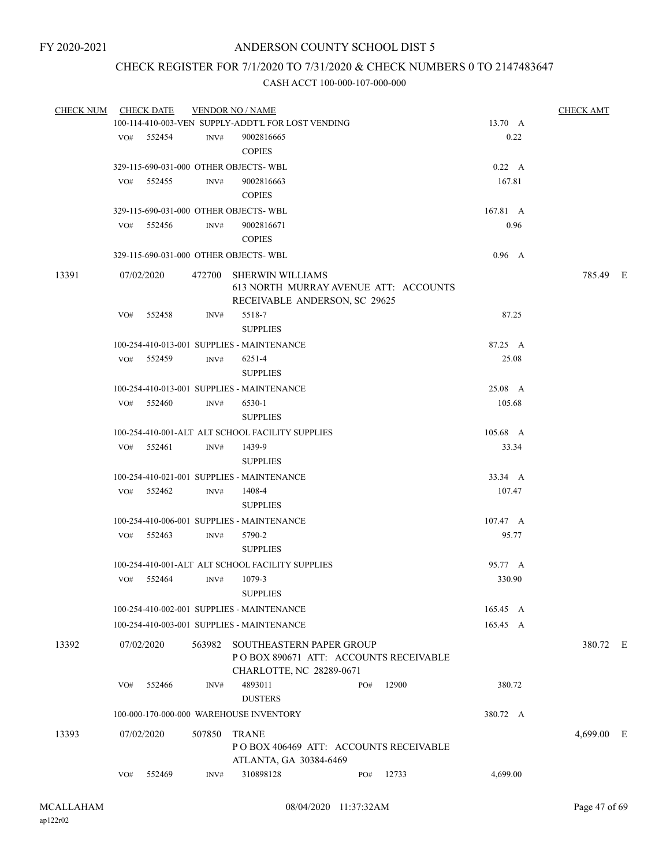## CHECK REGISTER FOR 7/1/2020 TO 7/31/2020 & CHECK NUMBERS 0 TO 2147483647

| <b>CHECK NUM</b> |     | <b>CHECK DATE</b> |        | <b>VENDOR NO / NAME</b>                            |     |       |                  | <b>CHECK AMT</b> |      |
|------------------|-----|-------------------|--------|----------------------------------------------------|-----|-------|------------------|------------------|------|
|                  |     |                   |        | 100-114-410-003-VEN SUPPLY-ADDT'L FOR LOST VENDING |     |       | 13.70 A          |                  |      |
|                  |     | VO# 552454        | INV#   | 9002816665                                         |     |       | 0.22             |                  |      |
|                  |     |                   |        | <b>COPIES</b>                                      |     |       |                  |                  |      |
|                  |     |                   |        | 329-115-690-031-000 OTHER OBJECTS-WBL              |     |       | 0.22 A           |                  |      |
|                  | VO# | 552455            | INV#   | 9002816663                                         |     |       | 167.81           |                  |      |
|                  |     |                   |        | <b>COPIES</b>                                      |     |       |                  |                  |      |
|                  |     |                   |        | 329-115-690-031-000 OTHER OBJECTS-WBL              |     |       | 167.81 A         |                  |      |
|                  | VO# | 552456            | INV#   | 9002816671                                         |     |       | 0.96             |                  |      |
|                  |     |                   |        | <b>COPIES</b>                                      |     |       |                  |                  |      |
|                  |     |                   |        | 329-115-690-031-000 OTHER OBJECTS-WBL              |     |       | $0.96\quad A$    |                  |      |
| 13391            |     | 07/02/2020        |        | 472700 SHERWIN WILLIAMS                            |     |       |                  | 785.49 E         |      |
|                  |     |                   |        | 613 NORTH MURRAY AVENUE ATT: ACCOUNTS              |     |       |                  |                  |      |
|                  |     |                   |        | RECEIVABLE ANDERSON, SC 29625                      |     |       |                  |                  |      |
|                  | VO# | 552458            | INV#   | 5518-7                                             |     |       | 87.25            |                  |      |
|                  |     |                   |        | <b>SUPPLIES</b>                                    |     |       |                  |                  |      |
|                  |     |                   |        | 100-254-410-013-001 SUPPLIES - MAINTENANCE         |     |       | 87.25 A          |                  |      |
|                  |     | VO# 552459        | INV#   | 6251-4                                             |     |       | 25.08            |                  |      |
|                  |     |                   |        | <b>SUPPLIES</b>                                    |     |       |                  |                  |      |
|                  |     |                   |        | 100-254-410-013-001 SUPPLIES - MAINTENANCE         |     |       | 25.08 A          |                  |      |
|                  | VO# | 552460            | INV#   | 6530-1                                             |     |       | 105.68           |                  |      |
|                  |     |                   |        | <b>SUPPLIES</b>                                    |     |       |                  |                  |      |
|                  |     |                   |        | 100-254-410-001-ALT ALT SCHOOL FACILITY SUPPLIES   |     |       | 105.68 A         |                  |      |
|                  | VO# | 552461            | INV#   | 1439-9                                             |     |       | 33.34            |                  |      |
|                  |     |                   |        | <b>SUPPLIES</b>                                    |     |       |                  |                  |      |
|                  |     |                   |        | 100-254-410-021-001 SUPPLIES - MAINTENANCE         |     |       | 33.34 A          |                  |      |
|                  |     | VO# 552462        | INV#   | 1408-4                                             |     |       | 107.47           |                  |      |
|                  |     |                   |        | <b>SUPPLIES</b>                                    |     |       |                  |                  |      |
|                  |     |                   |        | 100-254-410-006-001 SUPPLIES - MAINTENANCE         |     |       | $107.47 \quad A$ |                  |      |
|                  |     | VO# 552463        | INV#   | 5790-2                                             |     |       | 95.77            |                  |      |
|                  |     |                   |        | <b>SUPPLIES</b>                                    |     |       |                  |                  |      |
|                  |     |                   |        | 100-254-410-001-ALT ALT SCHOOL FACILITY SUPPLIES   |     |       | 95.77 A          |                  |      |
|                  | VO# | 552464            | INV#   | 1079-3                                             |     |       | 330.90           |                  |      |
|                  |     |                   |        | <b>SUPPLIES</b>                                    |     |       |                  |                  |      |
|                  |     |                   |        | 100-254-410-002-001 SUPPLIES - MAINTENANCE         |     |       | 165.45 A         |                  |      |
|                  |     |                   |        |                                                    |     |       |                  |                  |      |
|                  |     |                   |        | 100-254-410-003-001 SUPPLIES - MAINTENANCE         |     |       | 165.45 A         |                  |      |
| 13392            |     | 07/02/2020        | 563982 | SOUTHEASTERN PAPER GROUP                           |     |       |                  | 380.72 E         |      |
|                  |     |                   |        | PO BOX 890671 ATT: ACCOUNTS RECEIVABLE             |     |       |                  |                  |      |
|                  |     |                   |        | CHARLOTTE, NC 28289-0671                           |     |       |                  |                  |      |
|                  | VO# | 552466            | INV#   | 4893011                                            | PO# | 12900 | 380.72           |                  |      |
|                  |     |                   |        | <b>DUSTERS</b>                                     |     |       |                  |                  |      |
|                  |     |                   |        | 100-000-170-000-000 WAREHOUSE INVENTORY            |     |       | 380.72 A         |                  |      |
| 13393            |     | 07/02/2020        |        | 507850 TRANE                                       |     |       |                  | 4,699.00         | - 13 |
|                  |     |                   |        | POBOX 406469 ATT: ACCOUNTS RECEIVABLE              |     |       |                  |                  |      |
|                  |     |                   |        | ATLANTA, GA 30384-6469                             |     |       |                  |                  |      |
|                  | VO# | 552469            | INV#   | 310898128                                          | PO# | 12733 | 4,699.00         |                  |      |
|                  |     |                   |        |                                                    |     |       |                  |                  |      |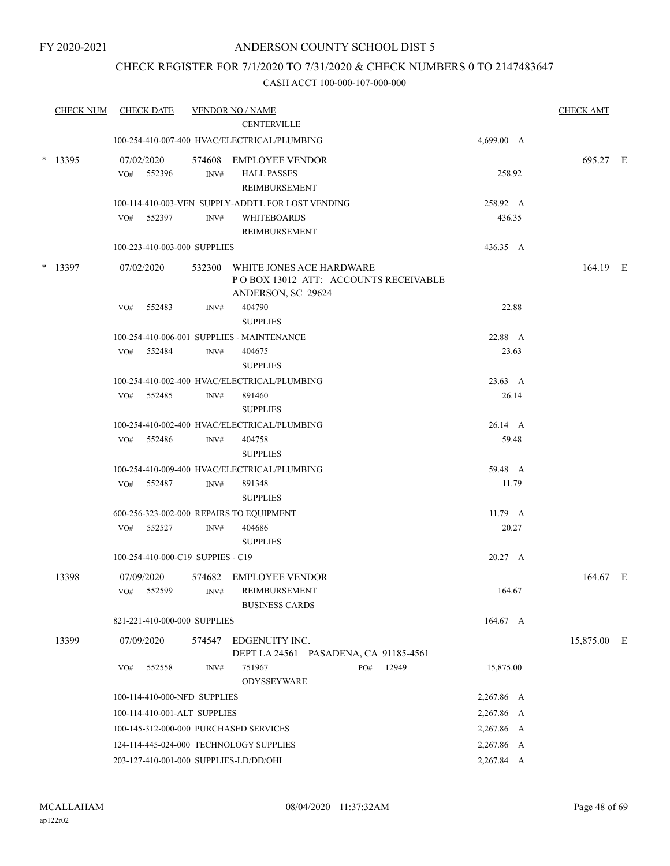## CHECK REGISTER FOR 7/1/2020 TO 7/31/2020 & CHECK NUMBERS 0 TO 2147483647

| <b>CHECK NUM</b> |            | <b>CHECK DATE</b>                 |      | <b>VENDOR NO / NAME</b>                                                                        |            |       | <b>CHECK AMT</b> |  |
|------------------|------------|-----------------------------------|------|------------------------------------------------------------------------------------------------|------------|-------|------------------|--|
|                  |            |                                   |      | <b>CENTERVILLE</b>                                                                             |            |       |                  |  |
|                  |            |                                   |      | 100-254-410-007-400 HVAC/ELECTRICAL/PLUMBING                                                   | 4,699.00 A |       |                  |  |
| $*$ 13395        | 07/02/2020 | VO# 552396                        | INV# | 574608 EMPLOYEE VENDOR<br><b>HALL PASSES</b><br>REIMBURSEMENT                                  | 258.92     |       | 695.27 E         |  |
|                  |            |                                   |      | 100-114-410-003-VEN SUPPLY-ADDT'L FOR LOST VENDING                                             | 258.92 A   |       |                  |  |
|                  |            | VO# 552397                        | INV# | <b>WHITEBOARDS</b><br>REIMBURSEMENT                                                            | 436.35     |       |                  |  |
|                  |            | 100-223-410-003-000 SUPPLIES      |      |                                                                                                | 436.35 A   |       |                  |  |
| $*$ 13397        | 07/02/2020 |                                   |      | 532300 WHITE JONES ACE HARDWARE<br>PO BOX 13012 ATT: ACCOUNTS RECEIVABLE<br>ANDERSON, SC 29624 |            |       | 164.19 E         |  |
|                  | VO#        | 552483                            | INV# | 404790<br><b>SUPPLIES</b>                                                                      | 22.88      |       |                  |  |
|                  |            |                                   |      | 100-254-410-006-001 SUPPLIES - MAINTENANCE                                                     | 22.88 A    |       |                  |  |
|                  |            | VO# 552484                        | INV# | 404675<br><b>SUPPLIES</b>                                                                      | 23.63      |       |                  |  |
|                  |            |                                   |      | 100-254-410-002-400 HVAC/ELECTRICAL/PLUMBING                                                   | 23.63 A    |       |                  |  |
|                  |            | VO# 552485                        | INV# | 891460<br><b>SUPPLIES</b>                                                                      |            | 26.14 |                  |  |
|                  |            |                                   |      | 100-254-410-002-400 HVAC/ELECTRICAL/PLUMBING                                                   | 26.14 A    |       |                  |  |
|                  |            | VO# 552486                        | INV# | 404758<br><b>SUPPLIES</b>                                                                      |            | 59.48 |                  |  |
|                  |            |                                   |      | 100-254-410-009-400 HVAC/ELECTRICAL/PLUMBING                                                   | 59.48 A    |       |                  |  |
|                  |            | VO# 552487                        | INV# | 891348<br><b>SUPPLIES</b>                                                                      | 11.79      |       |                  |  |
|                  |            |                                   |      | 600-256-323-002-000 REPAIRS TO EQUIPMENT                                                       | 11.79 A    |       |                  |  |
|                  |            | VO# 552527                        | INV# | 404686<br><b>SUPPLIES</b>                                                                      |            | 20.27 |                  |  |
|                  |            | 100-254-410-000-C19 SUPPIES - C19 |      |                                                                                                | 20.27 A    |       |                  |  |
| 13398            | 07/09/2020 |                                   |      | 574682 EMPLOYEE VENDOR                                                                         |            |       | 164.67 E         |  |
|                  |            | VO# 552599                        | INV# | REIMBURSEMENT<br><b>BUSINESS CARDS</b>                                                         | 164.67     |       |                  |  |
|                  |            | 821-221-410-000-000 SUPPLIES      |      |                                                                                                | 164.67 A   |       |                  |  |
| 13399            | 07/09/2020 |                                   |      | 574547 EDGENUITY INC.<br>DEPT LA 24561 PASADENA, CA 91185-4561                                 |            |       | 15,875.00 E      |  |
|                  | VO#        | 552558                            | INV# | 751967<br>12949<br>PO#<br>ODYSSEYWARE                                                          | 15,875.00  |       |                  |  |
|                  |            | 100-114-410-000-NFD SUPPLIES      |      |                                                                                                | 2,267.86 A |       |                  |  |
|                  |            | 100-114-410-001-ALT SUPPLIES      |      |                                                                                                | 2,267.86 A |       |                  |  |
|                  |            |                                   |      | 100-145-312-000-000 PURCHASED SERVICES                                                         | 2,267.86 A |       |                  |  |
|                  |            |                                   |      | 124-114-445-024-000 TECHNOLOGY SUPPLIES                                                        | 2,267.86 A |       |                  |  |
|                  |            |                                   |      | 203-127-410-001-000 SUPPLIES-LD/DD/OHI                                                         | 2,267.84 A |       |                  |  |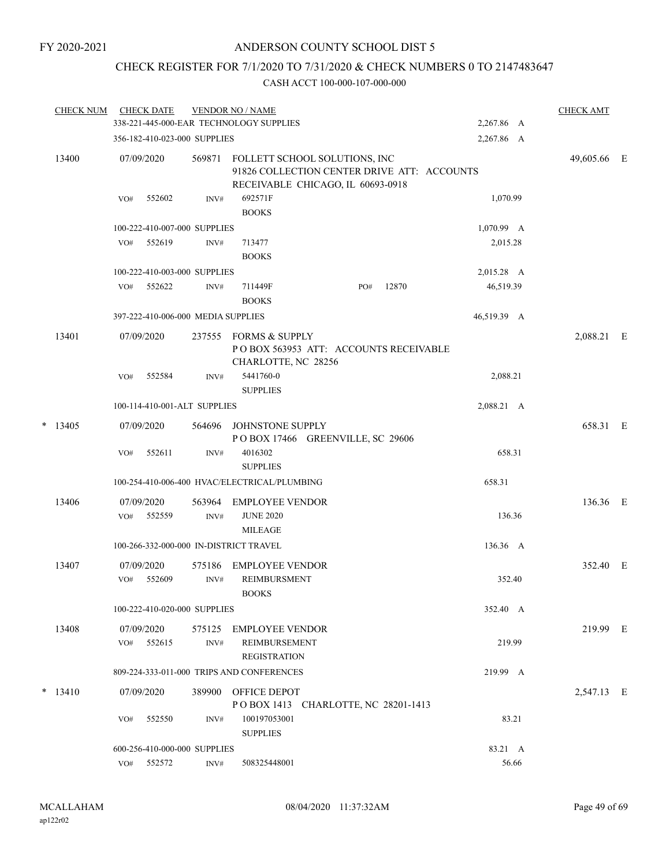## CHECK REGISTER FOR 7/1/2020 TO 7/31/2020 & CHECK NUMBERS 0 TO 2147483647

|       | <b>CHECK NUM</b> | <b>CHECK DATE</b>                      |                          | <b>VENDOR NO / NAME</b><br>338-221-445-000-EAR TECHNOLOGY SUPPLIES                                                |                                       |       | 2,267.86 A  | <b>CHECK AMT</b> |  |
|-------|------------------|----------------------------------------|--------------------------|-------------------------------------------------------------------------------------------------------------------|---------------------------------------|-------|-------------|------------------|--|
|       |                  | 356-182-410-023-000 SUPPLIES           |                          |                                                                                                                   |                                       |       | 2,267.86 A  |                  |  |
| 13400 | 07/09/2020       | 569871                                 |                          | FOLLETT SCHOOL SOLUTIONS, INC<br>91826 COLLECTION CENTER DRIVE ATT: ACCOUNTS<br>RECEIVABLE CHICAGO, IL 60693-0918 |                                       |       | 49,605.66   | – E              |  |
|       |                  | 552602<br>VO#                          | INV#                     | 692571F<br><b>BOOKS</b>                                                                                           |                                       |       | 1,070.99    |                  |  |
|       |                  | 100-222-410-007-000 SUPPLIES           |                          |                                                                                                                   |                                       |       | 1,070.99 A  |                  |  |
|       |                  | 552619<br>VO#                          | INV#                     | 713477<br><b>BOOKS</b>                                                                                            |                                       |       | 2,015.28    |                  |  |
|       |                  | 100-222-410-003-000 SUPPLIES           |                          |                                                                                                                   |                                       |       | 2,015.28 A  |                  |  |
|       |                  | 552622<br>VO#                          | INV#                     | 711449F<br><b>BOOKS</b>                                                                                           | PO#                                   | 12870 | 46,519.39   |                  |  |
|       |                  | 397-222-410-006-000 MEDIA SUPPLIES     |                          |                                                                                                                   |                                       |       | 46,519.39 A |                  |  |
|       | 13401            | 07/09/2020                             | 237555                   | FORMS & SUPPLY<br>CHARLOTTE, NC 28256                                                                             | POBOX 563953 ATT: ACCOUNTS RECEIVABLE |       |             | 2,088.21 E       |  |
|       |                  | VO#<br>552584                          | INV#                     | 5441760-0<br><b>SUPPLIES</b>                                                                                      |                                       |       | 2,088.21    |                  |  |
|       |                  | 100-114-410-001-ALT SUPPLIES           |                          |                                                                                                                   |                                       |       | 2,088.21 A  |                  |  |
| *     | 13405            | 07/09/2020                             | 564696                   | JOHNSTONE SUPPLY                                                                                                  | POBOX 17466 GREENVILLE, SC 29606      |       |             | 658.31 E         |  |
|       |                  | 552611<br>VO#                          | INV#                     | 4016302<br><b>SUPPLIES</b>                                                                                        |                                       |       | 658.31      |                  |  |
|       |                  |                                        |                          | 100-254-410-006-400 HVAC/ELECTRICAL/PLUMBING                                                                      |                                       |       | 658.31      |                  |  |
|       | 13406            | 07/09/2020<br>552559<br>VO#            | 563964<br>$\text{INV}\#$ | <b>EMPLOYEE VENDOR</b><br><b>JUNE 2020</b><br><b>MILEAGE</b>                                                      |                                       |       | 136.36      | 136.36 E         |  |
|       |                  | 100-266-332-000-000 IN-DISTRICT TRAVEL |                          |                                                                                                                   |                                       |       | 136.36 A    |                  |  |
|       | 13407            | 07/09/2020<br>552609<br>VO#            | 575186<br>INV#           | <b>EMPLOYEE VENDOR</b><br><b>REIMBURSMENT</b>                                                                     |                                       |       | 352.40      | 352.40 E         |  |
|       |                  |                                        |                          | <b>BOOKS</b>                                                                                                      |                                       |       |             |                  |  |
|       |                  | 100-222-410-020-000 SUPPLIES           |                          |                                                                                                                   |                                       |       | 352.40 A    |                  |  |
|       | 13408            | 07/09/2020<br>552615<br>VO#            | 575125<br>INV#           | EMPLOYEE VENDOR<br><b>REIMBURSEMENT</b>                                                                           |                                       |       | 219.99      | 219.99 E         |  |
|       |                  |                                        |                          | <b>REGISTRATION</b><br>809-224-333-011-000 TRIPS AND CONFERENCES                                                  |                                       |       | 219.99 A    |                  |  |
|       |                  |                                        |                          |                                                                                                                   |                                       |       |             |                  |  |
|       | $* 13410$        | 07/09/2020                             | 389900                   | OFFICE DEPOT                                                                                                      | POBOX 1413 CHARLOTTE, NC 28201-1413   |       |             | 2,547.13 E       |  |
|       |                  | 552550<br>VO#                          | INV#                     | 100197053001<br><b>SUPPLIES</b>                                                                                   |                                       |       | 83.21       |                  |  |
|       |                  | 600-256-410-000-000 SUPPLIES           |                          |                                                                                                                   |                                       |       | 83.21 A     |                  |  |
|       |                  | 552572<br>VO#                          | INV#                     | 508325448001                                                                                                      |                                       |       | 56.66       |                  |  |
|       |                  |                                        |                          |                                                                                                                   |                                       |       |             |                  |  |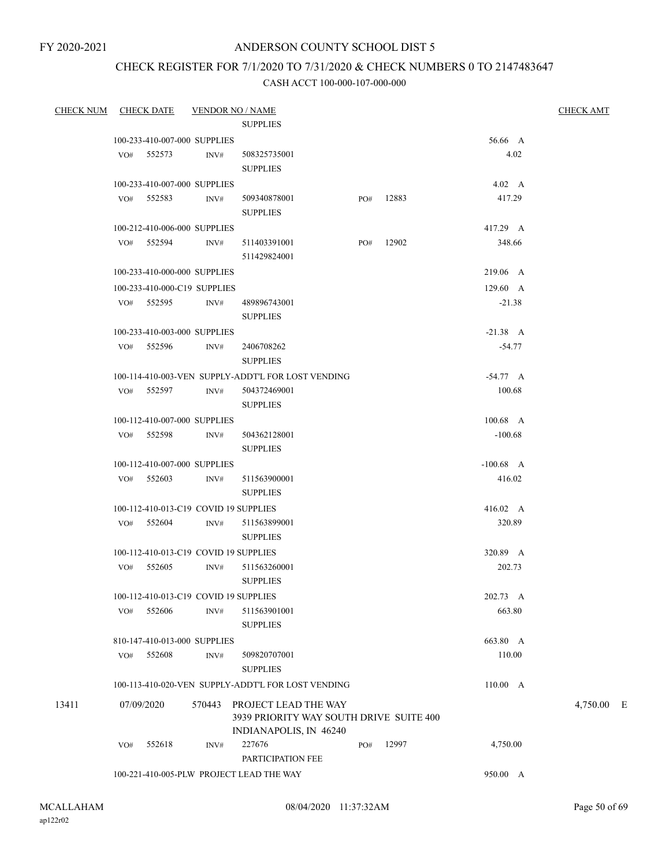## CHECK REGISTER FOR 7/1/2020 TO 7/31/2020 & CHECK NUMBERS 0 TO 2147483647

| <b>CHECK NUM</b> |     | <b>CHECK DATE</b>                     |        | <b>VENDOR NO / NAME</b>                                         |     |       |                  | <b>CHECK AMT</b> |
|------------------|-----|---------------------------------------|--------|-----------------------------------------------------------------|-----|-------|------------------|------------------|
|                  |     |                                       |        | <b>SUPPLIES</b>                                                 |     |       |                  |                  |
|                  |     | 100-233-410-007-000 SUPPLIES          |        |                                                                 |     |       | 56.66 A          |                  |
|                  |     | VO# 552573                            | INV#   | 508325735001                                                    |     |       | 4.02             |                  |
|                  |     |                                       |        | <b>SUPPLIES</b>                                                 |     |       |                  |                  |
|                  |     | 100-233-410-007-000 SUPPLIES          |        |                                                                 |     |       | $4.02 \quad A$   |                  |
|                  |     | VO# 552583                            | INV#   | 509340878001                                                    | PO# | 12883 | 417.29           |                  |
|                  |     |                                       |        | <b>SUPPLIES</b>                                                 |     |       |                  |                  |
|                  |     | 100-212-410-006-000 SUPPLIES          |        |                                                                 |     |       | 417.29 A         |                  |
|                  |     | VO# 552594                            | INV#   | 511403391001                                                    | PO# | 12902 | 348.66           |                  |
|                  |     |                                       |        | 511429824001                                                    |     |       |                  |                  |
|                  |     | 100-233-410-000-000 SUPPLIES          |        |                                                                 |     |       | 219.06 A         |                  |
|                  |     | 100-233-410-000-C19 SUPPLIES          |        |                                                                 |     |       | $129.60\quad A$  |                  |
|                  |     | VO# 552595                            | INV#   | 489896743001                                                    |     |       | $-21.38$         |                  |
|                  |     |                                       |        | <b>SUPPLIES</b>                                                 |     |       |                  |                  |
|                  |     | 100-233-410-003-000 SUPPLIES          |        |                                                                 |     |       | $-21.38$ A       |                  |
|                  |     | VO# 552596                            | INV#   | 2406708262                                                      |     |       | $-54.77$         |                  |
|                  |     |                                       |        | <b>SUPPLIES</b>                                                 |     |       |                  |                  |
|                  |     |                                       |        | 100-114-410-003-VEN SUPPLY-ADDT'L FOR LOST VENDING              |     |       | $-54.77 A$       |                  |
|                  |     | VO# 552597                            | INV#   | 504372469001                                                    |     |       | 100.68           |                  |
|                  |     |                                       |        | <b>SUPPLIES</b>                                                 |     |       |                  |                  |
|                  |     | 100-112-410-007-000 SUPPLIES          |        |                                                                 |     |       | $100.68$ A       |                  |
|                  |     | VO# 552598                            | INV#   | 504362128001                                                    |     |       | $-100.68$        |                  |
|                  |     |                                       |        | <b>SUPPLIES</b>                                                 |     |       |                  |                  |
|                  |     | 100-112-410-007-000 SUPPLIES          |        |                                                                 |     |       | $-100.68$ A      |                  |
|                  | VO# | 552603                                | INV#   | 511563900001<br><b>SUPPLIES</b>                                 |     |       | 416.02           |                  |
|                  |     | 100-112-410-013-C19 COVID 19 SUPPLIES |        |                                                                 |     |       | $416.02 \quad A$ |                  |
|                  |     | VO# 552604                            | INV#   | 511563899001                                                    |     |       | 320.89           |                  |
|                  |     |                                       |        | <b>SUPPLIES</b>                                                 |     |       |                  |                  |
|                  |     | 100-112-410-013-C19 COVID 19 SUPPLIES |        |                                                                 |     |       | 320.89 A         |                  |
|                  |     | VO# 552605                            | INV#   | 511563260001                                                    |     |       | 202.73           |                  |
|                  |     |                                       |        | <b>SUPPLIES</b>                                                 |     |       |                  |                  |
|                  |     | 100-112-410-013-C19 COVID 19 SUPPLIES |        |                                                                 |     |       | 202.73 A         |                  |
|                  | VO# | 552606                                | INV#   | 511563901001                                                    |     |       | 663.80           |                  |
|                  |     |                                       |        | <b>SUPPLIES</b>                                                 |     |       |                  |                  |
|                  |     | 810-147-410-013-000 SUPPLIES          |        |                                                                 |     |       | 663.80 A         |                  |
|                  | VO# | 552608                                | INV#   | 509820707001                                                    |     |       | 110.00           |                  |
|                  |     |                                       |        | <b>SUPPLIES</b>                                                 |     |       |                  |                  |
|                  |     |                                       |        | 100-113-410-020-VEN SUPPLY-ADDT'L FOR LOST VENDING              |     |       | 110.00 A         |                  |
| 13411            |     | 07/09/2020                            | 570443 | PROJECT LEAD THE WAY<br>3939 PRIORITY WAY SOUTH DRIVE SUITE 400 |     |       |                  | 4,750.00 E       |
|                  |     |                                       |        | INDIANAPOLIS, IN 46240                                          |     |       |                  |                  |
|                  | VO# | 552618                                | INV#   | 227676                                                          | PO# | 12997 | 4,750.00         |                  |
|                  |     |                                       |        | PARTICIPATION FEE                                               |     |       |                  |                  |
|                  |     |                                       |        | 100-221-410-005-PLW PROJECT LEAD THE WAY                        |     |       | 950.00 A         |                  |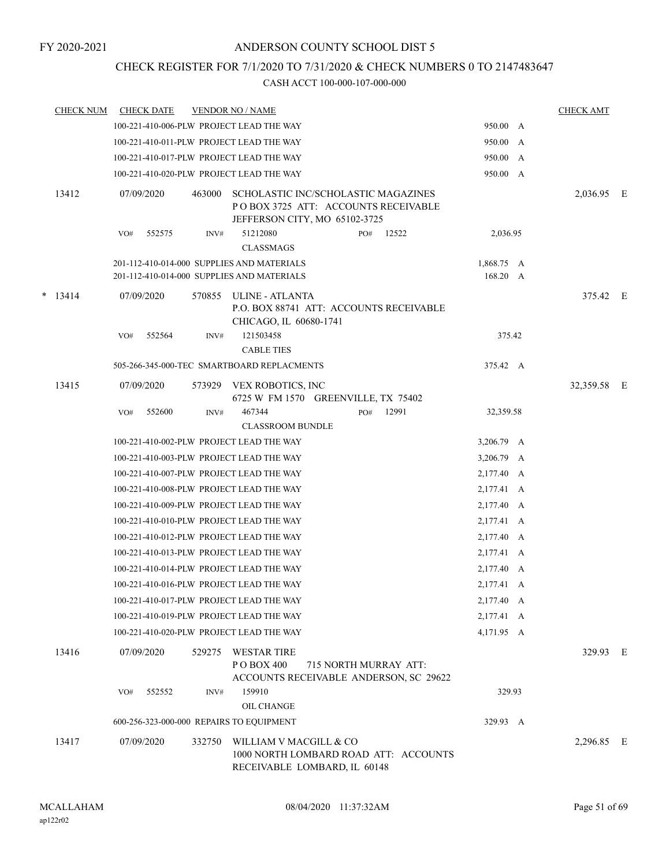## CHECK REGISTER FOR 7/1/2020 TO 7/31/2020 & CHECK NUMBERS 0 TO 2147483647

| <b>CHECK NUM</b> | <b>CHECK DATE</b> |        | <b>VENDOR NO / NAME</b>                                                                                     |                       |       |                        | <b>CHECK AMT</b> |  |
|------------------|-------------------|--------|-------------------------------------------------------------------------------------------------------------|-----------------------|-------|------------------------|------------------|--|
|                  |                   |        | 100-221-410-006-PLW PROJECT LEAD THE WAY                                                                    |                       |       | 950.00 A               |                  |  |
|                  |                   |        | 100-221-410-011-PLW PROJECT LEAD THE WAY                                                                    |                       |       | 950.00 A               |                  |  |
|                  |                   |        | 100-221-410-017-PLW PROJECT LEAD THE WAY                                                                    |                       |       | 950.00 A               |                  |  |
|                  |                   |        | 100-221-410-020-PLW PROJECT LEAD THE WAY                                                                    |                       |       | 950.00 A               |                  |  |
| 13412            | 07/09/2020        | 463000 | SCHOLASTIC INC/SCHOLASTIC MAGAZINES<br>POBOX 3725 ATT: ACCOUNTS RECEIVABLE<br>JEFFERSON CITY, MO 65102-3725 |                       |       |                        | 2,036.95 E       |  |
|                  | 552575<br>VO#     | INV#   | 51212080<br><b>CLASSMAGS</b>                                                                                | PO#                   | 12522 | 2,036.95               |                  |  |
|                  |                   |        | 201-112-410-014-000 SUPPLIES AND MATERIALS<br>201-112-410-014-000 SUPPLIES AND MATERIALS                    |                       |       | 1,868.75 A<br>168.20 A |                  |  |
| $*$ 13414        | 07/09/2020        | 570855 | ULINE - ATLANTA<br>P.O. BOX 88741 ATT: ACCOUNTS RECEIVABLE<br>CHICAGO, IL 60680-1741                        |                       |       |                        | 375.42 E         |  |
|                  | 552564<br>VO#     | INV#   | 121503458<br><b>CABLE TIES</b>                                                                              |                       |       | 375.42                 |                  |  |
|                  |                   |        | 505-266-345-000-TEC SMARTBOARD REPLACMENTS                                                                  |                       |       | 375.42 A               |                  |  |
| 13415            | 07/09/2020        | 573929 | VEX ROBOTICS, INC<br>6725 W FM 1570 GREENVILLE, TX 75402                                                    |                       |       |                        | 32,359.58 E      |  |
|                  | 552600<br>VO#     | INV#   | 467344<br><b>CLASSROOM BUNDLE</b>                                                                           | PO#                   | 12991 | 32,359.58              |                  |  |
|                  |                   |        | 100-221-410-002-PLW PROJECT LEAD THE WAY                                                                    |                       |       | 3,206.79 A             |                  |  |
|                  |                   |        | 100-221-410-003-PLW PROJECT LEAD THE WAY                                                                    |                       |       | 3,206.79 A             |                  |  |
|                  |                   |        | 100-221-410-007-PLW PROJECT LEAD THE WAY                                                                    |                       |       | 2,177.40 A             |                  |  |
|                  |                   |        | 100-221-410-008-PLW PROJECT LEAD THE WAY                                                                    |                       |       | 2,177.41 A             |                  |  |
|                  |                   |        | 100-221-410-009-PLW PROJECT LEAD THE WAY                                                                    |                       |       | 2,177.40 A             |                  |  |
|                  |                   |        | 100-221-410-010-PLW PROJECT LEAD THE WAY                                                                    |                       |       | 2,177.41 A             |                  |  |
|                  |                   |        | 100-221-410-012-PLW PROJECT LEAD THE WAY                                                                    |                       |       | 2,177.40 A             |                  |  |
|                  |                   |        | 100-221-410-013-PLW PROJECT LEAD THE WAY                                                                    |                       |       | 2,177.41 A             |                  |  |
|                  |                   |        | 100-221-410-014-PLW PROJECT LEAD THE WAY                                                                    |                       |       | 2,177.40 A             |                  |  |
|                  |                   |        | 100-221-410-016-PLW PROJECT LEAD THE WAY                                                                    |                       |       | 2,177.41 A             |                  |  |
|                  |                   |        | 100-221-410-017-PLW PROJECT LEAD THE WAY                                                                    |                       |       | 2,177.40 A             |                  |  |
|                  |                   |        | 100-221-410-019-PLW PROJECT LEAD THE WAY                                                                    |                       |       | 2,177.41 A             |                  |  |
|                  |                   |        | 100-221-410-020-PLW PROJECT LEAD THE WAY                                                                    |                       |       | 4,171.95 A             |                  |  |
| 13416            | 07/09/2020        | 529275 | <b>WESTAR TIRE</b><br>PO BOX 400<br>ACCOUNTS RECEIVABLE ANDERSON, SC 29622                                  | 715 NORTH MURRAY ATT: |       |                        | 329.93 E         |  |
|                  | 552552<br>VO#     | INV#   | 159910                                                                                                      |                       |       | 329.93                 |                  |  |
|                  |                   |        | OIL CHANGE<br>600-256-323-000-000 REPAIRS TO EQUIPMENT                                                      |                       |       | 329.93 A               |                  |  |
| 13417            | 07/09/2020        | 332750 | WILLIAM V MACGILL & CO                                                                                      |                       |       |                        | 2,296.85 E       |  |
|                  |                   |        | 1000 NORTH LOMBARD ROAD ATT: ACCOUNTS<br>RECEIVABLE LOMBARD, IL 60148                                       |                       |       |                        |                  |  |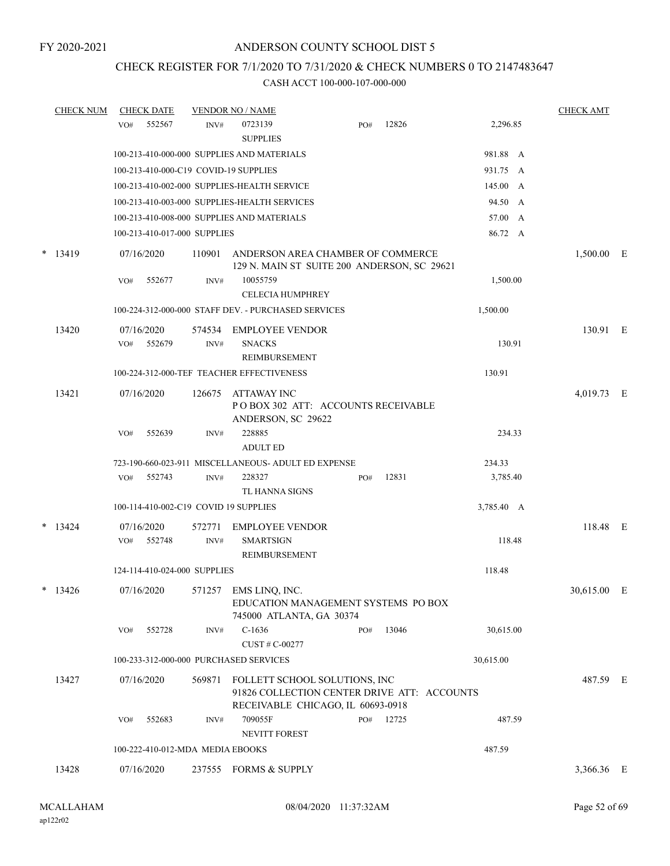## CHECK REGISTER FOR 7/1/2020 TO 7/31/2020 & CHECK NUMBERS 0 TO 2147483647

|   | <b>CHECK NUM</b> |     | <b>CHECK DATE</b>                |        | <b>VENDOR NO / NAME</b>                                                                                           |     |       |           |            | <b>CHECK AMT</b> |   |
|---|------------------|-----|----------------------------------|--------|-------------------------------------------------------------------------------------------------------------------|-----|-------|-----------|------------|------------------|---|
|   |                  | VO# | 552567                           | INV#   | 0723139                                                                                                           | PO# | 12826 |           | 2,296.85   |                  |   |
|   |                  |     |                                  |        | <b>SUPPLIES</b>                                                                                                   |     |       |           |            |                  |   |
|   |                  |     |                                  |        | 100-213-410-000-000 SUPPLIES AND MATERIALS                                                                        |     |       |           | 981.88 A   |                  |   |
|   |                  |     |                                  |        | 100-213-410-000-C19 COVID-19 SUPPLIES                                                                             |     |       |           | 931.75 A   |                  |   |
|   |                  |     |                                  |        | 100-213-410-002-000 SUPPLIES-HEALTH SERVICE                                                                       |     |       |           | 145.00 A   |                  |   |
|   |                  |     |                                  |        | 100-213-410-003-000 SUPPLIES-HEALTH SERVICES                                                                      |     |       |           | 94.50 A    |                  |   |
|   |                  |     |                                  |        | 100-213-410-008-000 SUPPLIES AND MATERIALS                                                                        |     |       |           | 57.00 A    |                  |   |
|   |                  |     | 100-213-410-017-000 SUPPLIES     |        |                                                                                                                   |     |       |           | 86.72 A    |                  |   |
| * | 13419            |     | 07/16/2020                       | 110901 | ANDERSON AREA CHAMBER OF COMMERCE<br>129 N. MAIN ST SUITE 200 ANDERSON, SC 29621                                  |     |       |           |            | 1,500.00 E       |   |
|   |                  | VO# | 552677                           | INV#   | 10055759<br><b>CELECIA HUMPHREY</b>                                                                               |     |       |           | 1,500.00   |                  |   |
|   |                  |     |                                  |        | 100-224-312-000-000 STAFF DEV. - PURCHASED SERVICES                                                               |     |       |           | 1,500.00   |                  |   |
|   | 13420            |     | 07/16/2020                       | 574534 | <b>EMPLOYEE VENDOR</b>                                                                                            |     |       |           |            | 130.91 E         |   |
|   |                  | VO# | 552679                           | INV#   | <b>SNACKS</b>                                                                                                     |     |       |           | 130.91     |                  |   |
|   |                  |     |                                  |        | REIMBURSEMENT                                                                                                     |     |       |           |            |                  |   |
|   |                  |     |                                  |        | 100-224-312-000-TEF TEACHER EFFECTIVENESS                                                                         |     |       |           | 130.91     |                  |   |
|   | 13421            |     | 07/16/2020                       | 126675 | ATTAWAY INC<br>PO BOX 302 ATT: ACCOUNTS RECEIVABLE<br>ANDERSON, SC 29622                                          |     |       |           |            | 4,019.73         | E |
|   |                  | VO# | 552639                           | INV#   | 228885<br><b>ADULT ED</b>                                                                                         |     |       |           | 234.33     |                  |   |
|   |                  |     |                                  |        | 723-190-660-023-911 MISCELLANEOUS- ADULT ED EXPENSE                                                               |     |       |           | 234.33     |                  |   |
|   |                  | VO# | 552743                           | INV#   | 228327<br>TL HANNA SIGNS                                                                                          | PO# | 12831 |           | 3,785.40   |                  |   |
|   |                  |     |                                  |        | 100-114-410-002-C19 COVID 19 SUPPLIES                                                                             |     |       |           | 3,785.40 A |                  |   |
|   | $*$ 13424        |     | 07/16/2020                       | 572771 | <b>EMPLOYEE VENDOR</b>                                                                                            |     |       |           |            | 118.48 E         |   |
|   |                  | VO# | 552748                           | INV#   | <b>SMARTSIGN</b><br><b>REIMBURSEMENT</b>                                                                          |     |       |           | 118.48     |                  |   |
|   |                  |     | 124-114-410-024-000 SUPPLIES     |        |                                                                                                                   |     |       |           | 118.48     |                  |   |
|   | $*$ 13426        |     | 07/16/2020                       | 571257 | EMS LINQ, INC.<br>EDUCATION MANAGEMENT SYSTEMS PO BOX<br>745000 ATLANTA, GA 30374                                 |     |       |           |            | 30,615.00        | Ε |
|   |                  | VO# | 552728                           | INV#   | $C-1636$                                                                                                          | PO# | 13046 |           | 30,615.00  |                  |   |
|   |                  |     |                                  |        | CUST # C-00277                                                                                                    |     |       |           |            |                  |   |
|   |                  |     |                                  |        | 100-233-312-000-000 PURCHASED SERVICES                                                                            |     |       | 30,615.00 |            |                  |   |
|   | 13427            |     | 07/16/2020                       | 569871 | FOLLETT SCHOOL SOLUTIONS, INC<br>91826 COLLECTION CENTER DRIVE ATT: ACCOUNTS<br>RECEIVABLE CHICAGO, IL 60693-0918 |     |       |           |            | 487.59 E         |   |
|   |                  | VO# | 552683                           | INV#   | 709055F<br>NEVITT FOREST                                                                                          | PO# | 12725 |           | 487.59     |                  |   |
|   |                  |     | 100-222-410-012-MDA MEDIA EBOOKS |        |                                                                                                                   |     |       |           | 487.59     |                  |   |
|   |                  |     |                                  |        |                                                                                                                   |     |       |           |            |                  |   |
|   | 13428            |     | 07/16/2020                       |        | 237555 FORMS & SUPPLY                                                                                             |     |       |           |            | 3,366.36 E       |   |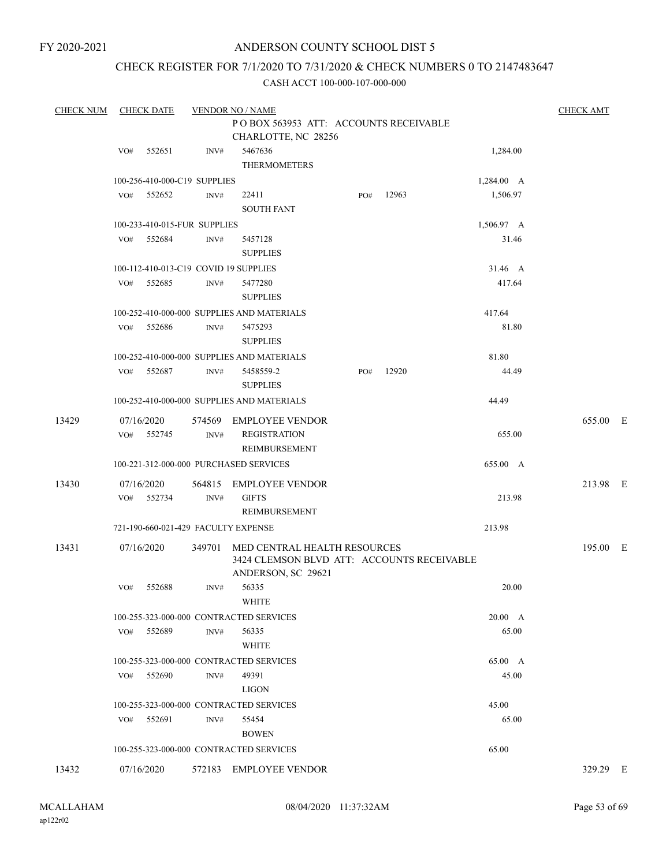## ANDERSON COUNTY SCHOOL DIST 5

## CHECK REGISTER FOR 7/1/2020 TO 7/31/2020 & CHECK NUMBERS 0 TO 2147483647

| <b>CHECK NUM</b> |     | <b>CHECK DATE</b>            |      | <b>VENDOR NO / NAME</b>                                                                                 |     |       |            | <b>CHECK AMT</b> |  |
|------------------|-----|------------------------------|------|---------------------------------------------------------------------------------------------------------|-----|-------|------------|------------------|--|
|                  |     |                              |      | POBOX 563953 ATT: ACCOUNTS RECEIVABLE                                                                   |     |       |            |                  |  |
|                  |     |                              |      | CHARLOTTE, NC 28256                                                                                     |     |       |            |                  |  |
|                  | VO# | 552651                       | INV# | 5467636<br>THERMOMETERS                                                                                 |     |       | 1,284.00   |                  |  |
|                  |     | 100-256-410-000-C19 SUPPLIES |      |                                                                                                         |     |       | 1,284.00 A |                  |  |
|                  | VO# | 552652                       | INV# | 22411<br><b>SOUTH FANT</b>                                                                              | PO# | 12963 | 1,506.97   |                  |  |
|                  |     | 100-233-410-015-FUR SUPPLIES |      |                                                                                                         |     |       | 1,506.97 A |                  |  |
|                  | VO# | 552684                       | INV# | 5457128<br><b>SUPPLIES</b>                                                                              |     |       | 31.46      |                  |  |
|                  |     |                              |      | 100-112-410-013-C19 COVID 19 SUPPLIES                                                                   |     |       | 31.46 A    |                  |  |
|                  | VO# | 552685                       | INV# | 5477280<br><b>SUPPLIES</b>                                                                              |     |       | 417.64     |                  |  |
|                  |     |                              |      | 100-252-410-000-000 SUPPLIES AND MATERIALS                                                              |     |       | 417.64     |                  |  |
|                  | VO# | 552686                       | INV# | 5475293<br><b>SUPPLIES</b>                                                                              |     |       | 81.80      |                  |  |
|                  |     |                              |      | 100-252-410-000-000 SUPPLIES AND MATERIALS                                                              |     |       | 81.80      |                  |  |
|                  | VO# | 552687                       | INV# | 5458559-2<br><b>SUPPLIES</b>                                                                            | PO# | 12920 | 44.49      |                  |  |
|                  |     |                              |      | 100-252-410-000-000 SUPPLIES AND MATERIALS                                                              |     |       | 44.49      |                  |  |
| 13429            | VO# | 07/16/2020<br>552745         | INV# | 574569 EMPLOYEE VENDOR<br><b>REGISTRATION</b><br>REIMBURSEMENT                                          |     |       | 655.00     | 655.00 E         |  |
|                  |     |                              |      | 100-221-312-000-000 PURCHASED SERVICES                                                                  |     |       | 655.00 A   |                  |  |
| 13430            | VO# | 07/16/2020<br>552734         | INV# | 564815 EMPLOYEE VENDOR<br><b>GIFTS</b><br>REIMBURSEMENT                                                 |     |       | 213.98     | 213.98 E         |  |
|                  |     |                              |      | 721-190-660-021-429 FACULTY EXPENSE                                                                     |     |       | 213.98     |                  |  |
| 13431            |     | 07/16/2020                   |      | 349701 MED CENTRAL HEALTH RESOURCES<br>3424 CLEMSON BLVD ATT: ACCOUNTS RECEIVABLE<br>ANDERSON, SC 29621 |     |       |            | 195.00 E         |  |
|                  | VO# | 552688                       | INV# | 56335<br><b>WHITE</b>                                                                                   |     |       | 20.00      |                  |  |
|                  |     |                              |      | 100-255-323-000-000 CONTRACTED SERVICES                                                                 |     |       | 20.00 A    |                  |  |
|                  | VO# | 552689                       | INV# | 56335<br>WHITE                                                                                          |     |       | 65.00      |                  |  |
|                  |     |                              |      | 100-255-323-000-000 CONTRACTED SERVICES                                                                 |     |       | 65.00 A    |                  |  |
|                  | VO# | 552690                       | INV# | 49391<br><b>LIGON</b>                                                                                   |     |       | 45.00      |                  |  |
|                  |     |                              |      | 100-255-323-000-000 CONTRACTED SERVICES                                                                 |     |       | 45.00      |                  |  |
|                  | VO# | 552691                       | INV# | 55454<br><b>BOWEN</b>                                                                                   |     |       | 65.00      |                  |  |
|                  |     |                              |      | 100-255-323-000-000 CONTRACTED SERVICES                                                                 |     |       | 65.00      |                  |  |
| 13432            |     | 07/16/2020                   |      | 572183 EMPLOYEE VENDOR                                                                                  |     |       |            | 329.29 E         |  |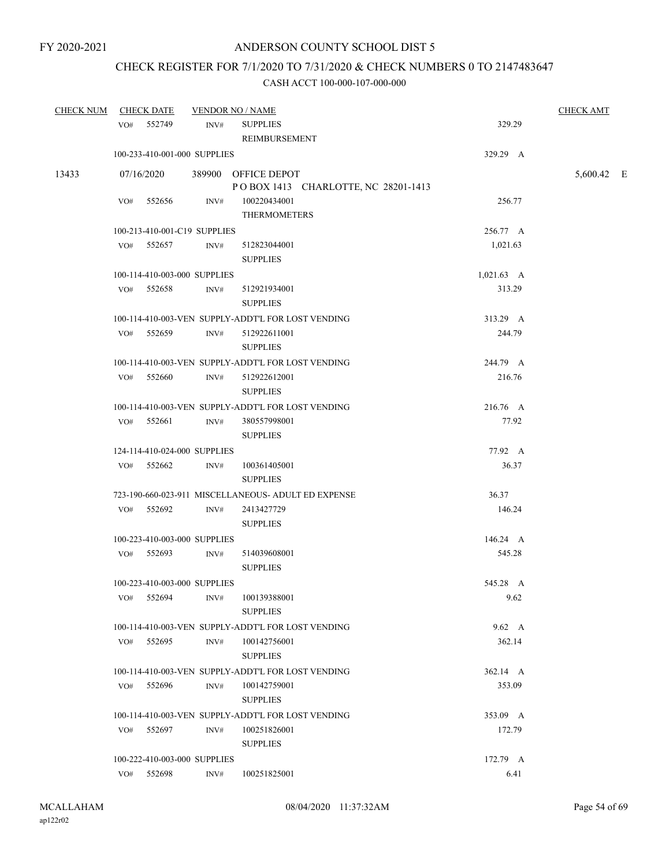# CHECK REGISTER FOR 7/1/2020 TO 7/31/2020 & CHECK NUMBERS 0 TO 2147483647

| <b>CHECK NUM</b> | <u>CHECK DATE</u> |                              | <b>VENDOR NO / NAME</b>                             |                      | <b>CHECK AMT</b> |  |
|------------------|-------------------|------------------------------|-----------------------------------------------------|----------------------|------------------|--|
|                  | VO# 552749        | INV#                         | <b>SUPPLIES</b>                                     | 329.29               |                  |  |
|                  |                   |                              | REIMBURSEMENT                                       |                      |                  |  |
|                  |                   | 100-233-410-001-000 SUPPLIES |                                                     | 329.29 A             |                  |  |
| 13433            | 07/16/2020        |                              | 389900 OFFICE DEPOT                                 |                      | 5,600.42 E       |  |
|                  |                   |                              | POBOX 1413 CHARLOTTE, NC 28201-1413                 |                      |                  |  |
|                  | VO# 552656        | INV#                         | 100220434001                                        | 256.77               |                  |  |
|                  |                   |                              | <b>THERMOMETERS</b>                                 |                      |                  |  |
|                  |                   | 100-213-410-001-C19 SUPPLIES |                                                     | 256.77 A             |                  |  |
|                  | VO# 552657        | INV#                         | 512823044001                                        | 1,021.63             |                  |  |
|                  |                   |                              | <b>SUPPLIES</b>                                     |                      |                  |  |
|                  |                   | 100-114-410-003-000 SUPPLIES |                                                     | $1,021.63 \text{ A}$ |                  |  |
|                  | VO# 552658        | INV#                         | 512921934001                                        | 313.29               |                  |  |
|                  |                   |                              | <b>SUPPLIES</b>                                     |                      |                  |  |
|                  |                   |                              | 100-114-410-003-VEN SUPPLY-ADDT'L FOR LOST VENDING  | 313.29 A             |                  |  |
|                  | VO# 552659        | INV#                         | 512922611001                                        | 244.79               |                  |  |
|                  |                   |                              | <b>SUPPLIES</b>                                     |                      |                  |  |
|                  |                   |                              | 100-114-410-003-VEN SUPPLY-ADDT'L FOR LOST VENDING  | 244.79 A             |                  |  |
|                  | VO# 552660        | INV#                         | 512922612001                                        | 216.76               |                  |  |
|                  |                   |                              | <b>SUPPLIES</b>                                     |                      |                  |  |
|                  |                   |                              | 100-114-410-003-VEN SUPPLY-ADDT'L FOR LOST VENDING  | 216.76 A             |                  |  |
|                  | VO# 552661        | INV#                         | 380557998001                                        | 77.92                |                  |  |
|                  |                   |                              | <b>SUPPLIES</b>                                     |                      |                  |  |
|                  |                   | 124-114-410-024-000 SUPPLIES |                                                     | 77.92 A              |                  |  |
|                  | VO# 552662        | INV#                         | 100361405001                                        | 36.37                |                  |  |
|                  |                   |                              | <b>SUPPLIES</b>                                     |                      |                  |  |
|                  |                   |                              | 723-190-660-023-911 MISCELLANEOUS- ADULT ED EXPENSE | 36.37                |                  |  |
|                  | VO# 552692        | INV#                         | 2413427729                                          | 146.24               |                  |  |
|                  |                   |                              | <b>SUPPLIES</b>                                     |                      |                  |  |
|                  |                   | 100-223-410-003-000 SUPPLIES |                                                     | 146.24 A             |                  |  |
|                  | VO# 552693        | INV#                         | 514039608001                                        | 545.28               |                  |  |
|                  |                   |                              | <b>SUPPLIES</b>                                     |                      |                  |  |
|                  |                   | 100-223-410-003-000 SUPPLIES |                                                     | 545.28 A             |                  |  |
|                  | VO#               | 552694<br>INV#               | 100139388001<br><b>SUPPLIES</b>                     | 9.62                 |                  |  |
|                  |                   |                              | 100-114-410-003-VEN SUPPLY-ADDT'L FOR LOST VENDING  | 9.62 A               |                  |  |
|                  | $VO#$ 552695      | INV#                         | 100142756001                                        | 362.14               |                  |  |
|                  |                   |                              | <b>SUPPLIES</b>                                     |                      |                  |  |
|                  |                   |                              | 100-114-410-003-VEN SUPPLY-ADDT'L FOR LOST VENDING  | 362.14 A             |                  |  |
|                  | VO#               | INV#<br>552696               | 100142759001<br><b>SUPPLIES</b>                     | 353.09               |                  |  |
|                  |                   |                              | 100-114-410-003-VEN SUPPLY-ADDT'L FOR LOST VENDING  | 353.09 A             |                  |  |
|                  | VO# 552697        | INV#                         | 100251826001                                        | 172.79               |                  |  |
|                  |                   |                              | <b>SUPPLIES</b>                                     |                      |                  |  |
|                  |                   | 100-222-410-003-000 SUPPLIES |                                                     | 172.79 A             |                  |  |
|                  | VO# 552698        | INV#                         | 100251825001                                        | 6.41                 |                  |  |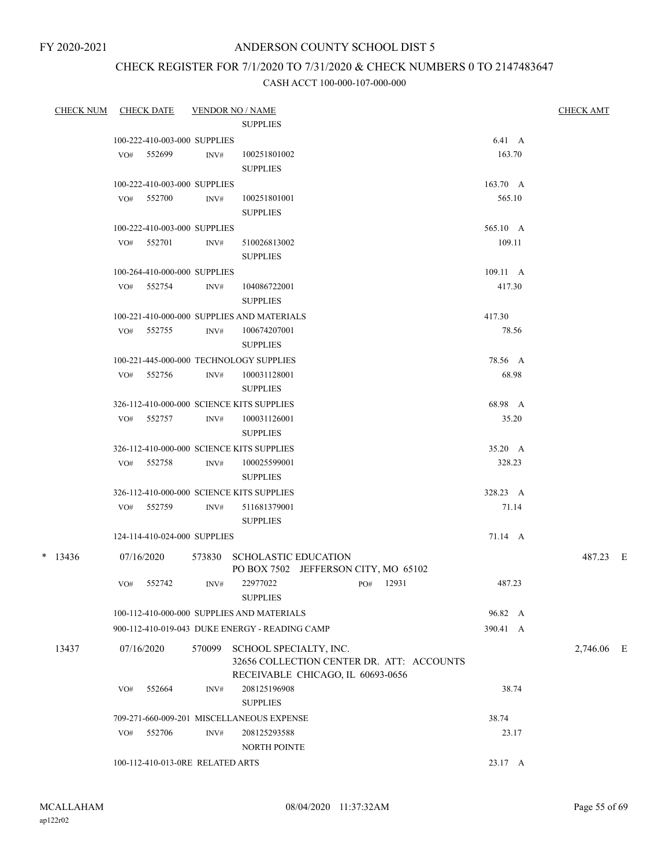## CHECK REGISTER FOR 7/1/2020 TO 7/31/2020 & CHECK NUMBERS 0 TO 2147483647

| <b>CHECK NUM CHECK DATE</b> |     |                                  |        | <u> VENDOR NO / NAME</u>                       |           |                                           |                  | <b>CHECK AMT</b> |  |
|-----------------------------|-----|----------------------------------|--------|------------------------------------------------|-----------|-------------------------------------------|------------------|------------------|--|
|                             |     |                                  |        | <b>SUPPLIES</b>                                |           |                                           |                  |                  |  |
|                             |     | 100-222-410-003-000 SUPPLIES     |        |                                                |           |                                           | $6.41\quad A$    |                  |  |
|                             |     | VO# 552699                       | INV#   | 100251801002                                   |           |                                           | 163.70           |                  |  |
|                             |     |                                  |        | <b>SUPPLIES</b>                                |           |                                           |                  |                  |  |
|                             |     | 100-222-410-003-000 SUPPLIES     |        |                                                |           |                                           | $163.70\quad A$  |                  |  |
|                             |     | VO# 552700                       | INV#   | 100251801001                                   |           |                                           | 565.10           |                  |  |
|                             |     |                                  |        | <b>SUPPLIES</b>                                |           |                                           |                  |                  |  |
|                             |     | 100-222-410-003-000 SUPPLIES     |        |                                                |           |                                           | 565.10 A         |                  |  |
|                             |     | VO# 552701                       | INV#   | 510026813002                                   |           |                                           | 109.11           |                  |  |
|                             |     |                                  |        | <b>SUPPLIES</b>                                |           |                                           |                  |                  |  |
|                             |     | 100-264-410-000-000 SUPPLIES     |        |                                                |           |                                           | $109.11 \quad A$ |                  |  |
|                             |     | VO# 552754                       | INV#   | 104086722001                                   |           |                                           | 417.30           |                  |  |
|                             |     |                                  |        | <b>SUPPLIES</b>                                |           |                                           |                  |                  |  |
|                             |     |                                  |        | 100-221-410-000-000 SUPPLIES AND MATERIALS     |           |                                           | 417.30           |                  |  |
|                             |     | VO# 552755                       | INV#   | 100674207001                                   |           |                                           | 78.56            |                  |  |
|                             |     |                                  |        | <b>SUPPLIES</b>                                |           |                                           |                  |                  |  |
|                             |     |                                  |        | 100-221-445-000-000 TECHNOLOGY SUPPLIES        |           |                                           | 78.56 A          |                  |  |
|                             |     | VO# 552756                       | INV#   | 100031128001                                   |           |                                           | 68.98            |                  |  |
|                             |     |                                  |        | <b>SUPPLIES</b>                                |           |                                           |                  |                  |  |
|                             |     |                                  |        | 326-112-410-000-000 SCIENCE KITS SUPPLIES      |           |                                           | 68.98 A          |                  |  |
|                             |     | VO# 552757                       | INV#   | 100031126001                                   |           |                                           | 35.20            |                  |  |
|                             |     |                                  |        | <b>SUPPLIES</b>                                |           |                                           |                  |                  |  |
|                             |     |                                  |        | 326-112-410-000-000 SCIENCE KITS SUPPLIES      |           |                                           | 35.20 A          |                  |  |
|                             |     | VO# 552758                       | INV#   | 100025599001                                   |           |                                           | 328.23           |                  |  |
|                             |     |                                  |        | <b>SUPPLIES</b>                                |           |                                           |                  |                  |  |
|                             |     |                                  |        | 326-112-410-000-000 SCIENCE KITS SUPPLIES      |           |                                           | 328.23 A         |                  |  |
|                             |     | VO# 552759                       | INV#   | 511681379001<br><b>SUPPLIES</b>                |           |                                           | 71.14            |                  |  |
|                             |     | 124-114-410-024-000 SUPPLIES     |        |                                                |           |                                           | 71.14 A          |                  |  |
| $*$ 13436                   |     | 07/16/2020                       |        | 573830 SCHOLASTIC EDUCATION                    |           |                                           |                  | 487.23 E         |  |
|                             |     |                                  |        | PO BOX 7502 JEFFERSON CITY, MO 65102           |           |                                           |                  |                  |  |
|                             |     | VO# 552742                       | INV#   | 22977022                                       | PO# 12931 |                                           | 487.23           |                  |  |
|                             |     |                                  |        | <b>SUPPLIES</b>                                |           |                                           |                  |                  |  |
|                             |     |                                  |        | 100-112-410-000-000 SUPPLIES AND MATERIALS     |           |                                           | 96.82 A          |                  |  |
|                             |     |                                  |        | 900-112-410-019-043 DUKE ENERGY - READING CAMP |           |                                           | 390.41 A         |                  |  |
| 13437                       |     | 07/16/2020                       | 570099 | SCHOOL SPECIALTY, INC.                         |           |                                           |                  | 2,746.06 E       |  |
|                             |     |                                  |        |                                                |           | 32656 COLLECTION CENTER DR. ATT: ACCOUNTS |                  |                  |  |
|                             |     |                                  |        | RECEIVABLE CHICAGO, IL 60693-0656              |           |                                           |                  |                  |  |
|                             | VO# | 552664                           | INV#   | 208125196908                                   |           |                                           | 38.74            |                  |  |
|                             |     |                                  |        | <b>SUPPLIES</b>                                |           |                                           |                  |                  |  |
|                             |     |                                  |        | 709-271-660-009-201 MISCELLANEOUS EXPENSE      |           |                                           | 38.74            |                  |  |
|                             | VO# | 552706                           | INV#   | 208125293588                                   |           |                                           | 23.17            |                  |  |
|                             |     |                                  |        | <b>NORTH POINTE</b>                            |           |                                           |                  |                  |  |
|                             |     | 100-112-410-013-0RE RELATED ARTS |        |                                                |           |                                           | 23.17 A          |                  |  |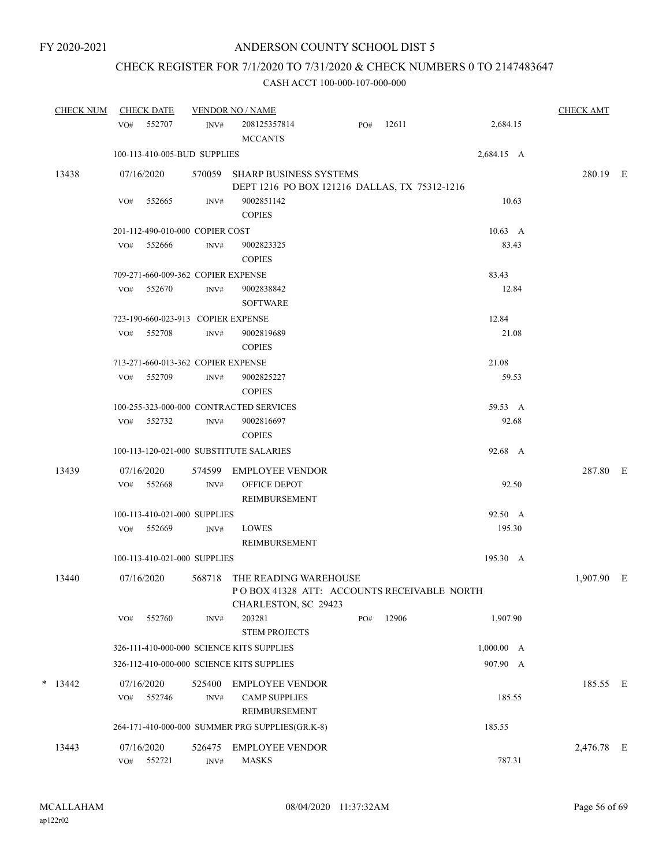# CHECK REGISTER FOR 7/1/2020 TO 7/31/2020 & CHECK NUMBERS 0 TO 2147483647

|   | <b>CHECK NUM</b> |     | <b>CHECK DATE</b>                  |                          | <b>VENDOR NO / NAME</b>                                                        |     |       |                 | <b>CHECK AMT</b> |  |
|---|------------------|-----|------------------------------------|--------------------------|--------------------------------------------------------------------------------|-----|-------|-----------------|------------------|--|
|   |                  | VO# | 552707                             | INV#                     | 208125357814<br><b>MCCANTS</b>                                                 | PO# | 12611 | 2,684.15        |                  |  |
|   |                  |     | 100-113-410-005-BUD SUPPLIES       |                          |                                                                                |     |       | 2,684.15 A      |                  |  |
|   | 13438            |     | 07/16/2020                         |                          | 570059 SHARP BUSINESS SYSTEMS<br>DEPT 1216 PO BOX 121216 DALLAS, TX 75312-1216 |     |       |                 | 280.19 E         |  |
|   |                  | VO# | 552665                             | INV#                     | 9002851142<br><b>COPIES</b>                                                    |     |       | 10.63           |                  |  |
|   |                  |     | 201-112-490-010-000 COPIER COST    |                          |                                                                                |     |       | $10.63 \quad A$ |                  |  |
|   |                  | VO# | 552666                             | INV#                     | 9002823325<br><b>COPIES</b>                                                    |     |       | 83.43           |                  |  |
|   |                  |     | 709-271-660-009-362 COPIER EXPENSE |                          |                                                                                |     |       | 83.43           |                  |  |
|   |                  | VO# | 552670                             | INV#                     | 9002838842<br><b>SOFTWARE</b>                                                  |     |       | 12.84           |                  |  |
|   |                  |     | 723-190-660-023-913 COPIER EXPENSE |                          |                                                                                |     |       | 12.84           |                  |  |
|   |                  | VO# | 552708                             | INV#                     | 9002819689<br><b>COPIES</b>                                                    |     |       | 21.08           |                  |  |
|   |                  |     | 713-271-660-013-362 COPIER EXPENSE |                          |                                                                                |     |       | 21.08           |                  |  |
|   |                  | VO# | 552709                             | INV#                     | 9002825227<br><b>COPIES</b>                                                    |     |       | 59.53           |                  |  |
|   |                  |     |                                    |                          | 100-255-323-000-000 CONTRACTED SERVICES                                        |     |       | 59.53 A         |                  |  |
|   |                  |     | VO# 552732                         | INV#                     | 9002816697<br><b>COPIES</b>                                                    |     |       | 92.68           |                  |  |
|   |                  |     |                                    |                          | 100-113-120-021-000 SUBSTITUTE SALARIES                                        |     |       | 92.68 A         |                  |  |
|   | 13439            | VO# | 07/16/2020<br>552668               | INV#                     | 574599 EMPLOYEE VENDOR<br>OFFICE DEPOT                                         |     |       | 92.50           | 287.80 E         |  |
|   |                  |     |                                    |                          | REIMBURSEMENT                                                                  |     |       |                 |                  |  |
|   |                  |     | 100-113-410-021-000 SUPPLIES       |                          |                                                                                |     |       | 92.50 A         |                  |  |
|   |                  | VO# | 552669                             | INV#                     | <b>LOWES</b><br>REIMBURSEMENT                                                  |     |       | 195.30          |                  |  |
|   |                  |     | 100-113-410-021-000 SUPPLIES       |                          |                                                                                |     |       | 195.30 A        |                  |  |
|   | 13440            |     | 07/16/2020                         | 568718                   | THE READING WAREHOUSE<br>POBOX 41328 ATT: ACCOUNTS RECEIVABLE NORTH            |     |       |                 | 1,907.90 E       |  |
|   |                  | VO# | 552760                             | INV#                     | CHARLESTON, SC 29423<br>203281<br><b>STEM PROJECTS</b>                         | PO# | 12906 | 1,907.90        |                  |  |
|   |                  |     |                                    |                          | 326-111-410-000-000 SCIENCE KITS SUPPLIES                                      |     |       | 1,000.00 A      |                  |  |
|   |                  |     |                                    |                          | 326-112-410-000-000 SCIENCE KITS SUPPLIES                                      |     |       | 907.90 A        |                  |  |
| * | 13442            | VO# | 07/16/2020<br>552746               | 525400<br>INV#           | <b>EMPLOYEE VENDOR</b><br><b>CAMP SUPPLIES</b><br>REIMBURSEMENT                |     |       | 185.55          | 185.55 E         |  |
|   |                  |     |                                    |                          | 264-171-410-000-000 SUMMER PRG SUPPLIES(GR.K-8)                                |     |       | 185.55          |                  |  |
|   | 13443            | VO# | 07/16/2020<br>552721               | 526475<br>$\text{INV}\#$ | <b>EMPLOYEE VENDOR</b><br><b>MASKS</b>                                         |     |       | 787.31          | 2,476.78 E       |  |
|   |                  |     |                                    |                          |                                                                                |     |       |                 |                  |  |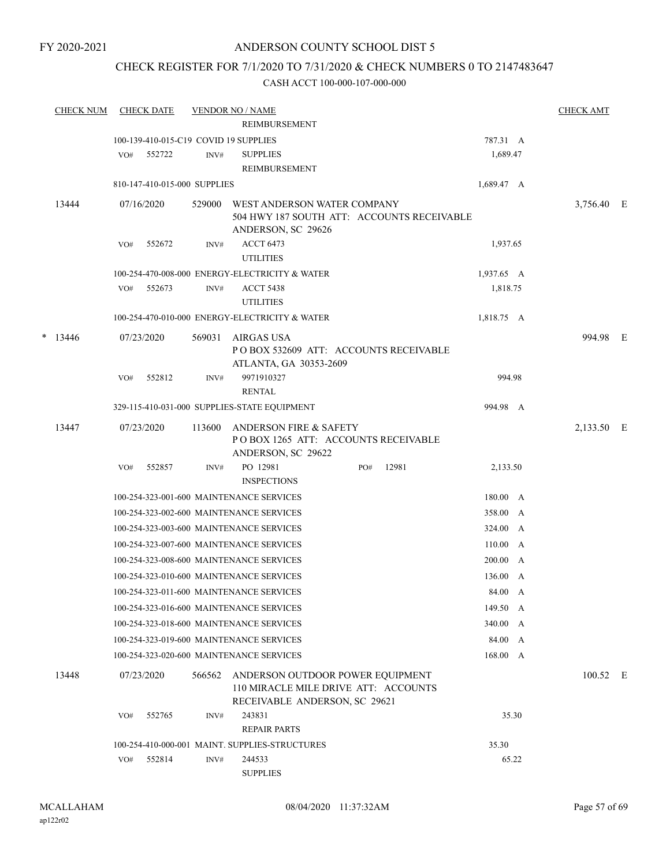## CHECK REGISTER FOR 7/1/2020 TO 7/31/2020 & CHECK NUMBERS 0 TO 2147483647

| <b>CHECK NUM</b> | <b>CHECK DATE</b> |                                       | <b>VENDOR NO / NAME</b>                                                                                   |     |       |            | <b>CHECK AMT</b> |  |
|------------------|-------------------|---------------------------------------|-----------------------------------------------------------------------------------------------------------|-----|-------|------------|------------------|--|
|                  |                   |                                       | REIMBURSEMENT                                                                                             |     |       |            |                  |  |
|                  |                   | 100-139-410-015-C19 COVID 19 SUPPLIES |                                                                                                           |     |       | 787.31 A   |                  |  |
|                  | VO#<br>552722     | INV#                                  | <b>SUPPLIES</b>                                                                                           |     |       | 1,689.47   |                  |  |
|                  |                   |                                       | REIMBURSEMENT                                                                                             |     |       |            |                  |  |
|                  |                   | 810-147-410-015-000 SUPPLIES          |                                                                                                           |     |       | 1,689.47 A |                  |  |
| 13444            | 07/16/2020        | 529000                                | WEST ANDERSON WATER COMPANY<br>504 HWY 187 SOUTH ATT: ACCOUNTS RECEIVABLE<br>ANDERSON, SC 29626           |     |       |            | 3,756.40 E       |  |
|                  | 552672<br>VO#     | INV#                                  | <b>ACCT 6473</b><br><b>UTILITIES</b>                                                                      |     |       | 1,937.65   |                  |  |
|                  |                   |                                       | 100-254-470-008-000 ENERGY-ELECTRICITY & WATER                                                            |     |       | 1,937.65 A |                  |  |
|                  | 552673<br>VO#     | INV#                                  | <b>ACCT 5438</b><br><b>UTILITIES</b>                                                                      |     |       | 1,818.75   |                  |  |
|                  |                   |                                       | 100-254-470-010-000 ENERGY-ELECTRICITY & WATER                                                            |     |       |            |                  |  |
|                  |                   |                                       |                                                                                                           |     |       | 1,818.75 A |                  |  |
| $*$ 13446        | 07/23/2020        | 569031                                | AIRGAS USA<br>POBOX 532609 ATT: ACCOUNTS RECEIVABLE<br>ATLANTA, GA 30353-2609                             |     |       |            | 994.98 E         |  |
|                  | 552812<br>VO#     | INV#                                  | 9971910327<br><b>RENTAL</b>                                                                               |     |       | 994.98     |                  |  |
|                  |                   |                                       | 329-115-410-031-000 SUPPLIES-STATE EQUIPMENT                                                              |     |       | 994.98 A   |                  |  |
| 13447            | 07/23/2020        | 113600                                | ANDERSON FIRE & SAFETY<br>POBOX 1265 ATT: ACCOUNTS RECEIVABLE<br>ANDERSON, SC 29622                       |     |       |            | 2,133.50 E       |  |
|                  | 552857<br>VO#     | INV#                                  | PO 12981<br><b>INSPECTIONS</b>                                                                            | PO# | 12981 | 2,133.50   |                  |  |
|                  |                   |                                       | 100-254-323-001-600 MAINTENANCE SERVICES                                                                  |     |       | 180.00 A   |                  |  |
|                  |                   |                                       | 100-254-323-002-600 MAINTENANCE SERVICES                                                                  |     |       | 358.00 A   |                  |  |
|                  |                   |                                       | 100-254-323-003-600 MAINTENANCE SERVICES                                                                  |     |       | 324.00 A   |                  |  |
|                  |                   |                                       | 100-254-323-007-600 MAINTENANCE SERVICES                                                                  |     |       | 110.00 A   |                  |  |
|                  |                   |                                       | 100-254-323-008-600 MAINTENANCE SERVICES                                                                  |     |       | 200.00 A   |                  |  |
|                  |                   |                                       | 100-254-323-010-600 MAINTENANCE SERVICES                                                                  |     |       | 136.00 A   |                  |  |
|                  |                   |                                       | 100-254-323-011-600 MAINTENANCE SERVICES                                                                  |     |       | 84.00 A    |                  |  |
|                  |                   |                                       | 100-254-323-016-600 MAINTENANCE SERVICES                                                                  |     |       | 149.50 A   |                  |  |
|                  |                   |                                       | 100-254-323-018-600 MAINTENANCE SERVICES                                                                  |     |       | 340.00 A   |                  |  |
|                  |                   |                                       | 100-254-323-019-600 MAINTENANCE SERVICES                                                                  |     |       | 84.00 A    |                  |  |
|                  |                   |                                       | 100-254-323-020-600 MAINTENANCE SERVICES                                                                  |     |       | 168.00 A   |                  |  |
| 13448            | 07/23/2020        | 566562                                | ANDERSON OUTDOOR POWER EQUIPMENT<br>110 MIRACLE MILE DRIVE ATT: ACCOUNTS<br>RECEIVABLE ANDERSON, SC 29621 |     |       |            | 100.52 E         |  |
|                  | 552765<br>VO#     | INV#                                  | 243831<br><b>REPAIR PARTS</b>                                                                             |     |       | 35.30      |                  |  |
|                  |                   |                                       | 100-254-410-000-001 MAINT. SUPPLIES-STRUCTURES                                                            |     |       | 35.30      |                  |  |
|                  | 552814<br>VO#     | INV#                                  | 244533<br><b>SUPPLIES</b>                                                                                 |     |       | 65.22      |                  |  |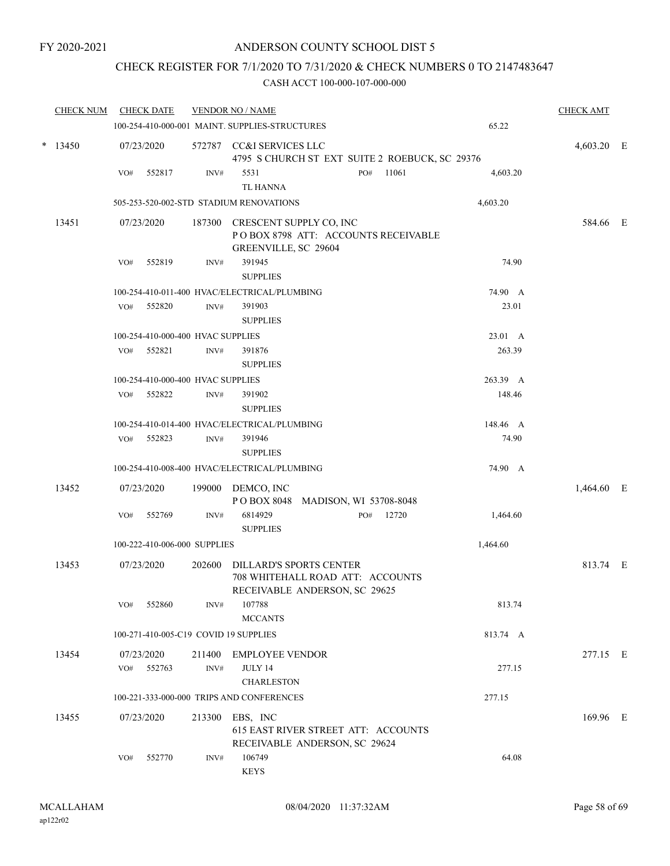## CHECK REGISTER FOR 7/1/2020 TO 7/31/2020 & CHECK NUMBERS 0 TO 2147483647

| <b>CHECK NUM</b> |     | <b>CHECK DATE</b>                 |                | <b>VENDOR NO / NAME</b>                                  |                                                |          | <b>CHECK AMT</b> |  |
|------------------|-----|-----------------------------------|----------------|----------------------------------------------------------|------------------------------------------------|----------|------------------|--|
|                  |     |                                   |                | 100-254-410-000-001 MAINT. SUPPLIES-STRUCTURES           |                                                | 65.22    |                  |  |
| $*$ 13450        |     | 07/23/2020                        |                | 572787 CC&I SERVICES LLC                                 | 4795 S CHURCH ST EXT SUITE 2 ROEBUCK, SC 29376 |          | 4,603.20 E       |  |
|                  | VO# | 552817                            | INV#           | 5531<br><b>TL HANNA</b>                                  | 11061<br>PO#                                   | 4,603.20 |                  |  |
|                  |     |                                   |                | 505-253-520-002-STD STADIUM RENOVATIONS                  |                                                | 4,603.20 |                  |  |
| 13451            |     | 07/23/2020                        |                | 187300 CRESCENT SUPPLY CO, INC<br>GREENVILLE, SC 29604   | POBOX 8798 ATT: ACCOUNTS RECEIVABLE            |          | 584.66 E         |  |
|                  | VO# | 552819                            | INV#           | 391945<br><b>SUPPLIES</b>                                |                                                | 74.90    |                  |  |
|                  |     |                                   |                | 100-254-410-011-400 HVAC/ELECTRICAL/PLUMBING             |                                                | 74.90 A  |                  |  |
|                  | VO# | 552820                            | $\text{INV}\#$ | 391903<br><b>SUPPLIES</b>                                |                                                | 23.01    |                  |  |
|                  |     | 100-254-410-000-400 HVAC SUPPLIES |                |                                                          |                                                | 23.01 A  |                  |  |
|                  | VO# | 552821                            | $\text{INV}\#$ | 391876<br><b>SUPPLIES</b>                                |                                                | 263.39   |                  |  |
|                  |     | 100-254-410-000-400 HVAC SUPPLIES |                |                                                          |                                                | 263.39 A |                  |  |
|                  | VO# | 552822                            | INV#           | 391902<br><b>SUPPLIES</b>                                |                                                | 148.46   |                  |  |
|                  |     |                                   |                | 100-254-410-014-400 HVAC/ELECTRICAL/PLUMBING             |                                                | 148.46 A |                  |  |
|                  |     | VO# 552823                        | INV#           | 391946<br><b>SUPPLIES</b>                                |                                                | 74.90    |                  |  |
|                  |     |                                   |                | 100-254-410-008-400 HVAC/ELECTRICAL/PLUMBING             |                                                | 74.90 A  |                  |  |
| 13452            |     | 07/23/2020                        |                | 199000 DEMCO, INC<br>POBOX 8048 MADISON, WI 53708-8048   |                                                |          | 1,464.60 E       |  |
|                  | VO# | 552769                            | $\text{INV}\#$ | 6814929<br><b>SUPPLIES</b>                               | 12720<br>PO#                                   | 1,464.60 |                  |  |
|                  |     | 100-222-410-006-000 SUPPLIES      |                |                                                          |                                                | 1,464.60 |                  |  |
| 13453            |     | 07/23/2020                        | 202600         | DILLARD'S SPORTS CENTER<br>RECEIVABLE ANDERSON, SC 29625 | 708 WHITEHALL ROAD ATT: ACCOUNTS               |          | 813.74 E         |  |
|                  | VO# | 552860                            | INV#           | 107788<br><b>MCCANTS</b>                                 |                                                | 813.74   |                  |  |
|                  |     |                                   |                | 100-271-410-005-C19 COVID 19 SUPPLIES                    |                                                | 813.74 A |                  |  |
| 13454            |     | 07/23/2020                        | 211400         | <b>EMPLOYEE VENDOR</b>                                   |                                                |          | 277.15 E         |  |
|                  | VO# | 552763                            | INV#           | JULY 14<br><b>CHARLESTON</b>                             |                                                | 277.15   |                  |  |
|                  |     |                                   |                | 100-221-333-000-000 TRIPS AND CONFERENCES                |                                                | 277.15   |                  |  |
| 13455            |     | 07/23/2020                        |                | 213300 EBS, INC<br>RECEIVABLE ANDERSON, SC 29624         | 615 EAST RIVER STREET ATT: ACCOUNTS            |          | 169.96 E         |  |
|                  | VO# | 552770                            | INV#           | 106749<br><b>KEYS</b>                                    |                                                | 64.08    |                  |  |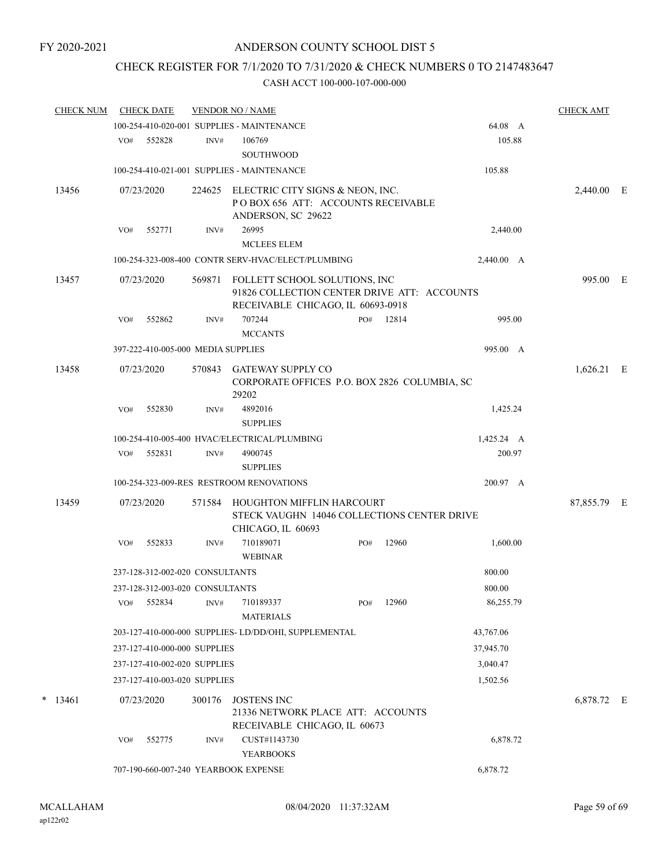## CHECK REGISTER FOR 7/1/2020 TO 7/31/2020 & CHECK NUMBERS 0 TO 2147483647

|     |        |                                                                                         |                                   |                                                                                                                                                                                                                                                                                                                                                                                                                                                                                                                                    |                                                                                                             |                                                                                                                                                                     | <b>CHECK AMT</b>                                                                                                                                                                                                                                |                                                                   |
|-----|--------|-----------------------------------------------------------------------------------------|-----------------------------------|------------------------------------------------------------------------------------------------------------------------------------------------------------------------------------------------------------------------------------------------------------------------------------------------------------------------------------------------------------------------------------------------------------------------------------------------------------------------------------------------------------------------------------|-------------------------------------------------------------------------------------------------------------|---------------------------------------------------------------------------------------------------------------------------------------------------------------------|-------------------------------------------------------------------------------------------------------------------------------------------------------------------------------------------------------------------------------------------------|-------------------------------------------------------------------|
|     |        |                                                                                         |                                   |                                                                                                                                                                                                                                                                                                                                                                                                                                                                                                                                    |                                                                                                             | 64.08 A                                                                                                                                                             |                                                                                                                                                                                                                                                 |                                                                   |
| VO# | 552828 | INV#                                                                                    | 106769<br><b>SOUTHWOOD</b>        |                                                                                                                                                                                                                                                                                                                                                                                                                                                                                                                                    |                                                                                                             | 105.88                                                                                                                                                              |                                                                                                                                                                                                                                                 |                                                                   |
|     |        |                                                                                         |                                   |                                                                                                                                                                                                                                                                                                                                                                                                                                                                                                                                    |                                                                                                             | 105.88                                                                                                                                                              |                                                                                                                                                                                                                                                 |                                                                   |
|     |        | 224625                                                                                  |                                   |                                                                                                                                                                                                                                                                                                                                                                                                                                                                                                                                    |                                                                                                             |                                                                                                                                                                     |                                                                                                                                                                                                                                                 |                                                                   |
| VO# | 552771 | INV#                                                                                    | 26995<br><b>MCLEES ELEM</b>       |                                                                                                                                                                                                                                                                                                                                                                                                                                                                                                                                    |                                                                                                             | 2,440.00                                                                                                                                                            |                                                                                                                                                                                                                                                 |                                                                   |
|     |        |                                                                                         |                                   |                                                                                                                                                                                                                                                                                                                                                                                                                                                                                                                                    |                                                                                                             | 2,440.00 A                                                                                                                                                          |                                                                                                                                                                                                                                                 |                                                                   |
|     |        | 569871                                                                                  |                                   |                                                                                                                                                                                                                                                                                                                                                                                                                                                                                                                                    |                                                                                                             |                                                                                                                                                                     |                                                                                                                                                                                                                                                 |                                                                   |
| VO# | 552862 | INV#                                                                                    | 707244<br><b>MCCANTS</b>          | PO#                                                                                                                                                                                                                                                                                                                                                                                                                                                                                                                                | 12814                                                                                                       | 995.00                                                                                                                                                              |                                                                                                                                                                                                                                                 |                                                                   |
|     |        |                                                                                         |                                   |                                                                                                                                                                                                                                                                                                                                                                                                                                                                                                                                    |                                                                                                             | 995.00 A                                                                                                                                                            |                                                                                                                                                                                                                                                 |                                                                   |
|     |        | 570843                                                                                  | <b>GATEWAY SUPPLY CO</b><br>29202 |                                                                                                                                                                                                                                                                                                                                                                                                                                                                                                                                    |                                                                                                             |                                                                                                                                                                     |                                                                                                                                                                                                                                                 |                                                                   |
| VO# | 552830 | INV#                                                                                    | 4892016<br><b>SUPPLIES</b>        |                                                                                                                                                                                                                                                                                                                                                                                                                                                                                                                                    |                                                                                                             | 1,425.24                                                                                                                                                            |                                                                                                                                                                                                                                                 |                                                                   |
|     |        |                                                                                         |                                   |                                                                                                                                                                                                                                                                                                                                                                                                                                                                                                                                    |                                                                                                             |                                                                                                                                                                     |                                                                                                                                                                                                                                                 |                                                                   |
| VO# | 552831 | INV#                                                                                    | 4900745                           |                                                                                                                                                                                                                                                                                                                                                                                                                                                                                                                                    |                                                                                                             | 200.97                                                                                                                                                              |                                                                                                                                                                                                                                                 |                                                                   |
|     |        |                                                                                         | <b>SUPPLIES</b>                   |                                                                                                                                                                                                                                                                                                                                                                                                                                                                                                                                    |                                                                                                             |                                                                                                                                                                     |                                                                                                                                                                                                                                                 |                                                                   |
|     |        |                                                                                         |                                   |                                                                                                                                                                                                                                                                                                                                                                                                                                                                                                                                    |                                                                                                             | 200.97 A                                                                                                                                                            |                                                                                                                                                                                                                                                 |                                                                   |
|     |        | 571584                                                                                  |                                   |                                                                                                                                                                                                                                                                                                                                                                                                                                                                                                                                    |                                                                                                             |                                                                                                                                                                     |                                                                                                                                                                                                                                                 |                                                                   |
| VO# | 552833 | INV#                                                                                    | 710189071<br><b>WEBINAR</b>       | PO#                                                                                                                                                                                                                                                                                                                                                                                                                                                                                                                                | 12960                                                                                                       | 1,600.00                                                                                                                                                            |                                                                                                                                                                                                                                                 |                                                                   |
|     |        |                                                                                         |                                   |                                                                                                                                                                                                                                                                                                                                                                                                                                                                                                                                    |                                                                                                             | 800.00                                                                                                                                                              |                                                                                                                                                                                                                                                 |                                                                   |
|     |        |                                                                                         |                                   |                                                                                                                                                                                                                                                                                                                                                                                                                                                                                                                                    |                                                                                                             | 800.00                                                                                                                                                              |                                                                                                                                                                                                                                                 |                                                                   |
| VO# | 552834 | INV#                                                                                    | 710189337<br><b>MATERIALS</b>     | PO#                                                                                                                                                                                                                                                                                                                                                                                                                                                                                                                                | 12960                                                                                                       | 86,255.79                                                                                                                                                           |                                                                                                                                                                                                                                                 |                                                                   |
|     |        |                                                                                         |                                   |                                                                                                                                                                                                                                                                                                                                                                                                                                                                                                                                    |                                                                                                             | 43,767.06                                                                                                                                                           |                                                                                                                                                                                                                                                 |                                                                   |
|     |        |                                                                                         |                                   |                                                                                                                                                                                                                                                                                                                                                                                                                                                                                                                                    |                                                                                                             | 37,945.70                                                                                                                                                           |                                                                                                                                                                                                                                                 |                                                                   |
|     |        |                                                                                         |                                   |                                                                                                                                                                                                                                                                                                                                                                                                                                                                                                                                    |                                                                                                             | 3,040.47                                                                                                                                                            |                                                                                                                                                                                                                                                 |                                                                   |
|     |        |                                                                                         |                                   |                                                                                                                                                                                                                                                                                                                                                                                                                                                                                                                                    |                                                                                                             | 1,502.56                                                                                                                                                            |                                                                                                                                                                                                                                                 |                                                                   |
|     |        | 300176                                                                                  | <b>JOSTENS INC</b>                |                                                                                                                                                                                                                                                                                                                                                                                                                                                                                                                                    |                                                                                                             |                                                                                                                                                                     |                                                                                                                                                                                                                                                 |                                                                   |
| VO# | 552775 | INV#                                                                                    | CUST#1143730                      |                                                                                                                                                                                                                                                                                                                                                                                                                                                                                                                                    |                                                                                                             | 6,878.72                                                                                                                                                            |                                                                                                                                                                                                                                                 |                                                                   |
|     |        |                                                                                         |                                   |                                                                                                                                                                                                                                                                                                                                                                                                                                                                                                                                    |                                                                                                             |                                                                                                                                                                     |                                                                                                                                                                                                                                                 |                                                                   |
|     |        | <b>CHECK DATE</b><br>07/23/2020<br>07/23/2020<br>07/23/2020<br>07/23/2020<br>07/23/2020 |                                   | <b>VENDOR NO / NAME</b><br>100-254-410-020-001 SUPPLIES - MAINTENANCE<br>100-254-410-021-001 SUPPLIES - MAINTENANCE<br>ANDERSON, SC 29622<br>397-222-410-005-000 MEDIA SUPPLIES<br>100-254-410-005-400 HVAC/ELECTRICAL/PLUMBING<br>100-254-323-009-RES RESTROOM RENOVATIONS<br>CHICAGO, IL 60693<br>237-128-312-002-020 CONSULTANTS<br>237-128-312-003-020 CONSULTANTS<br>237-127-410-000-000 SUPPLIES<br>237-127-410-002-020 SUPPLIES<br>237-127-410-003-020 SUPPLIES<br><b>YEARBOOKS</b><br>707-190-660-007-240 YEARBOOK EXPENSE | 100-254-323-008-400 CONTR SERV-HVAC/ELECT/PLUMBING<br>203-127-410-000-000 SUPPLIES- LD/DD/OHI, SUPPLEMENTAL | ELECTRIC CITY SIGNS & NEON, INC.<br>FOLLETT SCHOOL SOLUTIONS, INC<br>RECEIVABLE CHICAGO, IL 60693-0918<br>HOUGHTON MIFFLIN HARCOURT<br>RECEIVABLE CHICAGO, IL 60673 | POBOX 656 ATT: ACCOUNTS RECEIVABLE<br>91826 COLLECTION CENTER DRIVE ATT: ACCOUNTS<br>CORPORATE OFFICES P.O. BOX 2826 COLUMBIA, SC<br>1,425.24 A<br>STECK VAUGHN 14046 COLLECTIONS CENTER DRIVE<br>21336 NETWORK PLACE ATT: ACCOUNTS<br>6,878.72 | 2,440.00 E<br>995.00 E<br>1,626.21 E<br>87,855.79 E<br>6,878.72 E |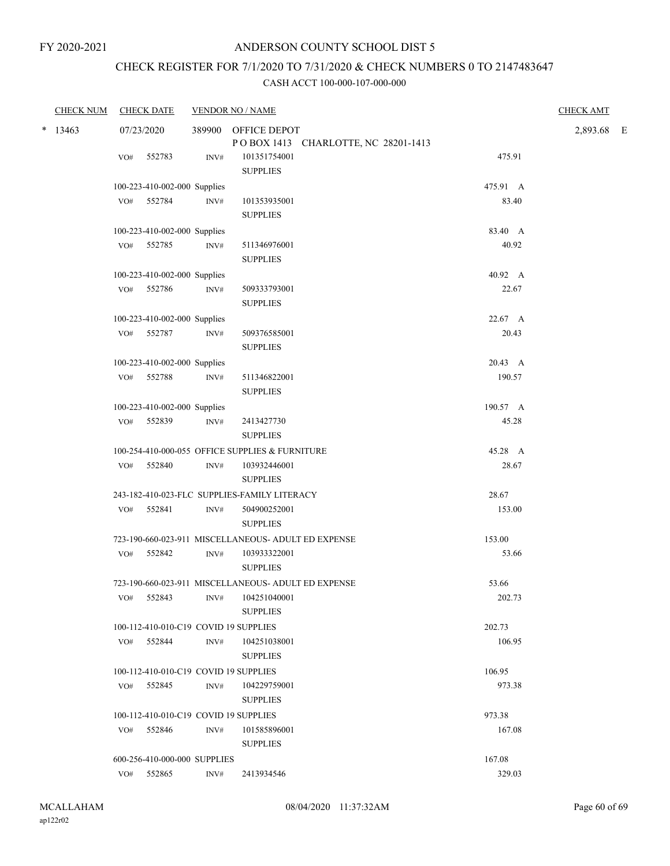# CHECK REGISTER FOR 7/1/2020 TO 7/31/2020 & CHECK NUMBERS 0 TO 2147483647

| <b>CHECK NUM</b> |            | <b>CHECK DATE</b>                     |                | <b>VENDOR NO / NAME</b>                                    |          | <b>CHECK AMT</b> |  |
|------------------|------------|---------------------------------------|----------------|------------------------------------------------------------|----------|------------------|--|
| $* 13463$        | 07/23/2020 |                                       |                | 389900 OFFICE DEPOT<br>POBOX 1413 CHARLOTTE, NC 28201-1413 |          | 2,893.68 E       |  |
|                  | VO#        | 552783                                | INV#           | 101351754001<br><b>SUPPLIES</b>                            | 475.91   |                  |  |
|                  |            | 100-223-410-002-000 Supplies          |                |                                                            | 475.91 A |                  |  |
|                  |            | VO# 552784                            | INV#           | 101353935001<br><b>SUPPLIES</b>                            | 83.40    |                  |  |
|                  |            | 100-223-410-002-000 Supplies          |                |                                                            | 83.40 A  |                  |  |
|                  |            | VO# 552785                            | $\text{INV}\#$ | 511346976001<br><b>SUPPLIES</b>                            | 40.92    |                  |  |
|                  |            | 100-223-410-002-000 Supplies          |                |                                                            | 40.92 A  |                  |  |
|                  | VO#        | 552786                                | INV#           | 509333793001<br><b>SUPPLIES</b>                            | 22.67    |                  |  |
|                  |            | 100-223-410-002-000 Supplies          |                |                                                            | 22.67 A  |                  |  |
|                  |            | VO# 552787                            | $\text{INV}\#$ | 509376585001<br><b>SUPPLIES</b>                            | 20.43    |                  |  |
|                  |            | 100-223-410-002-000 Supplies          |                |                                                            | 20.43 A  |                  |  |
|                  |            | VO# 552788                            | INV#           | 511346822001<br><b>SUPPLIES</b>                            | 190.57   |                  |  |
|                  |            | 100-223-410-002-000 Supplies          |                |                                                            | 190.57 A |                  |  |
|                  |            | VO# 552839                            | INV#           | 2413427730<br><b>SUPPLIES</b>                              | 45.28    |                  |  |
|                  |            |                                       |                | 100-254-410-000-055 OFFICE SUPPLIES & FURNITURE            | 45.28 A  |                  |  |
|                  |            | VO# 552840                            | INV#           | 103932446001<br><b>SUPPLIES</b>                            | 28.67    |                  |  |
|                  |            |                                       |                | 243-182-410-023-FLC SUPPLIES-FAMILY LITERACY               | 28.67    |                  |  |
|                  |            | VO# 552841                            | INV#           | 504900252001<br><b>SUPPLIES</b>                            | 153.00   |                  |  |
|                  |            |                                       |                | 723-190-660-023-911 MISCELLANEOUS- ADULT ED EXPENSE        | 153.00   |                  |  |
|                  |            | VO# 552842                            | INV#           | 103933322001<br><b>SUPPLIES</b>                            | 53.66    |                  |  |
|                  |            |                                       |                | 723-190-660-023-911 MISCELLANEOUS- ADULT ED EXPENSE        | 53.66    |                  |  |
|                  |            | VO# 552843                            |                | INV# 104251040001<br><b>SUPPLIES</b>                       | 202.73   |                  |  |
|                  |            | 100-112-410-010-C19 COVID 19 SUPPLIES |                |                                                            | 202.73   |                  |  |
|                  |            | VO# 552844                            | INV#           | 104251038001<br><b>SUPPLIES</b>                            | 106.95   |                  |  |
|                  |            | 100-112-410-010-C19 COVID 19 SUPPLIES |                |                                                            | 106.95   |                  |  |
|                  |            | VO# 552845                            | INV#           | 104229759001<br><b>SUPPLIES</b>                            | 973.38   |                  |  |
|                  |            | 100-112-410-010-C19 COVID 19 SUPPLIES |                |                                                            | 973.38   |                  |  |
|                  |            | VO# 552846                            | INV#           | 101585896001<br><b>SUPPLIES</b>                            | 167.08   |                  |  |
|                  |            | 600-256-410-000-000 SUPPLIES          |                |                                                            | 167.08   |                  |  |
|                  | VO#        | 552865                                | INV#           | 2413934546                                                 | 329.03   |                  |  |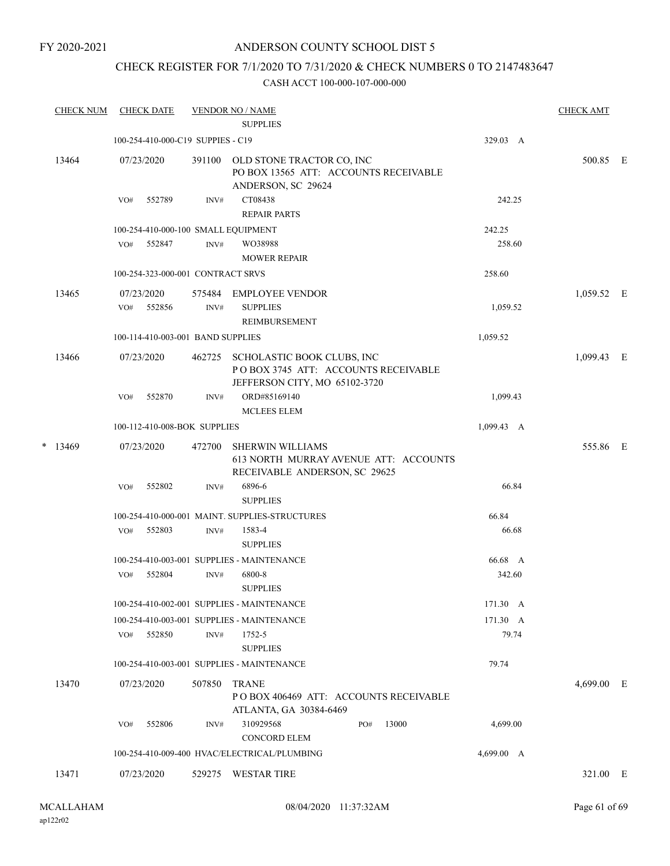## ANDERSON COUNTY SCHOOL DIST 5

## CHECK REGISTER FOR 7/1/2020 TO 7/31/2020 & CHECK NUMBERS 0 TO 2147483647

|  | <b>CHECK NUM</b> |     | <b>CHECK DATE</b>                 |                          | <b>VENDOR NO / NAME</b><br><b>SUPPLIES</b>                                                         |                    | <b>CHECK AMT</b> |  |
|--|------------------|-----|-----------------------------------|--------------------------|----------------------------------------------------------------------------------------------------|--------------------|------------------|--|
|  |                  |     | 100-254-410-000-C19 SUPPIES - C19 |                          |                                                                                                    | 329.03 A           |                  |  |
|  | 13464            |     | 07/23/2020                        | 391100                   | OLD STONE TRACTOR CO, INC<br>PO BOX 13565 ATT: ACCOUNTS RECEIVABLE<br>ANDERSON, SC 29624           |                    | 500.85 E         |  |
|  |                  | VO# | 552789                            | INV#                     | CT08438<br><b>REPAIR PARTS</b>                                                                     | 242.25             |                  |  |
|  |                  |     |                                   |                          | 100-254-410-000-100 SMALL EQUIPMENT                                                                | 242.25             |                  |  |
|  |                  | VO# | 552847                            | INV#                     | WO38988<br><b>MOWER REPAIR</b>                                                                     | 258.60             |                  |  |
|  |                  |     | 100-254-323-000-001 CONTRACT SRVS |                          |                                                                                                    | 258.60             |                  |  |
|  | 13465            | VO# | 07/23/2020<br>552856              | 575484<br>$\text{INV}\#$ | <b>EMPLOYEE VENDOR</b><br><b>SUPPLIES</b>                                                          | 1,059.52           | 1,059.52 E       |  |
|  |                  |     |                                   |                          | <b>REIMBURSEMENT</b>                                                                               |                    |                  |  |
|  |                  |     | 100-114-410-003-001 BAND SUPPLIES |                          |                                                                                                    | 1,059.52           |                  |  |
|  | 13466            |     | 07/23/2020                        | 462725                   | SCHOLASTIC BOOK CLUBS, INC<br>POBOX 3745 ATT: ACCOUNTS RECEIVABLE<br>JEFFERSON CITY, MO 65102-3720 |                    | 1,099.43 E       |  |
|  |                  | VO# | 552870                            | INV#                     | ORD#85169140<br><b>MCLEES ELEM</b>                                                                 | 1,099.43           |                  |  |
|  |                  |     | 100-112-410-008-BOK SUPPLIES      |                          |                                                                                                    | $1,099.43 \quad A$ |                  |  |
|  | $*$ 13469        |     | 07/23/2020                        | 472700                   | <b>SHERWIN WILLIAMS</b><br>613 NORTH MURRAY AVENUE ATT: ACCOUNTS<br>RECEIVABLE ANDERSON, SC 29625  |                    | 555.86 E         |  |
|  |                  | VO# | 552802                            | INV#                     | 6896-6<br><b>SUPPLIES</b>                                                                          | 66.84              |                  |  |
|  |                  |     |                                   |                          | 100-254-410-000-001 MAINT. SUPPLIES-STRUCTURES                                                     | 66.84              |                  |  |
|  |                  | VO# | 552803                            | INV#                     | 1583-4<br><b>SUPPLIES</b>                                                                          | 66.68              |                  |  |
|  |                  |     |                                   |                          | 100-254-410-003-001 SUPPLIES - MAINTENANCE                                                         | 66.68 A            |                  |  |
|  |                  | VO# | 552804                            | $\text{INV}\#$           | 6800-8<br><b>SUPPLIES</b>                                                                          | 342.60             |                  |  |
|  |                  |     |                                   |                          | 100-254-410-002-001 SUPPLIES - MAINTENANCE                                                         | 171.30 A           |                  |  |
|  |                  |     |                                   |                          | 100-254-410-003-001 SUPPLIES - MAINTENANCE                                                         | 171.30 A           |                  |  |
|  |                  | VO# | 552850                            | INV#                     | 1752-5<br><b>SUPPLIES</b>                                                                          | 79.74              |                  |  |
|  |                  |     |                                   |                          | 100-254-410-003-001 SUPPLIES - MAINTENANCE                                                         | 79.74              |                  |  |
|  | 13470            |     | 07/23/2020                        | 507850                   | <b>TRANE</b><br>POBOX 406469 ATT: ACCOUNTS RECEIVABLE<br>ATLANTA, GA 30384-6469                    |                    | 4,699.00 E       |  |
|  |                  | VO# | 552806                            | INV#                     | 310929568<br>13000<br>PO#<br><b>CONCORD ELEM</b>                                                   | 4,699.00           |                  |  |
|  |                  |     |                                   |                          | 100-254-410-009-400 HVAC/ELECTRICAL/PLUMBING                                                       | 4,699.00 A         |                  |  |
|  | 13471            |     | 07/23/2020                        |                          | 529275 WESTAR TIRE                                                                                 |                    | 321.00 E         |  |
|  |                  |     |                                   |                          |                                                                                                    |                    |                  |  |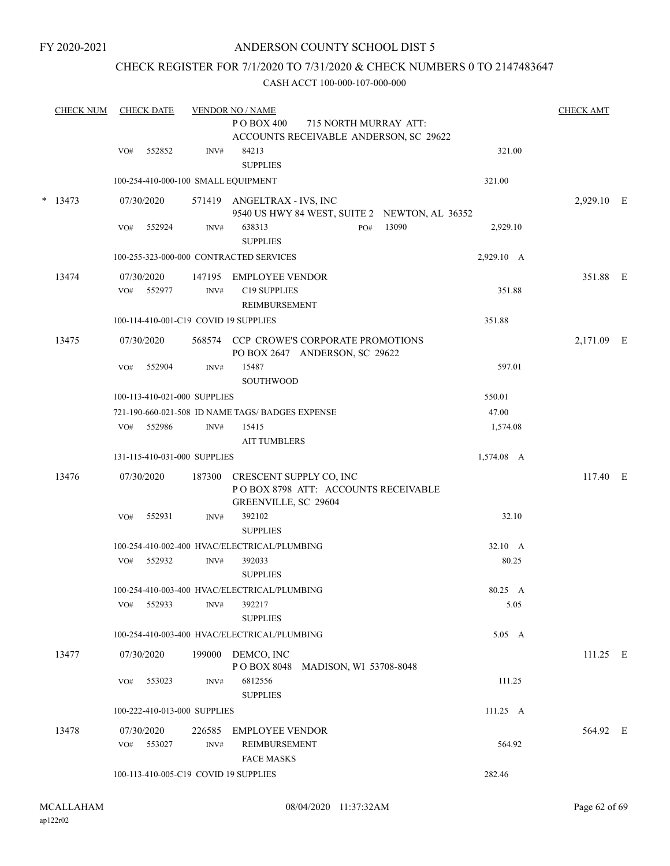## ANDERSON COUNTY SCHOOL DIST 5

## CHECK REGISTER FOR 7/1/2020 TO 7/31/2020 & CHECK NUMBERS 0 TO 2147483647

|   | <b>CHECK NUM</b> |                   | <b>CHECK DATE</b> |                                       | <b>VENDOR NO / NAME</b>                                                      |                       |                    | <b>CHECK AMT</b> |  |
|---|------------------|-------------------|-------------------|---------------------------------------|------------------------------------------------------------------------------|-----------------------|--------------------|------------------|--|
|   |                  |                   |                   |                                       | PO BOX 400<br>ACCOUNTS RECEIVABLE ANDERSON, SC 29622                         | 715 NORTH MURRAY ATT: |                    |                  |  |
|   |                  | VO#               | 552852            | INV#                                  | 84213<br><b>SUPPLIES</b>                                                     |                       | 321.00             |                  |  |
|   |                  |                   |                   | 100-254-410-000-100 SMALL EQUIPMENT   |                                                                              |                       | 321.00             |                  |  |
| * | 13473            |                   | 07/30/2020        |                                       | 571419 ANGELTRAX - IVS, INC<br>9540 US HWY 84 WEST, SUITE 2 NEWTON, AL 36352 |                       |                    | 2,929.10 E       |  |
|   |                  | VO#               | 552924            | INV#                                  | 638313<br><b>SUPPLIES</b>                                                    | 13090<br>PO#          | 2,929.10           |                  |  |
|   |                  |                   |                   |                                       | 100-255-323-000-000 CONTRACTED SERVICES                                      |                       | 2,929.10 A         |                  |  |
|   | 13474            | 07/30/2020<br>VO# | 552977            | 147195<br>INV#                        | EMPLOYEE VENDOR<br>C19 SUPPLIES                                              |                       | 351.88             | 351.88 E         |  |
|   |                  |                   |                   |                                       | REIMBURSEMENT                                                                |                       | 351.88             |                  |  |
|   |                  |                   |                   | 100-114-410-001-C19 COVID 19 SUPPLIES |                                                                              |                       |                    |                  |  |
|   | 13475            | 07/30/2020        |                   |                                       | 568574 CCP CROWE'S CORPORATE PROMOTIONS<br>PO BOX 2647 ANDERSON, SC 29622    |                       |                    | 2,171.09 E       |  |
|   |                  | VO#               | 552904            | INV#                                  | 15487<br><b>SOUTHWOOD</b>                                                    |                       | 597.01             |                  |  |
|   |                  |                   |                   | 100-113-410-021-000 SUPPLIES          |                                                                              |                       | 550.01             |                  |  |
|   |                  |                   |                   |                                       | 721-190-660-021-508 ID NAME TAGS/ BADGES EXPENSE                             |                       | 47.00              |                  |  |
|   |                  | VO#               | 552986            | INV#                                  | 15415<br><b>AIT TUMBLERS</b>                                                 |                       | 1,574.08           |                  |  |
|   |                  |                   |                   | 131-115-410-031-000 SUPPLIES          |                                                                              |                       | 1,574.08 A         |                  |  |
|   | 13476            | 07/30/2020        |                   | 187300                                | CRESCENT SUPPLY CO, INC<br>POBOX 8798 ATT: ACCOUNTS RECEIVABLE               |                       |                    | 117.40 E         |  |
|   |                  | VO#               | 552931            | INV#                                  | GREENVILLE, SC 29604<br>392102<br><b>SUPPLIES</b>                            |                       | 32.10              |                  |  |
|   |                  |                   |                   |                                       | 100-254-410-002-400 HVAC/ELECTRICAL/PLUMBING                                 |                       | 32.10 A            |                  |  |
|   |                  | VO#               | 552932            | $\text{INV}\#$                        | 392033<br><b>SUPPLIES</b>                                                    |                       | 80.25              |                  |  |
|   |                  |                   |                   |                                       | 100-254-410-003-400 HVAC/ELECTRICAL/PLUMBING                                 |                       | 80.25 A            |                  |  |
|   |                  | VO#               | 552933            | INV#                                  | 392217<br><b>SUPPLIES</b>                                                    |                       | 5.05               |                  |  |
|   |                  |                   |                   |                                       | 100-254-410-003-400 HVAC/ELECTRICAL/PLUMBING                                 |                       | 5.05 A             |                  |  |
|   | 13477            |                   | 07/30/2020        |                                       | 199000 DEMCO, INC<br>POBOX 8048 MADISON, WI 53708-8048                       |                       |                    | $111.25$ E       |  |
|   |                  | VO#               | 553023            | INV#                                  | 6812556<br><b>SUPPLIES</b>                                                   |                       | 111.25             |                  |  |
|   |                  |                   |                   | 100-222-410-013-000 SUPPLIES          |                                                                              |                       | $111.25 \text{ A}$ |                  |  |
|   | 13478            | 07/30/2020<br>VO# | 553027            | 226585<br>INV#                        | <b>EMPLOYEE VENDOR</b><br><b>REIMBURSEMENT</b><br><b>FACE MASKS</b>          |                       | 564.92             | 564.92 E         |  |
|   |                  |                   |                   | 100-113-410-005-C19 COVID 19 SUPPLIES |                                                                              |                       | 282.46             |                  |  |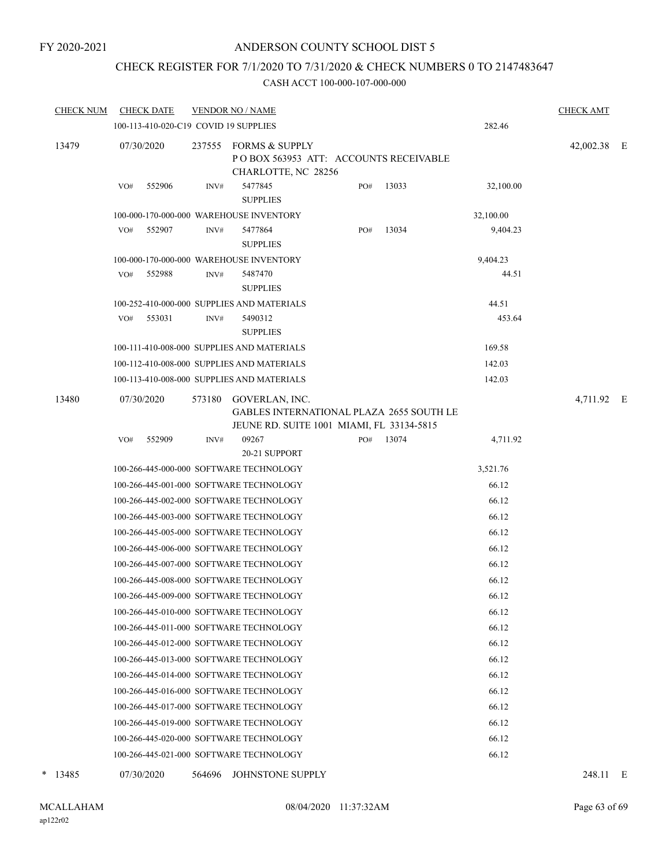## ANDERSON COUNTY SCHOOL DIST 5

## CHECK REGISTER FOR 7/1/2020 TO 7/31/2020 & CHECK NUMBERS 0 TO 2147483647

| <b>CHECK NUM</b> |            | <b>CHECK DATE</b> |        | <b>VENDOR NO / NAME</b>                                                                                 |     |       |           | <b>CHECK AMT</b> |  |
|------------------|------------|-------------------|--------|---------------------------------------------------------------------------------------------------------|-----|-------|-----------|------------------|--|
|                  |            |                   |        | 100-113-410-020-C19 COVID 19 SUPPLIES                                                                   |     |       | 282.46    |                  |  |
| 13479            | 07/30/2020 |                   | 237555 | FORMS & SUPPLY<br>POBOX 563953 ATT: ACCOUNTS RECEIVABLE<br>CHARLOTTE, NC 28256                          |     |       |           | 42,002.38 E      |  |
|                  | VO#        | 552906            | INV#   | 5477845<br><b>SUPPLIES</b>                                                                              | PO# | 13033 | 32,100.00 |                  |  |
|                  |            |                   |        | 100-000-170-000-000 WAREHOUSE INVENTORY                                                                 |     |       | 32,100.00 |                  |  |
|                  | VO#        | 552907            | INV#   | 5477864<br><b>SUPPLIES</b>                                                                              | PO# | 13034 | 9,404.23  |                  |  |
|                  |            |                   |        | 100-000-170-000-000 WAREHOUSE INVENTORY                                                                 |     |       | 9,404.23  |                  |  |
|                  | VO#        | 552988            | INV#   | 5487470<br><b>SUPPLIES</b>                                                                              |     |       | 44.51     |                  |  |
|                  |            |                   |        | 100-252-410-000-000 SUPPLIES AND MATERIALS                                                              |     |       | 44.51     |                  |  |
|                  | VO#        | 553031            | INV#   | 5490312<br><b>SUPPLIES</b>                                                                              |     |       | 453.64    |                  |  |
|                  |            |                   |        | 100-111-410-008-000 SUPPLIES AND MATERIALS                                                              |     |       | 169.58    |                  |  |
|                  |            |                   |        | 100-112-410-008-000 SUPPLIES AND MATERIALS                                                              |     |       | 142.03    |                  |  |
|                  |            |                   |        | 100-113-410-008-000 SUPPLIES AND MATERIALS                                                              |     |       | 142.03    |                  |  |
| 13480            | 07/30/2020 |                   | 573180 | GOVERLAN, INC.<br>GABLES INTERNATIONAL PLAZA 2655 SOUTH LE<br>JEUNE RD. SUITE 1001 MIAMI, FL 33134-5815 |     |       |           | 4,711.92 E       |  |
|                  | VO#        | 552909            | INV#   | 09267<br>20-21 SUPPORT                                                                                  | PO# | 13074 | 4,711.92  |                  |  |
|                  |            |                   |        | 100-266-445-000-000 SOFTWARE TECHNOLOGY                                                                 |     |       | 3,521.76  |                  |  |
|                  |            |                   |        | 100-266-445-001-000 SOFTWARE TECHNOLOGY                                                                 |     |       | 66.12     |                  |  |
|                  |            |                   |        | 100-266-445-002-000 SOFTWARE TECHNOLOGY                                                                 |     |       | 66.12     |                  |  |
|                  |            |                   |        | 100-266-445-003-000 SOFTWARE TECHNOLOGY                                                                 |     |       | 66.12     |                  |  |
|                  |            |                   |        | 100-266-445-005-000 SOFTWARE TECHNOLOGY                                                                 |     |       | 66.12     |                  |  |
|                  |            |                   |        | 100-266-445-006-000 SOFTWARE TECHNOLOGY                                                                 |     |       | 66.12     |                  |  |
|                  |            |                   |        | 100-266-445-007-000 SOFTWARE TECHNOLOGY                                                                 |     |       | 66.12     |                  |  |
|                  |            |                   |        | 100-266-445-008-000 SOFTWARE TECHNOLOGY                                                                 |     |       | 66.12     |                  |  |
|                  |            |                   |        | 100-266-445-009-000 SOFTWARE TECHNOLOGY                                                                 |     |       | 66.12     |                  |  |
|                  |            |                   |        | 100-266-445-010-000 SOFTWARE TECHNOLOGY                                                                 |     |       | 66.12     |                  |  |
|                  |            |                   |        | 100-266-445-011-000 SOFTWARE TECHNOLOGY                                                                 |     |       | 66.12     |                  |  |
|                  |            |                   |        | 100-266-445-012-000 SOFTWARE TECHNOLOGY                                                                 |     |       | 66.12     |                  |  |
|                  |            |                   |        | 100-266-445-013-000 SOFTWARE TECHNOLOGY                                                                 |     |       | 66.12     |                  |  |
|                  |            |                   |        | 100-266-445-014-000 SOFTWARE TECHNOLOGY                                                                 |     |       | 66.12     |                  |  |
|                  |            |                   |        | 100-266-445-016-000 SOFTWARE TECHNOLOGY                                                                 |     |       | 66.12     |                  |  |
|                  |            |                   |        | 100-266-445-017-000 SOFTWARE TECHNOLOGY                                                                 |     |       | 66.12     |                  |  |
|                  |            |                   |        | 100-266-445-019-000 SOFTWARE TECHNOLOGY                                                                 |     |       | 66.12     |                  |  |
|                  |            |                   |        | 100-266-445-020-000 SOFTWARE TECHNOLOGY                                                                 |     |       | 66.12     |                  |  |
|                  |            |                   |        | 100-266-445-021-000 SOFTWARE TECHNOLOGY                                                                 |     |       | 66.12     |                  |  |
| $*$ 13485        | 07/30/2020 |                   | 564696 | JOHNSTONE SUPPLY                                                                                        |     |       |           | 248.11 E         |  |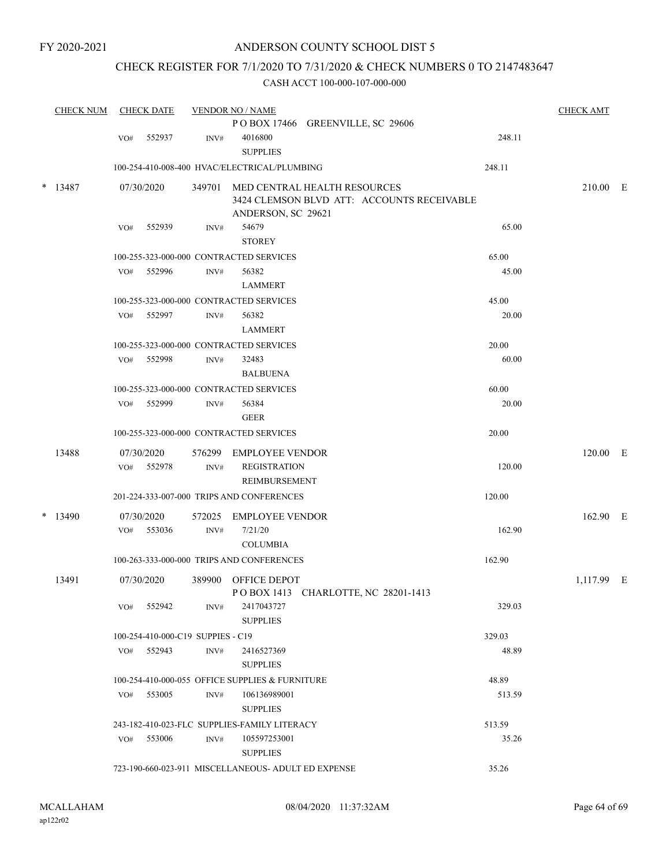## CHECK REGISTER FOR 7/1/2020 TO 7/31/2020 & CHECK NUMBERS 0 TO 2147483647

| <b>CHECK NUM</b> |     | <b>CHECK DATE</b>                 |                | <b>VENDOR NO / NAME</b>                             |                                                                                   |        | <b>CHECK AMT</b> |  |
|------------------|-----|-----------------------------------|----------------|-----------------------------------------------------|-----------------------------------------------------------------------------------|--------|------------------|--|
|                  |     |                                   |                |                                                     | POBOX 17466 GREENVILLE, SC 29606                                                  |        |                  |  |
|                  | VO# | 552937                            | INV#           | 4016800<br><b>SUPPLIES</b>                          |                                                                                   | 248.11 |                  |  |
|                  |     |                                   |                | 100-254-410-008-400 HVAC/ELECTRICAL/PLUMBING        |                                                                                   | 248.11 |                  |  |
| $* 13487$        |     | 07/30/2020                        |                | ANDERSON, SC 29621                                  | 349701 MED CENTRAL HEALTH RESOURCES<br>3424 CLEMSON BLVD ATT: ACCOUNTS RECEIVABLE |        | 210.00 E         |  |
|                  | VO# | 552939                            | INV#           | 54679<br><b>STOREY</b>                              |                                                                                   | 65.00  |                  |  |
|                  |     |                                   |                | 100-255-323-000-000 CONTRACTED SERVICES             |                                                                                   | 65.00  |                  |  |
|                  | VO# | 552996                            | INV#           | 56382<br><b>LAMMERT</b>                             |                                                                                   | 45.00  |                  |  |
|                  |     |                                   |                | 100-255-323-000-000 CONTRACTED SERVICES             |                                                                                   | 45.00  |                  |  |
|                  | VO# | 552997                            | INV#           | 56382                                               |                                                                                   | 20.00  |                  |  |
|                  |     |                                   |                | <b>LAMMERT</b>                                      |                                                                                   |        |                  |  |
|                  |     |                                   |                | 100-255-323-000-000 CONTRACTED SERVICES             |                                                                                   | 20.00  |                  |  |
|                  | VO# | 552998                            | INV#           | 32483                                               |                                                                                   | 60.00  |                  |  |
|                  |     |                                   |                | <b>BALBUENA</b>                                     |                                                                                   |        |                  |  |
|                  |     |                                   |                | 100-255-323-000-000 CONTRACTED SERVICES             |                                                                                   | 60.00  |                  |  |
|                  | VO# | 552999                            | INV#           | 56384                                               |                                                                                   | 20.00  |                  |  |
|                  |     |                                   |                | <b>GEER</b>                                         |                                                                                   |        |                  |  |
|                  |     |                                   |                | 100-255-323-000-000 CONTRACTED SERVICES             |                                                                                   | 20.00  |                  |  |
| 13488            |     | 07/30/2020                        |                | 576299 EMPLOYEE VENDOR                              |                                                                                   |        | $120.00$ E       |  |
|                  | VO# | 552978                            | INV#           | <b>REGISTRATION</b>                                 |                                                                                   | 120.00 |                  |  |
|                  |     |                                   |                | REIMBURSEMENT                                       |                                                                                   |        |                  |  |
|                  |     |                                   |                | 201-224-333-007-000 TRIPS AND CONFERENCES           |                                                                                   | 120.00 |                  |  |
| $*$ 13490        |     | 07/30/2020                        | 572025         | <b>EMPLOYEE VENDOR</b>                              |                                                                                   |        | 162.90 E         |  |
|                  | VO# | 553036                            | $\text{INV}\#$ | 7/21/20                                             |                                                                                   | 162.90 |                  |  |
|                  |     |                                   |                | <b>COLUMBIA</b>                                     |                                                                                   |        |                  |  |
|                  |     |                                   |                | 100-263-333-000-000 TRIPS AND CONFERENCES           |                                                                                   | 162.90 |                  |  |
| 13491            |     | 07/30/2020                        | 389900         | <b>OFFICE DEPOT</b>                                 | POBOX 1413 CHARLOTTE, NC 28201-1413                                               |        | 1,117.99 E       |  |
|                  | VO# | 552942                            | INV#           | 2417043727<br><b>SUPPLIES</b>                       |                                                                                   | 329.03 |                  |  |
|                  |     | 100-254-410-000-C19 SUPPIES - C19 |                |                                                     |                                                                                   | 329.03 |                  |  |
|                  | VO# | 552943                            | INV#           | 2416527369                                          |                                                                                   | 48.89  |                  |  |
|                  |     |                                   |                | <b>SUPPLIES</b>                                     |                                                                                   |        |                  |  |
|                  |     |                                   |                | 100-254-410-000-055 OFFICE SUPPLIES & FURNITURE     |                                                                                   | 48.89  |                  |  |
|                  | VO# | 553005                            | INV#           | 106136989001<br><b>SUPPLIES</b>                     |                                                                                   | 513.59 |                  |  |
|                  |     |                                   |                | 243-182-410-023-FLC SUPPLIES-FAMILY LITERACY        |                                                                                   | 513.59 |                  |  |
|                  |     | VO# 553006                        | INV#           | 105597253001<br><b>SUPPLIES</b>                     |                                                                                   | 35.26  |                  |  |
|                  |     |                                   |                | 723-190-660-023-911 MISCELLANEOUS- ADULT ED EXPENSE |                                                                                   | 35.26  |                  |  |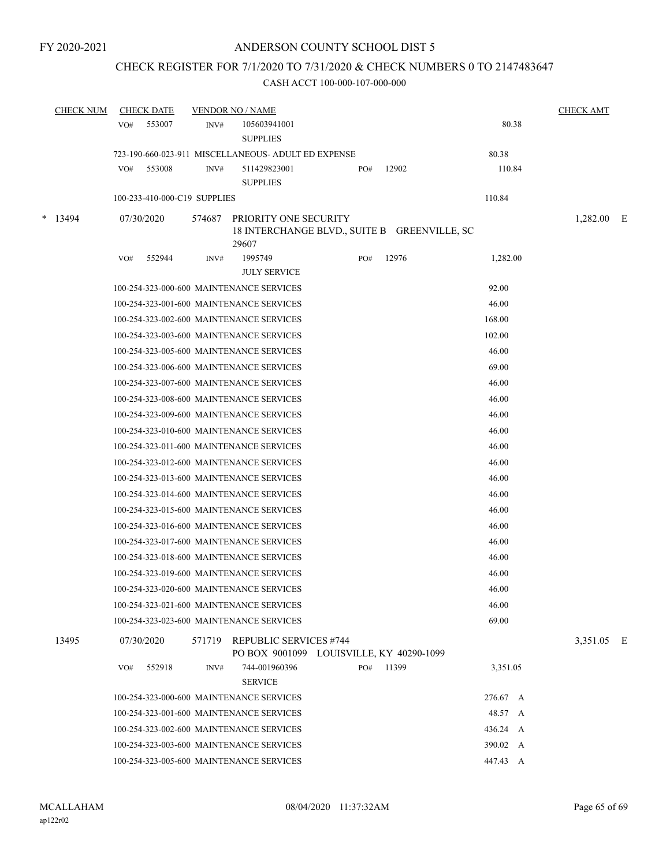## CHECK REGISTER FOR 7/1/2020 TO 7/31/2020 & CHECK NUMBERS 0 TO 2147483647

| <b>CHECK NUM</b> |     | <b>CHECK DATE</b>            |        | <b>VENDOR NO / NAME</b>                                                        |     |       |          | <b>CHECK AMT</b> |   |
|------------------|-----|------------------------------|--------|--------------------------------------------------------------------------------|-----|-------|----------|------------------|---|
|                  | VO# | 553007                       | INV#   | 105603941001<br><b>SUPPLIES</b>                                                |     |       | 80.38    |                  |   |
|                  |     |                              |        | 723-190-660-023-911 MISCELLANEOUS- ADULT ED EXPENSE                            |     |       | 80.38    |                  |   |
|                  | VO# | 553008                       | INV#   | 511429823001<br><b>SUPPLIES</b>                                                | PO# | 12902 | 110.84   |                  |   |
|                  |     | 100-233-410-000-C19 SUPPLIES |        |                                                                                |     |       | 110.84   |                  |   |
| $*$ 13494        |     | 07/30/2020                   | 574687 | PRIORITY ONE SECURITY<br>18 INTERCHANGE BLVD., SUITE B GREENVILLE, SC<br>29607 |     |       |          | 1,282.00         | E |
|                  | VO# | 552944                       | INV#   | 1995749<br><b>JULY SERVICE</b>                                                 | PO# | 12976 | 1,282.00 |                  |   |
|                  |     |                              |        | 100-254-323-000-600 MAINTENANCE SERVICES                                       |     |       | 92.00    |                  |   |
|                  |     |                              |        | 100-254-323-001-600 MAINTENANCE SERVICES                                       |     |       | 46.00    |                  |   |
|                  |     |                              |        | 100-254-323-002-600 MAINTENANCE SERVICES                                       |     |       | 168.00   |                  |   |
|                  |     |                              |        | 100-254-323-003-600 MAINTENANCE SERVICES                                       |     |       | 102.00   |                  |   |
|                  |     |                              |        | 100-254-323-005-600 MAINTENANCE SERVICES                                       |     |       | 46.00    |                  |   |
|                  |     |                              |        | 100-254-323-006-600 MAINTENANCE SERVICES                                       |     |       | 69.00    |                  |   |
|                  |     |                              |        | 100-254-323-007-600 MAINTENANCE SERVICES                                       |     |       | 46.00    |                  |   |
|                  |     |                              |        | 100-254-323-008-600 MAINTENANCE SERVICES                                       |     |       | 46.00    |                  |   |
|                  |     |                              |        | 100-254-323-009-600 MAINTENANCE SERVICES                                       |     |       | 46.00    |                  |   |
|                  |     |                              |        | 100-254-323-010-600 MAINTENANCE SERVICES                                       |     |       | 46.00    |                  |   |
|                  |     |                              |        | 100-254-323-011-600 MAINTENANCE SERVICES                                       |     |       | 46.00    |                  |   |
|                  |     |                              |        | 100-254-323-012-600 MAINTENANCE SERVICES                                       |     |       | 46.00    |                  |   |
|                  |     |                              |        | 100-254-323-013-600 MAINTENANCE SERVICES                                       |     |       | 46.00    |                  |   |
|                  |     |                              |        | 100-254-323-014-600 MAINTENANCE SERVICES                                       |     |       | 46.00    |                  |   |
|                  |     |                              |        | 100-254-323-015-600 MAINTENANCE SERVICES                                       |     |       | 46.00    |                  |   |
|                  |     |                              |        | 100-254-323-016-600 MAINTENANCE SERVICES                                       |     |       | 46.00    |                  |   |
|                  |     |                              |        | 100-254-323-017-600 MAINTENANCE SERVICES                                       |     |       | 46.00    |                  |   |
|                  |     |                              |        | 100-254-323-018-600 MAINTENANCE SERVICES                                       |     |       | 46.00    |                  |   |
|                  |     |                              |        | 100-254-323-019-600 MAINTENANCE SERVICES                                       |     |       | 46.00    |                  |   |
|                  |     |                              |        | 100-254-323-020-600 MAINTENANCE SERVICES                                       |     |       | 46.00    |                  |   |
|                  |     |                              |        | 100-254-323-021-600 MAINTENANCE SERVICES                                       |     |       | 46.00    |                  |   |
|                  |     |                              |        | 100-254-323-023-600 MAINTENANCE SERVICES                                       |     |       | 69.00    |                  |   |
| 13495            |     | 07/30/2020                   |        | 571719 REPUBLIC SERVICES #744<br>PO BOX 9001099 LOUISVILLE, KY 40290-1099      |     |       |          | 3,351.05 E       |   |
|                  | VO# | 552918                       | INV#   | 744-001960396<br><b>SERVICE</b>                                                | PO# | 11399 | 3,351.05 |                  |   |
|                  |     |                              |        | 100-254-323-000-600 MAINTENANCE SERVICES                                       |     |       | 276.67 A |                  |   |
|                  |     |                              |        | 100-254-323-001-600 MAINTENANCE SERVICES                                       |     |       | 48.57 A  |                  |   |
|                  |     |                              |        | 100-254-323-002-600 MAINTENANCE SERVICES                                       |     |       | 436.24 A |                  |   |
|                  |     |                              |        | 100-254-323-003-600 MAINTENANCE SERVICES                                       |     |       | 390.02 A |                  |   |
|                  |     |                              |        | 100-254-323-005-600 MAINTENANCE SERVICES                                       |     |       | 447.43 A |                  |   |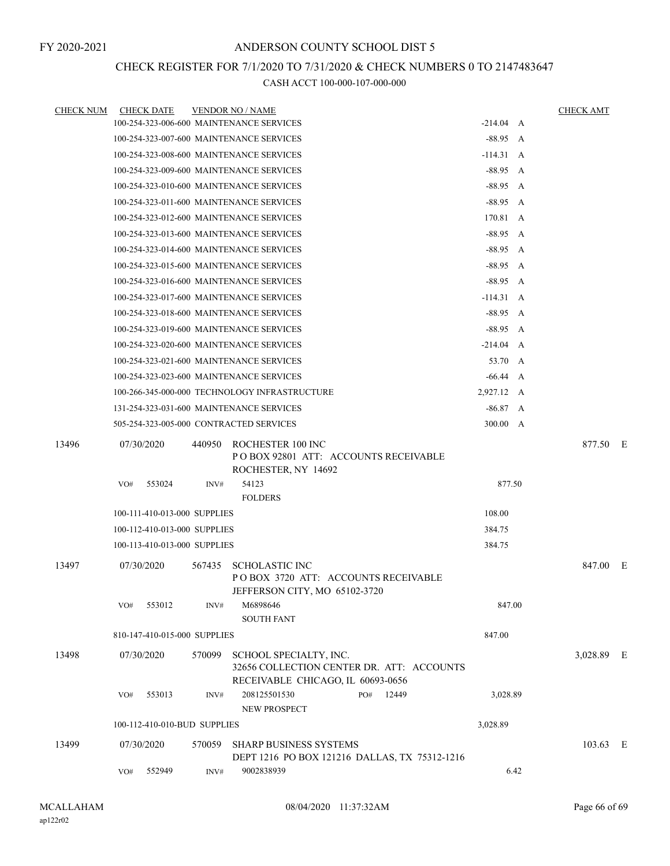# CHECK REGISTER FOR 7/1/2020 TO 7/31/2020 & CHECK NUMBERS 0 TO 2147483647

| <b>CHECK NUM</b> | <b>CHECK DATE</b>                        |        | <b>VENDOR NO / NAME</b>                                      |                 |      | <b>CHECK AMT</b> |
|------------------|------------------------------------------|--------|--------------------------------------------------------------|-----------------|------|------------------|
|                  | 100-254-323-006-600 MAINTENANCE SERVICES |        |                                                              | $-214.04$ A     |      |                  |
|                  | 100-254-323-007-600 MAINTENANCE SERVICES |        |                                                              | $-88.95$ A      |      |                  |
|                  | 100-254-323-008-600 MAINTENANCE SERVICES |        |                                                              | $-114.31 \, A$  |      |                  |
|                  | 100-254-323-009-600 MAINTENANCE SERVICES |        |                                                              | $-88.95\quad A$ |      |                  |
|                  | 100-254-323-010-600 MAINTENANCE SERVICES |        |                                                              | $-88.95$ A      |      |                  |
|                  | 100-254-323-011-600 MAINTENANCE SERVICES |        |                                                              | $-88.95\quad A$ |      |                  |
|                  | 100-254-323-012-600 MAINTENANCE SERVICES |        |                                                              | 170.81 A        |      |                  |
|                  | 100-254-323-013-600 MAINTENANCE SERVICES |        |                                                              | $-88.95 A$      |      |                  |
|                  | 100-254-323-014-600 MAINTENANCE SERVICES |        |                                                              | $-88.95\quad A$ |      |                  |
|                  | 100-254-323-015-600 MAINTENANCE SERVICES |        |                                                              | $-88.95$ A      |      |                  |
|                  | 100-254-323-016-600 MAINTENANCE SERVICES |        |                                                              | $-88.95\quad A$ |      |                  |
|                  | 100-254-323-017-600 MAINTENANCE SERVICES |        |                                                              | $-114.31 \, A$  |      |                  |
|                  | 100-254-323-018-600 MAINTENANCE SERVICES |        |                                                              | $-88.95$ A      |      |                  |
|                  | 100-254-323-019-600 MAINTENANCE SERVICES |        |                                                              | $-88.95$ A      |      |                  |
|                  | 100-254-323-020-600 MAINTENANCE SERVICES |        |                                                              | $-214.04$ A     |      |                  |
|                  | 100-254-323-021-600 MAINTENANCE SERVICES |        |                                                              | 53.70 A         |      |                  |
|                  | 100-254-323-023-600 MAINTENANCE SERVICES |        |                                                              | $-66.44 \, A$   |      |                  |
|                  |                                          |        | 100-266-345-000-000 TECHNOLOGY INFRASTRUCTURE                | 2,927.12 A      |      |                  |
|                  | 131-254-323-031-600 MAINTENANCE SERVICES |        |                                                              | $-86.87$ A      |      |                  |
|                  | 505-254-323-005-000 CONTRACTED SERVICES  |        |                                                              | 300.00 A        |      |                  |
| 13496            | 07/30/2020                               | 440950 | ROCHESTER 100 INC                                            |                 |      | 877.50 E         |
|                  |                                          |        | PO BOX 92801 ATT: ACCOUNTS RECEIVABLE<br>ROCHESTER, NY 14692 |                 |      |                  |
|                  | VO#<br>553024                            | INV#   | 54123                                                        | 877.50          |      |                  |
|                  |                                          |        | <b>FOLDERS</b>                                               |                 |      |                  |
|                  | 100-111-410-013-000 SUPPLIES             |        |                                                              | 108.00          |      |                  |
|                  | 100-112-410-013-000 SUPPLIES             |        |                                                              | 384.75          |      |                  |
|                  | 100-113-410-013-000 SUPPLIES             |        |                                                              | 384.75          |      |                  |
| 13497            | 07/30/2020                               | 567435 | <b>SCHOLASTIC INC</b>                                        |                 |      | 847.00 E         |
|                  |                                          |        | POBOX 3720 ATT: ACCOUNTS RECEIVABLE                          |                 |      |                  |
|                  |                                          |        | JEFFERSON CITY, MO 65102-3720                                |                 |      |                  |
|                  | 553012<br>VO#                            | INV#   | M6898646                                                     | 847.00          |      |                  |
|                  |                                          |        | <b>SOUTH FANT</b>                                            |                 |      |                  |
|                  | 810-147-410-015-000 SUPPLIES             |        |                                                              | 847.00          |      |                  |
| 13498            | 07/30/2020                               | 570099 | SCHOOL SPECIALTY, INC.                                       |                 |      | 3,028.89 E       |
|                  |                                          |        | 32656 COLLECTION CENTER DR. ATT: ACCOUNTS                    |                 |      |                  |
|                  |                                          |        | RECEIVABLE CHICAGO, IL 60693-0656                            |                 |      |                  |
|                  | 553013<br>VO#                            | INV#   | 208125501530<br>PO# 12449                                    | 3,028.89        |      |                  |
|                  |                                          |        | NEW PROSPECT                                                 |                 |      |                  |
|                  | 100-112-410-010-BUD SUPPLIES             |        |                                                              | 3,028.89        |      |                  |
| 13499            | 07/30/2020                               | 570059 | <b>SHARP BUSINESS SYSTEMS</b>                                |                 |      | 103.63 E         |
|                  |                                          |        | DEPT 1216 PO BOX 121216 DALLAS, TX 75312-1216                |                 |      |                  |
|                  | 552949<br>VO#                            | INV#   | 9002838939                                                   |                 | 6.42 |                  |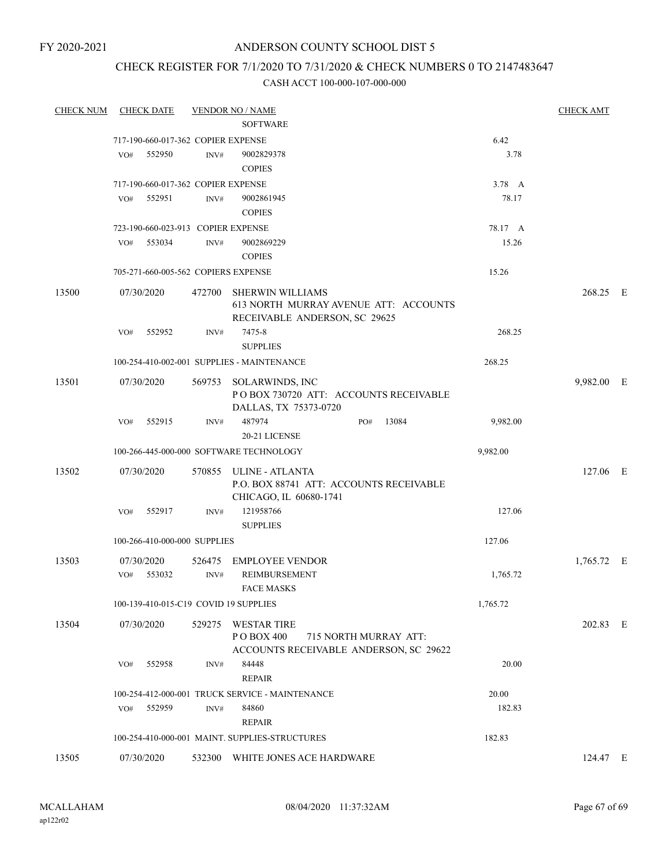# ANDERSON COUNTY SCHOOL DIST 5

# CHECK REGISTER FOR 7/1/2020 TO 7/31/2020 & CHECK NUMBERS 0 TO 2147483647

| <b>CHECK NUM</b> | <b>CHECK DATE</b>                     |                | <b>VENDOR NO / NAME</b>                                                                             |          | <b>CHECK AMT</b> |     |
|------------------|---------------------------------------|----------------|-----------------------------------------------------------------------------------------------------|----------|------------------|-----|
|                  |                                       |                | <b>SOFTWARE</b>                                                                                     |          |                  |     |
|                  | 717-190-660-017-362 COPIER EXPENSE    |                |                                                                                                     | 6.42     |                  |     |
|                  | 552950<br>VO#                         | INV#           | 9002829378<br><b>COPIES</b>                                                                         | 3.78     |                  |     |
|                  | 717-190-660-017-362 COPIER EXPENSE    |                |                                                                                                     | 3.78 A   |                  |     |
|                  | 552951<br>VO#                         | INV#           | 9002861945<br><b>COPIES</b>                                                                         | 78.17    |                  |     |
|                  | 723-190-660-023-913 COPIER EXPENSE    |                |                                                                                                     | 78.17 A  |                  |     |
|                  | 553034<br>VO#                         | INV#           | 9002869229<br><b>COPIES</b>                                                                         | 15.26    |                  |     |
|                  | 705-271-660-005-562 COPIERS EXPENSE   |                |                                                                                                     | 15.26    |                  |     |
| 13500            | 07/30/2020                            | 472700         | <b>SHERWIN WILLIAMS</b><br>613 NORTH MURRAY AVENUE ATT: ACCOUNTS<br>RECEIVABLE ANDERSON, SC 29625   |          | 268.25 E         |     |
|                  | 552952<br>VO#                         | INV#           | 7475-8<br><b>SUPPLIES</b>                                                                           | 268.25   |                  |     |
|                  |                                       |                | 100-254-410-002-001 SUPPLIES - MAINTENANCE                                                          | 268.25   |                  |     |
| 13501            | 07/30/2020                            | 569753         | SOLARWINDS, INC<br>POBOX 730720 ATT: ACCOUNTS RECEIVABLE<br>DALLAS, TX 75373-0720                   |          | 9,982.00         | - E |
|                  | VO#<br>552915                         | INV#           | 487974<br>13084<br>PO#<br>20-21 LICENSE                                                             | 9,982.00 |                  |     |
|                  |                                       |                | 100-266-445-000-000 SOFTWARE TECHNOLOGY                                                             | 9,982.00 |                  |     |
| 13502            | 07/30/2020<br>552917<br>VO#           | 570855<br>INV# | ULINE - ATLANTA<br>P.O. BOX 88741 ATT: ACCOUNTS RECEIVABLE<br>CHICAGO, IL 60680-1741<br>121958766   | 127.06   | 127.06 E         |     |
|                  |                                       |                | <b>SUPPLIES</b>                                                                                     |          |                  |     |
|                  | 100-266-410-000-000 SUPPLIES          |                |                                                                                                     | 127.06   |                  |     |
| 13503            | 07/30/2020<br>553032<br>VO#           | 526475<br>INV# | <b>EMPLOYEE VENDOR</b><br>REIMBURSEMENT<br><b>FACE MASKS</b>                                        | 1,765.72 | $1,765.72$ E     |     |
|                  | 100-139-410-015-C19 COVID 19 SUPPLIES |                |                                                                                                     | 1,765.72 |                  |     |
| 13504            | 07/30/2020                            | 529275         | <b>WESTAR TIRE</b><br>PO BOX 400<br>715 NORTH MURRAY ATT:<br>ACCOUNTS RECEIVABLE ANDERSON, SC 29622 |          | 202.83 E         |     |
|                  | 552958<br>VO#                         | INV#           | 84448<br><b>REPAIR</b>                                                                              | 20.00    |                  |     |
|                  |                                       |                | 100-254-412-000-001 TRUCK SERVICE - MAINTENANCE                                                     | 20.00    |                  |     |
|                  | 552959<br>VO#                         | INV#           | 84860<br><b>REPAIR</b>                                                                              | 182.83   |                  |     |
|                  |                                       |                | 100-254-410-000-001 MAINT. SUPPLIES-STRUCTURES                                                      | 182.83   |                  |     |
| 13505            | 07/30/2020                            |                | 532300 WHITE JONES ACE HARDWARE                                                                     |          | 124.47 E         |     |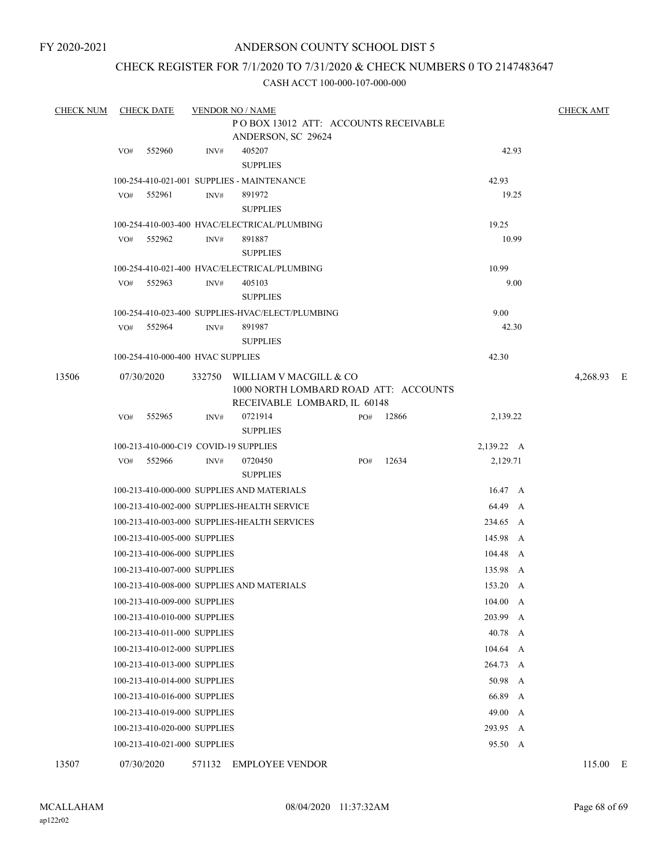## CHECK REGISTER FOR 7/1/2020 TO 7/31/2020 & CHECK NUMBERS 0 TO 2147483647

CASH ACCT 100-000-107-000-000

| <b>CHECK NUM</b> | <b>CHECK DATE</b>                                               |             |                                                  | <b>VENDOR NO / NAME</b>                      |          |                 |                  | <b>CHECK AMT</b> |     |  |  |  |
|------------------|-----------------------------------------------------------------|-------------|--------------------------------------------------|----------------------------------------------|----------|-----------------|------------------|------------------|-----|--|--|--|
|                  |                                                                 |             |                                                  |                                              |          |                 |                  |                  |     |  |  |  |
|                  | VO#                                                             | 552960      | INV#                                             | ANDERSON, SC 29624<br>405207                 |          |                 | 42.93            |                  |     |  |  |  |
|                  |                                                                 |             |                                                  | <b>SUPPLIES</b>                              |          |                 |                  |                  |     |  |  |  |
|                  |                                                                 |             |                                                  | 100-254-410-021-001 SUPPLIES - MAINTENANCE   |          |                 | 42.93            |                  |     |  |  |  |
|                  | VO#                                                             | 552961      | INV#                                             | 891972                                       |          |                 | 19.25            |                  |     |  |  |  |
|                  |                                                                 |             |                                                  |                                              |          |                 |                  |                  |     |  |  |  |
|                  |                                                                 |             |                                                  | 100-254-410-003-400 HVAC/ELECTRICAL/PLUMBING |          |                 | 19.25            |                  |     |  |  |  |
|                  | VO#                                                             | 552962      | INV#                                             | 891887                                       |          | 10.99           |                  |                  |     |  |  |  |
|                  | <b>SUPPLIES</b><br>100-254-410-021-400 HVAC/ELECTRICAL/PLUMBING |             |                                                  |                                              |          |                 |                  |                  |     |  |  |  |
|                  | VO#                                                             | 552963      | INV#                                             | 405103                                       |          |                 | 10.99<br>9.00    |                  |     |  |  |  |
|                  |                                                                 |             |                                                  | <b>SUPPLIES</b>                              |          |                 |                  |                  |     |  |  |  |
|                  |                                                                 |             | 100-254-410-023-400 SUPPLIES-HVAC/ELECT/PLUMBING | 9.00                                         |          |                 |                  |                  |     |  |  |  |
|                  | VO#                                                             | 552964      | INV#                                             |                                              | 42.30    |                 |                  |                  |     |  |  |  |
|                  |                                                                 |             |                                                  | <b>SUPPLIES</b>                              |          |                 |                  |                  |     |  |  |  |
|                  |                                                                 |             | 100-254-410-000-400 HVAC SUPPLIES                |                                              |          | 42.30           |                  |                  |     |  |  |  |
| 13506            | 07/30/2020                                                      |             |                                                  | 332750 WILLIAM V MACGILL & CO                |          |                 |                  | 4,268.93         | – E |  |  |  |
|                  |                                                                 |             |                                                  | 1000 NORTH LOMBARD ROAD ATT: ACCOUNTS        |          |                 |                  |                  |     |  |  |  |
|                  |                                                                 |             |                                                  | RECEIVABLE LOMBARD, IL 60148                 |          |                 |                  |                  |     |  |  |  |
|                  | VO#                                                             | 552965      | INV#                                             | 0721914<br><b>SUPPLIES</b>                   | PO#      | 12866           | 2,139.22         |                  |     |  |  |  |
|                  |                                                                 |             |                                                  | 100-213-410-000-C19 COVID-19 SUPPLIES        |          | 2,139.22 A      |                  |                  |     |  |  |  |
|                  | VO#                                                             | 552966      | INV#                                             | 0720450                                      | PO#      | 12634           | 2,129.71         |                  |     |  |  |  |
|                  |                                                                 |             |                                                  | <b>SUPPLIES</b>                              |          |                 |                  |                  |     |  |  |  |
|                  |                                                                 |             |                                                  | 100-213-410-000-000 SUPPLIES AND MATERIALS   |          | $16.47 \quad A$ |                  |                  |     |  |  |  |
|                  |                                                                 |             | 100-213-410-002-000 SUPPLIES-HEALTH SERVICE      | 64.49 A                                      |          |                 |                  |                  |     |  |  |  |
|                  |                                                                 |             | 100-213-410-003-000 SUPPLIES-HEALTH SERVICES     |                                              | 234.65 A |                 |                  |                  |     |  |  |  |
|                  |                                                                 |             | 100-213-410-005-000 SUPPLIES                     |                                              | 145.98 A |                 |                  |                  |     |  |  |  |
|                  |                                                                 |             | 100-213-410-006-000 SUPPLIES                     |                                              |          |                 | 104.48 A         |                  |     |  |  |  |
|                  |                                                                 |             | 100-213-410-007-000 SUPPLIES                     |                                              |          |                 | 135.98 A         |                  |     |  |  |  |
|                  |                                                                 |             |                                                  | 100-213-410-008-000 SUPPLIES AND MATERIALS   |          |                 | 153.20 A         |                  |     |  |  |  |
|                  |                                                                 |             | 100-213-410-009-000 SUPPLIES                     |                                              |          |                 | 104.00 A         |                  |     |  |  |  |
|                  |                                                                 |             | 100-213-410-010-000 SUPPLIES                     |                                              |          |                 | 203.99<br>A      |                  |     |  |  |  |
|                  |                                                                 |             | 100-213-410-011-000 SUPPLIES                     |                                              |          |                 | 40.78<br>A       |                  |     |  |  |  |
|                  |                                                                 |             | 100-213-410-012-000 SUPPLIES                     |                                              |          |                 | $104.64 \quad A$ |                  |     |  |  |  |
|                  | 100-213-410-013-000 SUPPLIES                                    | 264.73<br>A |                                                  |                                              |          |                 |                  |                  |     |  |  |  |
|                  | 50.98 A<br>100-213-410-014-000 SUPPLIES                         |             |                                                  |                                              |          |                 |                  |                  |     |  |  |  |
|                  | 66.89<br>100-213-410-016-000 SUPPLIES<br>A                      |             |                                                  |                                              |          |                 |                  |                  |     |  |  |  |
|                  | 49.00<br>100-213-410-019-000 SUPPLIES<br>A                      |             |                                                  |                                              |          |                 |                  |                  |     |  |  |  |
|                  |                                                                 |             | 100-213-410-020-000 SUPPLIES                     |                                              |          |                 | 293.95 A         |                  |     |  |  |  |
|                  |                                                                 |             | 100-213-410-021-000 SUPPLIES                     |                                              |          |                 | 95.50 A          |                  |     |  |  |  |

13507 07/30/2020 571132 EMPLOYEE VENDOR 115.00 E